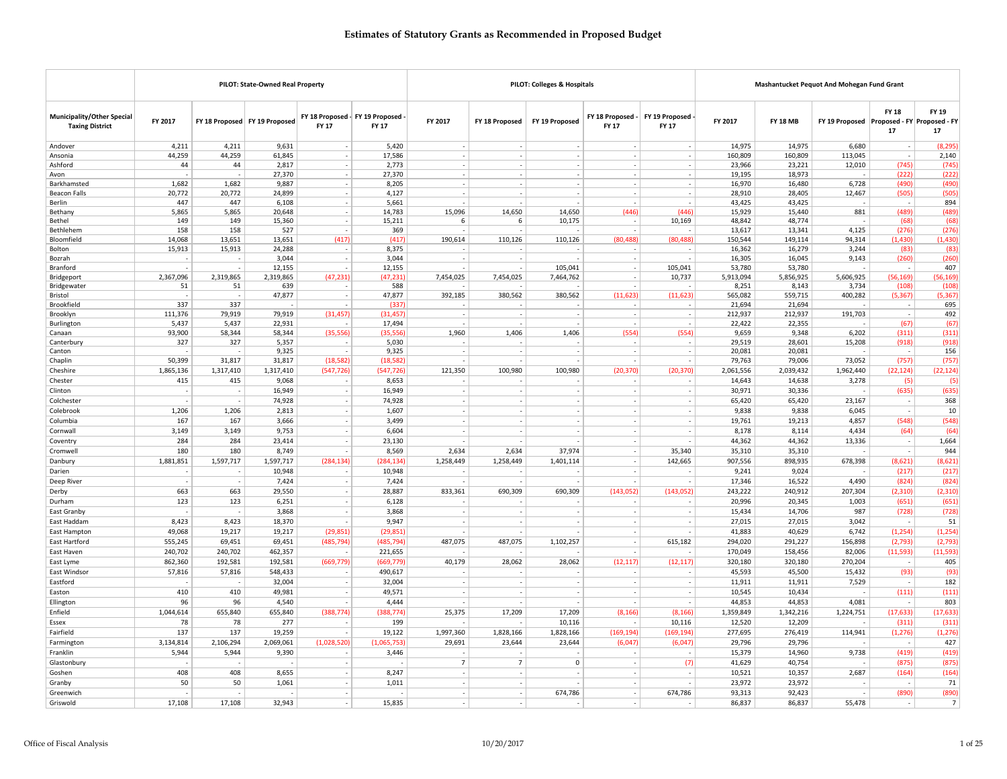|                                                      |                          |                          | PILOT: State-Owned Real Property |                                          |                    |                                    |                 | <b>PILOT: Colleges &amp; Hospitals</b>               |                                                      |                          |                   | Mashantucket Pequot And Mohegan Fund Grant |                                            |                          |                            |
|------------------------------------------------------|--------------------------|--------------------------|----------------------------------|------------------------------------------|--------------------|------------------------------------|-----------------|------------------------------------------------------|------------------------------------------------------|--------------------------|-------------------|--------------------------------------------|--------------------------------------------|--------------------------|----------------------------|
| Municipality/Other Special<br><b>Taxing District</b> | FY 2017                  |                          | FY 18 Proposed FY 19 Proposed    | FY 18 Proposed - FY 19 Proposed<br>FY 17 | FY 17              | FY 2017                            | FY 18 Proposed  | FY 19 Proposed                                       | FY 18 Proposed -<br>FY 17                            | FY 19 Proposed<br>FY 17  | FY 2017           | <b>FY 18 MB</b>                            | FY 19 Proposed Proposed - FY Proposed - FY | <b>FY 18</b><br>17       | <b>FY 19</b><br>${\bf 17}$ |
| Andover                                              | 4,211                    | 4,211                    | 9,631                            |                                          | 5,420              | $\sim$                             |                 | $\overline{\phantom{a}}$                             |                                                      |                          | 14,975            | 14,975                                     | 6,680                                      |                          | (8, 295)                   |
| Ansonia                                              | 44,259                   | 44,259                   | 61,845                           |                                          | 17,586             | $\sim$                             |                 | $\sim$                                               | $\sim$                                               | ٠.                       | 160,809           | 160,809                                    | 113,045                                    |                          | 2,140                      |
| Ashford                                              | 44                       | 44                       | 2,817                            |                                          | 2,773              | ÷                                  |                 | $\overline{\phantom{a}}$                             | $\overline{a}$                                       | ÷.                       | 23,966            | 23,221                                     | 12,010                                     | (745)                    | (745)                      |
| Avon                                                 |                          |                          | 27,370                           |                                          | 27,370             | $\overline{\phantom{a}}$           |                 |                                                      | $\sim$                                               |                          | 19,195            | 18,973                                     |                                            | (222)                    | (222)                      |
| Barkhamsted                                          | 1,682                    | 1,682                    | 9,887                            |                                          | 8,205              | $\overline{\phantom{a}}$           |                 |                                                      |                                                      |                          | 16,970            | 16,480                                     | 6,728                                      | (490)                    | (490)                      |
| <b>Beacon Falls</b>                                  | 20,772                   | 20,772                   | 24,899                           |                                          | 4,127              |                                    |                 | $\overline{\phantom{a}}$                             |                                                      |                          | 28,910            | 28,405                                     | 12,467                                     | (505)                    | (505)                      |
| Berlin                                               | 447                      | 447                      | 6,108                            |                                          | 5,661              |                                    |                 | $\overline{\phantom{a}}$                             | $\overline{\phantom{a}}$                             |                          | 43,425            | 43,425                                     |                                            |                          | 894                        |
| Bethany<br>Bethel                                    | 5,865<br>149             | 5,865<br>149             | 20,648<br>15,360                 |                                          | 14,783<br>15,211   | 15,096<br>$6\phantom{.}6$          | 14,650<br>6     | 14,650<br>10,175                                     | (446)                                                | (446)<br>10,169          | 15,929<br>48,842  | 15,440<br>48,774                           | 881                                        | (489)<br>(68)            | (489)<br>(68)              |
| Bethlehem                                            | 158                      | 158                      | 527                              |                                          | 369                |                                    |                 |                                                      |                                                      |                          | 13,617            | 13,341                                     | 4,125                                      | (276)                    | (276)                      |
| Bloomfield                                           | 14,068                   | 13,651                   | 13,651                           | (417)                                    | (417)              | 190,614                            | 110,126         | 110,126                                              | (80, 488)                                            | (80, 488)                | 150,544           | 149,114                                    | 94,314                                     | (1, 430)                 | 1,430                      |
| Bolton                                               | 15,913                   | 15,913                   | 24,288                           |                                          | 8,375              |                                    |                 |                                                      |                                                      |                          | 16,362            | 16,279                                     | 3,244                                      | (83)                     | (83)                       |
| Bozrał                                               |                          |                          | 3,044                            | $\sim$                                   | 3,044              | $\overline{\phantom{a}}$           |                 |                                                      | $\overline{\phantom{a}}$                             |                          | 16,305            | 16,045                                     | 9,143                                      | (260)                    | (260)                      |
| Branford                                             |                          |                          | 12,155                           |                                          | 12,155             |                                    |                 | 105,041                                              | $\overline{\phantom{a}}$                             | 105,041                  | 53,780            | 53,780                                     |                                            |                          | 407                        |
| Bridgeport                                           | 2,367,096                | 2,319,865                | 2,319,865                        | (47, 231)                                | (47, 231)          | 7,454,025                          | 7,454,025       | 7,464,762                                            | $\overline{\phantom{a}}$                             | 10,737                   | 5,913,094         | 5,856,925                                  | 5,606,925                                  | (56, 169)                | (56, 169)                  |
| Bridgewater                                          | 51                       | 51                       | 639                              |                                          | 588                |                                    |                 |                                                      | $\sim$                                               |                          | 8,251             | 8,143                                      | 3,734                                      | (108)                    | (108)                      |
| Bristol                                              |                          |                          | 47,877                           |                                          | 47,877             | 392,185                            | 380,562         | 380,562                                              | (11, 623)                                            | (11, 623)                | 565,082           | 559,715                                    | 400,282                                    | (5, 367)                 | (5, 367)                   |
| Brookfield<br>Brooklyn                               | 337<br>111,376           | 337<br>79,919            | 79,919                           | (31, 457)                                | (337)<br>(31, 457) | $\overline{\phantom{a}}$           |                 | $\overline{\phantom{a}}$                             | $\overline{\phantom{a}}$                             | $\overline{\phantom{a}}$ | 21,694<br>212,937 | 21,694<br>212,937                          | 191,703                                    | $\overline{\phantom{a}}$ | 695<br>492                 |
| Burlington                                           | 5,437                    | 5,437                    | 22,931                           |                                          | 17,494             |                                    |                 |                                                      |                                                      |                          | 22,422            | 22,355                                     |                                            | (67)                     | (67)                       |
| Canaan                                               | 93,900                   | 58,344                   | 58,344                           | (35, 556)                                | (35, 556)          | 1,960                              | 1,406           | 1,406                                                | (554)                                                | (554)                    | 9,659             | 9,348                                      | 6,202                                      | (311)                    | (311)                      |
| Canterbury                                           | 327                      | 327                      | 5,357                            |                                          | 5,030              |                                    |                 |                                                      | ۰.                                                   |                          | 29,519            | 28,601                                     | 15,208                                     | (918)                    | (918)                      |
| Canton                                               |                          |                          | 9,325                            |                                          | 9,325              |                                    |                 |                                                      | ÷,                                                   |                          | 20,081            | 20,081                                     |                                            |                          | 156                        |
| Chaplin                                              | 50,399                   | 31,817                   | 31,817                           | (18, 582)                                | (18, 582)          |                                    |                 |                                                      |                                                      |                          | 79,763            | 79,006                                     | 73,052                                     | (757)                    | (757)                      |
| Cheshire                                             | 1,865,136                | 1,317,410                | 1,317,410                        | (547, 726)                               | (547, 726)         | 121,350                            | 100,980         | 100,980                                              | (20, 370)                                            | (20, 370)                | 2,061,556         | 2,039,432                                  | 1,962,440                                  | (22, 124)                | (22, 124)                  |
| Chester                                              | 415                      | 415                      | 9,068                            |                                          | 8,653              |                                    |                 |                                                      | $\sim$                                               |                          | 14,643            | 14,638                                     | 3,278                                      | (5)                      | (5)                        |
| Clinton                                              | $\overline{\phantom{a}}$ |                          | 16,949                           |                                          | 16,949             |                                    |                 | $\overline{\phantom{a}}$                             |                                                      |                          | 30,971            | 30,336                                     |                                            | (635)                    | (635)                      |
| Colchester                                           |                          |                          | 74,928                           | $\sim$                                   | 74,928             | $\sim$                             | $\overline{a}$  | $\sim$                                               | $\sim$                                               | ٠.                       | 65,420            | 65,420                                     | 23,167                                     | $\sim$                   | 368                        |
| Colebrook                                            | 1,206                    | 1,206                    | 2,813                            |                                          | 1,607              | $\sim$                             |                 | $\overline{\phantom{a}}$                             | $\sim$                                               |                          | 9,838             | 9,838                                      | 6,045                                      | $\sim$                   | 10                         |
| Columbia                                             | 167                      | 167                      | 3,666                            | $\sim$                                   | 3,499              | $\sim$                             |                 | $\overline{\phantom{a}}$                             | $\overline{\phantom{a}}$                             | $\overline{\phantom{a}}$ | 19,761            | 19,213                                     | 4,857                                      | (548)                    | (548)                      |
| Cornwall                                             | 3.149                    | 3,149                    | 9,753                            |                                          | 6,604              | $\overline{\phantom{a}}$           |                 | $\sim$                                               | $\overline{\phantom{a}}$                             | $\overline{\phantom{a}}$ | 8,178             | 8,114                                      | 4,434                                      | (64)                     | (64)                       |
| Coventry                                             | 284                      | 284                      | 23,414                           |                                          | 23,130             | $\sim$                             |                 | ÷.                                                   | $\sim$                                               |                          | 44,362            | 44,362                                     | 13,336                                     |                          | 1,664                      |
| Cromwell                                             | 180                      | 180                      | 8,749                            |                                          | 8,569              | 2,634                              | 2,634           | 37,974                                               | $\overline{\phantom{a}}$                             | 35,340                   | 35,310            | 35,310                                     |                                            | $\sim$                   | 944                        |
| Danbury                                              | 1,881,851                | 1,597,717                | 1,597,717                        | (284, 134)                               | (284, 134)         | 1,258,449                          | 1,258,449       | 1,401,114                                            | $\sim$                                               | 142,665                  | 907,556           | 898,935                                    | 678,398                                    | (8,621)                  | (8,621)                    |
| Darien                                               |                          |                          | 10,948                           |                                          | 10,948             |                                    |                 |                                                      | $\sim$                                               |                          | 9,241             | 9,024                                      |                                            | (217)                    | (217)                      |
| Deep River                                           | $\sim$<br>663            | $\overline{\phantom{a}}$ | 7,424                            | $\sim$                                   | 7,424              | $\overline{\phantom{a}}$           |                 | $\overline{\phantom{a}}$                             | $\overline{\phantom{a}}$                             | $\overline{a}$           | 17,346            | 16,522                                     | 4,490                                      | (824)                    | (824)                      |
| Derby                                                |                          | 663                      | 29,550                           |                                          | 28,887             | 833,361                            | 690,309         | 690,309                                              | (143, 052)                                           | (143, 052)               | 243,222           | 240,912                                    | 207,304                                    | (2, 310)                 | (2, 310)                   |
| Durham                                               | 123                      | 123                      | 6,251                            |                                          | 6,128              |                                    |                 |                                                      |                                                      |                          | 20,996            | 20,345                                     | 1,003                                      | (651)                    | (651)                      |
| East Granby                                          | 8,423                    | 8,423                    | 3,868<br>18,370                  | $\sim$                                   | 3,868<br>9,947     | $\overline{\phantom{a}}$<br>$\sim$ |                 | $\overline{\phantom{a}}$<br>$\overline{\phantom{a}}$ | $\overline{\phantom{a}}$<br>$\overline{\phantom{a}}$ | $\overline{\phantom{a}}$ | 15,434<br>27,015  | 14,706<br>27,015                           | 987<br>3,042                               | (728)<br>$\sim$          | (728)<br>51                |
| East Haddam<br>East Hampton                          | 49,068                   | 19,217                   | 19,217                           | (29, 851)                                | (29, 851)          |                                    |                 |                                                      | $\overline{\phantom{a}}$                             |                          | 41,883            | 40,629                                     | 6,742                                      | (1, 254)                 | (1, 254)                   |
| East Hartford                                        | 555,245                  | 69,451                   | 69,451                           | (485, 794)                               | (485, 794)         | 487,075                            | 487,075         | 1,102,257                                            | $\overline{\phantom{a}}$                             | 615,182                  | 294,020           | 291,227                                    | 156,898                                    | (2,793)                  | (2,793)                    |
| East Haven                                           | 240,702                  | 240,702                  | 462,357                          |                                          | 221,655            |                                    |                 |                                                      | $\overline{a}$                                       |                          | 170,049           | 158,456                                    | 82,006                                     | (11, 593)                | (11, 593)                  |
| East Lyme                                            | 862,360                  | 192,581                  | 192,581                          | (669, 779)                               | (669, 779)         | 40,179                             | 28,062          | 28,062                                               | (12, 117)                                            | (12, 117)                | 320,180           | 320,180                                    | 270.204                                    | $\overline{\phantom{a}}$ | 405                        |
| East Windsor                                         | 57,816                   | 57,816                   | 548,433                          | $\sim$                                   | 490,617            | $\overline{\phantom{a}}$           |                 |                                                      | $\overline{\phantom{a}}$                             | $\overline{\phantom{a}}$ | 45,593            | 45,500                                     | 15,432                                     | (93)                     | (93)                       |
| Eastford                                             |                          |                          | 32,004                           | $\sim$                                   | 32,004             | $\sim$                             |                 | $\sim$                                               | $\sim$                                               |                          | 11,911            | 11,911                                     | 7,529                                      | $\sim$                   | 182                        |
| Easton                                               | 410                      | 410                      | 49,981                           | $\sim$                                   | 49,571             | $\sim$                             |                 | $\overline{\phantom{a}}$                             | $\sim$                                               |                          | 10,545            | 10,434                                     |                                            | (111)                    | (111)                      |
| Ellington                                            | 96                       | 96                       | 4,540                            |                                          | 4,444              | $\sim$                             |                 |                                                      | $\sim$                                               |                          | 44,853            | 44,853                                     | 4,081                                      | $\sim$                   | 803                        |
| Enfield                                              | 1,044,614                | 655,840                  | 655,840                          | (388, 774)                               | (388, 774)         | 25,375                             | 17,209          | 17,209                                               | (8, 166)                                             | (8, 166)                 | 1,359,849         | 1,342,216                                  | 1,224,751                                  | (17, 633)                | (17, 633)                  |
| Essex                                                | 78                       | 78                       | 277                              | $\sim$                                   | 199                |                                    |                 | 10,116                                               |                                                      | 10,116                   | 12,520            | 12,209                                     |                                            | (311)                    | (311)                      |
| Fairfield                                            | 137                      | 137                      | 19,259                           |                                          | 19,122             | 1,997,360                          | 1,828,166       | 1,828,166                                            | (169, 194)                                           | (169, 194)               | 277,695           | 276,419                                    | 114,941                                    | (1, 276)                 | (1, 276)                   |
| Farmington                                           | 3,134,814                | 2,106,294                | 2,069,061                        | (1,028,520)                              | (1,065,753)        | 29,691                             | 23,644          | 23,644                                               | (6,047)                                              | (6,047)                  | 29,796            | 29,796                                     |                                            |                          | 427                        |
| Franklin                                             | 5,944                    | 5,944                    | 9,390                            | $\sim$                                   | 3,446              |                                    |                 | ٠.                                                   | $\overline{\phantom{a}}$                             |                          | 15,379            | 14,960                                     | 9,738                                      | (419)                    | (419)                      |
| Glastonbury                                          |                          |                          |                                  |                                          |                    | $\overline{7}$                     | $7\overline{ }$ | 0                                                    | $\sim$                                               | (7)                      | 41,629            | 40,754                                     |                                            | (875)                    | (875)                      |
| Goshen                                               | 408                      | 408                      | 8,655                            |                                          | 8,247              | ×,                                 |                 |                                                      |                                                      |                          | 10,521            | 10,357                                     | 2,687                                      | (164)                    | (164)                      |
| Granby                                               | 50                       | 50                       | 1,061                            | $\sim$                                   | 1,011              | $\overline{\phantom{a}}$           |                 |                                                      | $\overline{\phantom{a}}$                             |                          | 23,972            | 23,972                                     |                                            |                          | 71                         |
| Greenwich                                            |                          |                          |                                  |                                          |                    | $\sim$                             |                 | 674,786                                              | $\sim$                                               | 674,786                  | 93,313            | 92,423                                     |                                            | (890)                    | (890)                      |
| Griswold                                             | 17,108                   | 17,108                   | 32,943                           |                                          | 15,835             |                                    |                 |                                                      |                                                      |                          | 86,837            | 86,837                                     | 55,478                                     |                          | 7 <sup>1</sup>             |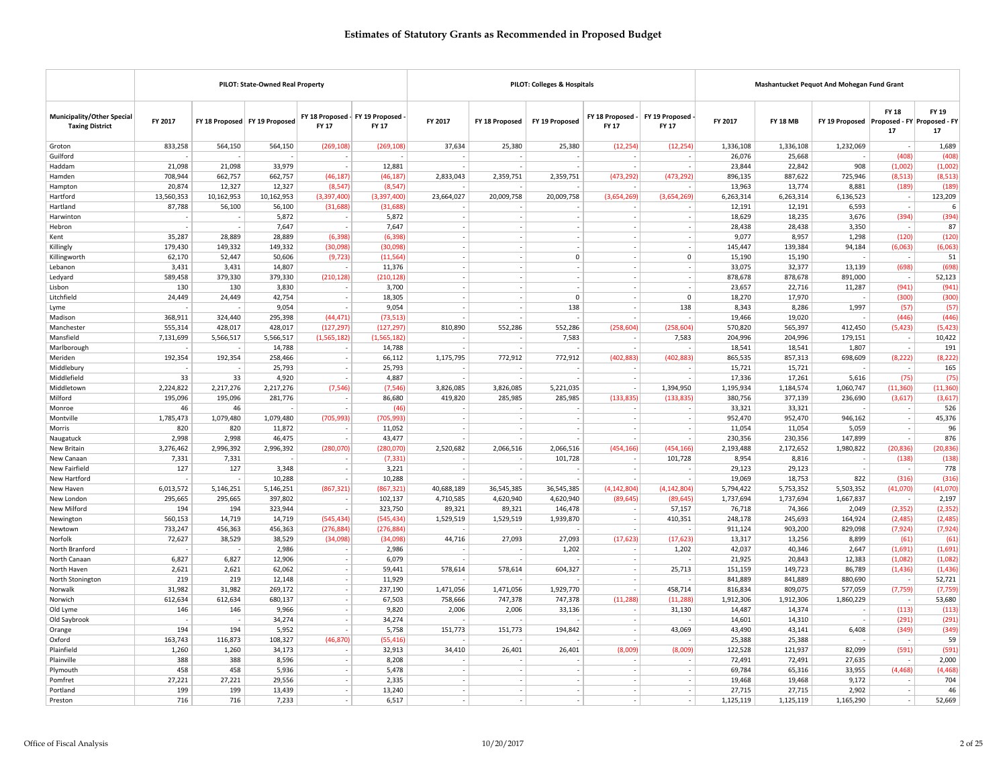|                                                             |                  |                  | PILOT: State-Owned Real Property |                                                 |                     |                          |                          | PILOT: Colleges & Hospitals |                                  |                                |                     | Mashantucket Pequot And Mohegan Fund Grant |                                            |                          |               |
|-------------------------------------------------------------|------------------|------------------|----------------------------------|-------------------------------------------------|---------------------|--------------------------|--------------------------|-----------------------------|----------------------------------|--------------------------------|---------------------|--------------------------------------------|--------------------------------------------|--------------------------|---------------|
| <b>Municipality/Other Special</b><br><b>Taxing District</b> | FY 2017          |                  | FY 18 Proposed FY 19 Proposed    | FY 18 Proposed - FY 19 Proposed<br><b>FY 17</b> | <b>FY 17</b>        | FY 2017                  | FY 18 Proposed           | FY 19 Proposed              | FY 18 Proposed -<br><b>FY 17</b> | FY 19 Proposed<br><b>FY 17</b> | FY 2017             | <b>FY 18 MB</b>                            | FY 19 Proposed Proposed - FY Proposed - FY | <b>FY 18</b><br>17       | FY 19<br>17   |
| Groton                                                      | 833,258          | 564,150          | 564,150                          | (269, 108)                                      | (269, 108)          | 37,634                   | 25,380                   | 25,380                      | (12, 254)                        | (12, 254)                      | 1,336,108           | 1,336,108                                  | 1,232,069                                  |                          | 1,689         |
| Guilford                                                    |                  |                  |                                  |                                                 |                     |                          |                          |                             |                                  |                                | 26,076              | 25,668                                     |                                            | (408)                    | (408)         |
| Haddam                                                      | 21.098           | 21,098           | 33,979                           |                                                 | 12,881              |                          |                          |                             |                                  |                                | 23,844              | 22,842                                     | 908                                        | (1,002)                  | (1,002)       |
| Hamden                                                      | 708,944          | 662,757          | 662,757                          | (46.187)                                        | (46, 187)           | 2,833,043                | 2,359,751                | 2,359,751                   | (473, 292)                       | (473, 292)                     | 896,135             | 887,622                                    | 725,946                                    | (8, 513)                 | (8, 513)      |
| Hampton                                                     | 20,874           | 12,327           | 12,327                           | (8, 547)                                        | (8, 547)            |                          |                          |                             |                                  |                                | 13,963              | 13,774                                     | 8,881                                      | (189)                    | (189)         |
| Hartford                                                    | 13,560,353       | 10,162,953       | 10,162,953                       | (3,397,400)                                     | (3,397,400)         | 23,664,027               | 20,009,758               | 20,009,758                  | (3,654,269)                      | (3,654,269)                    | 6,263,314           | 6,263,314                                  | 6,136,523                                  | $\overline{\phantom{a}}$ | 123,209       |
| Hartland                                                    | 87,788           | 56,100           | 56,100                           | (31, 688)                                       | (31.688)            |                          |                          |                             |                                  |                                | 12.191              | 12.191                                     | 6,593                                      |                          | 6             |
| Harwinton                                                   |                  |                  | 5,872                            |                                                 | 5,872               |                          |                          |                             | ÷.                               |                                | 18,629              | 18,235                                     | 3,676                                      | (394)                    | (394)         |
| Hebron                                                      |                  |                  | 7,647                            |                                                 | 7,647               | $\overline{\phantom{a}}$ | $\overline{\phantom{a}}$ | $\overline{\phantom{a}}$    |                                  |                                | 28,438              | 28,438                                     | 3,350                                      | $\sim$                   | 87            |
| Kent                                                        | 35,287           | 28,889           | 28,889                           | (6.398)                                         | (6, 398)            |                          | ٠.                       |                             |                                  |                                | 9,077               | 8,957                                      | 1,298                                      | (120)                    | (120)         |
| Killingly                                                   | 179,430          | 149,332          | 149,332                          | (30,098)                                        | (30,098)            |                          |                          |                             |                                  |                                | 145,447             | 139,384                                    | 94,184                                     | (6,063)                  | (6,063)       |
| Killingworth                                                | 62,170           | 52,447           | 50,606                           | (9, 723)                                        | (11, 564)           | $\sim$                   | $\overline{\phantom{a}}$ | $\mathbf 0$                 | $\overline{\phantom{a}}$<br>÷    | 0                              | 15,190              | 15,190                                     |                                            | $\sim$                   | 51            |
| Lebanon                                                     | 3,431            | 3,431            | 14,807                           | ÷.                                              | 11,376              | $\overline{\phantom{a}}$ | ÷.                       |                             |                                  |                                | 33,075              | 32,377                                     | 13,139                                     | (698)                    | (698)         |
| Ledyard                                                     | 589,458          | 379,330          | 379,330                          | (210, 128)                                      | (210, 128)          |                          |                          |                             | $\sim$                           |                                | 878,678             | 878,678                                    | 891,000                                    | $\sim$                   | 52,123        |
| Lisbon                                                      | 130              | 130              | 3,830                            | ÷,                                              | 3,700               | $\sim$                   | $\sim$                   | $\Omega$                    | $\overline{\phantom{a}}$         | $\mathbf 0$                    | 23,657              | 22,716                                     | 11,287                                     | (941)                    | (941)         |
| Litchfield                                                  | 24,449           | 24,449           | 42,754<br>9,054                  |                                                 | 18,305<br>9,054     |                          |                          | 138                         |                                  | 138                            | 18,270<br>8,343     | 17,970<br>8,286                            | 1,997                                      | (300)<br>(57)            | (300)<br>(57) |
| Lyme<br>Madison                                             | 368,911          | 324,440          | 295,398                          | (44, 471)                                       | (73, 513)           |                          |                          |                             |                                  |                                | 19,466              | 19,020                                     |                                            | (446)                    | (446)         |
| Manchester                                                  | 555,314          | 428,017          | 428,017                          | (127, 297)                                      | (127, 297)          | 810,890                  | 552,286                  | 552,286                     | (258, 604)                       | (258, 604)                     | 570,820             | 565,397                                    | 412,450                                    | (5, 423)                 | (5, 423)      |
| Mansfield                                                   | 7,131,699        | 5,566,517        | 5,566,517                        | (1,565,182)                                     | (1, 565, 182)       |                          |                          | 7,583                       |                                  | 7,583                          | 204,996             | 204,996                                    | 179,151                                    | $\overline{\phantom{a}}$ | 10,422        |
| Marlborough                                                 |                  |                  | 14,788                           |                                                 | 14,788              |                          |                          |                             |                                  |                                | 18,541              | 18,541                                     | 1,807                                      |                          | 191           |
| Meriden                                                     | 192,354          | 192,354          | 258,466                          | $\sim$                                          | 66,112              | 1,175,795                | 772,912                  | 772,912                     | (402, 883)                       | (402, 883)                     | 865,535             | 857,313                                    | 698,609                                    | (8, 222)                 | (8, 222)      |
| Middlebury                                                  |                  |                  | 25,793                           | $\sim$                                          | 25,793              |                          |                          |                             |                                  |                                | 15,721              | 15,721                                     |                                            |                          | 165           |
| Middlefield                                                 | 33               | 33               | 4,920                            |                                                 | 4,887               |                          |                          |                             |                                  |                                | 17,336              | 17,261                                     | 5,616                                      | (75)                     | (75)          |
| Middletown                                                  | 2,224,822        | 2,217,276        | 2,217,276                        | (7, 546)                                        | (7, 546)            | 3,826,085                | 3,826,085                | 5,221,035                   | $\sim$                           | 1,394,950                      | 1,195,934           | 1,184,574                                  | 1,060,747                                  | (11, 360)                | (11, 360)     |
| Milford                                                     | 195,096          | 195,096          | 281,776                          | ÷,                                              | 86,680              | 419,820                  | 285,985                  | 285,985                     | (133, 835)                       | (133, 835)                     | 380,756             | 377,139                                    | 236,690                                    | (3,617)                  | (3,617)       |
| Monroe                                                      | 46               | 46               |                                  | $\overline{a}$                                  | (46)                |                          |                          |                             |                                  |                                | 33,321              | 33,321                                     |                                            |                          | 526           |
| Montville                                                   | 1,785,473        | 1,079,480        | 1.079.480                        | (705.993)                                       | (705.993)           |                          |                          |                             |                                  |                                | 952.470             | 952.470                                    | 946.162                                    |                          | 45,376        |
| Morris                                                      | 820              | 820              | 11,872                           | ÷,                                              | 11,052              | $\sim$                   | $\sim$                   | $\sim$                      | $\overline{\phantom{a}}$         | $\sim$                         | 11,054              | 11,054                                     | 5,059                                      | $\sim$                   | 96            |
| Naugatuck                                                   | 2,998            | 2,998            | 46,475                           | $\overline{\phantom{a}}$                        | 43,477              | $\sim$                   |                          |                             | $\overline{\phantom{a}}$         |                                | 230,356             | 230,356                                    | 147,899                                    | $\sim$                   | 876           |
| New Britain                                                 | 3,276,462        | 2,996,392        | 2,996,392                        | (280,070)                                       | (280,070)           | 2,520,682                | 2,066,516                | 2,066,516                   | (454, 166)                       | (454, 166)                     | 2,193,488           | 2,172,652                                  | 1,980,822                                  | (20, 836)                | (20, 836)     |
| New Canaar                                                  | 7,331            | 7.331            |                                  |                                                 | (7.331)             | $\overline{\phantom{a}}$ |                          | 101.728                     |                                  | 101.728                        | 8.954               | 8.816                                      |                                            | (138)                    | (138)         |
| New Fairfield                                               | 127              | 127              | 3,348<br>10,288                  | ×.<br>$\overline{a}$                            | 3,221<br>10,288     |                          |                          |                             | $\overline{\phantom{a}}$         |                                | 29,123              | 29,123                                     | 822                                        |                          | 778<br>(316)  |
| New Hartford<br>New Haven                                   | 6,013,572        | 5,146,251        | 5,146,251                        | (867, 321)                                      | (867, 321)          | 40,688,189               | 36,545,385               | 36,545,385                  | (4, 142, 804)                    | (4.142.804)                    | 19,069<br>5,794,422 | 18,753<br>5,753,352                        | 5,503,352                                  | (316)<br>(41,070)        | (41,070)      |
| New London                                                  | 295,665          | 295,665          | 397,802                          | J,                                              | 102,137             | 4,710,585                | 4,620,940                | 4,620,940                   | (89, 645)                        | (89, 645)                      | 1,737,694           | 1,737,694                                  | 1,667,837                                  | $\sim$                   | 2,197         |
| New Milford                                                 | 194              | 194              | 323,944                          | $\sim$                                          | 323,750             | 89,321                   | 89,321                   | 146,478                     | $\overline{\phantom{a}}$         | 57,157                         | 76,718              | 74,366                                     | 2,049                                      | (2, 352)                 | (2, 352)      |
| Newington                                                   | 560,153          | 14,719           | 14,719                           | (545.434)                                       | (545, 434)          | 1,529,519                | 1,529,519                | 1,939,870                   | $\sim$                           | 410,351                        | 248,178             | 245,693                                    | 164,924                                    | (2,485)                  | (2,485)       |
| Newtown                                                     | 733,247          | 456,363          | 456,363                          | (276, 884)                                      | (276, 884)          |                          |                          |                             |                                  |                                | 911,124             | 903,200                                    | 829,098                                    | (7, 924)                 | (7, 924)      |
| Norfolk                                                     | 72,627           | 38,529           | 38,529                           | (34,098)                                        | (34,098)            | 44,716                   | 27,093                   | 27,093                      | (17, 623)                        | (17, 623)                      | 13,317              | 13,256                                     | 8,899                                      | (61)                     | (61)          |
| North Branford                                              |                  |                  | 2,986                            |                                                 | 2,986               |                          |                          | 1,202                       |                                  | 1,202                          | 42,037              | 40,346                                     | 2,647                                      | (1,691)                  | (1,691)       |
| North Canaan                                                | 6,827            | 6,827            | 12,906                           |                                                 | 6,079               |                          |                          |                             |                                  |                                | 21,925              | 20,843                                     | 12,383                                     | (1,082)                  | (1,082)       |
| North Haven                                                 | 2,621            | 2,621            | 62,062                           |                                                 | 59,441              | 578,614                  | 578,614                  | 604,327                     | $\sim$                           | 25,713                         | 151,159             | 149,723                                    | 86,789                                     | (1, 436)                 | (1, 436)      |
| North Stonington                                            | 219              | 219              | 12,148                           |                                                 | 11,929              |                          |                          |                             | $\overline{\phantom{a}}$         |                                | 841,889             | 841,889                                    | 880,690                                    |                          | 52,721        |
| Norwalk                                                     | 31,982           | 31,982           | 269,172                          | $\sim$                                          | 237,190             | 1,471,056                | 1,471,056                | 1,929,770                   | $\overline{\phantom{a}}$         | 458,714                        | 816,834             | 809,075                                    | 577,059                                    | (7, 759)                 | (7, 759)      |
| Norwich                                                     | 612,634          | 612,634          | 680,137                          | $\overline{\phantom{a}}$                        | 67,503              | 758,666                  | 747,378                  | 747,378                     | (11, 288)                        | (11, 288)                      | 1,912,306           | 1,912,306                                  | 1,860,229                                  |                          | 53,680        |
| Old Lyme                                                    | 146              | 146              | 9,966                            | $\sim$                                          | 9,820               | 2,006                    | 2,006                    | 33,136                      | $\overline{\phantom{a}}$         | 31,130                         | 14,487              | 14,374                                     |                                            | (113)                    | (113)         |
| Old Saybrook                                                |                  |                  | 34,274                           | $\sim$                                          | 34,274              |                          |                          |                             | $\sim$<br>÷                      |                                | 14,601              | 14,310                                     |                                            | (291)                    | (291)         |
| Orange                                                      | 194              | 194              | 5,952                            |                                                 | 5,758               | 151,773                  | 151,773                  | 194,842                     |                                  | 43,069                         | 43,490              | 43,141                                     | 6,408                                      | (349)                    | (349)         |
| Oxford<br>Plainfield                                        | 163,743<br>1,260 | 116,873<br>1,260 | 108,327<br>34,173                | (46, 870)<br>÷,                                 | (55, 416)<br>32,913 | 34,410                   | 26,401                   | 26,401                      | (8,009)                          | (8,009)                        | 25,388<br>122,528   | 25,388<br>121,937                          | 82,099                                     | (591)                    | 59<br>(591)   |
| Plainville                                                  | 388              | 388              | 8,596                            | ÷.                                              | 8,208               |                          |                          |                             |                                  |                                | 72,491              | 72,491                                     | 27,635                                     | $\sim$                   | 2,000         |
| Plymouth                                                    | 458              | 458              | 5,936                            |                                                 | 5,478               |                          |                          |                             |                                  |                                | 69,784              | 65,316                                     | 33,955                                     | (4, 468)                 | (4, 468)      |
| Pomfret                                                     | 27,221           | 27,221           | 29,556                           |                                                 | 2,335               | $\sim$                   | $\overline{\phantom{a}}$ | $\overline{\phantom{a}}$    | $\overline{\phantom{a}}$         |                                | 19,468              | 19,468                                     | 9,172                                      |                          | 704           |
| Portland                                                    | 199              | 199              | 13,439                           |                                                 | 13,240              | $\sim$                   |                          | ٠                           | $\overline{\phantom{a}}$         |                                | 27,715              | 27,715                                     | 2,902                                      |                          | 46            |
| Preston                                                     | 716              | 716              | 7,233                            |                                                 | 6,517               |                          |                          |                             |                                  |                                | 1,125,119           | 1,125,119                                  | 1,165,290                                  |                          | 52,669        |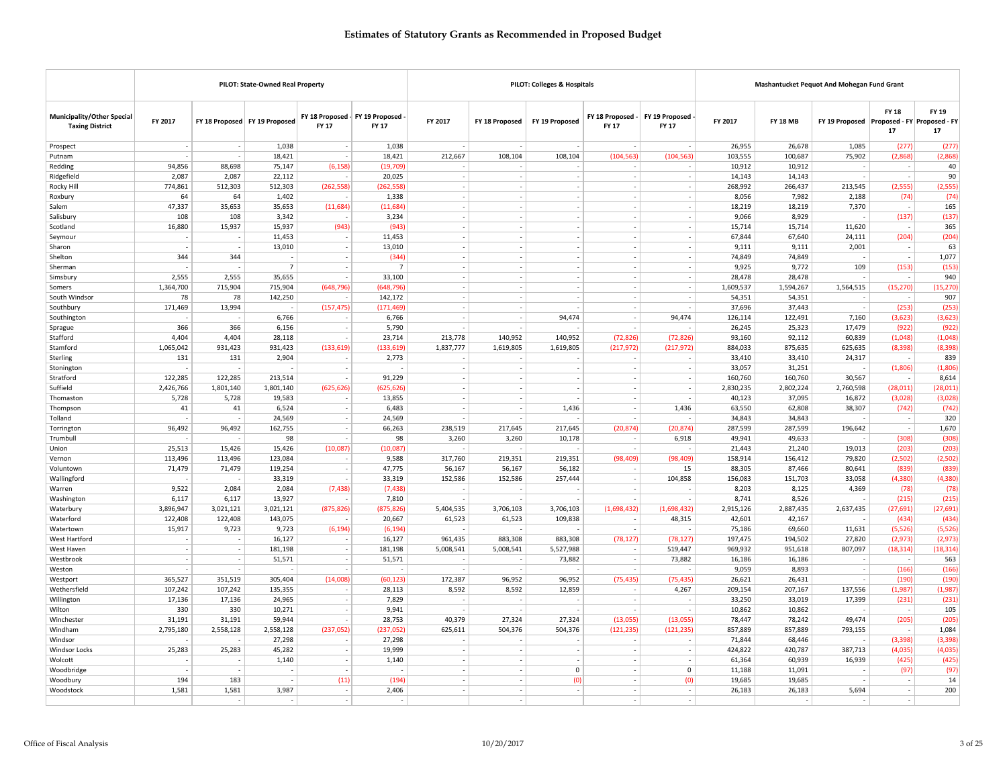|                                                             |             |                          | PILOT: State-Owned Real Property |                                                 |                 |                                    |                          | PILOT: Colleges & Hospitals |                                    |                                    |                  |                  | Mashantucket Pequot And Mohegan Fund Grant |                                    |                  |
|-------------------------------------------------------------|-------------|--------------------------|----------------------------------|-------------------------------------------------|-----------------|------------------------------------|--------------------------|-----------------------------|------------------------------------|------------------------------------|------------------|------------------|--------------------------------------------|------------------------------------|------------------|
| <b>Municipality/Other Special</b><br><b>Taxing District</b> | FY 2017     |                          | FY 18 Proposed FY 19 Proposed    | FY 18 Proposed - FY 19 Proposed<br><b>FY 17</b> | <b>FY 17</b>    | FY 2017                            | FY 18 Proposed           | FY 19 Proposed              | FY 18 Proposed -<br>FY 17          | FY 19 Proposed<br>FY 17            | FY 2017          | <b>FY 18 MB</b>  | FY 19 Proposed Proposed - FY Proposed - FY | <b>FY 18</b><br>17                 | FY 19<br>17      |
| Prospect                                                    | $\sim$      | $\overline{\phantom{a}}$ | 1,038                            | $\sim$                                          | 1,038           | $\overline{\phantom{a}}$           |                          | $\overline{\phantom{a}}$    | $\overline{\phantom{a}}$           | $\sim$                             | 26,955           | 26,678           | 1,085                                      | (277)                              | (277)            |
| Putnam                                                      |             |                          | 18,421                           | $\sim$                                          | 18,421          | 212,667                            | 108,104                  | 108,104                     | (104, 563)                         | (104, 563)                         | 103,555          | 100,687          | 75,902                                     | (2,868)                            | (2,868)          |
| Redding                                                     | 94.856      | 88.698                   | 75,147                           | (6, 158)                                        | (19.709)        |                                    |                          |                             |                                    |                                    | 10,912           | 10.912           |                                            | $\sim$                             | 40               |
| Ridgefield                                                  | 2,087       | 2,087                    | 22,112                           | ÷.                                              | 20,025          | $\sim$                             | $\sim$                   | ÷.                          | ÷.                                 | $\sim$                             | 14,143           | 14,143           |                                            | ÷                                  | 90               |
| Rocky Hill                                                  | 774,861     | 512,303                  | 512,303                          | (262, 558)                                      | (262, 558)      | $\sim$                             |                          | $\sim$                      | $\overline{a}$                     | $\sim$                             | 268,992          | 266,437          | 213,545                                    | (2, 555)                           | (2, 555)         |
| Roxbury                                                     | 64          | 64                       | 1,402                            | $\sim$                                          | 1,338           | $\overline{\phantom{a}}$           |                          |                             | $\overline{\phantom{0}}$           | $\sim$                             | 8,056            | 7,982            | 2,188                                      | (74)                               | (74)             |
| Salem                                                       | 47,337      | 35,653                   | 35,653                           | (11,684)                                        | (11, 684)       | $\sim$                             |                          |                             |                                    | ÷.                                 | 18,219           | 18,219           | 7,370                                      | $\sim$                             | 165              |
| Salisbury                                                   | 108         | 108                      | 3,342                            | $\overline{\phantom{a}}$                        | 3,234           | $\sim$                             |                          |                             |                                    |                                    | 9,066            | 8,929            |                                            | (137)                              | (137)            |
| Scotland                                                    | 16,880      | 15,937                   | 15,937                           | (943)                                           | (943)           | $\sim$                             | $\overline{\phantom{a}}$ | $\overline{\phantom{a}}$    | $\sim$                             | $\sim$                             | 15,714           | 15,714           | 11,620                                     | $\sim$                             | 365              |
| Seymour                                                     |             |                          | 11,453                           | $\sim$                                          | 11,453          | $\sim$                             |                          | $\overline{\phantom{a}}$    | $\overline{\phantom{a}}$           | $\sim$                             | 67,844           | 67,640           | 24,111                                     | (204)                              | (204)            |
| Sharon                                                      |             |                          | 13,010                           | $\sim$                                          | 13,010          | $\overline{\phantom{a}}$           |                          | $\overline{\phantom{a}}$    |                                    | $\overline{\phantom{a}}$           | 9,111            | 9,111            | 2,001                                      | $\overline{\phantom{a}}$           | 63               |
| Shelton                                                     | 344         | 344                      | ÷,                               | $\sim$                                          | (344)           | $\sim$                             | $\overline{\phantom{a}}$ | $\overline{\phantom{a}}$    | $\overline{\phantom{a}}$           | $\sim$                             | 74,849           | 74,849           |                                            | $\sim$                             | 1,077            |
| Sherman                                                     |             |                          | $\overline{7}$                   | ÷.                                              | $\overline{7}$  | $\sim$                             | ٠.                       | $\sim$                      | $\sim$                             | $\sim$                             | 9,925            | 9,772            | 109                                        | (153)                              | (153)            |
| Simsbury                                                    | 2,555       | 2,555                    | 35,655                           | $\overline{\phantom{a}}$                        | 33,100          | $\overline{\phantom{a}}$           |                          |                             |                                    | $\sim$                             | 28,478           | 28,478           |                                            | $\sim$                             | 940              |
| Somers                                                      | 1,364,700   | 715,904                  | 715,904                          | (648, 796)                                      | (648, 796)      | $\sim$                             | J.                       |                             | ÷.                                 | ÷.                                 | 1,609,537        | 1,594,267        | 1,564,515                                  | (15, 270)                          | (15, 270)        |
| South Windsor                                               | 78          | 78                       | 142,250                          | $\sim$                                          | 142,172         | $\sim$                             |                          | $\overline{\phantom{a}}$    | $\sim$                             |                                    | 54,351           | 54,351           |                                            | $\sim$                             | 907              |
| Southbury                                                   | 171,469     | 13,994                   |                                  | (157, 475)                                      | (171, 469)      | $\overline{\phantom{a}}$           |                          |                             | $\overline{\phantom{a}}$           |                                    | 37,696           | 37,443           |                                            | (253)                              | (253)            |
| Southington                                                 |             |                          | 6,766                            |                                                 | 6,766           | $\sim$                             |                          | 94,474                      | $\sim$                             | 94,474                             | 126,114          | 122,491          | 7,160                                      | (3,623)                            | (3,623)          |
| Sprague                                                     | 366         | 366                      | 6,156                            | $\overline{\phantom{a}}$                        | 5,790           | $\sim$                             |                          |                             | ÷.                                 |                                    | 26,245           | 25,323           | 17,479                                     | (922)                              | (922)            |
| Stafford                                                    | 4,404       | 4,404                    | 28,118                           | $\sim$                                          | 23,714          | 213,778                            | 140,952                  | 140,952                     | (72, 826)                          | (72, 826)                          | 93,160           | 92,112           | 60,839                                     | (1,048)                            | (1,048)          |
| Stamford                                                    | 1,065,042   | 931,423                  | 931,423                          | (133, 619)                                      | (133, 619)      | 1,837,777                          | 1,619,805                | 1,619,805                   | (217, 972)                         | (217, 972)                         | 884,033          | 875,635          | 625,635                                    | (8, 398)                           | (8, 398)         |
| Sterling                                                    | 131         | 131                      | 2,904                            | $\overline{\phantom{a}}$                        | 2,773           | $\overline{\phantom{a}}$           |                          |                             | $\overline{\phantom{a}}$           | $\overline{\phantom{a}}$           | 33,410           | 33,410           | 24,317                                     | $\sim$                             | 839              |
| Stonington                                                  |             |                          |                                  | $\overline{\phantom{a}}$                        |                 | $\sim$                             | $\overline{\phantom{a}}$ | $\sim$                      | $\sim$                             | $\sim$                             | 33,057           | 31,251           |                                            | (1,806)                            | (1,806)          |
| Stratford                                                   | 122,285     | 122,285                  | 213,514                          | $\sim$                                          | 91,229          | $\sim$                             |                          | $\sim$                      | ÷.                                 | $\sim$                             | 160,760          | 160,760          | 30,567                                     | $\sim$                             | 8,614            |
| Suffield<br>Thomaston                                       | 2,426,766   | 1,801,140                | 1,801,140                        | (625, 626)<br>$\sim$                            | (625, 626)      | $\overline{\phantom{a}}$<br>$\sim$ |                          |                             | $\overline{\phantom{a}}$<br>÷.     | $\overline{\phantom{a}}$           | 2,830,235        | 2,802,224        | 2,760,598                                  | (28, 011)<br>(3.028)               | (28, 011)        |
|                                                             | 5,728<br>41 | 5,728<br>41              | 19,583<br>6,524                  | $\sim$                                          | 13,855<br>6,483 | $\sim$                             | ٠.                       | 1,436                       | $\overline{\phantom{a}}$           | 1,436                              | 40,123<br>63,550 | 37,095<br>62,808 | 16,872<br>38,307                           | (742)                              | (3,028)<br>(742) |
| Thompson<br>Tolland                                         |             |                          | 24,569                           | $\sim$                                          | 24,569          | $\overline{\phantom{a}}$           |                          |                             | $\overline{\phantom{a}}$           |                                    | 34,843           | 34,843           |                                            | $\sim$                             | 320              |
| Torrington                                                  | 96,492      | 96,492                   | 162,755                          | $\sim$                                          | 66,263          | 238,519                            | 217,645                  | 217,645                     | (20, 874)                          | (20.874)                           | 287,599          | 287,599          | 196,642                                    | $\sim$                             | 1,670            |
| Trumbull                                                    |             |                          | 98                               | $\sim$                                          | 98              | 3,260                              | 3,260                    | 10,178                      |                                    | 6,918                              | 49,941           | 49,633           |                                            | (308)                              | (308)            |
| Union                                                       | 25,513      | 15,426                   | 15,426                           | (10,087)                                        | (10,087)        |                                    |                          | ٠                           | $\sim$                             |                                    | 21,443           | 21,240           | 19,013                                     | (203)                              | (203)            |
| Vernon                                                      | 113,496     | 113,496                  | 123,084                          | ÷.                                              | 9,588           | 317,760                            | 219,351                  | 219,351                     | (98, 409)                          | (98, 409)                          | 158,914          | 156,412          | 79,820                                     | (2,502)                            | (2, 502)         |
| Voluntown                                                   | 71,479      | 71,479                   | 119,254                          | $\overline{\phantom{a}}$                        | 47,775          | 56,167                             | 56,167                   | 56,182                      | $\overline{\phantom{a}}$           | 15                                 | 88,305           | 87,466           | 80,641                                     | (839)                              | (839)            |
| Wallingford                                                 |             |                          | 33,319                           | $\overline{\phantom{a}}$                        | 33,319          | 152,586                            | 152,586                  | 257,444                     | $\sim$                             | 104,858                            | 156,083          | 151,703          | 33,058                                     | (4, 380)                           | (4, 380)         |
| Warren                                                      | 9,522       | 2,084                    | 2,084                            | (7, 438)                                        | (7, 438)        |                                    |                          |                             | $\sim$                             |                                    | 8,203            | 8,125            | 4,369                                      | (78)                               | (78)             |
| Washington                                                  | 6,117       | 6,117                    | 13,927                           | ×.                                              | 7,810           | $\overline{\phantom{a}}$           |                          |                             | $\overline{\phantom{a}}$           | $\sim$                             | 8,741            | 8,526            |                                            | (215)                              | (215)            |
| Waterbury                                                   | 3,896,947   | 3,021,121                | 3,021,121                        | (875, 826)                                      | (875.826)       | 5,404,535                          | 3,706,103                | 3,706,103                   | (1,698,432)                        | (1.698.432)                        | 2,915,126        | 2,887,435        | 2,637,435                                  | (27, 691)                          | (27, 691)        |
| Waterford                                                   | 122,408     | 122,408                  | 143,075                          | $\sim$                                          | 20,667          | 61,523                             | 61,523                   | 109,838                     | $\sim$                             | 48,315                             | 42,601           | 42,167           |                                            | (434)                              | (434)            |
| Watertown                                                   | 15,917      | 9,723                    | 9,723                            | (6, 194)                                        | (6, 194)        | $\overline{\phantom{a}}$           |                          | $\overline{\phantom{a}}$    | $\overline{\phantom{a}}$           | $\overline{\phantom{a}}$           | 75,186           | 69,660           | 11,631                                     | (5, 526)                           | (5, 526)         |
| West Hartford                                               |             |                          | 16,127                           | ÷,                                              | 16,127          | 961,435                            | 883,308                  | 883,308                     | (78, 127)                          | (78, 127)                          | 197,475          | 194,502          | 27,820                                     | (2, 973)                           | (2, 973)         |
| West Haven                                                  |             |                          | 181,198                          | $\sim$                                          | 181,198         | 5,008,541                          | 5,008,541                | 5,527,988                   | $\overline{\phantom{a}}$           | 519.447                            | 969,932          | 951,618          | 807,097                                    | (18, 314)                          | (18, 314)        |
| Westbrook                                                   |             | $\sim$                   | 51,571                           | $\sim$                                          | 51,571          |                                    |                          | 73,882                      |                                    | 73,882                             | 16,186           | 16,186           |                                            | $\sim$                             | 563              |
| Weston                                                      |             |                          |                                  | ÷                                               |                 | $\overline{a}$                     |                          |                             | $\overline{a}$                     |                                    | 9,059            | 8,893            |                                            | (166)                              | (166)            |
| Westport                                                    | 365,527     | 351,519                  | 305,404                          | (14,008)                                        | (60, 123)       | 172,387                            | 96,952                   | 96,952                      | (75, 435)                          | (75, 435)                          | 26,621           | 26,431           |                                            | (190)                              | (190)            |
| Wethersfield                                                | 107,242     | 107,242                  | 135,355                          | $\sim$                                          | 28,113          | 8,592                              | 8,592                    | 12,859                      |                                    | 4,267                              | 209,154          | 207,167          | 137,556                                    | (1,987)                            | (1,987)          |
| Willington                                                  | 17,136      | 17,136                   | 24,965                           | $\sim$                                          | 7,829           |                                    |                          | $\overline{\phantom{a}}$    | $\sim$                             |                                    | 33,250           | 33,019           | 17,399                                     | (231)                              | (231)            |
| Wilton                                                      | 330         | 330                      | 10,271                           | $\sim$                                          | 9,941           | $\sim$                             |                          | ٠                           | $\sim$                             | $\sim$                             | 10,862           | 10,862           |                                            | $\sim$                             | 105              |
| Winchester                                                  | 31,191      | 31,191                   | 59,944                           | ÷.                                              | 28,753          | 40,379                             | 27,324                   | 27,324                      | (13,055)                           | (13,055)                           | 78,447           | 78,242           | 49,474                                     | (205)                              | (205)            |
| Windham                                                     | 2,795,180   | 2,558,128                | 2,558,128                        | (237,052)                                       | (237, 052)      | 625,611                            | 504,376                  | 504,376                     | (121, 235)                         | (121, 235)                         | 857,889          | 857,889          | 793,155                                    | ÷.                                 | 1,084            |
| Windsor                                                     |             |                          | 27,298                           | $\sim$                                          | 27,298          | $\overline{\phantom{a}}$           |                          |                             |                                    |                                    | 71,844           | 68,446           |                                            | (3, 398)                           | (3, 398)         |
| <b>Windsor Locks</b>                                        | 25,283      | 25,283                   | 45,282                           | $\sim$                                          | 19,999          | $\sim$                             |                          | $\overline{\phantom{a}}$    | $\sim$                             | $\overline{\phantom{a}}$           | 424,822          | 420,787          | 387,713                                    | (4,035)                            | (4,035)          |
| Wolcott                                                     |             |                          | 1,140                            | $\sim$                                          | 1,140           | $\overline{\phantom{a}}$           |                          |                             | $\overline{\phantom{a}}$           | $\overline{\phantom{a}}$           | 61,364           | 60,939           | 16,939                                     | (425)                              | (425)            |
| Woodbridge                                                  |             | $\overline{a}$           |                                  | $\sim$                                          |                 | $\sim$                             | $\sim$                   | $\mathbf 0$                 | $\sim$                             | $\mathbf 0$                        | 11,188           | 11,091           |                                            | (97)                               | (97)             |
| Woodbury                                                    | 194         | 183                      |                                  | (11)                                            | (194)           | $\sim$                             |                          | (0)                         | $\sim$                             | (0)                                | 19,685           | 19,685           |                                            | $\sim$                             | 14               |
| Woodstock                                                   | 1,581       | 1,581                    | 3,987                            | $\sim$<br>$\sim$                                | 2,406<br>$\sim$ | $\overline{\phantom{a}}$           | $\sim$                   |                             | $\overline{\phantom{a}}$<br>$\sim$ | $\overline{\phantom{a}}$<br>$\sim$ | 26,183           | 26,183           | 5,694                                      | $\overline{\phantom{a}}$<br>$\sim$ | 200              |
|                                                             |             |                          |                                  |                                                 |                 |                                    |                          |                             |                                    |                                    |                  |                  |                                            |                                    |                  |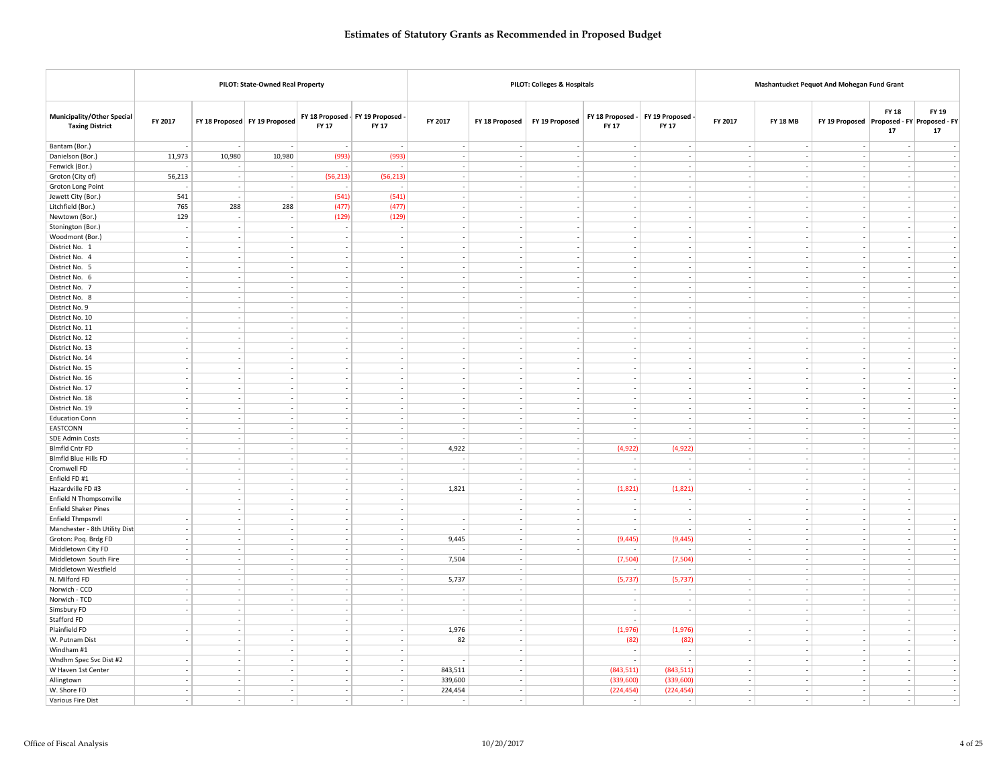|                                                             |                          |                          | PILOT: State-Owned Real Property                     |                          |                                            |                                    |                             | PILOT: Colleges & Hospitals     |                                                      |                          |                                    | Mashantucket Pequot And Mohegan Fund Grant |                                                      |                          |               |
|-------------------------------------------------------------|--------------------------|--------------------------|------------------------------------------------------|--------------------------|--------------------------------------------|------------------------------------|-----------------------------|---------------------------------|------------------------------------------------------|--------------------------|------------------------------------|--------------------------------------------|------------------------------------------------------|--------------------------|---------------|
| <b>Municipality/Other Special</b><br><b>Taxing District</b> | FY 2017                  |                          | FY 18 Proposed FY 19 Proposed                        | FY 17                    | FY 18 Proposed - FY 19 Proposed -<br>FY 17 | FY 2017                            |                             | FY 18 Proposed   FY 19 Proposed | FY 18 Proposed -<br>FY 17                            | FY 19 Proposed<br>FY 17  | FY 2017                            | <b>FY 18 MB</b>                            | FY 19 Proposed Proposed - FY Proposed - FY           | <b>FY 18</b><br>17       | FY 19<br>17   |
| Bantam (Bor.)                                               |                          |                          |                                                      |                          |                                            | $\sim$                             | $\sim$                      | $\sim$                          | $\overline{\phantom{a}}$                             | $\sim$                   | $\overline{\phantom{a}}$           | $\sim$                                     | $\overline{\phantom{a}}$                             |                          |               |
| Danielson (Bor.)                                            | 11,973                   | 10,980                   | 10,980                                               | (993)                    | (993)                                      | $\sim$                             |                             | $\overline{\phantom{a}}$        | $\sim$                                               |                          | $\sim$                             | $\sim$                                     |                                                      |                          |               |
| Fenwick (Bor.)                                              |                          |                          |                                                      |                          |                                            | J.                                 | $\overline{\phantom{a}}$    |                                 | ÷,                                                   |                          |                                    | $\sim$                                     | $\frac{1}{2}$                                        |                          |               |
| Groton (City of)                                            | 56,213                   | $\overline{a}$           | $\sim$                                               | (56, 213)                | (56, 213)                                  | $\overline{\phantom{a}}$           | $\sim$                      | $\overline{\phantom{a}}$        | $\sim$                                               | $\sim$                   | $\sim$                             | $\sim$                                     | $\sim$                                               | $\sim$                   | $\sim$        |
| Groton Long Point                                           |                          |                          | $\sim$                                               |                          |                                            | $\overline{\phantom{a}}$           | ÷                           | $\overline{\phantom{a}}$        | $\sim$                                               |                          | $\overline{\phantom{a}}$           | $\sim$                                     | ÷                                                    | $\overline{\phantom{a}}$ | $\sim$        |
| Jewett City (Bor.)                                          | 541                      |                          |                                                      | (541)                    | (541)                                      | $\sim$                             | $\overline{\phantom{a}}$    | $\overline{\phantom{a}}$        | $\overline{\phantom{a}}$                             |                          |                                    | $\overline{\phantom{a}}$                   | $\overline{\phantom{a}}$                             | $\sim$                   |               |
| Litchfield (Bor.)                                           | 765                      | 288                      | 288                                                  | (477)                    | (477)                                      | $\sim$                             |                             |                                 | $\overline{\phantom{a}}$                             |                          |                                    | $\sim$                                     |                                                      | $\sim$                   |               |
| Newtown (Bor.)                                              | 129                      |                          | $\overline{\phantom{a}}$                             | (129)                    | (129)                                      | ÷                                  | $\sim$                      |                                 | ÷                                                    |                          |                                    | $\sim$                                     | ÷                                                    |                          |               |
| Stonington (Bor.)                                           | $\overline{\phantom{a}}$ |                          | $\overline{\phantom{a}}$                             | $\sim$                   | $\sim$                                     | $\overline{\phantom{a}}$           | ٠                           | $\overline{\phantom{a}}$        | $\overline{\phantom{a}}$                             |                          |                                    | $\overline{\phantom{a}}$                   | $\overline{\phantom{a}}$                             | $\sim$                   | $\sim$        |
| Woodmont (Bor.)                                             | $\sim$                   |                          | $\sim$                                               | $\sim$                   | $\sim$                                     | $\overline{\phantom{a}}$           |                             | $\overline{\phantom{a}}$        | L.                                                   | $\sim$                   |                                    | $\sim$                                     | L.                                                   | $\sim$                   | $\sim$        |
| District No. 1                                              |                          |                          | $\overline{\phantom{a}}$                             | $\overline{\phantom{a}}$ | $\overline{\phantom{a}}$                   | $\overline{\phantom{a}}$           | $\overline{\phantom{a}}$    |                                 | $\overline{\phantom{a}}$                             |                          |                                    | $\overline{\phantom{a}}$                   | $\overline{\phantom{a}}$                             | $\sim$                   |               |
| District No. 4                                              | $\sim$                   | $\overline{\phantom{a}}$ | $\sim$                                               | $\sim$                   | $\sim$                                     | $\sim$                             | $\overline{\phantom{a}}$    | $\sim$                          | $\sim$                                               | $\sim$                   | $\sim$                             | $\sim$                                     | $\overline{\phantom{a}}$                             | $\sim$                   | $\sim$        |
| District No. 5                                              | $\sim$                   |                          | $\overline{\phantom{a}}$                             | $\sim$                   | $\sim$                                     | $\overline{\phantom{a}}$           | $\overline{\phantom{a}}$    | $\overline{\phantom{a}}$        | $\overline{\phantom{a}}$                             |                          |                                    | $\sim$                                     | ÷,                                                   | $\sim$                   |               |
| District No. 6                                              |                          |                          | i,                                                   | $\sim$                   | $\sim$                                     | i,                                 | $\overline{\phantom{a}}$    | $\overline{\phantom{a}}$        | i,                                                   |                          |                                    | $\sim$                                     | $\frac{1}{2}$                                        |                          | $\sim$        |
| District No. 7                                              | $\sim$<br>$\sim$         | $\overline{\phantom{a}}$ | $\sim$<br>$\sim$                                     | $\sim$<br>۰.             | $\sim$<br>$\sim$                           | $\sim$<br>$\overline{\phantom{a}}$ | $\sim$<br>$\sim$            | $\sim$<br>$\sim$                | $\sim$<br>$\sim$                                     | $\sim$<br>÷.             | $\sim$                             | $\sim$<br>$\sim$                           | $\overline{\phantom{a}}$<br>÷                        | $\sim$<br>$\sim$         | - 1<br>$\sim$ |
| District No. 8<br>District No. 9                            |                          |                          | $\sim$                                               | $\sim$                   | $\sim$                                     |                                    | $\overline{\phantom{a}}$    |                                 | $\overline{\phantom{a}}$                             | ٠.                       |                                    | $\sim$                                     | $\overline{\phantom{a}}$                             | $\sim$                   |               |
| District No. 10                                             |                          |                          | $\sim$                                               | $\sim$                   | $\sim$                                     | $\sim$                             | $\sim$                      | $\overline{\phantom{a}}$        | $\overline{\phantom{a}}$                             | $\overline{\phantom{a}}$ |                                    | $\sim$                                     | $\overline{\phantom{a}}$                             | $\sim$                   |               |
| District No. 11                                             | $\sim$                   | $\overline{\phantom{a}}$ | $\overline{\phantom{a}}$                             | $\sim$                   | $\sim$                                     | $\overline{\phantom{a}}$           | $\sim$                      | $\overline{\phantom{a}}$        | $\overline{\phantom{a}}$                             | $\overline{\phantom{a}}$ | $\overline{\phantom{a}}$           | $\sim$                                     | $\sim$                                               | $\sim$                   |               |
| District No. 12                                             | $\sim$                   | $\overline{\phantom{a}}$ | $\overline{\phantom{a}}$                             | $\sim$                   | $\sim$                                     | $\overline{\phantom{a}}$           | $\sim$                      | $\overline{\phantom{a}}$        | $\overline{\phantom{a}}$                             | $\sim$                   | $\sim$                             | $\sim$                                     | $\overline{\phantom{a}}$                             | $\sim$                   | $\sim$        |
| District No. 13                                             | $\sim$                   |                          | $\sim$                                               | $\sim$                   | $\sim$                                     | $\overline{\phantom{a}}$           |                             | $\overline{\phantom{a}}$        | $\overline{\phantom{a}}$                             | $\overline{\phantom{a}}$ |                                    | $\sim$                                     |                                                      | $\sim$                   | $\sim$        |
| District No. 14                                             |                          | $\overline{a}$           | $\overline{\phantom{a}}$                             | $\sim$                   | $\sim$                                     | $\overline{\phantom{a}}$           | ÷                           | $\overline{\phantom{a}}$        | ÷,                                                   | ÷,                       | $\sim$                             | $\sim$                                     | ÷,                                                   | $\sim$                   |               |
| District No. 15                                             | $\sim$                   | $\overline{\phantom{a}}$ | $\overline{\phantom{a}}$                             | $\sim$                   | $\sim$                                     | $\overline{\phantom{a}}$           | $\overline{\phantom{a}}$    | $\overline{\phantom{a}}$        | $\overline{\phantom{a}}$                             | $\sim$                   | $\sim$                             | $\sim$                                     | $\overline{\phantom{a}}$                             | $\sim$                   | $\sim$        |
| District No. 16                                             | ٠                        |                          | $\overline{\phantom{a}}$                             | ۰.                       | $\sim$                                     | $\overline{\phantom{a}}$           | ٠                           | ٠.                              | $\overline{\phantom{a}}$                             |                          | $\overline{\phantom{a}}$           | $\sim$                                     | $\overline{\phantom{a}}$                             | $\sim$                   | $\sim$        |
| District No. 17                                             |                          |                          | ÷,                                                   |                          | ÷,                                         | ÷,                                 |                             | ÷.                              |                                                      |                          |                                    | $\sim$                                     | ÷,                                                   |                          | $\sim$        |
| District No. 18                                             |                          |                          | $\sim$                                               | $\sim$                   | $\sim$                                     | $\sim$                             | $\mathcal{L}_{\mathcal{A}}$ | $\sim$                          | $\overline{\phantom{a}}$                             | $\sim$                   |                                    | $\sim$                                     | $\sim$                                               | $\sim$                   | $\sim$        |
| District No. 19                                             | $\sim$                   | ۰.                       | $\overline{\phantom{a}}$                             | - 1                      | $\sim$                                     | $\sim$                             | $\sim$                      | $\sim$                          | $\overline{\phantom{a}}$                             | ٠.                       | $\overline{\phantom{a}}$           | $\sim$                                     | $\overline{\phantom{a}}$                             | ۰.                       | $\sim$        |
| <b>Education Conn</b>                                       | $\sim$                   |                          | $\overline{\phantom{a}}$                             |                          | $\sim$                                     | $\overline{\phantom{a}}$           |                             | $\overline{\phantom{a}}$        | $\overline{\phantom{a}}$                             |                          | $\overline{\phantom{a}}$           | $\overline{\phantom{a}}$                   | $\overline{\phantom{a}}$                             | $\sim$                   | $\sim$        |
| <b>EASTCONN</b>                                             |                          |                          | $\sim$                                               | $\sim$                   | $\sim$                                     | $\sim$                             | $\mathcal{L}_{\mathcal{A}}$ | $\sim$                          | $\overline{\phantom{a}}$                             | $\overline{\phantom{a}}$ | $\sim$                             | $\sim$                                     | $\overline{\phantom{a}}$                             | $\sim$                   |               |
| SDE Admin Costs                                             |                          | ÷.                       | $\overline{\phantom{a}}$                             | $\sim$                   | $\sim$                                     |                                    | $\overline{\phantom{a}}$    | $\overline{\phantom{a}}$        | $\overline{\phantom{a}}$                             |                          |                                    | $\sim$                                     | $\overline{\phantom{a}}$                             |                          |               |
| <b>Blmfld Cntr FD</b>                                       | $\sim$<br>٠              | $\overline{\phantom{a}}$ | $\overline{\phantom{a}}$<br>$\overline{\phantom{a}}$ | $\sim$<br>۰.             | $\sim$<br>$\sim$                           | 4,922                              | $\sim$<br>÷                 | $\sim$<br>٠.                    | (4,922)<br>÷                                         | (4,922)                  | $\overline{\phantom{a}}$           | $\sim$<br>$\sim$                           | $\overline{\phantom{a}}$<br>$\overline{a}$           | $\sim$<br>$\sim$         | $\sim$        |
| <b>Blmfld Blue Hills FD</b><br>Cromwell FD                  |                          |                          | $\overline{\phantom{a}}$                             | $\sim$                   | $\sim$                                     |                                    | $\overline{\phantom{a}}$    | $\overline{\phantom{a}}$        | J.                                                   |                          |                                    | $\sim$                                     | $\overline{\phantom{a}}$                             |                          |               |
| Enfield FD #1                                               |                          | ٠                        | $\overline{\phantom{a}}$                             | $\sim$                   | $\overline{\phantom{a}}$                   |                                    | $\overline{\phantom{a}}$    | $\overline{\phantom{a}}$        | $\overline{\phantom{a}}$                             |                          |                                    | $\sim$                                     | $\overline{\phantom{a}}$                             | $\sim$                   | $\sim$        |
| Hazardville FD #3                                           | $\sim$                   |                          | $\overline{\phantom{a}}$                             | $\sim$                   | $\sim$                                     | 1,821                              | $\sim$                      | $\overline{\phantom{a}}$        | (1,821)                                              | (1,821)                  | $\overline{\phantom{a}}$           | $\sim$                                     | $\overline{\phantom{a}}$                             | $\sim$                   | $\sim$        |
| Enfield N Thompsonville                                     |                          |                          | $\overline{\phantom{a}}$                             | $\sim$                   | $\sim$                                     |                                    | $\sim$                      | $\overline{\phantom{a}}$        |                                                      |                          |                                    | $\overline{\phantom{a}}$                   | $\overline{\phantom{a}}$                             | $\sim$                   |               |
| <b>Enfield Shaker Pines</b>                                 |                          | $\sim$                   | $\sim$                                               | $\sim$                   | $\sim$                                     |                                    | $\sim$                      | $\sim$                          | $\overline{\phantom{a}}$                             | J,                       |                                    | $\sim$                                     | $\sim$                                               | $\sim$                   |               |
| Enfield Thmpsnvll                                           |                          | $\overline{a}$           | $\sim$                                               | $\sim$                   | $\sim$                                     | $\overline{a}$                     | $\sim$                      | $\sim$                          | $\overline{\phantom{a}}$                             |                          | $\overline{\phantom{a}}$           | $\sim$                                     | ÷                                                    | $\sim$                   |               |
| Manchester - 8th Utility Dist                               | $\sim$                   | $\overline{\phantom{a}}$ | $\overline{\phantom{a}}$                             | $\sim$                   | $\sim$                                     |                                    | $\sim$                      | $\overline{\phantom{a}}$        |                                                      |                          | $\overline{\phantom{a}}$           | $\sim$                                     | $\overline{\phantom{a}}$                             | $\sim$                   | $\sim$        |
| Groton: Poq. Brdg FD                                        | $\sim$                   |                          | $\overline{\phantom{a}}$                             | $\sim$                   | $\sim$                                     | 9,445                              | ÷                           | $\overline{\phantom{a}}$        | (9, 445)                                             | (9, 445)                 | $\sim$                             | $\sim$                                     | $\sim$                                               | $\sim$                   | $\sim$        |
| Middletown City FD                                          | $\sim$                   |                          | $\sim$                                               | $\sim$                   | $\sim$                                     |                                    | $\overline{\phantom{a}}$    | ٠.                              |                                                      |                          |                                    | $\sim$                                     | $\overline{\phantom{a}}$                             |                          | $\sim$        |
| Middletown South Fire                                       | $\sim$                   | $\overline{\phantom{a}}$ | $\overline{\phantom{a}}$                             | $\sim$                   | $\sim$                                     | 7,504                              | $\sim$                      |                                 | (7, 504)                                             | (7,504)                  | $\sim$                             | $\sim$                                     | $\sim$                                               | $\sim$                   | $\sim$        |
| Middletown Westfield                                        |                          |                          | $\overline{\phantom{a}}$                             | $\sim$                   | $\sim$                                     |                                    | $\sim$                      |                                 |                                                      |                          |                                    | $\sim$                                     | $\sim$                                               | $\sim$                   |               |
| N. Milford FD                                               |                          |                          | $\sim$                                               |                          | $\sim$                                     | 5,737                              | $\mathcal{L}_{\mathcal{A}}$ |                                 | (5, 737)                                             | (5, 737)                 |                                    | $\sim$                                     | $\overline{\phantom{a}}$                             | $\sim$                   |               |
| Norwich - CCD                                               | $\sim$<br>$\sim$         | $\overline{a}$           | $\overline{\phantom{a}}$<br>$\overline{\phantom{a}}$ | $\sim$<br>$\sim$         | $\overline{\phantom{a}}$<br>$\sim$         | ÷<br>$\overline{\phantom{a}}$      | $\sim$<br>$\sim$            |                                 | $\overline{\phantom{a}}$<br>$\overline{\phantom{a}}$ | ×,<br>٠                  | $\sim$<br>$\overline{\phantom{a}}$ | $\sim$<br>$\sim$                           | $\overline{\phantom{a}}$<br>$\overline{\phantom{a}}$ | $\sim$<br>$\sim$         | $\sim$        |
| Norwich - TCD<br>Simsbury FD                                |                          |                          | $\overline{\phantom{a}}$                             |                          | $\sim$                                     |                                    |                             |                                 | ٠                                                    |                          |                                    | $\overline{\phantom{a}}$                   | ٠                                                    | $\sim$                   | $\sim$        |
| Stafford FD                                                 |                          |                          |                                                      | $\sim$                   |                                            |                                    |                             |                                 |                                                      |                          |                                    | $\sim$                                     |                                                      | $\sim$                   | $\sim$        |
| Plainfield FD                                               |                          |                          | $\sim$                                               | $\sim$                   | $\sim$                                     | 1,976                              | $\sim$                      |                                 | (1,976)                                              | (1,976)                  |                                    | $\mathcal{L}_{\mathcal{A}}$                |                                                      |                          |               |
| W. Putnam Dist                                              | $\sim$                   |                          | $\overline{\phantom{a}}$                             | $\sim$                   | $\sim$                                     | 82                                 | $\overline{\phantom{a}}$    |                                 | (82)                                                 | (82)                     | $\overline{\phantom{a}}$           | $\sim$                                     | $\overline{\phantom{a}}$                             | $\sim$                   | $\sim$        |
| Windham #1                                                  |                          |                          | $\sim$                                               |                          | $\sim$                                     |                                    | ÷                           |                                 | $\sim$                                               | $\overline{\phantom{a}}$ |                                    | $\sim$                                     | $\sim$                                               | $\overline{\phantom{a}}$ |               |
| Wndhm Spec Svc Dist #2                                      |                          |                          | i,                                                   |                          | $\sim$                                     |                                    | $\overline{\phantom{a}}$    |                                 |                                                      |                          |                                    | $\sim$                                     | $\frac{1}{2}$                                        |                          |               |
| W Haven 1st Center                                          | $\sim$                   | $\overline{\phantom{a}}$ | $\overline{\phantom{a}}$                             | $\sim$                   | $\sim$                                     | 843,511                            | $\sim$                      |                                 | (843, 511)                                           | (843, 511)               | $\sim$                             | $\sim$                                     | $\overline{\phantom{a}}$                             | $\sim$                   | $\sim$        |
| Allingtown                                                  | $\sim$                   |                          | $\overline{\phantom{a}}$                             | $\sim$                   | $\sim$                                     | 339,600                            | $\sim$                      |                                 | (339, 600)                                           | (339,600)                | $\overline{\phantom{a}}$           | $\sim$                                     | $\overline{\phantom{a}}$                             | $\sim$                   | $\sim$        |
| W. Shore FD                                                 |                          |                          | $\overline{\phantom{a}}$                             |                          | $\sim$                                     | 224,454                            | $\overline{\phantom{a}}$    |                                 | (224, 454)                                           | (224, 454)               |                                    | $\overline{\phantom{a}}$                   | $\overline{\phantom{a}}$                             |                          |               |
| Various Fire Dist                                           | $\sim$                   | $\sim$                   | $\overline{\phantom{a}}$                             | $\sim$                   | $\sim$                                     | $\overline{a}$                     | $\sim$                      |                                 | $\sim$                                               | $\sim$                   | $\sim$                             | $\sim$                                     | $\overline{\phantom{a}}$                             | $\sim$                   | - 1           |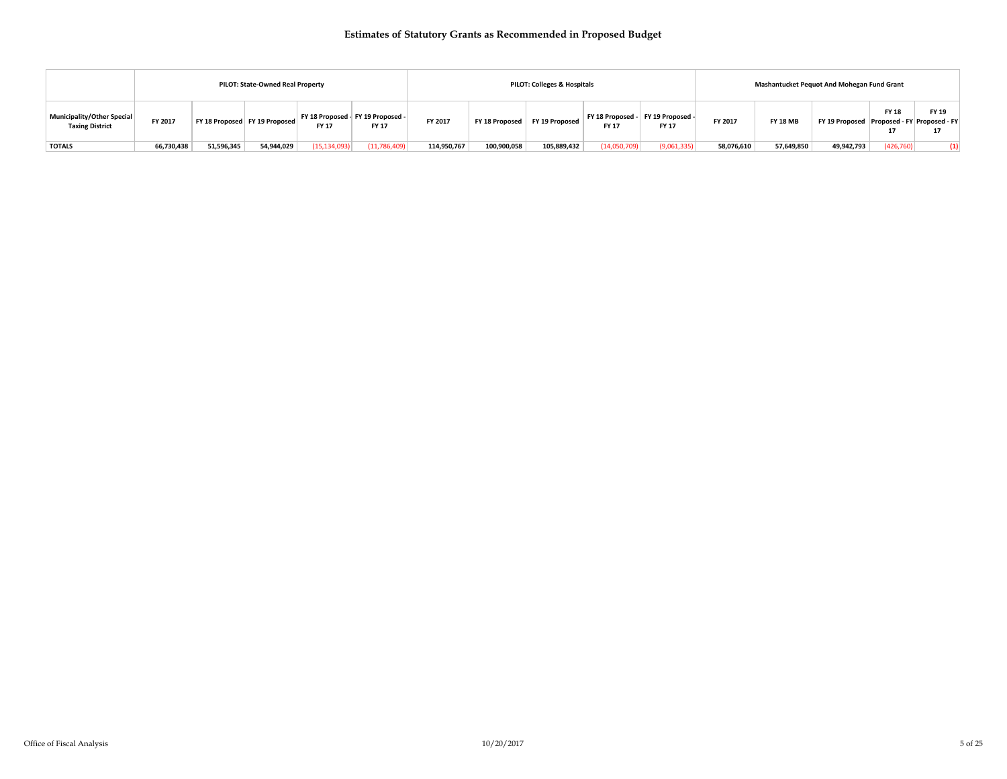|                                                             |            |            | PILOT: State-Owned Real Property |                |                                            |             |             | PILOT: Colleges & Hospitals     |                         |                                  |            |                 | <b>Mashantucket Pequot And Mohegan Fund Grant</b> |                     |                   |
|-------------------------------------------------------------|------------|------------|----------------------------------|----------------|--------------------------------------------|-------------|-------------|---------------------------------|-------------------------|----------------------------------|------------|-----------------|---------------------------------------------------|---------------------|-------------------|
| <b>Municipality/Other Special</b><br><b>Taxing District</b> | FY 2017    |            | FY 18 Proposed FY 19 Proposed    | <b>FY 17</b>   | FY 18 Proposed - FY 19 Proposed -<br>FY 17 | FY 2017     |             | FY 18 Proposed   FY 19 Proposed | FY 18 Proposed<br>FY 17 | FY 19 Proposed -<br><b>FY 17</b> | FY 2017    | <b>FY 18 MB</b> | FY 19 Proposed Proposed - FY Proposed - FY        | <b>FY 18</b><br>-14 | FY 19             |
| <b>TOTALS</b>                                               | 66,730,438 | 51,596,345 | 54,944,029                       | (15, 134, 093) | (11,786,409)                               | 114,950,767 | 100,900,058 | 105,889,432                     | (14,050,709)            | (9,061,335)                      | 58,076,610 | 57,649,850      | 49,942,793                                        | (426, 760)          | $\left( 1\right)$ |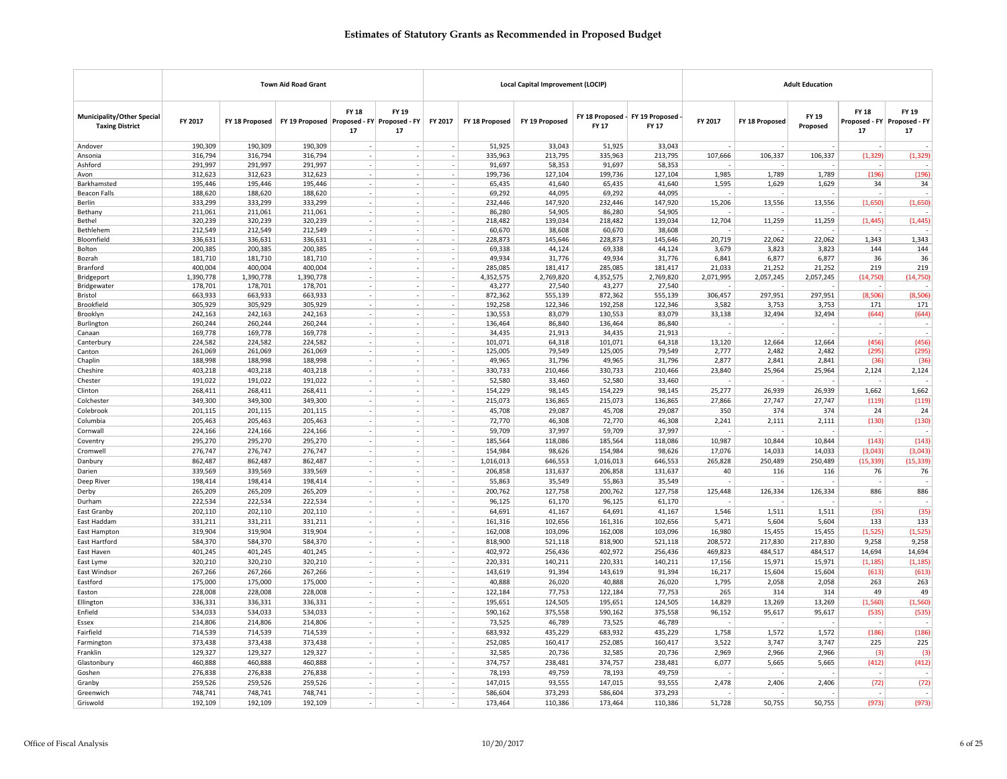|                                                             |                    |                    | <b>Town Aid Road Grant</b>                 |                          |                                                      |                                    |                   | <b>Local Capital Improvement (LOCIP)</b> |                   |                                          |                 |                 | <b>Adult Education</b> |                    |                                            |
|-------------------------------------------------------------|--------------------|--------------------|--------------------------------------------|--------------------------|------------------------------------------------------|------------------------------------|-------------------|------------------------------------------|-------------------|------------------------------------------|-----------------|-----------------|------------------------|--------------------|--------------------------------------------|
| <b>Municipality/Other Special</b><br><b>Taxing District</b> | FY 2017            | FY 18 Proposed     | FY 19 Proposed Proposed - FY Proposed - FY | <b>FY 18</b><br>17       | <b>FY 19</b><br>17                                   | FY 2017                            | FY 18 Proposed    | FY 19 Proposed                           | <b>FY 17</b>      | FY 18 Proposed - FY 19 Proposed<br>FY 17 | FY 2017         | FY 18 Proposed  | FY 19<br>Proposed      | <b>FY 18</b><br>17 | FY 19<br>Proposed - FY Proposed - FY<br>17 |
| Andover                                                     | 190.309            | 190.309            | 190.309                                    |                          |                                                      |                                    | 51.925            | 33.043                                   | 51,925            | 33.043                                   |                 |                 |                        |                    |                                            |
| Ansonia                                                     | 316,794            | 316,794            | 316,794                                    |                          |                                                      |                                    | 335,963           | 213,795                                  | 335,963           | 213,795                                  | 107,666         | 106,337         | 106,337                | (1, 329)           | (1, 329)                                   |
| Ashford                                                     | 291,997            | 291,997            | 291,997                                    |                          |                                                      |                                    | 91,697            | 58,353                                   | 91,697            | 58,353                                   |                 |                 |                        |                    |                                            |
| Avon                                                        | 312,623            | 312,623            | 312,623                                    |                          |                                                      |                                    | 199,736           | 127,104                                  | 199,736           | 127,104                                  | 1,985           | 1,789           | 1,789                  | (196)              | (196)                                      |
| Barkhamsted                                                 | 195,446            | 195,446            | 195,446                                    |                          |                                                      |                                    | 65,435            | 41,640                                   | 65,435            | 41,640                                   | 1,595           | 1,629           | 1,629                  | 34                 | 34                                         |
| Beacon Falls                                                | 188,620            | 188,620            | 188,620                                    |                          | $\overline{\phantom{a}}$                             | $\overline{\phantom{a}}$           | 69,292            | 44,095                                   | 69,292            | 44,095                                   |                 |                 |                        |                    |                                            |
| <b>Berlin</b>                                               | 333,299            | 333.299            | 333.299                                    |                          |                                                      |                                    | 232.446           | 147,920                                  | 232.446           | 147,920                                  | 15,206          | 13,556          | 13,556                 | (1,650)            | (1,650)                                    |
| Bethany                                                     | 211,061            | 211,061            | 211,061                                    |                          |                                                      |                                    | 86,280            | 54,905                                   | 86,280            | 54,905                                   |                 |                 |                        |                    |                                            |
| Bethel                                                      | 320,239            | 320,239            | 320,239                                    |                          |                                                      |                                    | 218,482           | 139,034                                  | 218,482           | 139,034                                  | 12,704          | 11,259          | 11,259                 | (1, 445)           | (1, 445)                                   |
| Bethlehem                                                   | 212,549            | 212,549            | 212,549                                    |                          |                                                      |                                    | 60,670            | 38,608                                   | 60,670            | 38,608                                   |                 |                 |                        |                    |                                            |
| Bloomfield                                                  | 336,631            | 336,631            | 336,631                                    |                          |                                                      |                                    | 228,873           | 145,646                                  | 228,873           | 145,646                                  | 20,719          | 22,062          | 22,062                 | 1,343              | 1,343                                      |
| Bolton                                                      | 200,385            | 200,385            | 200,385                                    | $\overline{\phantom{a}}$ | $\overline{\phantom{a}}$                             | $\overline{\phantom{a}}$           | 69,338            | 44,124                                   | 69,338            | 44,124                                   | 3,679           | 3,823           | 3,823                  | 144                | 144                                        |
| Bozrah                                                      | 181,710<br>400,004 | 181,710<br>400,004 | 181,710<br>400,004                         |                          |                                                      |                                    | 49,934<br>285,085 | 31,776<br>181,417                        | 49,934<br>285,085 | 31,776<br>181,417                        | 6,841<br>21,033 | 6,877<br>21,252 | 6,877<br>21,252        | 36<br>219          | 36<br>219                                  |
| Branford<br>Bridgeport                                      | 1,390,778          | 1,390,778          | 1,390,778                                  |                          | $\sim$                                               |                                    | 4,352,575         | 2,769,820                                | 4,352,575         | 2,769,820                                | 2,071,995       | 2,057,245       | 2,057,245              | (14, 750)          | (14, 750)                                  |
| Bridgewater                                                 | 178,701            | 178,701            | 178,701                                    |                          |                                                      |                                    | 43,277            | 27,540                                   | 43,277            | 27,540                                   |                 |                 |                        |                    |                                            |
| Bristol                                                     | 663,933            | 663,933            | 663,933                                    |                          | $\overline{\phantom{a}}$                             | $\overline{\phantom{a}}$           | 872,362           | 555,139                                  | 872,362           | 555,139                                  | 306,457         | 297,951         | 297,951                | (8,506)            | (8,506)                                    |
| Brookfield                                                  | 305,929            | 305,929            | 305,929                                    |                          | $\overline{\phantom{a}}$                             | $\overline{\phantom{a}}$           | 192,258           | 122,346                                  | 192,258           | 122,346                                  | 3,582           | 3,753           | 3,753                  | 171                | 171                                        |
| Brooklyn                                                    | 242,163            | 242,163            | 242,163                                    |                          |                                                      |                                    | 130,553           | 83,079                                   | 130,553           | 83,079                                   | 33,138          | 32,494          | 32,494                 | (644)              | (644)                                      |
| Burlington                                                  | 260,244            | 260,244            | 260,244                                    |                          |                                                      |                                    | 136,464           | 86,840                                   | 136,464           | 86,840                                   |                 |                 |                        |                    |                                            |
| Canaan                                                      | 169,778            | 169,778            | 169,778                                    |                          |                                                      |                                    | 34,435            | 21,913                                   | 34,435            | 21,913                                   |                 |                 | $\sim$                 |                    |                                            |
| Canterbury                                                  | 224,582            | 224,582            | 224,582                                    |                          |                                                      |                                    | 101,071           | 64,318                                   | 101,071           | 64,318                                   | 13,120          | 12.664          | 12,664                 | (456)              | (456)                                      |
| Canton                                                      | 261,069            | 261,069            | 261,069                                    |                          |                                                      | $\overline{\phantom{a}}$           | 125,005           | 79,549                                   | 125,005           | 79,549                                   | 2,777           | 2,482           | 2,482                  | (295)              | (295)                                      |
| Chaplin                                                     | 188,998            | 188,998            | 188,998                                    | $\sim$                   | $\sim$                                               | $\overline{\phantom{a}}$           | 49,965            | 31,796                                   | 49,965            | 31,796                                   | 2,877           | 2,841           | 2,841                  | (36)               | (36)                                       |
| Cheshire                                                    | 403,218            | 403,218            | 403,218                                    | ٠                        | $\overline{\phantom{a}}$                             | $\overline{\phantom{a}}$           | 330,733           | 210,466                                  | 330,733           | 210,466                                  | 23,840          | 25,964          | 25,964                 | 2,124              | 2,124                                      |
| Chester                                                     | 191,022            | 191,022            | 191,022                                    |                          |                                                      |                                    | 52,580            | 33,460                                   | 52,580            | 33,460                                   |                 |                 |                        |                    |                                            |
| Clinton                                                     | 268,411            | 268,411            | 268,411                                    | $\sim$                   | $\sim$                                               | $\sim$                             | 154,229           | 98,145                                   | 154,229           | 98,145                                   | 25,277          | 26,939          | 26,939                 | 1,662              | 1,662                                      |
| Colchester                                                  | 349,300            | 349,300            | 349,300                                    |                          | $\overline{\phantom{a}}$                             |                                    | 215,073           | 136,865                                  | 215,073           | 136,865                                  | 27,866          | 27,747          | 27,747                 | (119)              | (119)                                      |
| Colebrook                                                   | 201,115            | 201,115            | 201,115                                    |                          |                                                      |                                    | 45,708            | 29,087                                   | 45,708            | 29,087                                   | 350             | 374             | 374                    | 24                 | 24                                         |
| Columbia                                                    | 205,463            | 205,463            | 205,463                                    |                          |                                                      |                                    | 72,770            | 46,308                                   | 72,770            | 46,308                                   | 2,241           | 2,111           | 2,111                  | (130)              | (130)                                      |
| Cornwall                                                    | 224,166            | 224,166            | 224,166                                    |                          | $\sim$                                               |                                    | 59,709            | 37,997                                   | 59,709            | 37,997                                   |                 |                 |                        | ÷,                 |                                            |
| Coventry                                                    | 295,270            | 295,270            | 295,270                                    |                          | $\overline{\phantom{a}}$                             | $\overline{\phantom{a}}$           | 185,564           | 118,086                                  | 185,564           | 118,086                                  | 10,987          | 10,844          | 10,844                 | (143)              | (143)                                      |
| Cromwell                                                    | 276,747            | 276,747            | 276,747                                    |                          |                                                      |                                    | 154,984           | 98,626                                   | 154,984           | 98,626                                   | 17,076          | 14,033          | 14,033                 | (3,043)            | (3,043)                                    |
| Danbury                                                     | 862,487            | 862,487            | 862,487                                    |                          | $\sim$                                               |                                    | 1,016,013         | 646,553                                  | 1,016,013         | 646,553                                  | 265,828         | 250,489         | 250,489                | (15, 339)          | (15, 339)                                  |
| Darien                                                      | 339,569            | 339,569            | 339,569                                    | $\overline{\phantom{a}}$ | $\sim$                                               | $\overline{\phantom{a}}$           | 206,858           | 131,637                                  | 206,858           | 131,637                                  | 40              | 116             | 116                    | 76                 | 76                                         |
| Deep River                                                  | 198,414            | 198,414            | 198,414                                    | ÷,                       |                                                      |                                    | 55,863            | 35,549                                   | 55,863            | 35,549                                   |                 |                 |                        |                    |                                            |
| Derby                                                       | 265,209            | 265,209            | 265,209                                    |                          | $\overline{\phantom{a}}$                             | $\overline{\phantom{a}}$           | 200,762           | 127,758                                  | 200,762           | 127,758                                  | 125,448         | 126,334         | 126,334                | 886                | 886                                        |
| Durham                                                      | 222,534            | 222,534            | 222,534                                    |                          | $\overline{\phantom{a}}$                             | $\overline{\phantom{a}}$           | 96,125            | 61,170                                   | 96,125            | 61,170                                   |                 |                 |                        |                    |                                            |
| East Granby                                                 | 202,110            | 202,110            | 202,110                                    | ٠                        |                                                      |                                    | 64,691            | 41,167                                   | 64,691            | 41,167                                   | 1,546           | 1,511           | 1,511                  | (35)               | (35)                                       |
| East Haddam                                                 | 331,211            | 331,211            | 331,211                                    |                          |                                                      |                                    | 161,316           | 102,656                                  | 161,316           | 102,656                                  | 5,471           | 5,604           | 5,604                  | 133                | 133                                        |
| East Hampton                                                | 319,904            | 319,904            | 319,904                                    | $\overline{\phantom{a}}$ | $\overline{\phantom{a}}$<br>$\overline{a}$           | $\overline{\phantom{a}}$<br>÷      | 162,008           | 103,096                                  | 162,008           | 103,096                                  | 16,980          | 15,455          | 15,455                 | (1,525)            | (1, 525)                                   |
| East Hartford                                               | 584,370            | 584,370            | 584,370                                    | ٠                        |                                                      |                                    | 818,900           | 521,118                                  | 818,900           | 521,118                                  | 208,572         | 217,830         | 217,830                | 9,258              | 9,258                                      |
| East Haven                                                  | 401,245            | 401,245            | 401,245                                    |                          |                                                      |                                    | 402,972           | 256,436                                  | 402,972           | 256,436                                  | 469,823         | 484,517         | 484,517                | 14,694             | 14,694                                     |
| East Lyme                                                   | 320,210            | 320,210            | 320,210                                    | $\overline{\phantom{a}}$ | $\overline{\phantom{a}}$<br>$\overline{\phantom{a}}$ | $\overline{\phantom{a}}$<br>$\sim$ | 220,331           | 140,211                                  | 220,331           | 140,211                                  | 17,156          | 15,971          | 15,971                 | (1, 185)           | (1, 185)                                   |
| East Windsor                                                | 267,266            | 267,266            | 267,266                                    |                          |                                                      |                                    | 143,619           | 91,394                                   | 143,619           | 91,394                                   | 16,217          | 15,604          | 15,604                 | (613)              | (613)                                      |
| Eastford                                                    | 175,000            | 175,000            | 175,000                                    |                          |                                                      |                                    | 40,888            | 26,020                                   | 40,888            | 26,020                                   | 1,795           | 2,058           | 2,058                  | 263                | 263                                        |
| Easton                                                      | 228,008            | 228,008            | 228,008                                    |                          |                                                      | $\sim$                             | 122,184           | 77,753                                   | 122,184           | 77,753                                   | 265             | 314             | 314                    | 49                 | 49                                         |
| Ellington                                                   | 336,331            | 336,331            | 336,331                                    |                          | $\overline{a}$                                       |                                    | 195,651           | 124,505                                  | 195,651           | 124,505                                  | 14,829          | 13,269          | 13,269                 | (1,560)            | (1, 560)                                   |
| Enfield                                                     | 534,033            | 534,033            | 534,033                                    |                          |                                                      |                                    | 590,162           | 375,558                                  | 590,162           | 375,558                                  | 96,152          | 95,617          | 95,617                 | (535)              | (535)                                      |
| Essex                                                       | 214,806            | 214,806            | 214,806                                    |                          |                                                      |                                    | 73,525            | 46,789                                   | 73,525            | 46,789                                   |                 |                 |                        |                    |                                            |
| Fairfield                                                   | 714,539            | 714,539            | 714,539                                    |                          | $\overline{a}$                                       |                                    | 683,932           | 435,229                                  | 683,932           | 435,229                                  | 1,758           | 1,572           | 1,572                  | (186)              | (186)                                      |
| Farmington                                                  | 373,438            | 373,438            | 373,438                                    | ٠                        |                                                      | $\overline{\phantom{a}}$           | 252,085           | 160,417                                  | 252,085           | 160,417                                  | 3,522           | 3,747           | 3,747                  | 225                | 225                                        |
| Franklin                                                    | 129,327            | 129,327            | 129,327                                    | $\sim$                   |                                                      |                                    | 32,585            | 20,736                                   | 32,585            | 20,736                                   | 2,969           | 2,966           | 2,966                  | (3)                | (3)                                        |
| Glastonbury                                                 | 460,888            | 460,888            | 460,888                                    |                          | $\sim$                                               | ×.                                 | 374,757           | 238,481                                  | 374,757           | 238,481                                  | 6,077           | 5,665           | 5,665                  | (412)              | (412)                                      |
| Goshen                                                      | 276,838<br>259,526 | 276,838            | 276,838<br>259,526                         |                          |                                                      | $\overline{\phantom{a}}$           | 78,193<br>147,015 | 49,759                                   | 78,193<br>147,015 | 49,759                                   | 2,478           | 2,406           | 2,406                  | (72)               |                                            |
| Granby<br>Greenwich                                         | 748,741            | 259,526<br>748,741 | 748,741                                    |                          |                                                      |                                    | 586,604           | 93,555<br>373,293                        | 586,604           | 93,555<br>373,293                        |                 |                 |                        |                    | (72)                                       |
|                                                             |                    |                    |                                            | $\overline{\phantom{a}}$ | $\sim$                                               | $\sim$                             |                   |                                          |                   |                                          |                 |                 |                        | (973)              |                                            |
| Griswold                                                    | 192,109            | 192,109            | 192,109                                    |                          |                                                      |                                    | 173,464           | 110,386                                  | 173,464           | 110,386                                  | 51,728          | 50,755          | 50,755                 |                    | (973)                                      |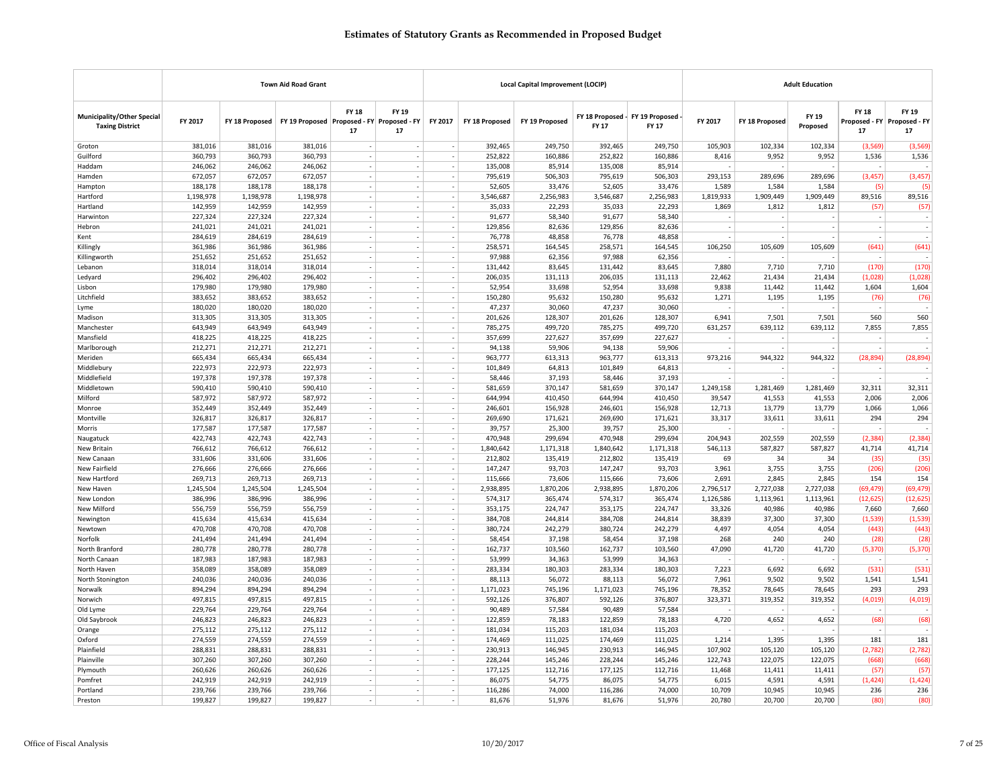| <b>FY 18</b><br>FY 19<br><b>FY 18</b><br>FY 19<br><b>Municipality/Other Special</b><br>FY 18 Proposed - FY 19 Proposed<br>FY 19<br>FY 2017<br>FY 2017<br>FY 2017<br>FY 19 Proposed Proposed - FY Proposed - FY<br>FY 18 Proposed<br>FY 19 Proposed<br>FY 18 Proposed<br>Proposed - FY Proposed - FY<br>FY 18 Proposed<br><b>FY 17</b><br>FY 17<br><b>Taxing District</b><br>Proposed<br>17<br>17<br>17<br>17<br>381,016<br>381,016<br>381,016<br>392,465<br>249,750<br>249,750<br>105,903<br>102,334<br>102,334<br>(3,569)<br>Groton<br>392,465<br>(3,569)<br>Guilford<br>360,793<br>360,793<br>360,793<br>252,822<br>160,886<br>252,822<br>160,886<br>8,416<br>9,952<br>9,952<br>1,536<br>1,536<br>$\overline{\phantom{a}}$<br>$\overline{\phantom{a}}$<br>246,062<br>246,062<br>246,062<br>135,008<br>85,914<br>135,008<br>85,914<br>Haddam<br>$\overline{\phantom{a}}$<br>$\sim$<br>$\overline{\phantom{a}}$<br>$\overline{\phantom{a}}$<br>672,057<br>672,057<br>672,057<br>795,619<br>506,303<br>795,619<br>506.303<br>293.153<br>289,696<br>289,696<br>(3,457)<br>(3, 457)<br>Hamden<br>188,178<br>188,178<br>188,178<br>52,605<br>33,476<br>52,605<br>33,476<br>1,589<br>1,584<br>1,584<br>Hampton<br>$\sim$<br>$\sim$<br>(5)<br>(5)<br>1,198,978<br>1,198,978<br>2,256,983<br>1,198,978<br>3,546,687<br>3,546,687<br>2,256,983<br>1,819,933<br>1,909,449<br>1,909,449<br>89,516<br>89,516<br>Hartford<br>$\overline{\phantom{a}}$<br>$\overline{\phantom{a}}$<br>$\overline{\phantom{a}}$<br>142,959<br>142,959<br>142,959<br>35,033<br>22,293<br>35,033<br>1,869<br>1,812<br>1,812<br>$\sim$<br>22,293<br>(57)<br>(57)<br>Hartland<br>227,324<br>227,324<br>227,324<br>91,677<br>58,340<br>91,677<br>58.340<br>Harwinton<br>$\sim$<br>$\sim$<br>241,021<br>241,021<br>241,021<br>129,856<br>82,636<br>129,856<br>82,636<br>Hebron<br>$\overline{\phantom{a}}$<br>$\sim$<br>$\sim$<br>$\sim$<br>$\sim$<br>$\overline{\phantom{a}}$<br>$\sim$<br>284,619<br>284,619<br>284,619<br>76,778<br>48,858<br>76,778<br>48,858<br>Kent<br>$\overline{a}$<br>$\sim$<br>÷.<br>361,986<br>361,986<br>361,986<br>258,571<br>164,545<br>258,571<br>164,545<br>106,250<br>105,609<br>105,609<br>(641)<br>(641)<br>Killingly<br>251,652<br>251,652<br>251,652<br>97,988<br>62,356<br>97,988<br>62,356<br>Killingworth<br>$\sim$<br>$\sim$<br>$\sim$<br>$\sim$<br>(170)<br>318,014<br>318,014<br>318,014<br>131,442<br>83,645<br>131,442<br>83,645<br>7,880<br>7,710<br>7,710<br>(170)<br>Lebanon<br>÷<br>÷<br>$\overline{\phantom{a}}$<br>296,402<br>296,402<br>296,402<br>206,035<br>131,113<br>206,035<br>131,113<br>22,462<br>21,434<br>21,434<br>(1,028)<br>(1,028)<br>Ledyard<br>$\overline{\phantom{a}}$<br>179,980<br>179,980<br>179,980<br>52,954<br>33,698<br>52,954<br>33,698<br>9,838<br>11,442<br>11,442<br>1,604<br>1,604<br>Lisbon<br>÷<br>383,652<br>383,652<br>383,652<br>150,280<br>95,632<br>150,280<br>95,632<br>1,271<br>1,195<br>1,195<br>(76)<br>Litchfield<br>$\sim$<br>(76)<br>180,020<br>180,020<br>180,020<br>47,237<br>30,060<br>47,237<br>30,060<br>Lyme<br>$\overline{\phantom{a}}$<br>$\overline{\phantom{a}}$<br>÷,<br>313,305<br>201,626<br>128,307<br>201,626<br>128,307<br>6,941<br>7,501<br>7,501<br>560<br>313,305<br>313,305<br>÷<br>$\overline{\phantom{a}}$<br>560<br>Madison<br>÷.<br>643,949<br>643,949<br>643,949<br>499,720<br>785,275<br>499,720<br>7,855<br>Manchester<br>$\sim$<br>785,275<br>631,257<br>639,112<br>639,112<br>7,855<br>418,225<br>227,627<br>227,627<br>Mansfield<br>418,225<br>418,225<br>357,699<br>357,699<br>$\overline{\phantom{a}}$<br>$\overline{\phantom{a}}$<br>$\overline{\phantom{a}}$<br>÷<br>$\overline{\phantom{a}}$<br>$\sim$<br>212,271<br>212,271<br>212,271<br>94,138<br>59,906<br>94,138<br>59,906<br>Marlborough<br>$\overline{a}$<br>$\sim$<br>÷.<br>(28, 894)<br>Meriden<br>665,434<br>665,434<br>665,434<br>963,777<br>613,313<br>963,777<br>613,313<br>973,216<br>944,322<br>944,322<br>(28, 894)<br>$\overline{\phantom{a}}$<br>222,973<br>222,973<br>222,973<br>101,849<br>64,813<br>101,849<br>64,813<br>Middlebury<br>$\sim$<br>197,378<br>197,378<br>37,193<br>37,193<br>Middlefield<br>197,378<br>$\sim$<br>$\sim$<br>58,446<br>58,446<br>$\sim$<br>590,410<br>581,659<br>581,659<br>32,311<br>590,410<br>590,410<br>370,147<br>370,147<br>1,249,158<br>1,281,469<br>1,281,469<br>32,311<br>Middletown<br>$\overline{\phantom{a}}$<br>$\overline{\phantom{a}}$<br>587,972<br>410,450<br>Milford<br>587,972<br>587,972<br>644,994<br>644,994<br>410,450<br>39,547<br>41,553<br>41,553<br>2,006<br>2,006<br>352,449<br>352,449<br>352,449<br>246,601<br>156,928<br>246,601<br>156,928<br>12,713<br>13,779<br>13,779<br>1,066<br>1,066<br>Monroe<br>$\overline{\phantom{a}}$<br>$\overline{\phantom{a}}$<br>326,817<br>326,817<br>326,817<br>269,690<br>171,621<br>269,690<br>171,621<br>33,317<br>33,611<br>33,611<br>294<br>294<br>Montville<br>$\overline{\phantom{a}}$<br>$\overline{\phantom{a}}$<br>$\overline{\phantom{a}}$<br>177,587<br>177,587<br>177,587<br>39,757<br>25,300<br>39,757<br>25,300<br>Morris<br>422,743<br>422,743<br>422,743<br>470,948<br>299,694<br>470,948<br>299,694<br>204,943<br>202,559<br>202,559<br>(2.384)<br>(2, 384)<br>Naugatuck<br>$\sim$<br>$\sim$<br>766,612<br>546,113<br>587,827<br>41,714<br>766,612<br>766,612<br>1,840,642<br>1,171,318<br>1,840,642<br>1,171,318<br>587,827<br>41,714<br>New Britain<br>$\overline{\phantom{a}}$<br>$\overline{\phantom{a}}$<br>$\overline{\phantom{a}}$<br>331,606<br>331,606<br>135,419<br>135,419<br>69<br>34<br>34<br>(35)<br>(35)<br>331,606<br>212,802<br>212,802<br>New Canaan<br>×.<br>New Fairfield<br>276,666<br>276,666<br>276,666<br>147,247<br>93,703<br>147,247<br>93,703<br>3,961<br>3,755<br>3,755<br>(206)<br>(206)<br>$\sim$<br>269,713<br>269,713<br>269,713<br>115,666<br>73,606<br>115,666<br>73,606<br>2,691<br>2,845<br>2,845<br>154<br>154<br>New Hartford<br>$\overline{\phantom{a}}$<br>$\sim$<br>1,245,504<br>1,245,504<br>1,245,504<br>$\overline{\phantom{a}}$<br>2,938,895<br>1,870,206<br>2,938,895<br>1,870,206<br>2,796,517<br>2,727,038<br>2,727,038<br>(69, 479)<br>(69, 479)<br>New Haven<br>$\sim$<br>386,996<br>386,996<br>386,996<br>574,317<br>365,474<br>574,317<br>365,474<br>1,126,586<br>1,113,961<br>(12, 625)<br>(12, 625)<br>1,113,961<br>New London<br>$\overline{\phantom{a}}$<br>$\overline{\phantom{a}}$<br>556,759<br>556,759<br>556,759<br>353,175<br>224,747<br>353,175<br>224,747<br>33,326<br>40,986<br>40,986<br>7,660<br>7,660<br>New Milford<br>$\sim$<br>$\overline{\phantom{a}}$<br>$\sim$<br>415,634<br>415,634<br>244,814<br>244,814<br>38,839<br>(1, 539)<br>Newington<br>415,634<br>$\sim$<br>384,708<br>384,708<br>37,300<br>37,300<br>(1,539)<br>$\overline{\phantom{a}}$<br>$\sim$<br>470,708<br>470,708<br>470,708<br>380,724<br>242,279<br>242,279<br>(443)<br>(443)<br>380,724<br>4,497<br>4,054<br>4,054<br>Newtown<br>$\overline{\phantom{a}}$<br>$\sim$<br>$\overline{\phantom{a}}$<br>241,494<br>241,494<br>241,494<br>$\overline{\phantom{a}}$<br>58,454<br>37,198<br>58,454<br>37,198<br>268<br>240<br>240<br>(28)<br>(28)<br>Norfolk<br>$\overline{\phantom{a}}$<br>280,778<br>280,778<br>280,778<br>162,737<br>103,560<br>162,737<br>103,560<br>47,090<br>41,720<br>41,720<br>(5, 370)<br>(5, 370)<br>North Branford<br>$\overline{\phantom{a}}$<br>$\sim$<br>187,983<br>187,983<br>187,983<br>53,999<br>34,363<br>53,999<br>34,363<br>North Canaan<br>$\overline{\phantom{a}}$<br>$\overline{\phantom{a}}$<br>$\sim$<br>358,089<br>358,089<br>283,334<br>180,303<br>283,334<br>180,303<br>7,223<br>6,692<br>6,692<br>(531)<br>(531)<br>358,089<br>$\overline{\phantom{a}}$<br>North Haven<br>$\overline{a}$<br>÷.<br>240,036<br>88,113<br>56,072<br>7,961<br>9,502<br>1,541<br>1,541<br>North Stonington<br>240,036<br>240,036<br>56,072<br>88,113<br>9,502<br>894,294<br>894,294<br>1,171,023<br>745,196<br>1,171,023<br>745,196<br>78,645<br>293<br>293<br>Norwalk<br>894,294<br>78,352<br>78,645<br>$\overline{\phantom{a}}$<br>$\overline{\phantom{a}}$<br>$\overline{\phantom{a}}$<br>319,352<br>319,352<br>497,815<br>497,815<br>497,815<br>592,126<br>376,807<br>592,126<br>376,807<br>323,371<br>(4,019)<br>(4,019)<br>÷<br>÷<br>Norwich<br>Old Lyme<br>229,764<br>229,764<br>229,764<br>90,489<br>57,584<br>90,489<br>57,584<br>246,823<br>122,859<br>122,859<br>Old Saybrook<br>246,823<br>246,823<br>78,183<br>78,183<br>4,720<br>4,652<br>4,652<br>(68)<br>(68)<br>$\overline{\phantom{a}}$<br>275,112<br>275,112<br>275,112<br>$\sim$<br>181,034<br>115,203<br>181,034<br>115,203<br>Orange<br>$\overline{\phantom{a}}$<br>÷.<br>274,559<br>274,559<br>274,559<br>174,469<br>111,025<br>174,469<br>111,025<br>1,395<br>1,395<br>181<br>181<br>1,214<br>Oxford<br>$\overline{\phantom{a}}$<br>$\overline{\phantom{a}}$<br>Plainfield<br>288,831<br>288,831<br>288,831<br>230,913<br>146,945<br>230,913<br>146.945<br>107,902<br>105,120<br>105,120<br>(2,782)<br>(2,782)<br>$\sim$<br>307,260<br>307,260<br>307,260<br>228,244<br>145,246<br>228,244<br>145,246<br>122,743<br>122,075<br>122,075<br>(668)<br>(668)<br>Plainville<br>$\overline{\phantom{a}}$<br>$\overline{\phantom{a}}$<br>260,626<br>260,626<br>260,626<br>177,125<br>112,716<br>177,125<br>112,716<br>11,468<br>11,411<br>11,411<br>(57)<br>(57)<br>Plymouth<br>$\overline{\phantom{a}}$<br>$\overline{\phantom{a}}$<br>$\overline{\phantom{a}}$<br>242,919<br>242,919<br>242,919<br>86,075<br>54,775<br>86,075<br>54,775<br>6,015<br>4,591<br>4,591<br>(1,424)<br>(1, 424)<br>Pomfret<br>٠.<br>×.<br>239,766<br>239,766<br>239,766<br>116,286<br>74,000<br>116,286<br>74,000<br>10,709<br>10,945<br>10,945<br>236<br>236<br>Portland<br>$\overline{\phantom{a}}$<br>$\sim$<br>(80)<br>(80)<br>199,827<br>199,827<br>199,827<br>81,676<br>51,976<br>81,676<br>51,976<br>20,780<br>20,700<br>20,700<br>Preston<br>$\sim$<br>$\sim$<br>$\sim$ |  | <b>Town Aid Road Grant</b> |  |  | <b>Local Capital Improvement (LOCIP)</b> |  |  | <b>Adult Education</b> |  |
|------------------------------------------------------------------------------------------------------------------------------------------------------------------------------------------------------------------------------------------------------------------------------------------------------------------------------------------------------------------------------------------------------------------------------------------------------------------------------------------------------------------------------------------------------------------------------------------------------------------------------------------------------------------------------------------------------------------------------------------------------------------------------------------------------------------------------------------------------------------------------------------------------------------------------------------------------------------------------------------------------------------------------------------------------------------------------------------------------------------------------------------------------------------------------------------------------------------------------------------------------------------------------------------------------------------------------------------------------------------------------------------------------------------------------------------------------------------------------------------------------------------------------------------------------------------------------------------------------------------------------------------------------------------------------------------------------------------------------------------------------------------------------------------------------------------------------------------------------------------------------------------------------------------------------------------------------------------------------------------------------------------------------------------------------------------------------------------------------------------------------------------------------------------------------------------------------------------------------------------------------------------------------------------------------------------------------------------------------------------------------------------------------------------------------------------------------------------------------------------------------------------------------------------------------------------------------------------------------------------------------------------------------------------------------------------------------------------------------------------------------------------------------------------------------------------------------------------------------------------------------------------------------------------------------------------------------------------------------------------------------------------------------------------------------------------------------------------------------------------------------------------------------------------------------------------------------------------------------------------------------------------------------------------------------------------------------------------------------------------------------------------------------------------------------------------------------------------------------------------------------------------------------------------------------------------------------------------------------------------------------------------------------------------------------------------------------------------------------------------------------------------------------------------------------------------------------------------------------------------------------------------------------------------------------------------------------------------------------------------------------------------------------------------------------------------------------------------------------------------------------------------------------------------------------------------------------------------------------------------------------------------------------------------------------------------------------------------------------------------------------------------------------------------------------------------------------------------------------------------------------------------------------------------------------------------------------------------------------------------------------------------------------------------------------------------------------------------------------------------------------------------------------------------------------------------------------------------------------------------------------------------------------------------------------------------------------------------------------------------------------------------------------------------------------------------------------------------------------------------------------------------------------------------------------------------------------------------------------------------------------------------------------------------------------------------------------------------------------------------------------------------------------------------------------------------------------------------------------------------------------------------------------------------------------------------------------------------------------------------------------------------------------------------------------------------------------------------------------------------------------------------------------------------------------------------------------------------------------------------------------------------------------------------------------------------------------------------------------------------------------------------------------------------------------------------------------------------------------------------------------------------------------------------------------------------------------------------------------------------------------------------------------------------------------------------------------------------------------------------------------------------------------------------------------------------------------------------------------------------------------------------------------------------------------------------------------------------------------------------------------------------------------------------------------------------------------------------------------------------------------------------------------------------------------------------------------------------------------------------------------------------------------------------------------------------------------------------------------------------------------------------------------------------------------------------------------------------------------------------------------------------------------------------------------------------------------------------------------------------------------------------------------------------------------------------------------------------------------------------------------------------------------------------------------------------------------------------------------------------------------------------------------------------------------------------------------------------------------------------------------------------------------------------------------------------------------------------------------------------------------------------------------------------------------------------------------------------------------------------------------------------------------------------------------------------------------------------------------------------------------------------------------------------------------------------------------------------------------------------------------------------------------------------------------------------------------------------------------------------------------------------------------------------------------------------------------------------------------------------------------------------------------------------------------------------------------------------------------------------------------------------------------------------------------------------------------------------------------------------------------------------------------------------------------------------------------------------------------------------------------------------------------------------------------------------------------------------------------------------------------------------------------------------------------------------------------------------------------------------------------------------------------------------------------------------------------------------------------------------------------------------------------------------------------------------------------------------------------------------------------------------------------------------------------------------------------------------------------------------------------------------------------------------------------------------------------------------------------------------------------------------------------------------------------------------------------------------------------------------------------------------------------------------------------------------------------------------------------------------------------------------------------------------------------------------------------------------------------------------------------------------------------------------------------------------------------------------------------|--|----------------------------|--|--|------------------------------------------|--|--|------------------------|--|
|                                                                                                                                                                                                                                                                                                                                                                                                                                                                                                                                                                                                                                                                                                                                                                                                                                                                                                                                                                                                                                                                                                                                                                                                                                                                                                                                                                                                                                                                                                                                                                                                                                                                                                                                                                                                                                                                                                                                                                                                                                                                                                                                                                                                                                                                                                                                                                                                                                                                                                                                                                                                                                                                                                                                                                                                                                                                                                                                                                                                                                                                                                                                                                                                                                                                                                                                                                                                                                                                                                                                                                                                                                                                                                                                                                                                                                                                                                                                                                                                                                                                                                                                                                                                                                                                                                                                                                                                                                                                                                                                                                                                                                                                                                                                                                                                                                                                                                                                                                                                                                                                                                                                                                                                                                                                                                                                                                                                                                                                                                                                                                                                                                                                                                                                                                                                                                                                                                                                                                                                                                                                                                                                                                                                                                                                                                                                                                                                                                                                                                                                                                                                                                                                                                                                                                                                                                                                                                                                                                                                                                                                                                                                                                                                                                                                                                                                                                                                                                                                                                                                                                                                                                                                                                                                                                                                                                                                                                                                                                                                                                                                                                                                                                                                                                                                                                                                                                                                                                                                                                                                                                                                                                                                                                                                                                                                                                                                                                                                                                                                                                                                                                                                                                                                                                                                                                                                                                                                                                                                                                                                                                                                                                                                                                                                                                                                                                                                                                                                                                              |  |                            |  |  |                                          |  |  |                        |  |
|                                                                                                                                                                                                                                                                                                                                                                                                                                                                                                                                                                                                                                                                                                                                                                                                                                                                                                                                                                                                                                                                                                                                                                                                                                                                                                                                                                                                                                                                                                                                                                                                                                                                                                                                                                                                                                                                                                                                                                                                                                                                                                                                                                                                                                                                                                                                                                                                                                                                                                                                                                                                                                                                                                                                                                                                                                                                                                                                                                                                                                                                                                                                                                                                                                                                                                                                                                                                                                                                                                                                                                                                                                                                                                                                                                                                                                                                                                                                                                                                                                                                                                                                                                                                                                                                                                                                                                                                                                                                                                                                                                                                                                                                                                                                                                                                                                                                                                                                                                                                                                                                                                                                                                                                                                                                                                                                                                                                                                                                                                                                                                                                                                                                                                                                                                                                                                                                                                                                                                                                                                                                                                                                                                                                                                                                                                                                                                                                                                                                                                                                                                                                                                                                                                                                                                                                                                                                                                                                                                                                                                                                                                                                                                                                                                                                                                                                                                                                                                                                                                                                                                                                                                                                                                                                                                                                                                                                                                                                                                                                                                                                                                                                                                                                                                                                                                                                                                                                                                                                                                                                                                                                                                                                                                                                                                                                                                                                                                                                                                                                                                                                                                                                                                                                                                                                                                                                                                                                                                                                                                                                                                                                                                                                                                                                                                                                                                                                                                                                                                              |  |                            |  |  |                                          |  |  |                        |  |
|                                                                                                                                                                                                                                                                                                                                                                                                                                                                                                                                                                                                                                                                                                                                                                                                                                                                                                                                                                                                                                                                                                                                                                                                                                                                                                                                                                                                                                                                                                                                                                                                                                                                                                                                                                                                                                                                                                                                                                                                                                                                                                                                                                                                                                                                                                                                                                                                                                                                                                                                                                                                                                                                                                                                                                                                                                                                                                                                                                                                                                                                                                                                                                                                                                                                                                                                                                                                                                                                                                                                                                                                                                                                                                                                                                                                                                                                                                                                                                                                                                                                                                                                                                                                                                                                                                                                                                                                                                                                                                                                                                                                                                                                                                                                                                                                                                                                                                                                                                                                                                                                                                                                                                                                                                                                                                                                                                                                                                                                                                                                                                                                                                                                                                                                                                                                                                                                                                                                                                                                                                                                                                                                                                                                                                                                                                                                                                                                                                                                                                                                                                                                                                                                                                                                                                                                                                                                                                                                                                                                                                                                                                                                                                                                                                                                                                                                                                                                                                                                                                                                                                                                                                                                                                                                                                                                                                                                                                                                                                                                                                                                                                                                                                                                                                                                                                                                                                                                                                                                                                                                                                                                                                                                                                                                                                                                                                                                                                                                                                                                                                                                                                                                                                                                                                                                                                                                                                                                                                                                                                                                                                                                                                                                                                                                                                                                                                                                                                                                                                              |  |                            |  |  |                                          |  |  |                        |  |
|                                                                                                                                                                                                                                                                                                                                                                                                                                                                                                                                                                                                                                                                                                                                                                                                                                                                                                                                                                                                                                                                                                                                                                                                                                                                                                                                                                                                                                                                                                                                                                                                                                                                                                                                                                                                                                                                                                                                                                                                                                                                                                                                                                                                                                                                                                                                                                                                                                                                                                                                                                                                                                                                                                                                                                                                                                                                                                                                                                                                                                                                                                                                                                                                                                                                                                                                                                                                                                                                                                                                                                                                                                                                                                                                                                                                                                                                                                                                                                                                                                                                                                                                                                                                                                                                                                                                                                                                                                                                                                                                                                                                                                                                                                                                                                                                                                                                                                                                                                                                                                                                                                                                                                                                                                                                                                                                                                                                                                                                                                                                                                                                                                                                                                                                                                                                                                                                                                                                                                                                                                                                                                                                                                                                                                                                                                                                                                                                                                                                                                                                                                                                                                                                                                                                                                                                                                                                                                                                                                                                                                                                                                                                                                                                                                                                                                                                                                                                                                                                                                                                                                                                                                                                                                                                                                                                                                                                                                                                                                                                                                                                                                                                                                                                                                                                                                                                                                                                                                                                                                                                                                                                                                                                                                                                                                                                                                                                                                                                                                                                                                                                                                                                                                                                                                                                                                                                                                                                                                                                                                                                                                                                                                                                                                                                                                                                                                                                                                                                                                              |  |                            |  |  |                                          |  |  |                        |  |
|                                                                                                                                                                                                                                                                                                                                                                                                                                                                                                                                                                                                                                                                                                                                                                                                                                                                                                                                                                                                                                                                                                                                                                                                                                                                                                                                                                                                                                                                                                                                                                                                                                                                                                                                                                                                                                                                                                                                                                                                                                                                                                                                                                                                                                                                                                                                                                                                                                                                                                                                                                                                                                                                                                                                                                                                                                                                                                                                                                                                                                                                                                                                                                                                                                                                                                                                                                                                                                                                                                                                                                                                                                                                                                                                                                                                                                                                                                                                                                                                                                                                                                                                                                                                                                                                                                                                                                                                                                                                                                                                                                                                                                                                                                                                                                                                                                                                                                                                                                                                                                                                                                                                                                                                                                                                                                                                                                                                                                                                                                                                                                                                                                                                                                                                                                                                                                                                                                                                                                                                                                                                                                                                                                                                                                                                                                                                                                                                                                                                                                                                                                                                                                                                                                                                                                                                                                                                                                                                                                                                                                                                                                                                                                                                                                                                                                                                                                                                                                                                                                                                                                                                                                                                                                                                                                                                                                                                                                                                                                                                                                                                                                                                                                                                                                                                                                                                                                                                                                                                                                                                                                                                                                                                                                                                                                                                                                                                                                                                                                                                                                                                                                                                                                                                                                                                                                                                                                                                                                                                                                                                                                                                                                                                                                                                                                                                                                                                                                                                                                              |  |                            |  |  |                                          |  |  |                        |  |
|                                                                                                                                                                                                                                                                                                                                                                                                                                                                                                                                                                                                                                                                                                                                                                                                                                                                                                                                                                                                                                                                                                                                                                                                                                                                                                                                                                                                                                                                                                                                                                                                                                                                                                                                                                                                                                                                                                                                                                                                                                                                                                                                                                                                                                                                                                                                                                                                                                                                                                                                                                                                                                                                                                                                                                                                                                                                                                                                                                                                                                                                                                                                                                                                                                                                                                                                                                                                                                                                                                                                                                                                                                                                                                                                                                                                                                                                                                                                                                                                                                                                                                                                                                                                                                                                                                                                                                                                                                                                                                                                                                                                                                                                                                                                                                                                                                                                                                                                                                                                                                                                                                                                                                                                                                                                                                                                                                                                                                                                                                                                                                                                                                                                                                                                                                                                                                                                                                                                                                                                                                                                                                                                                                                                                                                                                                                                                                                                                                                                                                                                                                                                                                                                                                                                                                                                                                                                                                                                                                                                                                                                                                                                                                                                                                                                                                                                                                                                                                                                                                                                                                                                                                                                                                                                                                                                                                                                                                                                                                                                                                                                                                                                                                                                                                                                                                                                                                                                                                                                                                                                                                                                                                                                                                                                                                                                                                                                                                                                                                                                                                                                                                                                                                                                                                                                                                                                                                                                                                                                                                                                                                                                                                                                                                                                                                                                                                                                                                                                                                              |  |                            |  |  |                                          |  |  |                        |  |
|                                                                                                                                                                                                                                                                                                                                                                                                                                                                                                                                                                                                                                                                                                                                                                                                                                                                                                                                                                                                                                                                                                                                                                                                                                                                                                                                                                                                                                                                                                                                                                                                                                                                                                                                                                                                                                                                                                                                                                                                                                                                                                                                                                                                                                                                                                                                                                                                                                                                                                                                                                                                                                                                                                                                                                                                                                                                                                                                                                                                                                                                                                                                                                                                                                                                                                                                                                                                                                                                                                                                                                                                                                                                                                                                                                                                                                                                                                                                                                                                                                                                                                                                                                                                                                                                                                                                                                                                                                                                                                                                                                                                                                                                                                                                                                                                                                                                                                                                                                                                                                                                                                                                                                                                                                                                                                                                                                                                                                                                                                                                                                                                                                                                                                                                                                                                                                                                                                                                                                                                                                                                                                                                                                                                                                                                                                                                                                                                                                                                                                                                                                                                                                                                                                                                                                                                                                                                                                                                                                                                                                                                                                                                                                                                                                                                                                                                                                                                                                                                                                                                                                                                                                                                                                                                                                                                                                                                                                                                                                                                                                                                                                                                                                                                                                                                                                                                                                                                                                                                                                                                                                                                                                                                                                                                                                                                                                                                                                                                                                                                                                                                                                                                                                                                                                                                                                                                                                                                                                                                                                                                                                                                                                                                                                                                                                                                                                                                                                                                                                              |  |                            |  |  |                                          |  |  |                        |  |
|                                                                                                                                                                                                                                                                                                                                                                                                                                                                                                                                                                                                                                                                                                                                                                                                                                                                                                                                                                                                                                                                                                                                                                                                                                                                                                                                                                                                                                                                                                                                                                                                                                                                                                                                                                                                                                                                                                                                                                                                                                                                                                                                                                                                                                                                                                                                                                                                                                                                                                                                                                                                                                                                                                                                                                                                                                                                                                                                                                                                                                                                                                                                                                                                                                                                                                                                                                                                                                                                                                                                                                                                                                                                                                                                                                                                                                                                                                                                                                                                                                                                                                                                                                                                                                                                                                                                                                                                                                                                                                                                                                                                                                                                                                                                                                                                                                                                                                                                                                                                                                                                                                                                                                                                                                                                                                                                                                                                                                                                                                                                                                                                                                                                                                                                                                                                                                                                                                                                                                                                                                                                                                                                                                                                                                                                                                                                                                                                                                                                                                                                                                                                                                                                                                                                                                                                                                                                                                                                                                                                                                                                                                                                                                                                                                                                                                                                                                                                                                                                                                                                                                                                                                                                                                                                                                                                                                                                                                                                                                                                                                                                                                                                                                                                                                                                                                                                                                                                                                                                                                                                                                                                                                                                                                                                                                                                                                                                                                                                                                                                                                                                                                                                                                                                                                                                                                                                                                                                                                                                                                                                                                                                                                                                                                                                                                                                                                                                                                                                                                              |  |                            |  |  |                                          |  |  |                        |  |
|                                                                                                                                                                                                                                                                                                                                                                                                                                                                                                                                                                                                                                                                                                                                                                                                                                                                                                                                                                                                                                                                                                                                                                                                                                                                                                                                                                                                                                                                                                                                                                                                                                                                                                                                                                                                                                                                                                                                                                                                                                                                                                                                                                                                                                                                                                                                                                                                                                                                                                                                                                                                                                                                                                                                                                                                                                                                                                                                                                                                                                                                                                                                                                                                                                                                                                                                                                                                                                                                                                                                                                                                                                                                                                                                                                                                                                                                                                                                                                                                                                                                                                                                                                                                                                                                                                                                                                                                                                                                                                                                                                                                                                                                                                                                                                                                                                                                                                                                                                                                                                                                                                                                                                                                                                                                                                                                                                                                                                                                                                                                                                                                                                                                                                                                                                                                                                                                                                                                                                                                                                                                                                                                                                                                                                                                                                                                                                                                                                                                                                                                                                                                                                                                                                                                                                                                                                                                                                                                                                                                                                                                                                                                                                                                                                                                                                                                                                                                                                                                                                                                                                                                                                                                                                                                                                                                                                                                                                                                                                                                                                                                                                                                                                                                                                                                                                                                                                                                                                                                                                                                                                                                                                                                                                                                                                                                                                                                                                                                                                                                                                                                                                                                                                                                                                                                                                                                                                                                                                                                                                                                                                                                                                                                                                                                                                                                                                                                                                                                                                              |  |                            |  |  |                                          |  |  |                        |  |
|                                                                                                                                                                                                                                                                                                                                                                                                                                                                                                                                                                                                                                                                                                                                                                                                                                                                                                                                                                                                                                                                                                                                                                                                                                                                                                                                                                                                                                                                                                                                                                                                                                                                                                                                                                                                                                                                                                                                                                                                                                                                                                                                                                                                                                                                                                                                                                                                                                                                                                                                                                                                                                                                                                                                                                                                                                                                                                                                                                                                                                                                                                                                                                                                                                                                                                                                                                                                                                                                                                                                                                                                                                                                                                                                                                                                                                                                                                                                                                                                                                                                                                                                                                                                                                                                                                                                                                                                                                                                                                                                                                                                                                                                                                                                                                                                                                                                                                                                                                                                                                                                                                                                                                                                                                                                                                                                                                                                                                                                                                                                                                                                                                                                                                                                                                                                                                                                                                                                                                                                                                                                                                                                                                                                                                                                                                                                                                                                                                                                                                                                                                                                                                                                                                                                                                                                                                                                                                                                                                                                                                                                                                                                                                                                                                                                                                                                                                                                                                                                                                                                                                                                                                                                                                                                                                                                                                                                                                                                                                                                                                                                                                                                                                                                                                                                                                                                                                                                                                                                                                                                                                                                                                                                                                                                                                                                                                                                                                                                                                                                                                                                                                                                                                                                                                                                                                                                                                                                                                                                                                                                                                                                                                                                                                                                                                                                                                                                                                                                                                              |  |                            |  |  |                                          |  |  |                        |  |
|                                                                                                                                                                                                                                                                                                                                                                                                                                                                                                                                                                                                                                                                                                                                                                                                                                                                                                                                                                                                                                                                                                                                                                                                                                                                                                                                                                                                                                                                                                                                                                                                                                                                                                                                                                                                                                                                                                                                                                                                                                                                                                                                                                                                                                                                                                                                                                                                                                                                                                                                                                                                                                                                                                                                                                                                                                                                                                                                                                                                                                                                                                                                                                                                                                                                                                                                                                                                                                                                                                                                                                                                                                                                                                                                                                                                                                                                                                                                                                                                                                                                                                                                                                                                                                                                                                                                                                                                                                                                                                                                                                                                                                                                                                                                                                                                                                                                                                                                                                                                                                                                                                                                                                                                                                                                                                                                                                                                                                                                                                                                                                                                                                                                                                                                                                                                                                                                                                                                                                                                                                                                                                                                                                                                                                                                                                                                                                                                                                                                                                                                                                                                                                                                                                                                                                                                                                                                                                                                                                                                                                                                                                                                                                                                                                                                                                                                                                                                                                                                                                                                                                                                                                                                                                                                                                                                                                                                                                                                                                                                                                                                                                                                                                                                                                                                                                                                                                                                                                                                                                                                                                                                                                                                                                                                                                                                                                                                                                                                                                                                                                                                                                                                                                                                                                                                                                                                                                                                                                                                                                                                                                                                                                                                                                                                                                                                                                                                                                                                                                              |  |                            |  |  |                                          |  |  |                        |  |
|                                                                                                                                                                                                                                                                                                                                                                                                                                                                                                                                                                                                                                                                                                                                                                                                                                                                                                                                                                                                                                                                                                                                                                                                                                                                                                                                                                                                                                                                                                                                                                                                                                                                                                                                                                                                                                                                                                                                                                                                                                                                                                                                                                                                                                                                                                                                                                                                                                                                                                                                                                                                                                                                                                                                                                                                                                                                                                                                                                                                                                                                                                                                                                                                                                                                                                                                                                                                                                                                                                                                                                                                                                                                                                                                                                                                                                                                                                                                                                                                                                                                                                                                                                                                                                                                                                                                                                                                                                                                                                                                                                                                                                                                                                                                                                                                                                                                                                                                                                                                                                                                                                                                                                                                                                                                                                                                                                                                                                                                                                                                                                                                                                                                                                                                                                                                                                                                                                                                                                                                                                                                                                                                                                                                                                                                                                                                                                                                                                                                                                                                                                                                                                                                                                                                                                                                                                                                                                                                                                                                                                                                                                                                                                                                                                                                                                                                                                                                                                                                                                                                                                                                                                                                                                                                                                                                                                                                                                                                                                                                                                                                                                                                                                                                                                                                                                                                                                                                                                                                                                                                                                                                                                                                                                                                                                                                                                                                                                                                                                                                                                                                                                                                                                                                                                                                                                                                                                                                                                                                                                                                                                                                                                                                                                                                                                                                                                                                                                                                                                              |  |                            |  |  |                                          |  |  |                        |  |
|                                                                                                                                                                                                                                                                                                                                                                                                                                                                                                                                                                                                                                                                                                                                                                                                                                                                                                                                                                                                                                                                                                                                                                                                                                                                                                                                                                                                                                                                                                                                                                                                                                                                                                                                                                                                                                                                                                                                                                                                                                                                                                                                                                                                                                                                                                                                                                                                                                                                                                                                                                                                                                                                                                                                                                                                                                                                                                                                                                                                                                                                                                                                                                                                                                                                                                                                                                                                                                                                                                                                                                                                                                                                                                                                                                                                                                                                                                                                                                                                                                                                                                                                                                                                                                                                                                                                                                                                                                                                                                                                                                                                                                                                                                                                                                                                                                                                                                                                                                                                                                                                                                                                                                                                                                                                                                                                                                                                                                                                                                                                                                                                                                                                                                                                                                                                                                                                                                                                                                                                                                                                                                                                                                                                                                                                                                                                                                                                                                                                                                                                                                                                                                                                                                                                                                                                                                                                                                                                                                                                                                                                                                                                                                                                                                                                                                                                                                                                                                                                                                                                                                                                                                                                                                                                                                                                                                                                                                                                                                                                                                                                                                                                                                                                                                                                                                                                                                                                                                                                                                                                                                                                                                                                                                                                                                                                                                                                                                                                                                                                                                                                                                                                                                                                                                                                                                                                                                                                                                                                                                                                                                                                                                                                                                                                                                                                                                                                                                                                                                              |  |                            |  |  |                                          |  |  |                        |  |
|                                                                                                                                                                                                                                                                                                                                                                                                                                                                                                                                                                                                                                                                                                                                                                                                                                                                                                                                                                                                                                                                                                                                                                                                                                                                                                                                                                                                                                                                                                                                                                                                                                                                                                                                                                                                                                                                                                                                                                                                                                                                                                                                                                                                                                                                                                                                                                                                                                                                                                                                                                                                                                                                                                                                                                                                                                                                                                                                                                                                                                                                                                                                                                                                                                                                                                                                                                                                                                                                                                                                                                                                                                                                                                                                                                                                                                                                                                                                                                                                                                                                                                                                                                                                                                                                                                                                                                                                                                                                                                                                                                                                                                                                                                                                                                                                                                                                                                                                                                                                                                                                                                                                                                                                                                                                                                                                                                                                                                                                                                                                                                                                                                                                                                                                                                                                                                                                                                                                                                                                                                                                                                                                                                                                                                                                                                                                                                                                                                                                                                                                                                                                                                                                                                                                                                                                                                                                                                                                                                                                                                                                                                                                                                                                                                                                                                                                                                                                                                                                                                                                                                                                                                                                                                                                                                                                                                                                                                                                                                                                                                                                                                                                                                                                                                                                                                                                                                                                                                                                                                                                                                                                                                                                                                                                                                                                                                                                                                                                                                                                                                                                                                                                                                                                                                                                                                                                                                                                                                                                                                                                                                                                                                                                                                                                                                                                                                                                                                                                                                              |  |                            |  |  |                                          |  |  |                        |  |
|                                                                                                                                                                                                                                                                                                                                                                                                                                                                                                                                                                                                                                                                                                                                                                                                                                                                                                                                                                                                                                                                                                                                                                                                                                                                                                                                                                                                                                                                                                                                                                                                                                                                                                                                                                                                                                                                                                                                                                                                                                                                                                                                                                                                                                                                                                                                                                                                                                                                                                                                                                                                                                                                                                                                                                                                                                                                                                                                                                                                                                                                                                                                                                                                                                                                                                                                                                                                                                                                                                                                                                                                                                                                                                                                                                                                                                                                                                                                                                                                                                                                                                                                                                                                                                                                                                                                                                                                                                                                                                                                                                                                                                                                                                                                                                                                                                                                                                                                                                                                                                                                                                                                                                                                                                                                                                                                                                                                                                                                                                                                                                                                                                                                                                                                                                                                                                                                                                                                                                                                                                                                                                                                                                                                                                                                                                                                                                                                                                                                                                                                                                                                                                                                                                                                                                                                                                                                                                                                                                                                                                                                                                                                                                                                                                                                                                                                                                                                                                                                                                                                                                                                                                                                                                                                                                                                                                                                                                                                                                                                                                                                                                                                                                                                                                                                                                                                                                                                                                                                                                                                                                                                                                                                                                                                                                                                                                                                                                                                                                                                                                                                                                                                                                                                                                                                                                                                                                                                                                                                                                                                                                                                                                                                                                                                                                                                                                                                                                                                                                              |  |                            |  |  |                                          |  |  |                        |  |
|                                                                                                                                                                                                                                                                                                                                                                                                                                                                                                                                                                                                                                                                                                                                                                                                                                                                                                                                                                                                                                                                                                                                                                                                                                                                                                                                                                                                                                                                                                                                                                                                                                                                                                                                                                                                                                                                                                                                                                                                                                                                                                                                                                                                                                                                                                                                                                                                                                                                                                                                                                                                                                                                                                                                                                                                                                                                                                                                                                                                                                                                                                                                                                                                                                                                                                                                                                                                                                                                                                                                                                                                                                                                                                                                                                                                                                                                                                                                                                                                                                                                                                                                                                                                                                                                                                                                                                                                                                                                                                                                                                                                                                                                                                                                                                                                                                                                                                                                                                                                                                                                                                                                                                                                                                                                                                                                                                                                                                                                                                                                                                                                                                                                                                                                                                                                                                                                                                                                                                                                                                                                                                                                                                                                                                                                                                                                                                                                                                                                                                                                                                                                                                                                                                                                                                                                                                                                                                                                                                                                                                                                                                                                                                                                                                                                                                                                                                                                                                                                                                                                                                                                                                                                                                                                                                                                                                                                                                                                                                                                                                                                                                                                                                                                                                                                                                                                                                                                                                                                                                                                                                                                                                                                                                                                                                                                                                                                                                                                                                                                                                                                                                                                                                                                                                                                                                                                                                                                                                                                                                                                                                                                                                                                                                                                                                                                                                                                                                                                                                              |  |                            |  |  |                                          |  |  |                        |  |
|                                                                                                                                                                                                                                                                                                                                                                                                                                                                                                                                                                                                                                                                                                                                                                                                                                                                                                                                                                                                                                                                                                                                                                                                                                                                                                                                                                                                                                                                                                                                                                                                                                                                                                                                                                                                                                                                                                                                                                                                                                                                                                                                                                                                                                                                                                                                                                                                                                                                                                                                                                                                                                                                                                                                                                                                                                                                                                                                                                                                                                                                                                                                                                                                                                                                                                                                                                                                                                                                                                                                                                                                                                                                                                                                                                                                                                                                                                                                                                                                                                                                                                                                                                                                                                                                                                                                                                                                                                                                                                                                                                                                                                                                                                                                                                                                                                                                                                                                                                                                                                                                                                                                                                                                                                                                                                                                                                                                                                                                                                                                                                                                                                                                                                                                                                                                                                                                                                                                                                                                                                                                                                                                                                                                                                                                                                                                                                                                                                                                                                                                                                                                                                                                                                                                                                                                                                                                                                                                                                                                                                                                                                                                                                                                                                                                                                                                                                                                                                                                                                                                                                                                                                                                                                                                                                                                                                                                                                                                                                                                                                                                                                                                                                                                                                                                                                                                                                                                                                                                                                                                                                                                                                                                                                                                                                                                                                                                                                                                                                                                                                                                                                                                                                                                                                                                                                                                                                                                                                                                                                                                                                                                                                                                                                                                                                                                                                                                                                                                                                              |  |                            |  |  |                                          |  |  |                        |  |
|                                                                                                                                                                                                                                                                                                                                                                                                                                                                                                                                                                                                                                                                                                                                                                                                                                                                                                                                                                                                                                                                                                                                                                                                                                                                                                                                                                                                                                                                                                                                                                                                                                                                                                                                                                                                                                                                                                                                                                                                                                                                                                                                                                                                                                                                                                                                                                                                                                                                                                                                                                                                                                                                                                                                                                                                                                                                                                                                                                                                                                                                                                                                                                                                                                                                                                                                                                                                                                                                                                                                                                                                                                                                                                                                                                                                                                                                                                                                                                                                                                                                                                                                                                                                                                                                                                                                                                                                                                                                                                                                                                                                                                                                                                                                                                                                                                                                                                                                                                                                                                                                                                                                                                                                                                                                                                                                                                                                                                                                                                                                                                                                                                                                                                                                                                                                                                                                                                                                                                                                                                                                                                                                                                                                                                                                                                                                                                                                                                                                                                                                                                                                                                                                                                                                                                                                                                                                                                                                                                                                                                                                                                                                                                                                                                                                                                                                                                                                                                                                                                                                                                                                                                                                                                                                                                                                                                                                                                                                                                                                                                                                                                                                                                                                                                                                                                                                                                                                                                                                                                                                                                                                                                                                                                                                                                                                                                                                                                                                                                                                                                                                                                                                                                                                                                                                                                                                                                                                                                                                                                                                                                                                                                                                                                                                                                                                                                                                                                                                                                              |  |                            |  |  |                                          |  |  |                        |  |
|                                                                                                                                                                                                                                                                                                                                                                                                                                                                                                                                                                                                                                                                                                                                                                                                                                                                                                                                                                                                                                                                                                                                                                                                                                                                                                                                                                                                                                                                                                                                                                                                                                                                                                                                                                                                                                                                                                                                                                                                                                                                                                                                                                                                                                                                                                                                                                                                                                                                                                                                                                                                                                                                                                                                                                                                                                                                                                                                                                                                                                                                                                                                                                                                                                                                                                                                                                                                                                                                                                                                                                                                                                                                                                                                                                                                                                                                                                                                                                                                                                                                                                                                                                                                                                                                                                                                                                                                                                                                                                                                                                                                                                                                                                                                                                                                                                                                                                                                                                                                                                                                                                                                                                                                                                                                                                                                                                                                                                                                                                                                                                                                                                                                                                                                                                                                                                                                                                                                                                                                                                                                                                                                                                                                                                                                                                                                                                                                                                                                                                                                                                                                                                                                                                                                                                                                                                                                                                                                                                                                                                                                                                                                                                                                                                                                                                                                                                                                                                                                                                                                                                                                                                                                                                                                                                                                                                                                                                                                                                                                                                                                                                                                                                                                                                                                                                                                                                                                                                                                                                                                                                                                                                                                                                                                                                                                                                                                                                                                                                                                                                                                                                                                                                                                                                                                                                                                                                                                                                                                                                                                                                                                                                                                                                                                                                                                                                                                                                                                                                              |  |                            |  |  |                                          |  |  |                        |  |
|                                                                                                                                                                                                                                                                                                                                                                                                                                                                                                                                                                                                                                                                                                                                                                                                                                                                                                                                                                                                                                                                                                                                                                                                                                                                                                                                                                                                                                                                                                                                                                                                                                                                                                                                                                                                                                                                                                                                                                                                                                                                                                                                                                                                                                                                                                                                                                                                                                                                                                                                                                                                                                                                                                                                                                                                                                                                                                                                                                                                                                                                                                                                                                                                                                                                                                                                                                                                                                                                                                                                                                                                                                                                                                                                                                                                                                                                                                                                                                                                                                                                                                                                                                                                                                                                                                                                                                                                                                                                                                                                                                                                                                                                                                                                                                                                                                                                                                                                                                                                                                                                                                                                                                                                                                                                                                                                                                                                                                                                                                                                                                                                                                                                                                                                                                                                                                                                                                                                                                                                                                                                                                                                                                                                                                                                                                                                                                                                                                                                                                                                                                                                                                                                                                                                                                                                                                                                                                                                                                                                                                                                                                                                                                                                                                                                                                                                                                                                                                                                                                                                                                                                                                                                                                                                                                                                                                                                                                                                                                                                                                                                                                                                                                                                                                                                                                                                                                                                                                                                                                                                                                                                                                                                                                                                                                                                                                                                                                                                                                                                                                                                                                                                                                                                                                                                                                                                                                                                                                                                                                                                                                                                                                                                                                                                                                                                                                                                                                                                                                              |  |                            |  |  |                                          |  |  |                        |  |
|                                                                                                                                                                                                                                                                                                                                                                                                                                                                                                                                                                                                                                                                                                                                                                                                                                                                                                                                                                                                                                                                                                                                                                                                                                                                                                                                                                                                                                                                                                                                                                                                                                                                                                                                                                                                                                                                                                                                                                                                                                                                                                                                                                                                                                                                                                                                                                                                                                                                                                                                                                                                                                                                                                                                                                                                                                                                                                                                                                                                                                                                                                                                                                                                                                                                                                                                                                                                                                                                                                                                                                                                                                                                                                                                                                                                                                                                                                                                                                                                                                                                                                                                                                                                                                                                                                                                                                                                                                                                                                                                                                                                                                                                                                                                                                                                                                                                                                                                                                                                                                                                                                                                                                                                                                                                                                                                                                                                                                                                                                                                                                                                                                                                                                                                                                                                                                                                                                                                                                                                                                                                                                                                                                                                                                                                                                                                                                                                                                                                                                                                                                                                                                                                                                                                                                                                                                                                                                                                                                                                                                                                                                                                                                                                                                                                                                                                                                                                                                                                                                                                                                                                                                                                                                                                                                                                                                                                                                                                                                                                                                                                                                                                                                                                                                                                                                                                                                                                                                                                                                                                                                                                                                                                                                                                                                                                                                                                                                                                                                                                                                                                                                                                                                                                                                                                                                                                                                                                                                                                                                                                                                                                                                                                                                                                                                                                                                                                                                                                                                              |  |                            |  |  |                                          |  |  |                        |  |
|                                                                                                                                                                                                                                                                                                                                                                                                                                                                                                                                                                                                                                                                                                                                                                                                                                                                                                                                                                                                                                                                                                                                                                                                                                                                                                                                                                                                                                                                                                                                                                                                                                                                                                                                                                                                                                                                                                                                                                                                                                                                                                                                                                                                                                                                                                                                                                                                                                                                                                                                                                                                                                                                                                                                                                                                                                                                                                                                                                                                                                                                                                                                                                                                                                                                                                                                                                                                                                                                                                                                                                                                                                                                                                                                                                                                                                                                                                                                                                                                                                                                                                                                                                                                                                                                                                                                                                                                                                                                                                                                                                                                                                                                                                                                                                                                                                                                                                                                                                                                                                                                                                                                                                                                                                                                                                                                                                                                                                                                                                                                                                                                                                                                                                                                                                                                                                                                                                                                                                                                                                                                                                                                                                                                                                                                                                                                                                                                                                                                                                                                                                                                                                                                                                                                                                                                                                                                                                                                                                                                                                                                                                                                                                                                                                                                                                                                                                                                                                                                                                                                                                                                                                                                                                                                                                                                                                                                                                                                                                                                                                                                                                                                                                                                                                                                                                                                                                                                                                                                                                                                                                                                                                                                                                                                                                                                                                                                                                                                                                                                                                                                                                                                                                                                                                                                                                                                                                                                                                                                                                                                                                                                                                                                                                                                                                                                                                                                                                                                                                              |  |                            |  |  |                                          |  |  |                        |  |
|                                                                                                                                                                                                                                                                                                                                                                                                                                                                                                                                                                                                                                                                                                                                                                                                                                                                                                                                                                                                                                                                                                                                                                                                                                                                                                                                                                                                                                                                                                                                                                                                                                                                                                                                                                                                                                                                                                                                                                                                                                                                                                                                                                                                                                                                                                                                                                                                                                                                                                                                                                                                                                                                                                                                                                                                                                                                                                                                                                                                                                                                                                                                                                                                                                                                                                                                                                                                                                                                                                                                                                                                                                                                                                                                                                                                                                                                                                                                                                                                                                                                                                                                                                                                                                                                                                                                                                                                                                                                                                                                                                                                                                                                                                                                                                                                                                                                                                                                                                                                                                                                                                                                                                                                                                                                                                                                                                                                                                                                                                                                                                                                                                                                                                                                                                                                                                                                                                                                                                                                                                                                                                                                                                                                                                                                                                                                                                                                                                                                                                                                                                                                                                                                                                                                                                                                                                                                                                                                                                                                                                                                                                                                                                                                                                                                                                                                                                                                                                                                                                                                                                                                                                                                                                                                                                                                                                                                                                                                                                                                                                                                                                                                                                                                                                                                                                                                                                                                                                                                                                                                                                                                                                                                                                                                                                                                                                                                                                                                                                                                                                                                                                                                                                                                                                                                                                                                                                                                                                                                                                                                                                                                                                                                                                                                                                                                                                                                                                                                                                              |  |                            |  |  |                                          |  |  |                        |  |
|                                                                                                                                                                                                                                                                                                                                                                                                                                                                                                                                                                                                                                                                                                                                                                                                                                                                                                                                                                                                                                                                                                                                                                                                                                                                                                                                                                                                                                                                                                                                                                                                                                                                                                                                                                                                                                                                                                                                                                                                                                                                                                                                                                                                                                                                                                                                                                                                                                                                                                                                                                                                                                                                                                                                                                                                                                                                                                                                                                                                                                                                                                                                                                                                                                                                                                                                                                                                                                                                                                                                                                                                                                                                                                                                                                                                                                                                                                                                                                                                                                                                                                                                                                                                                                                                                                                                                                                                                                                                                                                                                                                                                                                                                                                                                                                                                                                                                                                                                                                                                                                                                                                                                                                                                                                                                                                                                                                                                                                                                                                                                                                                                                                                                                                                                                                                                                                                                                                                                                                                                                                                                                                                                                                                                                                                                                                                                                                                                                                                                                                                                                                                                                                                                                                                                                                                                                                                                                                                                                                                                                                                                                                                                                                                                                                                                                                                                                                                                                                                                                                                                                                                                                                                                                                                                                                                                                                                                                                                                                                                                                                                                                                                                                                                                                                                                                                                                                                                                                                                                                                                                                                                                                                                                                                                                                                                                                                                                                                                                                                                                                                                                                                                                                                                                                                                                                                                                                                                                                                                                                                                                                                                                                                                                                                                                                                                                                                                                                                                                                              |  |                            |  |  |                                          |  |  |                        |  |
|                                                                                                                                                                                                                                                                                                                                                                                                                                                                                                                                                                                                                                                                                                                                                                                                                                                                                                                                                                                                                                                                                                                                                                                                                                                                                                                                                                                                                                                                                                                                                                                                                                                                                                                                                                                                                                                                                                                                                                                                                                                                                                                                                                                                                                                                                                                                                                                                                                                                                                                                                                                                                                                                                                                                                                                                                                                                                                                                                                                                                                                                                                                                                                                                                                                                                                                                                                                                                                                                                                                                                                                                                                                                                                                                                                                                                                                                                                                                                                                                                                                                                                                                                                                                                                                                                                                                                                                                                                                                                                                                                                                                                                                                                                                                                                                                                                                                                                                                                                                                                                                                                                                                                                                                                                                                                                                                                                                                                                                                                                                                                                                                                                                                                                                                                                                                                                                                                                                                                                                                                                                                                                                                                                                                                                                                                                                                                                                                                                                                                                                                                                                                                                                                                                                                                                                                                                                                                                                                                                                                                                                                                                                                                                                                                                                                                                                                                                                                                                                                                                                                                                                                                                                                                                                                                                                                                                                                                                                                                                                                                                                                                                                                                                                                                                                                                                                                                                                                                                                                                                                                                                                                                                                                                                                                                                                                                                                                                                                                                                                                                                                                                                                                                                                                                                                                                                                                                                                                                                                                                                                                                                                                                                                                                                                                                                                                                                                                                                                                                                              |  |                            |  |  |                                          |  |  |                        |  |
|                                                                                                                                                                                                                                                                                                                                                                                                                                                                                                                                                                                                                                                                                                                                                                                                                                                                                                                                                                                                                                                                                                                                                                                                                                                                                                                                                                                                                                                                                                                                                                                                                                                                                                                                                                                                                                                                                                                                                                                                                                                                                                                                                                                                                                                                                                                                                                                                                                                                                                                                                                                                                                                                                                                                                                                                                                                                                                                                                                                                                                                                                                                                                                                                                                                                                                                                                                                                                                                                                                                                                                                                                                                                                                                                                                                                                                                                                                                                                                                                                                                                                                                                                                                                                                                                                                                                                                                                                                                                                                                                                                                                                                                                                                                                                                                                                                                                                                                                                                                                                                                                                                                                                                                                                                                                                                                                                                                                                                                                                                                                                                                                                                                                                                                                                                                                                                                                                                                                                                                                                                                                                                                                                                                                                                                                                                                                                                                                                                                                                                                                                                                                                                                                                                                                                                                                                                                                                                                                                                                                                                                                                                                                                                                                                                                                                                                                                                                                                                                                                                                                                                                                                                                                                                                                                                                                                                                                                                                                                                                                                                                                                                                                                                                                                                                                                                                                                                                                                                                                                                                                                                                                                                                                                                                                                                                                                                                                                                                                                                                                                                                                                                                                                                                                                                                                                                                                                                                                                                                                                                                                                                                                                                                                                                                                                                                                                                                                                                                                                                              |  |                            |  |  |                                          |  |  |                        |  |
|                                                                                                                                                                                                                                                                                                                                                                                                                                                                                                                                                                                                                                                                                                                                                                                                                                                                                                                                                                                                                                                                                                                                                                                                                                                                                                                                                                                                                                                                                                                                                                                                                                                                                                                                                                                                                                                                                                                                                                                                                                                                                                                                                                                                                                                                                                                                                                                                                                                                                                                                                                                                                                                                                                                                                                                                                                                                                                                                                                                                                                                                                                                                                                                                                                                                                                                                                                                                                                                                                                                                                                                                                                                                                                                                                                                                                                                                                                                                                                                                                                                                                                                                                                                                                                                                                                                                                                                                                                                                                                                                                                                                                                                                                                                                                                                                                                                                                                                                                                                                                                                                                                                                                                                                                                                                                                                                                                                                                                                                                                                                                                                                                                                                                                                                                                                                                                                                                                                                                                                                                                                                                                                                                                                                                                                                                                                                                                                                                                                                                                                                                                                                                                                                                                                                                                                                                                                                                                                                                                                                                                                                                                                                                                                                                                                                                                                                                                                                                                                                                                                                                                                                                                                                                                                                                                                                                                                                                                                                                                                                                                                                                                                                                                                                                                                                                                                                                                                                                                                                                                                                                                                                                                                                                                                                                                                                                                                                                                                                                                                                                                                                                                                                                                                                                                                                                                                                                                                                                                                                                                                                                                                                                                                                                                                                                                                                                                                                                                                                                                              |  |                            |  |  |                                          |  |  |                        |  |
|                                                                                                                                                                                                                                                                                                                                                                                                                                                                                                                                                                                                                                                                                                                                                                                                                                                                                                                                                                                                                                                                                                                                                                                                                                                                                                                                                                                                                                                                                                                                                                                                                                                                                                                                                                                                                                                                                                                                                                                                                                                                                                                                                                                                                                                                                                                                                                                                                                                                                                                                                                                                                                                                                                                                                                                                                                                                                                                                                                                                                                                                                                                                                                                                                                                                                                                                                                                                                                                                                                                                                                                                                                                                                                                                                                                                                                                                                                                                                                                                                                                                                                                                                                                                                                                                                                                                                                                                                                                                                                                                                                                                                                                                                                                                                                                                                                                                                                                                                                                                                                                                                                                                                                                                                                                                                                                                                                                                                                                                                                                                                                                                                                                                                                                                                                                                                                                                                                                                                                                                                                                                                                                                                                                                                                                                                                                                                                                                                                                                                                                                                                                                                                                                                                                                                                                                                                                                                                                                                                                                                                                                                                                                                                                                                                                                                                                                                                                                                                                                                                                                                                                                                                                                                                                                                                                                                                                                                                                                                                                                                                                                                                                                                                                                                                                                                                                                                                                                                                                                                                                                                                                                                                                                                                                                                                                                                                                                                                                                                                                                                                                                                                                                                                                                                                                                                                                                                                                                                                                                                                                                                                                                                                                                                                                                                                                                                                                                                                                                                                              |  |                            |  |  |                                          |  |  |                        |  |
|                                                                                                                                                                                                                                                                                                                                                                                                                                                                                                                                                                                                                                                                                                                                                                                                                                                                                                                                                                                                                                                                                                                                                                                                                                                                                                                                                                                                                                                                                                                                                                                                                                                                                                                                                                                                                                                                                                                                                                                                                                                                                                                                                                                                                                                                                                                                                                                                                                                                                                                                                                                                                                                                                                                                                                                                                                                                                                                                                                                                                                                                                                                                                                                                                                                                                                                                                                                                                                                                                                                                                                                                                                                                                                                                                                                                                                                                                                                                                                                                                                                                                                                                                                                                                                                                                                                                                                                                                                                                                                                                                                                                                                                                                                                                                                                                                                                                                                                                                                                                                                                                                                                                                                                                                                                                                                                                                                                                                                                                                                                                                                                                                                                                                                                                                                                                                                                                                                                                                                                                                                                                                                                                                                                                                                                                                                                                                                                                                                                                                                                                                                                                                                                                                                                                                                                                                                                                                                                                                                                                                                                                                                                                                                                                                                                                                                                                                                                                                                                                                                                                                                                                                                                                                                                                                                                                                                                                                                                                                                                                                                                                                                                                                                                                                                                                                                                                                                                                                                                                                                                                                                                                                                                                                                                                                                                                                                                                                                                                                                                                                                                                                                                                                                                                                                                                                                                                                                                                                                                                                                                                                                                                                                                                                                                                                                                                                                                                                                                                                                              |  |                            |  |  |                                          |  |  |                        |  |
|                                                                                                                                                                                                                                                                                                                                                                                                                                                                                                                                                                                                                                                                                                                                                                                                                                                                                                                                                                                                                                                                                                                                                                                                                                                                                                                                                                                                                                                                                                                                                                                                                                                                                                                                                                                                                                                                                                                                                                                                                                                                                                                                                                                                                                                                                                                                                                                                                                                                                                                                                                                                                                                                                                                                                                                                                                                                                                                                                                                                                                                                                                                                                                                                                                                                                                                                                                                                                                                                                                                                                                                                                                                                                                                                                                                                                                                                                                                                                                                                                                                                                                                                                                                                                                                                                                                                                                                                                                                                                                                                                                                                                                                                                                                                                                                                                                                                                                                                                                                                                                                                                                                                                                                                                                                                                                                                                                                                                                                                                                                                                                                                                                                                                                                                                                                                                                                                                                                                                                                                                                                                                                                                                                                                                                                                                                                                                                                                                                                                                                                                                                                                                                                                                                                                                                                                                                                                                                                                                                                                                                                                                                                                                                                                                                                                                                                                                                                                                                                                                                                                                                                                                                                                                                                                                                                                                                                                                                                                                                                                                                                                                                                                                                                                                                                                                                                                                                                                                                                                                                                                                                                                                                                                                                                                                                                                                                                                                                                                                                                                                                                                                                                                                                                                                                                                                                                                                                                                                                                                                                                                                                                                                                                                                                                                                                                                                                                                                                                                                                              |  |                            |  |  |                                          |  |  |                        |  |
|                                                                                                                                                                                                                                                                                                                                                                                                                                                                                                                                                                                                                                                                                                                                                                                                                                                                                                                                                                                                                                                                                                                                                                                                                                                                                                                                                                                                                                                                                                                                                                                                                                                                                                                                                                                                                                                                                                                                                                                                                                                                                                                                                                                                                                                                                                                                                                                                                                                                                                                                                                                                                                                                                                                                                                                                                                                                                                                                                                                                                                                                                                                                                                                                                                                                                                                                                                                                                                                                                                                                                                                                                                                                                                                                                                                                                                                                                                                                                                                                                                                                                                                                                                                                                                                                                                                                                                                                                                                                                                                                                                                                                                                                                                                                                                                                                                                                                                                                                                                                                                                                                                                                                                                                                                                                                                                                                                                                                                                                                                                                                                                                                                                                                                                                                                                                                                                                                                                                                                                                                                                                                                                                                                                                                                                                                                                                                                                                                                                                                                                                                                                                                                                                                                                                                                                                                                                                                                                                                                                                                                                                                                                                                                                                                                                                                                                                                                                                                                                                                                                                                                                                                                                                                                                                                                                                                                                                                                                                                                                                                                                                                                                                                                                                                                                                                                                                                                                                                                                                                                                                                                                                                                                                                                                                                                                                                                                                                                                                                                                                                                                                                                                                                                                                                                                                                                                                                                                                                                                                                                                                                                                                                                                                                                                                                                                                                                                                                                                                                                              |  |                            |  |  |                                          |  |  |                        |  |
|                                                                                                                                                                                                                                                                                                                                                                                                                                                                                                                                                                                                                                                                                                                                                                                                                                                                                                                                                                                                                                                                                                                                                                                                                                                                                                                                                                                                                                                                                                                                                                                                                                                                                                                                                                                                                                                                                                                                                                                                                                                                                                                                                                                                                                                                                                                                                                                                                                                                                                                                                                                                                                                                                                                                                                                                                                                                                                                                                                                                                                                                                                                                                                                                                                                                                                                                                                                                                                                                                                                                                                                                                                                                                                                                                                                                                                                                                                                                                                                                                                                                                                                                                                                                                                                                                                                                                                                                                                                                                                                                                                                                                                                                                                                                                                                                                                                                                                                                                                                                                                                                                                                                                                                                                                                                                                                                                                                                                                                                                                                                                                                                                                                                                                                                                                                                                                                                                                                                                                                                                                                                                                                                                                                                                                                                                                                                                                                                                                                                                                                                                                                                                                                                                                                                                                                                                                                                                                                                                                                                                                                                                                                                                                                                                                                                                                                                                                                                                                                                                                                                                                                                                                                                                                                                                                                                                                                                                                                                                                                                                                                                                                                                                                                                                                                                                                                                                                                                                                                                                                                                                                                                                                                                                                                                                                                                                                                                                                                                                                                                                                                                                                                                                                                                                                                                                                                                                                                                                                                                                                                                                                                                                                                                                                                                                                                                                                                                                                                                                                              |  |                            |  |  |                                          |  |  |                        |  |
|                                                                                                                                                                                                                                                                                                                                                                                                                                                                                                                                                                                                                                                                                                                                                                                                                                                                                                                                                                                                                                                                                                                                                                                                                                                                                                                                                                                                                                                                                                                                                                                                                                                                                                                                                                                                                                                                                                                                                                                                                                                                                                                                                                                                                                                                                                                                                                                                                                                                                                                                                                                                                                                                                                                                                                                                                                                                                                                                                                                                                                                                                                                                                                                                                                                                                                                                                                                                                                                                                                                                                                                                                                                                                                                                                                                                                                                                                                                                                                                                                                                                                                                                                                                                                                                                                                                                                                                                                                                                                                                                                                                                                                                                                                                                                                                                                                                                                                                                                                                                                                                                                                                                                                                                                                                                                                                                                                                                                                                                                                                                                                                                                                                                                                                                                                                                                                                                                                                                                                                                                                                                                                                                                                                                                                                                                                                                                                                                                                                                                                                                                                                                                                                                                                                                                                                                                                                                                                                                                                                                                                                                                                                                                                                                                                                                                                                                                                                                                                                                                                                                                                                                                                                                                                                                                                                                                                                                                                                                                                                                                                                                                                                                                                                                                                                                                                                                                                                                                                                                                                                                                                                                                                                                                                                                                                                                                                                                                                                                                                                                                                                                                                                                                                                                                                                                                                                                                                                                                                                                                                                                                                                                                                                                                                                                                                                                                                                                                                                                                                              |  |                            |  |  |                                          |  |  |                        |  |
|                                                                                                                                                                                                                                                                                                                                                                                                                                                                                                                                                                                                                                                                                                                                                                                                                                                                                                                                                                                                                                                                                                                                                                                                                                                                                                                                                                                                                                                                                                                                                                                                                                                                                                                                                                                                                                                                                                                                                                                                                                                                                                                                                                                                                                                                                                                                                                                                                                                                                                                                                                                                                                                                                                                                                                                                                                                                                                                                                                                                                                                                                                                                                                                                                                                                                                                                                                                                                                                                                                                                                                                                                                                                                                                                                                                                                                                                                                                                                                                                                                                                                                                                                                                                                                                                                                                                                                                                                                                                                                                                                                                                                                                                                                                                                                                                                                                                                                                                                                                                                                                                                                                                                                                                                                                                                                                                                                                                                                                                                                                                                                                                                                                                                                                                                                                                                                                                                                                                                                                                                                                                                                                                                                                                                                                                                                                                                                                                                                                                                                                                                                                                                                                                                                                                                                                                                                                                                                                                                                                                                                                                                                                                                                                                                                                                                                                                                                                                                                                                                                                                                                                                                                                                                                                                                                                                                                                                                                                                                                                                                                                                                                                                                                                                                                                                                                                                                                                                                                                                                                                                                                                                                                                                                                                                                                                                                                                                                                                                                                                                                                                                                                                                                                                                                                                                                                                                                                                                                                                                                                                                                                                                                                                                                                                                                                                                                                                                                                                                                                              |  |                            |  |  |                                          |  |  |                        |  |
|                                                                                                                                                                                                                                                                                                                                                                                                                                                                                                                                                                                                                                                                                                                                                                                                                                                                                                                                                                                                                                                                                                                                                                                                                                                                                                                                                                                                                                                                                                                                                                                                                                                                                                                                                                                                                                                                                                                                                                                                                                                                                                                                                                                                                                                                                                                                                                                                                                                                                                                                                                                                                                                                                                                                                                                                                                                                                                                                                                                                                                                                                                                                                                                                                                                                                                                                                                                                                                                                                                                                                                                                                                                                                                                                                                                                                                                                                                                                                                                                                                                                                                                                                                                                                                                                                                                                                                                                                                                                                                                                                                                                                                                                                                                                                                                                                                                                                                                                                                                                                                                                                                                                                                                                                                                                                                                                                                                                                                                                                                                                                                                                                                                                                                                                                                                                                                                                                                                                                                                                                                                                                                                                                                                                                                                                                                                                                                                                                                                                                                                                                                                                                                                                                                                                                                                                                                                                                                                                                                                                                                                                                                                                                                                                                                                                                                                                                                                                                                                                                                                                                                                                                                                                                                                                                                                                                                                                                                                                                                                                                                                                                                                                                                                                                                                                                                                                                                                                                                                                                                                                                                                                                                                                                                                                                                                                                                                                                                                                                                                                                                                                                                                                                                                                                                                                                                                                                                                                                                                                                                                                                                                                                                                                                                                                                                                                                                                                                                                                                                              |  |                            |  |  |                                          |  |  |                        |  |
|                                                                                                                                                                                                                                                                                                                                                                                                                                                                                                                                                                                                                                                                                                                                                                                                                                                                                                                                                                                                                                                                                                                                                                                                                                                                                                                                                                                                                                                                                                                                                                                                                                                                                                                                                                                                                                                                                                                                                                                                                                                                                                                                                                                                                                                                                                                                                                                                                                                                                                                                                                                                                                                                                                                                                                                                                                                                                                                                                                                                                                                                                                                                                                                                                                                                                                                                                                                                                                                                                                                                                                                                                                                                                                                                                                                                                                                                                                                                                                                                                                                                                                                                                                                                                                                                                                                                                                                                                                                                                                                                                                                                                                                                                                                                                                                                                                                                                                                                                                                                                                                                                                                                                                                                                                                                                                                                                                                                                                                                                                                                                                                                                                                                                                                                                                                                                                                                                                                                                                                                                                                                                                                                                                                                                                                                                                                                                                                                                                                                                                                                                                                                                                                                                                                                                                                                                                                                                                                                                                                                                                                                                                                                                                                                                                                                                                                                                                                                                                                                                                                                                                                                                                                                                                                                                                                                                                                                                                                                                                                                                                                                                                                                                                                                                                                                                                                                                                                                                                                                                                                                                                                                                                                                                                                                                                                                                                                                                                                                                                                                                                                                                                                                                                                                                                                                                                                                                                                                                                                                                                                                                                                                                                                                                                                                                                                                                                                                                                                                                                              |  |                            |  |  |                                          |  |  |                        |  |
|                                                                                                                                                                                                                                                                                                                                                                                                                                                                                                                                                                                                                                                                                                                                                                                                                                                                                                                                                                                                                                                                                                                                                                                                                                                                                                                                                                                                                                                                                                                                                                                                                                                                                                                                                                                                                                                                                                                                                                                                                                                                                                                                                                                                                                                                                                                                                                                                                                                                                                                                                                                                                                                                                                                                                                                                                                                                                                                                                                                                                                                                                                                                                                                                                                                                                                                                                                                                                                                                                                                                                                                                                                                                                                                                                                                                                                                                                                                                                                                                                                                                                                                                                                                                                                                                                                                                                                                                                                                                                                                                                                                                                                                                                                                                                                                                                                                                                                                                                                                                                                                                                                                                                                                                                                                                                                                                                                                                                                                                                                                                                                                                                                                                                                                                                                                                                                                                                                                                                                                                                                                                                                                                                                                                                                                                                                                                                                                                                                                                                                                                                                                                                                                                                                                                                                                                                                                                                                                                                                                                                                                                                                                                                                                                                                                                                                                                                                                                                                                                                                                                                                                                                                                                                                                                                                                                                                                                                                                                                                                                                                                                                                                                                                                                                                                                                                                                                                                                                                                                                                                                                                                                                                                                                                                                                                                                                                                                                                                                                                                                                                                                                                                                                                                                                                                                                                                                                                                                                                                                                                                                                                                                                                                                                                                                                                                                                                                                                                                                                                              |  |                            |  |  |                                          |  |  |                        |  |
|                                                                                                                                                                                                                                                                                                                                                                                                                                                                                                                                                                                                                                                                                                                                                                                                                                                                                                                                                                                                                                                                                                                                                                                                                                                                                                                                                                                                                                                                                                                                                                                                                                                                                                                                                                                                                                                                                                                                                                                                                                                                                                                                                                                                                                                                                                                                                                                                                                                                                                                                                                                                                                                                                                                                                                                                                                                                                                                                                                                                                                                                                                                                                                                                                                                                                                                                                                                                                                                                                                                                                                                                                                                                                                                                                                                                                                                                                                                                                                                                                                                                                                                                                                                                                                                                                                                                                                                                                                                                                                                                                                                                                                                                                                                                                                                                                                                                                                                                                                                                                                                                                                                                                                                                                                                                                                                                                                                                                                                                                                                                                                                                                                                                                                                                                                                                                                                                                                                                                                                                                                                                                                                                                                                                                                                                                                                                                                                                                                                                                                                                                                                                                                                                                                                                                                                                                                                                                                                                                                                                                                                                                                                                                                                                                                                                                                                                                                                                                                                                                                                                                                                                                                                                                                                                                                                                                                                                                                                                                                                                                                                                                                                                                                                                                                                                                                                                                                                                                                                                                                                                                                                                                                                                                                                                                                                                                                                                                                                                                                                                                                                                                                                                                                                                                                                                                                                                                                                                                                                                                                                                                                                                                                                                                                                                                                                                                                                                                                                                                                              |  |                            |  |  |                                          |  |  |                        |  |
|                                                                                                                                                                                                                                                                                                                                                                                                                                                                                                                                                                                                                                                                                                                                                                                                                                                                                                                                                                                                                                                                                                                                                                                                                                                                                                                                                                                                                                                                                                                                                                                                                                                                                                                                                                                                                                                                                                                                                                                                                                                                                                                                                                                                                                                                                                                                                                                                                                                                                                                                                                                                                                                                                                                                                                                                                                                                                                                                                                                                                                                                                                                                                                                                                                                                                                                                                                                                                                                                                                                                                                                                                                                                                                                                                                                                                                                                                                                                                                                                                                                                                                                                                                                                                                                                                                                                                                                                                                                                                                                                                                                                                                                                                                                                                                                                                                                                                                                                                                                                                                                                                                                                                                                                                                                                                                                                                                                                                                                                                                                                                                                                                                                                                                                                                                                                                                                                                                                                                                                                                                                                                                                                                                                                                                                                                                                                                                                                                                                                                                                                                                                                                                                                                                                                                                                                                                                                                                                                                                                                                                                                                                                                                                                                                                                                                                                                                                                                                                                                                                                                                                                                                                                                                                                                                                                                                                                                                                                                                                                                                                                                                                                                                                                                                                                                                                                                                                                                                                                                                                                                                                                                                                                                                                                                                                                                                                                                                                                                                                                                                                                                                                                                                                                                                                                                                                                                                                                                                                                                                                                                                                                                                                                                                                                                                                                                                                                                                                                                                                              |  |                            |  |  |                                          |  |  |                        |  |
|                                                                                                                                                                                                                                                                                                                                                                                                                                                                                                                                                                                                                                                                                                                                                                                                                                                                                                                                                                                                                                                                                                                                                                                                                                                                                                                                                                                                                                                                                                                                                                                                                                                                                                                                                                                                                                                                                                                                                                                                                                                                                                                                                                                                                                                                                                                                                                                                                                                                                                                                                                                                                                                                                                                                                                                                                                                                                                                                                                                                                                                                                                                                                                                                                                                                                                                                                                                                                                                                                                                                                                                                                                                                                                                                                                                                                                                                                                                                                                                                                                                                                                                                                                                                                                                                                                                                                                                                                                                                                                                                                                                                                                                                                                                                                                                                                                                                                                                                                                                                                                                                                                                                                                                                                                                                                                                                                                                                                                                                                                                                                                                                                                                                                                                                                                                                                                                                                                                                                                                                                                                                                                                                                                                                                                                                                                                                                                                                                                                                                                                                                                                                                                                                                                                                                                                                                                                                                                                                                                                                                                                                                                                                                                                                                                                                                                                                                                                                                                                                                                                                                                                                                                                                                                                                                                                                                                                                                                                                                                                                                                                                                                                                                                                                                                                                                                                                                                                                                                                                                                                                                                                                                                                                                                                                                                                                                                                                                                                                                                                                                                                                                                                                                                                                                                                                                                                                                                                                                                                                                                                                                                                                                                                                                                                                                                                                                                                                                                                                                                              |  |                            |  |  |                                          |  |  |                        |  |
|                                                                                                                                                                                                                                                                                                                                                                                                                                                                                                                                                                                                                                                                                                                                                                                                                                                                                                                                                                                                                                                                                                                                                                                                                                                                                                                                                                                                                                                                                                                                                                                                                                                                                                                                                                                                                                                                                                                                                                                                                                                                                                                                                                                                                                                                                                                                                                                                                                                                                                                                                                                                                                                                                                                                                                                                                                                                                                                                                                                                                                                                                                                                                                                                                                                                                                                                                                                                                                                                                                                                                                                                                                                                                                                                                                                                                                                                                                                                                                                                                                                                                                                                                                                                                                                                                                                                                                                                                                                                                                                                                                                                                                                                                                                                                                                                                                                                                                                                                                                                                                                                                                                                                                                                                                                                                                                                                                                                                                                                                                                                                                                                                                                                                                                                                                                                                                                                                                                                                                                                                                                                                                                                                                                                                                                                                                                                                                                                                                                                                                                                                                                                                                                                                                                                                                                                                                                                                                                                                                                                                                                                                                                                                                                                                                                                                                                                                                                                                                                                                                                                                                                                                                                                                                                                                                                                                                                                                                                                                                                                                                                                                                                                                                                                                                                                                                                                                                                                                                                                                                                                                                                                                                                                                                                                                                                                                                                                                                                                                                                                                                                                                                                                                                                                                                                                                                                                                                                                                                                                                                                                                                                                                                                                                                                                                                                                                                                                                                                                                                              |  |                            |  |  |                                          |  |  |                        |  |
|                                                                                                                                                                                                                                                                                                                                                                                                                                                                                                                                                                                                                                                                                                                                                                                                                                                                                                                                                                                                                                                                                                                                                                                                                                                                                                                                                                                                                                                                                                                                                                                                                                                                                                                                                                                                                                                                                                                                                                                                                                                                                                                                                                                                                                                                                                                                                                                                                                                                                                                                                                                                                                                                                                                                                                                                                                                                                                                                                                                                                                                                                                                                                                                                                                                                                                                                                                                                                                                                                                                                                                                                                                                                                                                                                                                                                                                                                                                                                                                                                                                                                                                                                                                                                                                                                                                                                                                                                                                                                                                                                                                                                                                                                                                                                                                                                                                                                                                                                                                                                                                                                                                                                                                                                                                                                                                                                                                                                                                                                                                                                                                                                                                                                                                                                                                                                                                                                                                                                                                                                                                                                                                                                                                                                                                                                                                                                                                                                                                                                                                                                                                                                                                                                                                                                                                                                                                                                                                                                                                                                                                                                                                                                                                                                                                                                                                                                                                                                                                                                                                                                                                                                                                                                                                                                                                                                                                                                                                                                                                                                                                                                                                                                                                                                                                                                                                                                                                                                                                                                                                                                                                                                                                                                                                                                                                                                                                                                                                                                                                                                                                                                                                                                                                                                                                                                                                                                                                                                                                                                                                                                                                                                                                                                                                                                                                                                                                                                                                                                                              |  |                            |  |  |                                          |  |  |                        |  |
|                                                                                                                                                                                                                                                                                                                                                                                                                                                                                                                                                                                                                                                                                                                                                                                                                                                                                                                                                                                                                                                                                                                                                                                                                                                                                                                                                                                                                                                                                                                                                                                                                                                                                                                                                                                                                                                                                                                                                                                                                                                                                                                                                                                                                                                                                                                                                                                                                                                                                                                                                                                                                                                                                                                                                                                                                                                                                                                                                                                                                                                                                                                                                                                                                                                                                                                                                                                                                                                                                                                                                                                                                                                                                                                                                                                                                                                                                                                                                                                                                                                                                                                                                                                                                                                                                                                                                                                                                                                                                                                                                                                                                                                                                                                                                                                                                                                                                                                                                                                                                                                                                                                                                                                                                                                                                                                                                                                                                                                                                                                                                                                                                                                                                                                                                                                                                                                                                                                                                                                                                                                                                                                                                                                                                                                                                                                                                                                                                                                                                                                                                                                                                                                                                                                                                                                                                                                                                                                                                                                                                                                                                                                                                                                                                                                                                                                                                                                                                                                                                                                                                                                                                                                                                                                                                                                                                                                                                                                                                                                                                                                                                                                                                                                                                                                                                                                                                                                                                                                                                                                                                                                                                                                                                                                                                                                                                                                                                                                                                                                                                                                                                                                                                                                                                                                                                                                                                                                                                                                                                                                                                                                                                                                                                                                                                                                                                                                                                                                                                                              |  |                            |  |  |                                          |  |  |                        |  |
|                                                                                                                                                                                                                                                                                                                                                                                                                                                                                                                                                                                                                                                                                                                                                                                                                                                                                                                                                                                                                                                                                                                                                                                                                                                                                                                                                                                                                                                                                                                                                                                                                                                                                                                                                                                                                                                                                                                                                                                                                                                                                                                                                                                                                                                                                                                                                                                                                                                                                                                                                                                                                                                                                                                                                                                                                                                                                                                                                                                                                                                                                                                                                                                                                                                                                                                                                                                                                                                                                                                                                                                                                                                                                                                                                                                                                                                                                                                                                                                                                                                                                                                                                                                                                                                                                                                                                                                                                                                                                                                                                                                                                                                                                                                                                                                                                                                                                                                                                                                                                                                                                                                                                                                                                                                                                                                                                                                                                                                                                                                                                                                                                                                                                                                                                                                                                                                                                                                                                                                                                                                                                                                                                                                                                                                                                                                                                                                                                                                                                                                                                                                                                                                                                                                                                                                                                                                                                                                                                                                                                                                                                                                                                                                                                                                                                                                                                                                                                                                                                                                                                                                                                                                                                                                                                                                                                                                                                                                                                                                                                                                                                                                                                                                                                                                                                                                                                                                                                                                                                                                                                                                                                                                                                                                                                                                                                                                                                                                                                                                                                                                                                                                                                                                                                                                                                                                                                                                                                                                                                                                                                                                                                                                                                                                                                                                                                                                                                                                                                                              |  |                            |  |  |                                          |  |  |                        |  |
|                                                                                                                                                                                                                                                                                                                                                                                                                                                                                                                                                                                                                                                                                                                                                                                                                                                                                                                                                                                                                                                                                                                                                                                                                                                                                                                                                                                                                                                                                                                                                                                                                                                                                                                                                                                                                                                                                                                                                                                                                                                                                                                                                                                                                                                                                                                                                                                                                                                                                                                                                                                                                                                                                                                                                                                                                                                                                                                                                                                                                                                                                                                                                                                                                                                                                                                                                                                                                                                                                                                                                                                                                                                                                                                                                                                                                                                                                                                                                                                                                                                                                                                                                                                                                                                                                                                                                                                                                                                                                                                                                                                                                                                                                                                                                                                                                                                                                                                                                                                                                                                                                                                                                                                                                                                                                                                                                                                                                                                                                                                                                                                                                                                                                                                                                                                                                                                                                                                                                                                                                                                                                                                                                                                                                                                                                                                                                                                                                                                                                                                                                                                                                                                                                                                                                                                                                                                                                                                                                                                                                                                                                                                                                                                                                                                                                                                                                                                                                                                                                                                                                                                                                                                                                                                                                                                                                                                                                                                                                                                                                                                                                                                                                                                                                                                                                                                                                                                                                                                                                                                                                                                                                                                                                                                                                                                                                                                                                                                                                                                                                                                                                                                                                                                                                                                                                                                                                                                                                                                                                                                                                                                                                                                                                                                                                                                                                                                                                                                                                                              |  |                            |  |  |                                          |  |  |                        |  |
|                                                                                                                                                                                                                                                                                                                                                                                                                                                                                                                                                                                                                                                                                                                                                                                                                                                                                                                                                                                                                                                                                                                                                                                                                                                                                                                                                                                                                                                                                                                                                                                                                                                                                                                                                                                                                                                                                                                                                                                                                                                                                                                                                                                                                                                                                                                                                                                                                                                                                                                                                                                                                                                                                                                                                                                                                                                                                                                                                                                                                                                                                                                                                                                                                                                                                                                                                                                                                                                                                                                                                                                                                                                                                                                                                                                                                                                                                                                                                                                                                                                                                                                                                                                                                                                                                                                                                                                                                                                                                                                                                                                                                                                                                                                                                                                                                                                                                                                                                                                                                                                                                                                                                                                                                                                                                                                                                                                                                                                                                                                                                                                                                                                                                                                                                                                                                                                                                                                                                                                                                                                                                                                                                                                                                                                                                                                                                                                                                                                                                                                                                                                                                                                                                                                                                                                                                                                                                                                                                                                                                                                                                                                                                                                                                                                                                                                                                                                                                                                                                                                                                                                                                                                                                                                                                                                                                                                                                                                                                                                                                                                                                                                                                                                                                                                                                                                                                                                                                                                                                                                                                                                                                                                                                                                                                                                                                                                                                                                                                                                                                                                                                                                                                                                                                                                                                                                                                                                                                                                                                                                                                                                                                                                                                                                                                                                                                                                                                                                                                                              |  |                            |  |  |                                          |  |  |                        |  |
|                                                                                                                                                                                                                                                                                                                                                                                                                                                                                                                                                                                                                                                                                                                                                                                                                                                                                                                                                                                                                                                                                                                                                                                                                                                                                                                                                                                                                                                                                                                                                                                                                                                                                                                                                                                                                                                                                                                                                                                                                                                                                                                                                                                                                                                                                                                                                                                                                                                                                                                                                                                                                                                                                                                                                                                                                                                                                                                                                                                                                                                                                                                                                                                                                                                                                                                                                                                                                                                                                                                                                                                                                                                                                                                                                                                                                                                                                                                                                                                                                                                                                                                                                                                                                                                                                                                                                                                                                                                                                                                                                                                                                                                                                                                                                                                                                                                                                                                                                                                                                                                                                                                                                                                                                                                                                                                                                                                                                                                                                                                                                                                                                                                                                                                                                                                                                                                                                                                                                                                                                                                                                                                                                                                                                                                                                                                                                                                                                                                                                                                                                                                                                                                                                                                                                                                                                                                                                                                                                                                                                                                                                                                                                                                                                                                                                                                                                                                                                                                                                                                                                                                                                                                                                                                                                                                                                                                                                                                                                                                                                                                                                                                                                                                                                                                                                                                                                                                                                                                                                                                                                                                                                                                                                                                                                                                                                                                                                                                                                                                                                                                                                                                                                                                                                                                                                                                                                                                                                                                                                                                                                                                                                                                                                                                                                                                                                                                                                                                                                                              |  |                            |  |  |                                          |  |  |                        |  |
|                                                                                                                                                                                                                                                                                                                                                                                                                                                                                                                                                                                                                                                                                                                                                                                                                                                                                                                                                                                                                                                                                                                                                                                                                                                                                                                                                                                                                                                                                                                                                                                                                                                                                                                                                                                                                                                                                                                                                                                                                                                                                                                                                                                                                                                                                                                                                                                                                                                                                                                                                                                                                                                                                                                                                                                                                                                                                                                                                                                                                                                                                                                                                                                                                                                                                                                                                                                                                                                                                                                                                                                                                                                                                                                                                                                                                                                                                                                                                                                                                                                                                                                                                                                                                                                                                                                                                                                                                                                                                                                                                                                                                                                                                                                                                                                                                                                                                                                                                                                                                                                                                                                                                                                                                                                                                                                                                                                                                                                                                                                                                                                                                                                                                                                                                                                                                                                                                                                                                                                                                                                                                                                                                                                                                                                                                                                                                                                                                                                                                                                                                                                                                                                                                                                                                                                                                                                                                                                                                                                                                                                                                                                                                                                                                                                                                                                                                                                                                                                                                                                                                                                                                                                                                                                                                                                                                                                                                                                                                                                                                                                                                                                                                                                                                                                                                                                                                                                                                                                                                                                                                                                                                                                                                                                                                                                                                                                                                                                                                                                                                                                                                                                                                                                                                                                                                                                                                                                                                                                                                                                                                                                                                                                                                                                                                                                                                                                                                                                                                                              |  |                            |  |  |                                          |  |  |                        |  |
|                                                                                                                                                                                                                                                                                                                                                                                                                                                                                                                                                                                                                                                                                                                                                                                                                                                                                                                                                                                                                                                                                                                                                                                                                                                                                                                                                                                                                                                                                                                                                                                                                                                                                                                                                                                                                                                                                                                                                                                                                                                                                                                                                                                                                                                                                                                                                                                                                                                                                                                                                                                                                                                                                                                                                                                                                                                                                                                                                                                                                                                                                                                                                                                                                                                                                                                                                                                                                                                                                                                                                                                                                                                                                                                                                                                                                                                                                                                                                                                                                                                                                                                                                                                                                                                                                                                                                                                                                                                                                                                                                                                                                                                                                                                                                                                                                                                                                                                                                                                                                                                                                                                                                                                                                                                                                                                                                                                                                                                                                                                                                                                                                                                                                                                                                                                                                                                                                                                                                                                                                                                                                                                                                                                                                                                                                                                                                                                                                                                                                                                                                                                                                                                                                                                                                                                                                                                                                                                                                                                                                                                                                                                                                                                                                                                                                                                                                                                                                                                                                                                                                                                                                                                                                                                                                                                                                                                                                                                                                                                                                                                                                                                                                                                                                                                                                                                                                                                                                                                                                                                                                                                                                                                                                                                                                                                                                                                                                                                                                                                                                                                                                                                                                                                                                                                                                                                                                                                                                                                                                                                                                                                                                                                                                                                                                                                                                                                                                                                                                                              |  |                            |  |  |                                          |  |  |                        |  |
|                                                                                                                                                                                                                                                                                                                                                                                                                                                                                                                                                                                                                                                                                                                                                                                                                                                                                                                                                                                                                                                                                                                                                                                                                                                                                                                                                                                                                                                                                                                                                                                                                                                                                                                                                                                                                                                                                                                                                                                                                                                                                                                                                                                                                                                                                                                                                                                                                                                                                                                                                                                                                                                                                                                                                                                                                                                                                                                                                                                                                                                                                                                                                                                                                                                                                                                                                                                                                                                                                                                                                                                                                                                                                                                                                                                                                                                                                                                                                                                                                                                                                                                                                                                                                                                                                                                                                                                                                                                                                                                                                                                                                                                                                                                                                                                                                                                                                                                                                                                                                                                                                                                                                                                                                                                                                                                                                                                                                                                                                                                                                                                                                                                                                                                                                                                                                                                                                                                                                                                                                                                                                                                                                                                                                                                                                                                                                                                                                                                                                                                                                                                                                                                                                                                                                                                                                                                                                                                                                                                                                                                                                                                                                                                                                                                                                                                                                                                                                                                                                                                                                                                                                                                                                                                                                                                                                                                                                                                                                                                                                                                                                                                                                                                                                                                                                                                                                                                                                                                                                                                                                                                                                                                                                                                                                                                                                                                                                                                                                                                                                                                                                                                                                                                                                                                                                                                                                                                                                                                                                                                                                                                                                                                                                                                                                                                                                                                                                                                                                                              |  |                            |  |  |                                          |  |  |                        |  |
|                                                                                                                                                                                                                                                                                                                                                                                                                                                                                                                                                                                                                                                                                                                                                                                                                                                                                                                                                                                                                                                                                                                                                                                                                                                                                                                                                                                                                                                                                                                                                                                                                                                                                                                                                                                                                                                                                                                                                                                                                                                                                                                                                                                                                                                                                                                                                                                                                                                                                                                                                                                                                                                                                                                                                                                                                                                                                                                                                                                                                                                                                                                                                                                                                                                                                                                                                                                                                                                                                                                                                                                                                                                                                                                                                                                                                                                                                                                                                                                                                                                                                                                                                                                                                                                                                                                                                                                                                                                                                                                                                                                                                                                                                                                                                                                                                                                                                                                                                                                                                                                                                                                                                                                                                                                                                                                                                                                                                                                                                                                                                                                                                                                                                                                                                                                                                                                                                                                                                                                                                                                                                                                                                                                                                                                                                                                                                                                                                                                                                                                                                                                                                                                                                                                                                                                                                                                                                                                                                                                                                                                                                                                                                                                                                                                                                                                                                                                                                                                                                                                                                                                                                                                                                                                                                                                                                                                                                                                                                                                                                                                                                                                                                                                                                                                                                                                                                                                                                                                                                                                                                                                                                                                                                                                                                                                                                                                                                                                                                                                                                                                                                                                                                                                                                                                                                                                                                                                                                                                                                                                                                                                                                                                                                                                                                                                                                                                                                                                                                                              |  |                            |  |  |                                          |  |  |                        |  |
|                                                                                                                                                                                                                                                                                                                                                                                                                                                                                                                                                                                                                                                                                                                                                                                                                                                                                                                                                                                                                                                                                                                                                                                                                                                                                                                                                                                                                                                                                                                                                                                                                                                                                                                                                                                                                                                                                                                                                                                                                                                                                                                                                                                                                                                                                                                                                                                                                                                                                                                                                                                                                                                                                                                                                                                                                                                                                                                                                                                                                                                                                                                                                                                                                                                                                                                                                                                                                                                                                                                                                                                                                                                                                                                                                                                                                                                                                                                                                                                                                                                                                                                                                                                                                                                                                                                                                                                                                                                                                                                                                                                                                                                                                                                                                                                                                                                                                                                                                                                                                                                                                                                                                                                                                                                                                                                                                                                                                                                                                                                                                                                                                                                                                                                                                                                                                                                                                                                                                                                                                                                                                                                                                                                                                                                                                                                                                                                                                                                                                                                                                                                                                                                                                                                                                                                                                                                                                                                                                                                                                                                                                                                                                                                                                                                                                                                                                                                                                                                                                                                                                                                                                                                                                                                                                                                                                                                                                                                                                                                                                                                                                                                                                                                                                                                                                                                                                                                                                                                                                                                                                                                                                                                                                                                                                                                                                                                                                                                                                                                                                                                                                                                                                                                                                                                                                                                                                                                                                                                                                                                                                                                                                                                                                                                                                                                                                                                                                                                                                                              |  |                            |  |  |                                          |  |  |                        |  |
|                                                                                                                                                                                                                                                                                                                                                                                                                                                                                                                                                                                                                                                                                                                                                                                                                                                                                                                                                                                                                                                                                                                                                                                                                                                                                                                                                                                                                                                                                                                                                                                                                                                                                                                                                                                                                                                                                                                                                                                                                                                                                                                                                                                                                                                                                                                                                                                                                                                                                                                                                                                                                                                                                                                                                                                                                                                                                                                                                                                                                                                                                                                                                                                                                                                                                                                                                                                                                                                                                                                                                                                                                                                                                                                                                                                                                                                                                                                                                                                                                                                                                                                                                                                                                                                                                                                                                                                                                                                                                                                                                                                                                                                                                                                                                                                                                                                                                                                                                                                                                                                                                                                                                                                                                                                                                                                                                                                                                                                                                                                                                                                                                                                                                                                                                                                                                                                                                                                                                                                                                                                                                                                                                                                                                                                                                                                                                                                                                                                                                                                                                                                                                                                                                                                                                                                                                                                                                                                                                                                                                                                                                                                                                                                                                                                                                                                                                                                                                                                                                                                                                                                                                                                                                                                                                                                                                                                                                                                                                                                                                                                                                                                                                                                                                                                                                                                                                                                                                                                                                                                                                                                                                                                                                                                                                                                                                                                                                                                                                                                                                                                                                                                                                                                                                                                                                                                                                                                                                                                                                                                                                                                                                                                                                                                                                                                                                                                                                                                                                                              |  |                            |  |  |                                          |  |  |                        |  |
|                                                                                                                                                                                                                                                                                                                                                                                                                                                                                                                                                                                                                                                                                                                                                                                                                                                                                                                                                                                                                                                                                                                                                                                                                                                                                                                                                                                                                                                                                                                                                                                                                                                                                                                                                                                                                                                                                                                                                                                                                                                                                                                                                                                                                                                                                                                                                                                                                                                                                                                                                                                                                                                                                                                                                                                                                                                                                                                                                                                                                                                                                                                                                                                                                                                                                                                                                                                                                                                                                                                                                                                                                                                                                                                                                                                                                                                                                                                                                                                                                                                                                                                                                                                                                                                                                                                                                                                                                                                                                                                                                                                                                                                                                                                                                                                                                                                                                                                                                                                                                                                                                                                                                                                                                                                                                                                                                                                                                                                                                                                                                                                                                                                                                                                                                                                                                                                                                                                                                                                                                                                                                                                                                                                                                                                                                                                                                                                                                                                                                                                                                                                                                                                                                                                                                                                                                                                                                                                                                                                                                                                                                                                                                                                                                                                                                                                                                                                                                                                                                                                                                                                                                                                                                                                                                                                                                                                                                                                                                                                                                                                                                                                                                                                                                                                                                                                                                                                                                                                                                                                                                                                                                                                                                                                                                                                                                                                                                                                                                                                                                                                                                                                                                                                                                                                                                                                                                                                                                                                                                                                                                                                                                                                                                                                                                                                                                                                                                                                                                                              |  |                            |  |  |                                          |  |  |                        |  |
|                                                                                                                                                                                                                                                                                                                                                                                                                                                                                                                                                                                                                                                                                                                                                                                                                                                                                                                                                                                                                                                                                                                                                                                                                                                                                                                                                                                                                                                                                                                                                                                                                                                                                                                                                                                                                                                                                                                                                                                                                                                                                                                                                                                                                                                                                                                                                                                                                                                                                                                                                                                                                                                                                                                                                                                                                                                                                                                                                                                                                                                                                                                                                                                                                                                                                                                                                                                                                                                                                                                                                                                                                                                                                                                                                                                                                                                                                                                                                                                                                                                                                                                                                                                                                                                                                                                                                                                                                                                                                                                                                                                                                                                                                                                                                                                                                                                                                                                                                                                                                                                                                                                                                                                                                                                                                                                                                                                                                                                                                                                                                                                                                                                                                                                                                                                                                                                                                                                                                                                                                                                                                                                                                                                                                                                                                                                                                                                                                                                                                                                                                                                                                                                                                                                                                                                                                                                                                                                                                                                                                                                                                                                                                                                                                                                                                                                                                                                                                                                                                                                                                                                                                                                                                                                                                                                                                                                                                                                                                                                                                                                                                                                                                                                                                                                                                                                                                                                                                                                                                                                                                                                                                                                                                                                                                                                                                                                                                                                                                                                                                                                                                                                                                                                                                                                                                                                                                                                                                                                                                                                                                                                                                                                                                                                                                                                                                                                                                                                                                                              |  |                            |  |  |                                          |  |  |                        |  |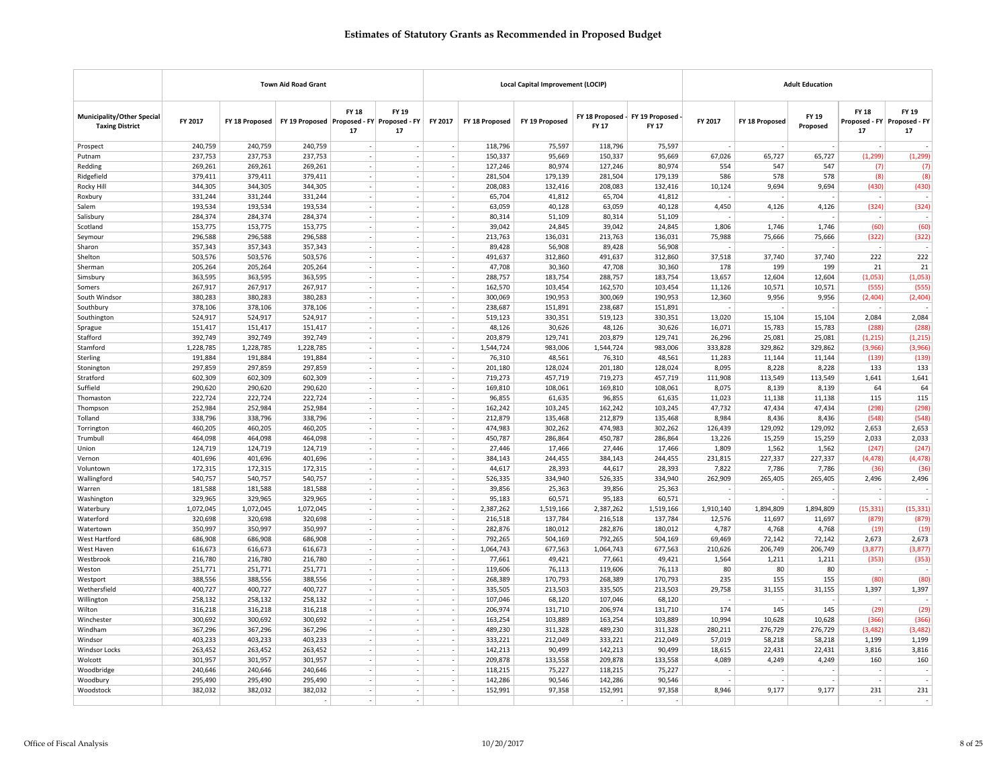|                                                             |                      |                      | <b>Town Aid Road Grant</b>                     |                          |                                       |                                    |                      | <b>Local Capital Improvement (LOCIP)</b> |                      |                                                 |                     |                     | <b>Adult Education</b>   |                          |                                            |
|-------------------------------------------------------------|----------------------|----------------------|------------------------------------------------|--------------------------|---------------------------------------|------------------------------------|----------------------|------------------------------------------|----------------------|-------------------------------------------------|---------------------|---------------------|--------------------------|--------------------------|--------------------------------------------|
| <b>Municipality/Other Special</b><br><b>Taxing District</b> | FY 2017              | FY 18 Proposed       | FY 19 Proposed   Proposed - FY   Proposed - FY | <b>FY 18</b><br>17       | FY 19<br>17                           | FY 2017                            | FY 18 Proposed       | FY 19 Proposed                           | <b>FY 17</b>         | FY 18 Proposed - FY 19 Proposed<br><b>FY 17</b> | FY 2017             | FY 18 Proposed      | FY 19<br>Proposed        | FY 18<br>17              | FY 19<br>Proposed - FY Proposed - FY<br>17 |
| Prospect                                                    | 240,759              | 240,759              | 240,759                                        |                          |                                       |                                    | 118,796              | 75,597                                   | 118,796              | 75,597                                          |                     |                     |                          | $\sim$                   |                                            |
| Putnam                                                      | 237,753              | 237,753              | 237,753                                        |                          |                                       | $\sim$                             | 150,337              | 95,669                                   | 150,337              | 95,669                                          | 67,026              | 65,727              | 65,727                   | (1, 299)                 | (1, 299)                                   |
| Redding                                                     | 269,261              | 269,261              | 269,261                                        |                          | $\overline{\phantom{a}}$              | $\sim$                             | 127,246              | 80,974                                   | 127,246              | 80,974                                          | 554                 | 547                 | 547                      | (7)                      | (7)                                        |
| Ridgefield                                                  | 379,411              | 379,411              | 379,411                                        |                          |                                       | $\sim$                             | 281,504              | 179,139                                  | 281,504              | 179,139                                         | 586                 | 578                 | 578                      | (8)                      | (8)                                        |
| Rocky Hill                                                  | 344,305              | 344,305              | 344,305                                        |                          |                                       | $\overline{\phantom{a}}$           | 208,083              | 132,416                                  | 208,083              | 132,416                                         | 10,124              | 9,694               | 9,694                    | (430)                    | (430)                                      |
| Roxbury                                                     | 331,244              | 331,244              | 331,244                                        | $\overline{\phantom{a}}$ | $\overline{\phantom{a}}$              | $\overline{\phantom{a}}$           | 65,704               | 41,812                                   | 65,704               | 41,812                                          |                     |                     | $\overline{\phantom{a}}$ | $\sim$                   | $\sim$                                     |
| Salem                                                       | 193,534              | 193,534              | 193,534                                        |                          | ÷.                                    | $\overline{\phantom{a}}$           | 63,059               | 40,128                                   | 63,059               | 40,128                                          | 4,450               | 4,126               | 4,126                    | (324)                    | (324)                                      |
| Salisbury                                                   | 284,374              | 284,374              | 284,374                                        |                          | ÷,                                    | $\overline{\phantom{a}}$           | 80,314               | 51,109                                   | 80,314               | 51,109                                          |                     |                     |                          | $\sim$                   |                                            |
| Scotland                                                    | 153,775              | 153,775              | 153,775                                        |                          |                                       |                                    | 39,042               | 24,845                                   | 39,042               | 24,845                                          | 1,806               | 1,746               | 1,746                    | (60)                     | (60)                                       |
| Seymour                                                     | 296,588              | 296,588              | 296,588                                        |                          | $\overline{\phantom{a}}$              | $\overline{\phantom{a}}$           | 213,763              | 136,031                                  | 213,763              | 136,031                                         | 75,988              | 75,666              | 75,666                   | (322)                    | (322)                                      |
| Sharon                                                      | 357,343              | 357,343              | 357,343                                        |                          | $\overline{\phantom{a}}$              | $\overline{\phantom{a}}$           | 89,428               | 56,908                                   | 89,428               | 56,908                                          |                     |                     |                          | $\sim$                   |                                            |
| Shelton                                                     | 503,576              | 503,576              | 503,576                                        |                          |                                       | $\sim$                             | 491,637              | 312,860                                  | 491,637              | 312,860                                         | 37,518              | 37,740              | 37,740                   | 222                      | 222                                        |
| Sherman                                                     | 205,264              | 205,264              | 205,264                                        |                          | $\mathcal{L}_{\mathcal{A}}$<br>$\sim$ | $\sim$                             | 47,708               | 30,360                                   | 47,708               | 30,360                                          | 178                 | 199                 | 199                      | 21                       | 21                                         |
| Simsbury                                                    | 363,595              | 363,595              | 363,595                                        |                          | ÷.                                    | $\sim$                             | 288,757              | 183,754                                  | 288,757              | 183,754                                         | 13,657              | 12,604              | 12,604                   | (1,053)<br>(555)         | (1,053)                                    |
| Somers<br>South Windsor                                     | 267,917<br>380,283   | 267,917<br>380,283   | 267,917<br>380,283                             |                          | $\overline{\phantom{a}}$              | $\sim$<br>$\overline{\phantom{a}}$ | 162,570<br>300,069   | 103,454<br>190,953                       | 162,570<br>300,069   | 103,454<br>190,953                              | 11,126<br>12,360    | 10,571<br>9,956     | 10,571<br>9,956          | (2,404)                  | (555)<br>(2, 404)                          |
| Southbury                                                   | 378,106              | 378,106              | 378,106                                        |                          |                                       | $\sim$                             | 238,687              | 151,891                                  | 238,687              | 151,891                                         |                     |                     |                          | $\sim$                   |                                            |
| Southington                                                 | 524,917              | 524,917              | 524,917                                        |                          | $\mathcal{L}_{\mathcal{A}}$           | $\sim$                             | 519,123              | 330,351                                  | 519,123              | 330,351                                         | 13,020              | 15,104              | 15,104                   | 2,084                    | 2,084                                      |
| Sprague                                                     | 151,417              | 151,417              | 151,417                                        |                          | $\overline{\phantom{a}}$              | $\sim$                             | 48,126               | 30,626                                   | 48,126               | 30,626                                          | 16,071              | 15,783              | 15,783                   | (288)                    | (288)                                      |
| Stafford                                                    | 392,749              | 392,749              | 392,749                                        |                          |                                       | $\sim$                             | 203,879              | 129,741                                  | 203,879              | 129,741                                         | 26,296              | 25,081              | 25,081                   | (1, 215)                 | (1, 215)                                   |
| Stamford                                                    | 1,228,785            | 1,228,785            | 1,228,785                                      |                          | $\overline{\phantom{a}}$              | $\overline{\phantom{a}}$           | 1,544,724            | 983,006                                  | 1,544,724            | 983,006                                         | 333,828             | 329,862             | 329,862                  | (3,966)                  | (3,966)                                    |
| Sterling                                                    | 191,884              | 191,884              | 191,884                                        | $\overline{\phantom{a}}$ | $\overline{\phantom{a}}$              | $\overline{\phantom{a}}$           | 76,310               | 48,561                                   | 76,310               | 48,561                                          | 11,283              | 11,144              | 11,144                   | (139)                    | (139)                                      |
| Stonington                                                  | 297,859              | 297,859              | 297,859                                        |                          | ÷.                                    | $\overline{\phantom{a}}$           | 201,180              | 128,024                                  | 201,180              | 128,024                                         | 8,095               | 8,228               | 8,228                    | 133                      | 133                                        |
| Stratford                                                   | 602,309              | 602.309              | 602,309                                        |                          |                                       | $\sim$                             | 719,273              | 457,719                                  | 719,273              | 457.719                                         | 111,908             | 113,549             | 113,549                  | 1,641                    | 1,641                                      |
| Suffield                                                    | 290,620              | 290,620              | 290,620                                        | $\sim$                   | $\sim$                                | $\sim$                             | 169,810              | 108,061                                  | 169,810              | 108,061                                         | 8,075               | 8,139               | 8,139                    | 64                       | 64                                         |
| Thomaston                                                   | 222,724              | 222,724              | 222,724                                        |                          |                                       | $\overline{\phantom{a}}$           | 96,855               | 61,635                                   | 96,855               | 61,635                                          | 11,023              | 11,138              | 11,138                   | 115                      | 115                                        |
| Thompson                                                    | 252,984              | 252,984              | 252,984                                        |                          |                                       | $\overline{\phantom{a}}$           | 162,242              | 103,245                                  | 162,242              | 103,245                                         | 47,732              | 47,434              | 47,434                   | (298)                    | (298)                                      |
| Tolland                                                     | 338,796              | 338,796              | 338,796                                        |                          | $\mathcal{L}_{\mathcal{A}}$           | $\sim$                             | 212,879              | 135,468                                  | 212,879              | 135,468                                         | 8,984               | 8,436               | 8,436                    | (548)                    | (548)                                      |
| Torrington                                                  | 460,205              | 460,205              | 460,205                                        |                          | ٠                                     | $\sim$                             | 474,983              | 302,262                                  | 474,983              | 302,262                                         | 126,439             | 129,092             | 129,092                  | 2,653                    | 2,653                                      |
| Trumbull                                                    | 464,098              | 464,098              | 464,098                                        |                          | ٠                                     | $\sim$                             | 450,787              | 286,864                                  | 450,787              | 286,864                                         | 13,226              | 15,259              | 15,259                   | 2,033                    | 2,033                                      |
| Union                                                       | 124,719              | 124,719              | 124,719                                        |                          |                                       |                                    | 27,446               | 17,466                                   | 27,446               | 17,466                                          | 1,809               | 1,562               | 1,562                    | (247)                    | (247)                                      |
| Vernon                                                      | 401,696              | 401,696              | 401,696                                        |                          |                                       | $\overline{\phantom{a}}$           | 384,143              | 244,455                                  | 384,143              | 244,455                                         | 231,815             | 227,337             | 227,337                  | (4, 478)                 | (4, 478)                                   |
| Voluntown                                                   | 172,315              | 172,315              | 172,315                                        |                          | $\overline{\phantom{a}}$              | $\overline{\phantom{a}}$           | 44,617               | 28,393                                   | 44,617               | 28,393                                          | 7,822               | 7,786               | 7,786                    | (36)                     | (36)                                       |
| Wallingford                                                 | 540,757              | 540,757              | 540,757                                        |                          |                                       | $\sim$                             | 526,335              | 334,940                                  | 526,335              | 334,940                                         | 262,909             | 265,405             | 265,405                  | 2,496                    | 2,496                                      |
| Warren                                                      | 181,588              | 181,588              | 181,588                                        |                          |                                       | $\sim$                             | 39,856               | 25,363                                   | 39,856               | 25,363                                          |                     |                     |                          | ÷,                       |                                            |
| Washington                                                  | 329,965              | 329,965              | 329,965                                        | $\sim$                   | $\sim$<br>$\sim$                      | $\sim$<br>$\sim$                   | 95,183               | 60,571                                   | 95,183               | 60,571                                          | $\sim$              |                     | $\sim$                   | $\sim$                   |                                            |
| Waterbury<br>Waterford                                      | 1,072,045<br>320,698 | 1,072,045<br>320,698 | 1,072,045<br>320,698                           |                          |                                       |                                    | 2,387,262<br>216,518 | 1,519,166<br>137,784                     | 2,387,262<br>216,518 | 1,519,166<br>137,784                            | 1,910,140<br>12,576 | 1,894,809<br>11,697 | 1,894,809<br>11,697      | (15, 331)<br>(879)       | (15, 331)<br>(879)                         |
| Watertown                                                   | 350,997              | 350,997              | 350,997                                        | $\sim$                   | $\mathcal{L}_{\mathcal{A}}$           | $\overline{\phantom{a}}$<br>$\sim$ | 282,876              | 180,012                                  | 282,876              | 180,012                                         | 4,787               | 4,768               | 4,768                    | (19)                     | (19)                                       |
| West Hartford                                               | 686,908              | 686,908              | 686,908                                        |                          |                                       | $\sim$                             | 792,265              | 504,169                                  | 792,265              | 504,169                                         | 69,469              | 72,142              | 72,142                   | 2,673                    | 2,673                                      |
| West Haven                                                  | 616,673              | 616,673              | 616,673                                        |                          | ٠                                     | $\sim$                             | 1,064,743            | 677,563                                  | 1,064,743            | 677,563                                         | 210,626             | 206,749             | 206,749                  | (3,877)                  | (3,877)                                    |
| Westbrook                                                   | 216,780              | 216,780              | 216,780                                        |                          |                                       | $\overline{\phantom{a}}$           | 77,661               | 49,421                                   | 77,661               | 49,421                                          | 1,564               | 1,211               | 1,211                    | (353)                    | (353)                                      |
| Weston                                                      | 251,771              | 251,771              | 251,771                                        |                          |                                       | $\overline{\phantom{a}}$           | 119,606              | 76,113                                   | 119,606              | 76,113                                          | 80                  | 80                  | 80                       | $\sim$                   |                                            |
| Westport                                                    | 388,556              | 388,556              | 388,556                                        | $\overline{\phantom{a}}$ | $\overline{\phantom{a}}$              | $\overline{\phantom{a}}$           | 268,389              | 170,793                                  | 268,389              | 170,793                                         | 235                 | 155                 | 155                      | (80)                     | (80)                                       |
| Wethersfield                                                | 400,727              | 400,727              | 400,727                                        |                          | $\sim$                                | $\sim$                             | 335,505              | 213,503                                  | 335,505              | 213,503                                         | 29,758              | 31,155              | 31,155                   | 1,397                    | 1,397                                      |
| Willington                                                  | 258,132              | 258,132              | 258,132                                        |                          |                                       | $\overline{\phantom{a}}$           | 107,046              | 68,120                                   | 107,046              | 68,120                                          |                     |                     |                          | $\overline{\phantom{a}}$ |                                            |
| Wilton                                                      | 316,218              | 316,218              | 316,218                                        | $\sim$                   | $\mathcal{L}_{\mathcal{A}}$           | $\sim$                             | 206,974              | 131,710                                  | 206,974              | 131,710                                         | 174                 | 145                 | 145                      | (29)                     | (29)                                       |
| Winchester                                                  | 300,692              | 300,692              | 300,692                                        |                          | ٠                                     | $\overline{\phantom{a}}$           | 163,254              | 103,889                                  | 163,254              | 103,889                                         | 10,994              | 10,628              | 10,628                   | (366)                    | (366)                                      |
| Windham                                                     | 367,296              | 367,296              | 367,296                                        |                          | $\overline{a}$                        | $\overline{\phantom{a}}$           | 489,230              | 311,328                                  | 489,230              | 311,328                                         | 280,211             | 276,729             | 276,729                  | (3,482)                  | (3, 482)                                   |
| Windsor                                                     | 403,233              | 403,233              | 403,233                                        |                          |                                       | $\overline{\phantom{a}}$           | 333,221              | 212,049                                  | 333,221              | 212,049                                         | 57,019              | 58,218              | 58,218                   | 1,199                    | 1,199                                      |
| <b>Windsor Locks</b>                                        | 263,452              | 263,452              | 263,452                                        |                          | $\overline{\phantom{a}}$              | $\sim$                             | 142,213              | 90,499                                   | 142,213              | 90,499                                          | 18,615              | 22,431              | 22,431                   | 3,816                    | 3,816                                      |
| Wolcott                                                     | 301,957              | 301,957              | 301,957                                        |                          | $\sim$                                | $\sim$                             | 209,878              | 133,558                                  | 209,878              | 133,558                                         | 4,089               | 4,249               | 4,249                    | 160                      | 160                                        |
| Woodbridge                                                  | 240,646              | 240,646              | 240,646                                        |                          |                                       | $\overline{\phantom{a}}$           | 118,215              | 75,227                                   | 118,215              | 75,227                                          |                     |                     |                          |                          |                                            |
| Woodbury                                                    | 295,490              | 295,490              | 295,490                                        |                          |                                       |                                    | 142,286              | 90,546                                   | 142,286              | 90,546                                          |                     |                     |                          |                          |                                            |
| Woodstock                                                   | 382,032              | 382,032              | 382,032                                        | $\overline{\phantom{a}}$ | $\overline{\phantom{a}}$              | $\sim$                             | 152,991              | 97,358                                   | 152,991              | 97,358                                          | 8,946               | 9,177               | 9,177                    | 231                      | 231                                        |
|                                                             |                      |                      |                                                |                          |                                       |                                    |                      |                                          |                      |                                                 |                     |                     |                          | ÷.                       |                                            |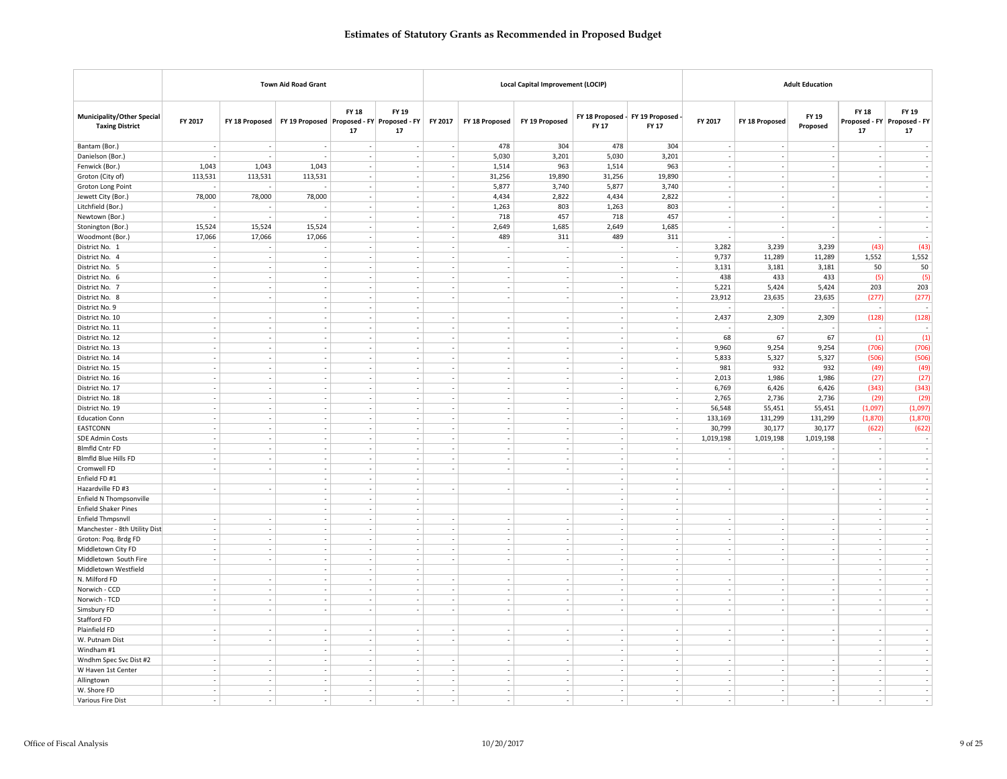|                                                             |                          |                          | <b>Town Aid Road Grant</b>                 |                                |                                    |                          |                          | Local Capital Improvement (LOCIP) |        |                                            |                          |                | <b>Adult Education</b>   |                          |                                            |
|-------------------------------------------------------------|--------------------------|--------------------------|--------------------------------------------|--------------------------------|------------------------------------|--------------------------|--------------------------|-----------------------------------|--------|--------------------------------------------|--------------------------|----------------|--------------------------|--------------------------|--------------------------------------------|
| <b>Municipality/Other Special</b><br><b>Taxing District</b> | FY 2017                  | FY 18 Proposed           | FY 19 Proposed Proposed - FY Proposed - FY | <b>FY 18</b><br>17             | FY 19<br>17                        | FY 2017                  | FY 18 Proposed           | FY 19 Proposed                    | FY 17  | FY 18 Proposed - FY 19 Proposed -<br>FY 17 | FY 2017                  | FY 18 Proposed | FY 19<br>Proposed        | <b>FY 18</b><br>17       | FY 19<br>Proposed - FY Proposed - FY<br>17 |
| Bantam (Bor.)                                               | $\sim$                   | ٠.                       |                                            |                                |                                    |                          | 478                      | 304                               | 478    | 304                                        |                          | ٠              |                          |                          |                                            |
| Danielson (Bor.)                                            |                          |                          |                                            |                                |                                    |                          | 5,030                    | 3,201                             | 5,030  | 3,201                                      |                          |                | ÷,                       | $\overline{\phantom{a}}$ |                                            |
| Fenwick (Bor.)                                              | 1,043                    | 1,043                    | 1,043                                      | $\sim$                         | $\sim$                             |                          | 1,514                    | 963                               | 1,514  | 963                                        | $\sim$                   | ÷              | $\sim$                   | $\sim$                   | $\sim$                                     |
| Groton (City of)                                            | 113,531                  | 113,531                  | 113,531                                    | $\overline{a}$                 | $\sim$                             |                          | 31,256                   | 19,890                            | 31,256 | 19,890                                     | $\sim$                   | ٠              | $\overline{\phantom{a}}$ | $\sim$                   |                                            |
| Groton Long Point                                           |                          |                          |                                            | $\overline{\phantom{a}}$       | $\overline{\phantom{a}}$           |                          | 5,877                    | 3,740                             | 5,877  | 3,740                                      | ×,                       |                | $\overline{\phantom{a}}$ | $\sim$                   |                                            |
| Jewett City (Bor.)                                          | 78,000                   | 78,000                   | 78,000                                     | $\sim$                         | $\sim$                             | $\sim$                   | 4,434                    | 2,822                             | 4,434  | 2,822                                      | $\sim$                   |                | $\sim$                   | $\sim$                   | $\sim$                                     |
| Litchfield (Bor.)                                           |                          |                          | i,                                         | $\overline{a}$                 | $\sim$                             |                          | 1,263                    | 803                               | 1,263  | 803                                        |                          |                |                          | $\sim$                   |                                            |
| Newtown (Bor.)                                              |                          | ÷,                       | ٠                                          | $\overline{a}$                 | $\sim$                             |                          | 718                      | 457                               | 718    | 457                                        | $\overline{\phantom{a}}$ |                | $\overline{\phantom{a}}$ | $\sim$                   | $\sim$                                     |
| Stonington (Bor.)                                           | 15,524                   | 15,524                   | 15,524                                     | $\overline{a}$                 | $\overline{\phantom{a}}$           |                          | 2,649                    | 1,685                             | 2,649  | 1,685                                      | ÷                        |                | ÷,                       | $\sim$                   | $\sim$                                     |
| Woodmont (Bor.)                                             | 17,066                   | 17,066                   | 17,066                                     | $\overline{\phantom{a}}$       | $\overline{\phantom{a}}$           |                          | 489                      | 311                               | 489    | 311                                        |                          |                |                          | $\overline{\phantom{a}}$ | $\sim$                                     |
| District No. 1                                              | $\sim$                   | $\overline{\phantom{a}}$ | $\overline{\phantom{a}}$                   | $\overline{\phantom{a}}$       | $\overline{\phantom{a}}$           | $\overline{\phantom{a}}$ | $\overline{\phantom{a}}$ | $\overline{\phantom{a}}$          | ÷.     | $\sim$                                     | 3,282                    | 3,239          | 3,239                    | (43)                     | (43)                                       |
| District No. 4                                              | $\sim$                   | $\overline{\phantom{a}}$ | $\sim$                                     | $\sim$                         | $\sim$                             |                          | ٠                        | $\sim$                            | ٠      | $\sim$                                     | 9,737                    | 11,289         | 11,289                   | 1,552                    | 1,552                                      |
| District No. 5                                              |                          | ÷,                       | $\overline{\phantom{a}}$                   | $\overline{\phantom{a}}$       | $\overline{\phantom{a}}$           |                          |                          |                                   |        | $\overline{\phantom{a}}$                   | 3,131                    | 3,181          | 3,181                    | 50                       | 50                                         |
| District No. 6                                              | $\sim$                   | $\overline{\phantom{a}}$ | $\sim$                                     | $\sim$                         | $\overline{\phantom{a}}$           | $\overline{\phantom{a}}$ | ÷,                       | $\sim$                            | $\sim$ | $\sim$                                     | 438                      | 433            | 433                      | (5)                      | (5)                                        |
| District No. 7                                              | $\sim$                   | $\sim$                   | $\sim$                                     | ÷,                             | $\overline{\phantom{a}}$           |                          | ÷,                       | $\sim$                            |        | $\sim$                                     | 5,221                    | 5,424          | 5,424                    | 203                      | 203                                        |
| District No. 8                                              | $\sim$                   | $\overline{\phantom{a}}$ | $\sim$<br>$\overline{\phantom{a}}$         | $\overline{\phantom{a}}$<br>÷, | $\overline{\phantom{a}}$<br>$\sim$ |                          | $\overline{\phantom{a}}$ | $\overline{\phantom{a}}$          |        | $\overline{\phantom{a}}$<br>$\sim$         | 23,912                   | 23,635         | 23,635                   | (277)<br>$\sim$          | (277)<br>$\sim$                            |
| District No. 9<br>District No. 10                           |                          | $\overline{\phantom{a}}$ | $\overline{\phantom{a}}$                   | $\overline{a}$                 | $\overline{\phantom{a}}$           |                          | $\overline{\phantom{a}}$ |                                   |        | $\sim$                                     | 2,437                    | 2,309          | 2,309                    | (128)                    | (128)                                      |
| District No. 11                                             | $\sim$                   | $\overline{\phantom{a}}$ | $\sim$                                     | $\overline{\phantom{a}}$       | $\sim$                             | $\overline{\phantom{a}}$ | $\overline{\phantom{a}}$ | $\sim$                            | $\sim$ | $\sim$                                     |                          |                |                          | $\sim$                   | $\sim$                                     |
| District No. 12                                             | $\sim$                   | $\overline{\phantom{a}}$ | $\overline{\phantom{a}}$                   | $\sim$                         | $\sim$                             |                          | $\sim$                   | $\sim$                            |        | $\sim$                                     | 68                       | 67             | 67                       | (1)                      | (1)                                        |
| District No. 13                                             | $\overline{\phantom{a}}$ | $\sim$                   | i,                                         | $\overline{\phantom{a}}$       | $\overline{\phantom{a}}$           |                          | ÷,                       |                                   |        | $\sim$                                     | 9.960                    | 9.254          | 9,254                    | (706)                    | (706)                                      |
| District No. 14                                             | $\overline{\phantom{a}}$ | $\overline{\phantom{a}}$ | $\overline{\phantom{a}}$                   | $\sim$                         | $\overline{\phantom{a}}$           | $\sim$                   | ÷,                       | $\sim$                            | ÷      | $\sim$                                     | 5,833                    | 5,327          | 5,327                    | (506)                    | (506)                                      |
| District No. 15                                             | $\sim$                   | $\sim$                   | $\sim$                                     | $\overline{a}$                 | $\sim$                             |                          | ÷,                       | ٠.                                |        | $\sim$                                     | 981                      | 932            | 932                      | (49)                     | (49)                                       |
| District No. 16                                             | $\overline{\phantom{a}}$ | $\overline{\phantom{a}}$ | $\overline{\phantom{a}}$                   | ٠                              | $\overline{\phantom{a}}$           |                          | ٠                        | $\overline{\phantom{a}}$          |        | $\sim$                                     | 2,013                    | 1,986          | 1,986                    | (27)                     | (27)                                       |
| District No. 17                                             | $\sim$                   | $\overline{\phantom{a}}$ | $\overline{\phantom{a}}$                   | $\overline{a}$                 | $\overline{\phantom{a}}$           |                          | $\overline{a}$           |                                   |        | $\sim$                                     | 6,769                    | 6,426          | 6,426                    | (343)                    | (343)                                      |
| District No. 18                                             | $\sim$                   | $\overline{\phantom{a}}$ | $\overline{\phantom{a}}$                   | $\sim$                         | $\sim$                             |                          | $\sim$                   | $\overline{\phantom{a}}$          |        | $\sim$                                     | 2,765                    | 2,736          | 2,736                    | (29)                     | (29)                                       |
| District No. 19                                             | $\sim$                   | $\sim$                   | $\sim$                                     | $\overline{\phantom{a}}$       | $\sim$                             | $\overline{a}$           | ٠                        | $\sim$                            | $\sim$ | $\sim$                                     | 56,548                   | 55,451         | 55,451                   | (1,097)                  | (1,097)                                    |
| <b>Education Conn</b>                                       | $\sim$                   | ÷.                       | $\overline{\phantom{a}}$                   | ÷.                             | $\overline{\phantom{a}}$           |                          | $\overline{a}$           | $\overline{\phantom{a}}$          |        | $\sim$                                     | 133,169                  | 131,299        | 131,299                  | (1, 870)                 | (1,870)                                    |
| EASTCONN                                                    |                          | ×,                       | $\overline{\phantom{a}}$                   | $\overline{a}$                 | $\overline{\phantom{a}}$           |                          | i,                       |                                   |        | $\sim$                                     | 30,799                   | 30,177         | 30,177                   | (622)                    | (622)                                      |
| <b>SDE Admin Costs</b>                                      | $\overline{\phantom{a}}$ | $\overline{\phantom{a}}$ | $\sim$                                     | $\overline{\phantom{a}}$       | $\sim$                             | $\overline{\phantom{a}}$ | $\overline{\phantom{a}}$ | $\sim$                            | $\sim$ | $\sim$                                     | 1,019,198                | 1,019,198      | 1,019,198                | $\overline{\phantom{a}}$ | $\sim$                                     |
| <b>Blmfld Cntr FD</b>                                       | $\sim$                   | $\overline{\phantom{a}}$ | $\sim$                                     | $\sim$                         | $\sim$                             |                          | $\sim$                   | $\sim$                            | $\sim$ | $\sim$                                     |                          |                |                          | $\sim$                   | $\sim$                                     |
| <b>Blmfld Blue Hills FD</b>                                 | $\overline{\phantom{a}}$ | ٠.                       | $\overline{\phantom{a}}$                   | ٠                              | $\sim$                             |                          | ٠                        | $\overline{\phantom{a}}$          |        | $\sim$                                     | $\overline{\phantom{a}}$ |                | ÷,                       | $\sim$                   | $\sim$                                     |
| Cromwell FD                                                 |                          | $\overline{\phantom{a}}$ | $\overline{\phantom{a}}$                   | $\overline{a}$                 | $\overline{\phantom{a}}$           |                          |                          |                                   |        | $\sim$                                     | L.                       |                | J.                       | $\sim$                   |                                            |
| Enfield FD #1                                               |                          |                          | $\sim$                                     | ٠                              | $\overline{\phantom{a}}$           |                          |                          |                                   |        | $\sim$                                     |                          |                |                          | $\sim$                   | $\sim$                                     |
| Hazardville FD #3                                           | $\sim$                   | $\overline{\phantom{a}}$ | $\sim$<br>i,                               | $\overline{a}$                 | $\sim$<br>$\sim$                   |                          | $\sim$                   | $\overline{\phantom{a}}$          | ٠      | $\sim$<br>٠.                               | $\overline{\phantom{a}}$ | $\sim$         | $\overline{\phantom{a}}$ | $\overline{\phantom{a}}$ | $\sim$                                     |
| Enfield N Thompsonville<br><b>Enfield Shaker Pines</b>      |                          |                          | $\overline{\phantom{a}}$                   |                                | $\sim$                             |                          |                          |                                   |        |                                            |                          |                |                          | $\sim$<br>$\sim$         |                                            |
| Enfield Thmpsnvll                                           | $\sim$                   | $\overline{\phantom{a}}$ | $\sim$                                     | $\overline{\phantom{a}}$       | $\sim$                             |                          | $\lambda$                |                                   |        | $\sim$                                     | $\overline{\phantom{a}}$ |                | $\overline{\phantom{a}}$ | $\sim$                   | $\sim$                                     |
| Manchester - 8th Utility Dist                               | $\overline{a}$           | $\sim$                   | $\sim$                                     | $\sim$                         | $\sim$                             |                          | ÷                        | ٠.                                |        | $\sim$                                     | J.                       |                | $\overline{\phantom{a}}$ | $\sim$                   | $\sim$                                     |
| Groton: Poq. Brdg FD                                        | $\overline{\phantom{a}}$ | $\overline{\phantom{a}}$ | $\overline{\phantom{a}}$                   | ٠                              | $\overline{\phantom{a}}$           |                          | $\overline{\phantom{a}}$ | $\overline{\phantom{a}}$          |        | $\overline{\phantom{a}}$                   |                          |                | $\overline{\phantom{a}}$ | $\overline{\phantom{a}}$ | $\sim$                                     |
| Middletown City FD                                          | $\sim$                   | $\sim$                   | $\overline{\phantom{a}}$                   | i,                             | $\sim$                             |                          | i,                       |                                   |        | $\sim$                                     | i,                       |                | J,                       | $\sim$                   |                                            |
| Middletown South Fire                                       | $\sim$                   | $\sim$                   | $\overline{\phantom{a}}$                   | $\overline{\phantom{a}}$       | $\sim$                             |                          | i,                       | ٠.                                |        | $\sim$                                     | $\sim$                   |                | J,                       | $\sim$                   |                                            |
| Middletown Westfield                                        |                          |                          | $\sim$                                     | $\overline{\phantom{a}}$       | $\sim$                             |                          |                          |                                   | ٠      | $\sim$                                     |                          |                |                          | $\sim$                   | $\sim$                                     |
| N. Milford FD                                               | $\sim$                   | $\overline{\phantom{a}}$ | ÷,                                         | ÷,                             | $\sim$                             |                          |                          |                                   |        | $\sim$                                     |                          |                | ÷,                       | $\sim$                   |                                            |
| Norwich - CCD                                               | $\sim$                   | $\sim$                   | $\sim$                                     | $\overline{\phantom{a}}$       | $\sim$                             |                          | i,                       | $\sim$                            |        | $\sim$                                     | ÷,                       |                | J,                       | $\sim$                   | $\sim$                                     |
| Norwich - TCD                                               | $\sim$                   | $\overline{\phantom{a}}$ | $\sim$                                     | $\overline{\phantom{a}}$       | $\sim$                             | $\overline{\phantom{a}}$ | $\mathcal{L}$            | $\overline{\phantom{a}}$          | $\sim$ | $\sim$                                     | $\overline{\phantom{a}}$ | $\sim$         | $\sim$                   | $\sim$                   | $\sim$                                     |
| Simsbury FD                                                 | $\sim$                   | $\sim$                   | $\sim$                                     | ÷                              | $\mathcal{L}$                      |                          | ÷                        | ÷,                                | ٠      | $\sim$                                     | $\sim$                   | ٠.             | $\sim$                   | $\sim$                   | $\mathcal{L}_{\mathcal{A}}$                |
| Stafford FD                                                 |                          |                          |                                            |                                |                                    |                          |                          |                                   |        |                                            |                          |                |                          |                          |                                            |
| Plainfield FD                                               |                          |                          | i,                                         |                                |                                    |                          |                          |                                   |        |                                            |                          |                | i,                       | $\sim$                   |                                            |
| W. Putnam Dist                                              | $\sim$                   | $\overline{\phantom{a}}$ | $\mathcal{L}$                              | $\overline{\phantom{a}}$       | $\sim$                             |                          | ÷,                       |                                   |        | $\sim$                                     |                          |                | ÷,                       | $\sim$                   |                                            |
| Windham #1                                                  |                          |                          | $\sim$                                     | $\overline{\phantom{a}}$       | $\sim$                             |                          |                          |                                   | $\sim$ | $\sim$                                     |                          |                |                          | $\sim$                   | $\sim$                                     |
| Wndhm Spec Svc Dist #2                                      | $\sim$                   | $\overline{\phantom{a}}$ | $\overline{\phantom{a}}$                   | ÷,                             | $\overline{\phantom{a}}$           |                          |                          |                                   |        | $\sim$                                     |                          |                | ÷,                       | $\sim$                   |                                            |
| W Haven 1st Center                                          | $\overline{\phantom{a}}$ | $\overline{\phantom{a}}$ | $\sim$                                     | $\overline{\phantom{a}}$       | $\overline{\phantom{a}}$           |                          | $\overline{\phantom{a}}$ | $\sim$                            |        | $\sim$                                     | ÷,                       |                | $\overline{\phantom{a}}$ | $\overline{\phantom{a}}$ | $\sim$                                     |
| Allingtown                                                  | $\sim$                   | $\overline{\phantom{a}}$ | $\sim$                                     | $\overline{\phantom{a}}$       | $\sim$                             | $\overline{\phantom{a}}$ | $\overline{\phantom{a}}$ | $\overline{\phantom{a}}$          | $\sim$ | $\sim$                                     | $\overline{\phantom{a}}$ | $\sim$         | $\sim$                   | $\overline{\phantom{a}}$ | $\sim$                                     |
| W. Shore FD                                                 | $\sim$                   | $\sim$                   | $\sim$                                     | $\overline{\phantom{a}}$       | $\sim$                             |                          | ÷,                       | ٠.                                |        | $\sim$                                     | ÷,                       |                | J,                       | $\sim$                   | $\sim$                                     |
| Various Fire Dist                                           |                          |                          | $\overline{\phantom{a}}$                   | $\overline{\phantom{a}}$       | $\overline{\phantom{a}}$           |                          | $\overline{\phantom{a}}$ |                                   |        |                                            |                          |                |                          |                          |                                            |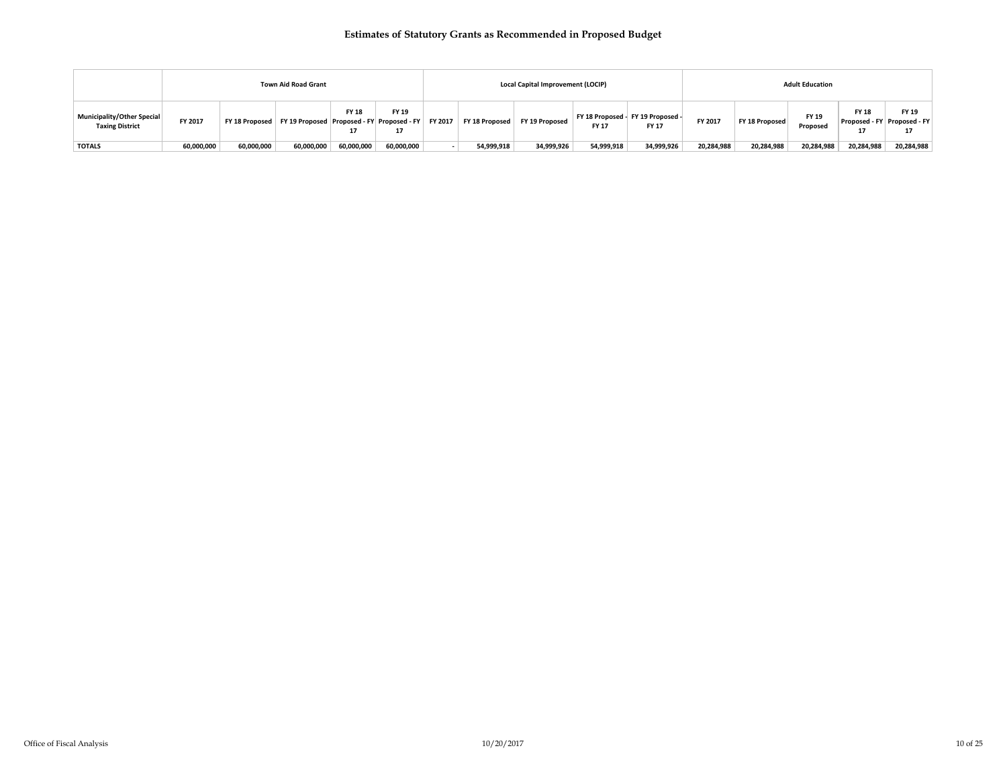|                                                      |            |            | <b>Town Aid Road Grant</b>                                      |                    |             |         |                | Local Capital Improvement (LOCIP) |              |                                                   |            |                | <b>Adult Education</b> |                                                   |                    |
|------------------------------------------------------|------------|------------|-----------------------------------------------------------------|--------------------|-------------|---------|----------------|-----------------------------------|--------------|---------------------------------------------------|------------|----------------|------------------------|---------------------------------------------------|--------------------|
| Municipality/Other Special<br><b>Taxing District</b> | FY 2017    |            | FY 18 Proposed   FY 19 Proposed   Proposed - FY   Proposed - FY | <b>FY 18</b><br>17 | FY 19<br>17 | FY 2017 | FY 18 Proposed | FY 19 Proposed                    | <b>FY 17</b> | FY 18 Proposed - FY 19 Proposed -<br><b>FY 17</b> | FY 2017    | FY 18 Proposed | FY 19<br>Proposed      | <b>FY 18</b><br>Proposed - FY Proposed - FY<br>17 | <b>FY 19</b><br>17 |
| <b>TOTALS</b>                                        | 60,000,000 | 60,000,000 | 60,000,000                                                      | 60,000,000         | 60,000,000  |         | 54,999,918     | 34,999,926                        | 54,999,918   | 34,999,926                                        | 20,284,988 | 20,284,988     | 20,284,988             | 20,284,988                                        | 20,284,988         |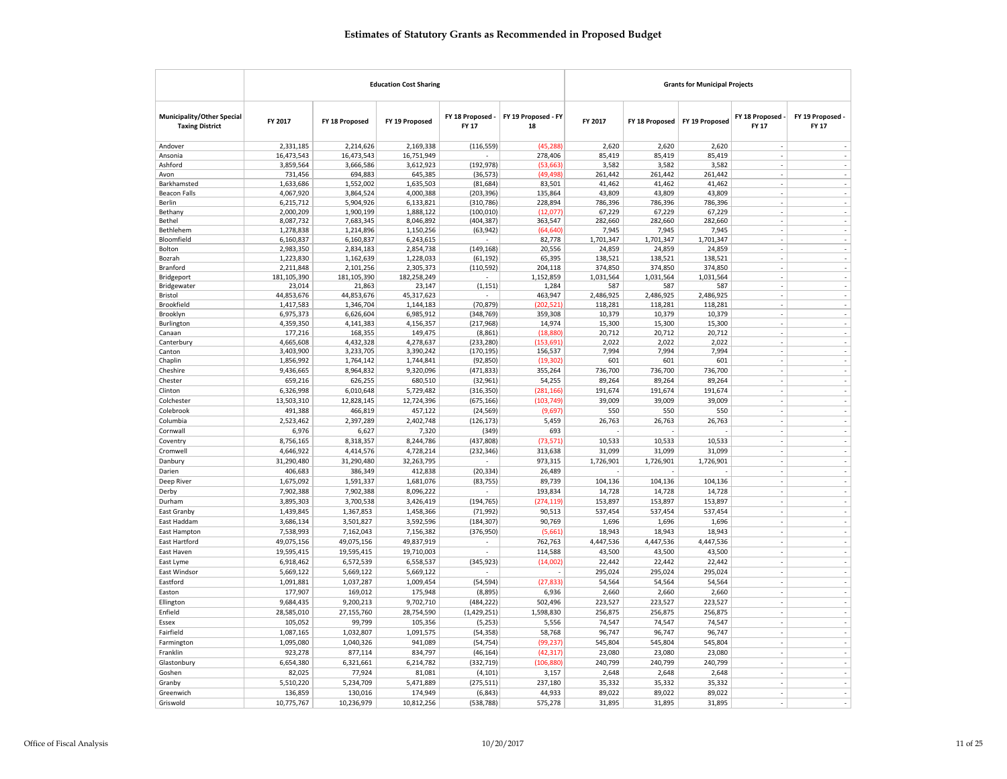|                                                      |                        |                        | <b>Education Cost Sharing</b> |                                  |                           |                    |                    | <b>Grants for Municipal Projects</b> |                                  |                                    |
|------------------------------------------------------|------------------------|------------------------|-------------------------------|----------------------------------|---------------------------|--------------------|--------------------|--------------------------------------|----------------------------------|------------------------------------|
| Municipality/Other Special<br><b>Taxing District</b> | FY 2017                | FY 18 Proposed         | FY 19 Proposed                | FY 18 Proposed -<br><b>FY 17</b> | FY 19 Proposed - FY<br>18 | FY 2017            | FY 18 Proposed     | FY 19 Proposed                       | FY 18 Proposed -<br><b>FY 17</b> | FY 19 Proposed -<br><b>FY 17</b>   |
| Andover                                              | 2,331,185              | 2,214,626              | 2,169,338                     | (116, 559)                       | (45, 288)                 | 2,620              | 2,620              | 2,620                                |                                  |                                    |
| Ansonia                                              | 16,473,543             | 16,473,543             | 16,751,949                    |                                  | 278,406                   | 85,419             | 85,419             | 85,419                               | ÷,                               |                                    |
| Ashford                                              | 3,859,564              | 3,666,586              | 3,612,923                     | (192, 978)                       | (53, 663)                 | 3,582              | 3,582              | 3,582                                |                                  |                                    |
| Avon                                                 | 731,456                | 694,883                | 645,385                       | (36, 573)                        | (49, 498)                 | 261,442            | 261,442            | 261,442                              | ÷,                               | $\overline{\phantom{a}}$           |
| Barkhamsted                                          | 1,633,686              | 1,552,002              | 1,635,503                     | (81, 684)                        | 83,501                    | 41,462             | 41,462             | 41,462                               |                                  | $\sim$                             |
| <b>Beacon Falls</b>                                  | 4,067,920              | 3,864,524              | 4,000,388                     | (203, 396)                       | 135,864                   | 43,809             | 43,809             | 43,809                               | ×,                               | $\overline{\phantom{a}}$           |
| Berlin                                               | 6,215,712              | 5,904,926              | 6,133,821                     | (310, 786)                       | 228,894                   | 786,396            | 786,396            | 786,396                              |                                  |                                    |
| Bethany                                              | 2,000,209              | 1,900,199              | 1,888,122                     | (100, 010)                       | (12, 077)                 | 67,229             | 67,229             | 67,229                               | J.                               |                                    |
| Bethel                                               | 8,087,732              | 7,683,345              | 8,046,892                     | (404, 387)                       | 363,547                   | 282,660            | 282,660            | 282,660                              | ×,                               |                                    |
| Bethlehem                                            | 1,278,838              | 1,214,896<br>6,160,837 | 1,150,256<br>6,243,615        | (63, 942)                        | (64, 640)<br>82,778       | 7,945<br>1,701,347 | 7,945<br>1,701,347 | 7,945<br>1,701,347                   |                                  | $\overline{\phantom{a}}$           |
| Bloomfield<br>Bolton                                 | 6,160,837<br>2,983,350 | 2,834,183              | 2,854,738                     | (149, 168)                       | 20,556                    | 24,859             | 24,859             | 24,859                               | $\overline{\phantom{a}}$         | $\overline{\phantom{a}}$           |
| Bozrah                                               | 1,223,830              | 1,162,639              | 1,228,033                     | (61, 192)                        | 65,395                    | 138,521            | 138,521            | 138,521                              | ÷,                               | $\overline{\phantom{a}}$           |
| Branford                                             | 2,211,848              | 2,101,256              | 2,305,373                     | (110, 592)                       | 204,118                   | 374,850            | 374,850            | 374,850                              |                                  |                                    |
| Bridgeport                                           | 181,105,390            | 181,105,390            | 182,258,249                   | $\sim$                           | 1,152,859                 | 1,031,564          | 1,031,564          | 1,031,564                            |                                  | $\overline{\phantom{a}}$           |
| Bridgewater                                          | 23,014                 | 21,863                 | 23,147                        | (1, 151)                         | 1,284                     | 587                | 587                | 587                                  |                                  | $\overline{\phantom{a}}$           |
| Bristol                                              | 44,853,676             | 44,853,676             | 45,317,623                    |                                  | 463,947                   | 2,486,925          | 2,486,925          | 2,486,925                            |                                  | $\overline{\phantom{a}}$           |
| Brookfield                                           | 1,417,583              | 1,346,704              | 1,144,183                     | (70, 879)                        | (202, 521)                | 118,281            | 118,281            | 118,281                              |                                  |                                    |
| Brooklyn                                             | 6,975,373              | 6,626,604              | 6,985,912                     | (348, 769)                       | 359,308                   | 10,379             | 10,379             | 10,379                               | ä,                               | $\overline{\phantom{a}}$           |
| Burlington                                           | 4,359,350              | 4,141,383              | 4,156,357                     | (217, 968)                       | 14,974                    | 15,300             | 15,300             | 15,300                               | ×,                               |                                    |
| Canaan                                               | 177,216                | 168,355                | 149,475                       | (8,861)                          | (18, 880)                 | 20,712             | 20,712             | 20,712                               |                                  |                                    |
| Canterbury                                           | 4,665,608              | 4,432,328              | 4,278,637                     | (233, 280)                       | (153, 691)                | 2,022              | 2,022              | 2,022                                |                                  | ÷,                                 |
| Canton                                               | 3,403,900              | 3,233,705              | 3,390,242                     | (170, 195)                       | 156,537                   | 7,994              | 7,994              | 7,994                                |                                  |                                    |
| Chaplin                                              | 1,856,992              | 1,764,142              | 1,744,841                     | (92, 850)                        | (19, 302)                 | 601                | 601                | 601                                  |                                  | ÷,                                 |
| Cheshire                                             | 9,436,665              | 8,964,832              | 9,320,096                     | (471, 833)                       | 355,264                   | 736,700            | 736,700            | 736,700                              | $\overline{\phantom{a}}$         | ÷,                                 |
| Chester                                              | 659,216                | 626,255                | 680,510                       | (32,961)                         | 54,255                    | 89,264             | 89,264             | 89,264                               | $\sim$<br>$\overline{a}$         | $\overline{\phantom{a}}$           |
| Clinton                                              | 6,326,998              | 6,010,648              | 5,729,482                     | (316, 350)                       | (281, 166)                | 191,674            | 191,674            | 191,674                              |                                  | i,                                 |
| Colchester                                           | 13,503,310             | 12,828,145             | 12,724,396                    | (675, 166)                       | (103, 749)                | 39,009             | 39,009             | 39,009                               | ä,                               |                                    |
| Colebrook                                            | 491,388                | 466,819                | 457,122                       | (24, 569)                        | (9,697)                   | 550                | 550                | 550                                  | $\sim$                           | $\overline{\phantom{a}}$           |
| Columbia                                             | 2,523,462              | 2,397,289              | 2,402,748                     | (126, 173)                       | 5,459                     | 26,763             | 26,763             | 26,763                               |                                  | $\sim$<br>L.                       |
| Cornwall                                             | 6,976                  | 6,627                  | 7,320                         | (349)                            | 693                       |                    |                    |                                      |                                  |                                    |
| Coventry                                             | 8,756,165              | 8,318,357              | 8,244,786                     | (437, 808)                       | (73, 571)                 | 10,533             | 10,533             | 10,533                               | i,<br>÷.                         | i,                                 |
| Cromwell                                             | 4,646,922              | 4,414,576              | 4,728,214                     | (232, 346)                       | 313,638                   | 31,099             | 31,099             | 31,099                               |                                  | $\overline{\phantom{a}}$<br>$\sim$ |
| Danbury                                              | 31,290,480             | 31,290,480             | 32,263,795                    |                                  | 973,315                   | 1,726,901          | 1,726,901          | 1,726,901                            | $\sim$<br>Î,                     | ÷,                                 |
| Darien                                               | 406,683                | 386,349                | 412,838                       | (20, 334)                        | 26,489                    |                    |                    |                                      | ÷,                               |                                    |
| Deep River                                           | 1,675,092              | 1,591,337              | 1,681,076                     | (83, 755)                        | 89,739                    | 104,136            | 104,136            | 104,136                              |                                  | $\overline{\phantom{a}}$           |
| Derby                                                | 7,902,388              | 7,902,388              | 8,096,222                     | $\sim$                           | 193,834                   | 14,728             | 14,728             | 14,728                               | $\sim$                           | $\overline{\phantom{a}}$           |
| Durham                                               | 3,895,303              | 3,700,538              | 3,426,419                     | (194, 765)                       | (274, 119)                | 153,897            | 153,897            | 153,897                              | ÷.                               | ÷,                                 |
| East Granby                                          | 1,439,845              | 1,367,853              | 1,458,366                     | (71, 992)                        | 90,513                    | 537,454            | 537,454            | 537,454                              |                                  | J.                                 |
| East Haddam                                          | 3,686,134              | 3,501,827              | 3,592,596                     | (184, 307)                       | 90,769                    | 1,696              | 1,696              | 1,696                                | ÷,                               | $\sim$                             |
| East Hampton                                         | 7,538,993              | 7,162,043              | 7,156,382                     | (376, 950)                       | (5,661)                   | 18,943             | 18,943             | 18,943                               | ä,                               | $\overline{a}$                     |
| East Hartford                                        | 49,075,156             | 49,075,156             | 49,837,919                    |                                  | 762,763                   | 4,447,536          | 4,447,536          | 4,447,536                            | i,                               | $\overline{\phantom{a}}$           |
| East Haven                                           | 19,595,415             | 19,595,415             | 19,710,003                    |                                  | 114,588                   | 43,500             | 43,500             | 43,500                               | $\overline{\phantom{a}}$         | $\overline{\phantom{a}}$           |
| East Lyme                                            | 6,918,462              | 6,572,539              | 6,558,537                     | (345, 923)                       | (14,002)                  | 22,442             | 22,442             | 22,442                               | $\overline{\phantom{a}}$         | $\overline{\phantom{a}}$<br>$\sim$ |
| East Windsor                                         | 5,669,122              | 5,669,122              | 5,669,122                     |                                  |                           | 295,024            | 295,024            | 295,024                              | ä,<br>Ĭ.                         | J.                                 |
| Eastford                                             | 1,091,881              | 1,037,287              | 1,009,454                     | (54, 594)                        | (27, 833)                 | 54,564             | 54,564             | 54,564                               |                                  |                                    |
| Easton                                               | 177,907                | 169,012                | 175,948                       | (8,895)                          | 6,936                     | 2,660              | 2,660              | 2,660                                |                                  | $\overline{\phantom{a}}$           |
| Ellington                                            | 9,684,435              | 9,200,213              | 9,702,710                     | (484, 222)                       | 502,496                   | 223,527            | 223,527            | 223,527                              | ×,                               | $\sim$                             |
| Enfield                                              | 28,585,010             | 27,155,760             | 28,754,590                    | (1,429,251)                      | 1,598,830                 | 256,875            | 256,875            | 256,875                              | ÷,                               | $\sim$                             |
| <b>Fssex</b>                                         | 105,052                | 99,799                 | 105,356                       | (5,253)                          | 5,556                     | 74,547             | 74,547             | 74,547                               |                                  | J.                                 |
| Fairfield                                            | 1,087,165              | 1,032,807              | 1,091,575                     | (54, 358)                        | 58,768                    | 96,747             | 96,747             | 96,747                               | ä,                               | $\overline{\phantom{a}}$           |
| Farmington                                           | 1,095,080              | 1,040,326              | 941,089                       | (54, 754)                        | (99, 237)                 | 545,804            | 545,804            | 545,804                              | $\sim$                           | $\overline{\phantom{a}}$           |
| Franklin                                             | 923,278                | 877,114                | 834,797                       | (46, 164)                        | (42, 317)                 | 23,080             | 23,080             | 23,080                               |                                  | $\overline{\phantom{a}}$           |
| Glastonbury                                          | 6,654,380              | 6,321,661              | 6,214,782                     | (332, 719)                       | (106, 880)                | 240,799            | 240,799            | 240,799                              | ÷                                | $\sim$                             |
| Goshen                                               | 82,025                 | 77,924                 | 81,081                        | (4, 101)                         | 3,157                     | 2,648              | 2,648              | 2,648                                | ÷,                               |                                    |
| Granby                                               | 5,510,220              | 5,234,709              | 5,471,889                     | (275, 511)                       | 237,180                   | 35,332             | 35,332             | 35,332                               |                                  | ÷,                                 |
| Greenwich                                            | 136,859                | 130,016                | 174,949                       | (6, 843)                         | 44,933                    | 89,022             | 89,022             | 89,022                               | Ĭ.                               | $\sim$                             |
| Griswold                                             | 10,775,767             | 10,236,979             | 10,812,256                    | (538, 788)                       | 575,278                   | 31,895             | 31,895             | 31,895                               |                                  |                                    |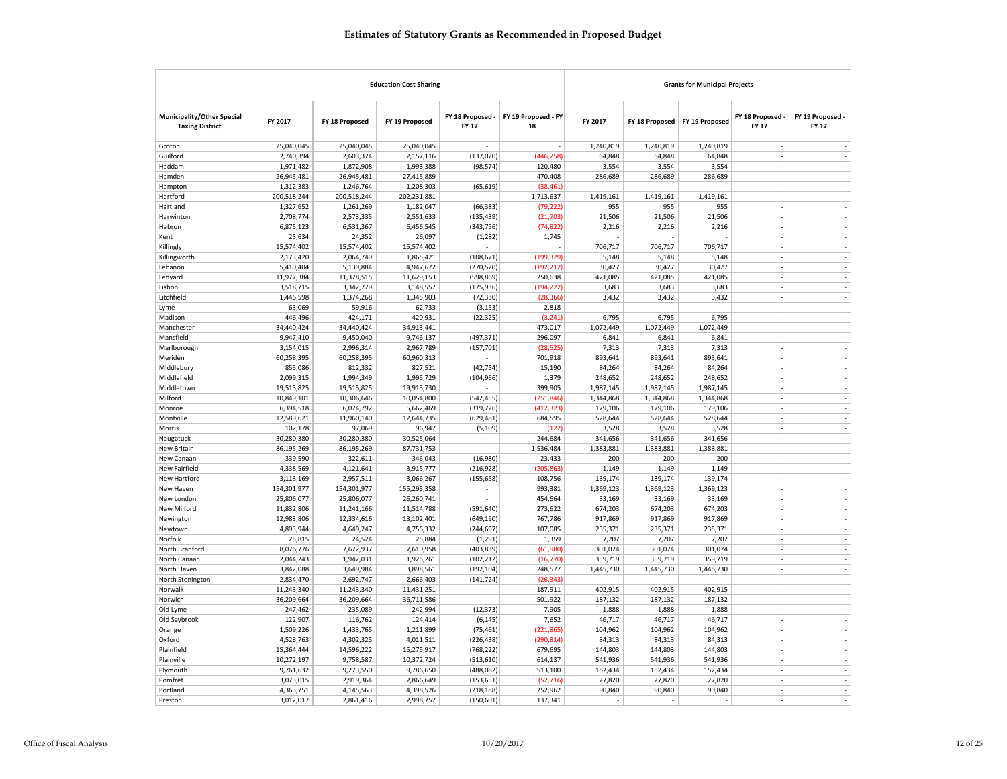|                                                             |                         |                         | <b>Education Cost Sharing</b> |                                  |                           |                      |                      | <b>Grants for Municipal Projects</b> |                                |                                            |
|-------------------------------------------------------------|-------------------------|-------------------------|-------------------------------|----------------------------------|---------------------------|----------------------|----------------------|--------------------------------------|--------------------------------|--------------------------------------------|
| <b>Municipality/Other Special</b><br><b>Taxing District</b> | FY 2017                 | FY 18 Proposed          | FY 19 Proposed                | FY 18 Proposed -<br><b>FY 17</b> | FY 19 Proposed - FY<br>18 | FY 2017              | FY 18 Proposed       | FY 19 Proposed                       | FY 18 Proposed<br><b>FY 17</b> | FY 19 Proposed -<br><b>FY 17</b>           |
| Groton                                                      | 25,040,045              | 25,040,045              | 25,040,045                    |                                  |                           | 1,240,819            | 1,240,819            | 1,240,819                            | $\sim$                         |                                            |
| Guilford                                                    | 2,740,394               | 2,603,374               | 2,157,116                     | (137, 020)                       | (446, 258)                | 64,848               | 64,848               | 64,848                               | J.                             | J.                                         |
| Haddam                                                      | 1,971,482               | 1,872,908               | 1,993,388                     | (98, 574)                        | 120,480                   | 3,554                | 3,554                | 3,554                                |                                | $\overline{\phantom{a}}$                   |
| Hamden                                                      | 26,945,481              | 26,945,481              | 27,415,889                    | $\overline{\phantom{a}}$         | 470,408                   | 286,689              | 286,689              | 286,689                              | $\sim$                         | $\overline{\phantom{a}}$                   |
| Hampton                                                     | 1,312,383               | 1,246,764               | 1,208,303                     | (65, 619)                        | (38, 461)                 |                      |                      |                                      | $\sim$                         | $\overline{\phantom{a}}$                   |
| Hartford                                                    | 200,518,244             | 200,518,244             | 202,231,881                   |                                  | 1,713,637                 | 1,419,161            | 1,419,161            | 1,419,161                            |                                | ÷,                                         |
| Hartland                                                    | 1,327,652               | 1,261,269               | 1,182,047                     | (66, 383)                        | (79, 222)                 | 955                  | 955                  | 955                                  | Ĭ.                             | L.                                         |
| Harwinton                                                   | 2,708,774               | 2,573,335               | 2,551,633                     | (135, 439)                       | (21,703)                  | 21,506               | 21,506               | 21,506                               | ÷,                             | ÷,                                         |
| Hebron                                                      | 6,875,123               | 6,531,367               | 6,456,545                     | (343, 756)                       | (74, 822)                 | 2,216                | 2,216                | 2,216                                | ä,                             | $\sim$                                     |
| Kent                                                        | 25,634                  | 24,352                  | 26,097                        | (1, 282)                         | 1,745                     |                      |                      |                                      | ÷                              | $\overline{\phantom{a}}$                   |
| Killingly                                                   | 15,574,402              | 15,574,402              | 15,574,402                    |                                  |                           | 706,717              | 706,717              | 706,717                              |                                | J.                                         |
| Killingworth                                                | 2,173,420               | 2,064,749               | 1,865,421                     | (108, 671)                       | (199, 329)                | 5,148                | 5,148                | 5,148                                | ä,                             | $\overline{\phantom{a}}$                   |
| Lebanon                                                     | 5,410,404               | 5,139,884               | 4,947,672                     | (270, 520)                       | (192, 212)                | 30,427               | 30,427               | 30,427                               | ×,                             | $\overline{\phantom{a}}$                   |
| Ledyard                                                     | 11,977,384              | 11,378,515              | 11,629,153                    | (598, 869)                       | 250,638                   | 421,085              | 421,085              | 421,085                              |                                | $\overline{\phantom{a}}$                   |
| Lisbon                                                      | 3,518,715               | 3,342,779               | 3,148,557                     | (175, 936)                       | (194, 222)                | 3,683                | 3,683                | 3,683                                | ÷,                             | L.                                         |
| Litchfield                                                  | 1,446,598               | 1,374,268               | 1,345,903                     | (72, 330)                        | (28, 366)                 | 3,432                | 3,432                | 3,432                                | $\sim$                         | $\overline{\phantom{a}}$                   |
| Lyme                                                        | 63,069                  | 59,916                  | 62,733                        | (3, 153)                         | 2,818                     |                      |                      |                                      | ä,                             | $\sim$                                     |
| Madison                                                     | 446,496                 | 424,171                 | 420,931                       | (22, 325)                        | (3, 241)                  | 6,795                | 6,795                | 6,795                                | ÷                              | L.                                         |
| Manchester                                                  | 34,440,424              | 34,440,424              | 34,913,441                    | ٠                                | 473,017                   | 1,072,449            | 1,072,449            | 1,072,449                            |                                | $\overline{\phantom{a}}$                   |
| Mansfield                                                   | 9,947,410               | 9,450,040               | 9,746,137                     | (497, 371)                       | 296,097                   | 6,841                | 6,841                | 6,841                                | $\sim$                         | $\overline{\phantom{a}}$                   |
| Marlborough                                                 | 3,154,015               | 2,996,314               | 2,967,789                     | (157, 701)                       | (28, 525)                 | 7,313                | 7,313                | 7,313                                | $\sim$                         | ÷,                                         |
| Meriden                                                     | 60,258,395              | 60,258,395              | 60,960,313                    |                                  | 701,918                   | 893,641              | 893,641              | 893,641                              |                                | ÷,                                         |
| Middlebury                                                  | 855,086                 | 812,332                 | 827,521                       | (42, 754)                        | 15,190                    | 84,264               | 84,264               | 84,264                               | ÷,                             | L.                                         |
| Middlefield                                                 | 2,099,315               | 1,994,349               | 1,995,729                     | (104, 966)                       | 1,379                     | 248,652              | 248,652              | 248,652                              | ÷,                             | ÷,                                         |
| Middletown                                                  | 19,515,825              | 19,515,825              | 19,915,730                    | ÷.                               | 399,905                   | 1,987,145            | 1,987,145            | 1,987,145                            | ä,<br>÷                        | $\sim$<br>÷,                               |
| Milford<br>Monroe                                           | 10,849,101<br>6,394,518 | 10,306,646<br>6,074,792 | 10,054,800<br>5,662,469       | (542, 455)<br>(319, 726)         | (251, 846)<br>(412, 323)  | 1,344,868<br>179,106 | 1,344,868<br>179,106 | 1,344,868<br>179,106                 |                                | l,                                         |
| Montville                                                   | 12,589,621              | 11,960,140              | 12,644,735                    | (629, 481)                       | 684,595                   | 528,644              | 528,644              | 528,644                              | ä,                             | $\overline{\phantom{a}}$                   |
| Morris                                                      | 102,178                 | 97,069                  | 96,947                        | (5, 109)                         | (122)                     | 3,528                | 3,528                | 3,528                                | ×,                             | $\overline{\phantom{a}}$                   |
| Naugatuck                                                   | 30,280,380              | 30,280,380              | 30,525,064                    |                                  | 244,684                   | 341,656              | 341,656              | 341,656                              |                                | $\overline{\phantom{a}}$                   |
| New Britain                                                 | 86,195,269              | 86,195,269              | 87,731,753                    | ÷.                               | 1,536,484                 | 1,383,881            | 1,383,881            | 1,383,881                            | $\overline{\phantom{a}}$       | $\overline{\phantom{a}}$                   |
| New Canaan                                                  | 339,590                 | 322,611                 | 346,043                       | (16,980)                         | 23,433                    | 200                  | 200                  | 200                                  | $\overline{\phantom{a}}$       | $\overline{\phantom{a}}$                   |
| New Fairfield                                               | 4,338,569               | 4,121,641               | 3,915,777                     | (216, 928)                       | (205, 863)                | 1,149                | 1,149                | 1,149                                | ä,                             | $\sim$                                     |
| New Hartford                                                | 3,113,169               | 2,957,511               | 3,066,267                     | (155, 658)                       | 108,756                   | 139,174              | 139,174              | 139,174                              | J.                             | $\sim$                                     |
| New Haven                                                   | 154,301,977             | 154,301,977             | 155,295,358                   | $\overline{\phantom{a}}$         | 993,381                   | 1,369,123            | 1,369,123            | 1,369,123                            | ÷,                             | ÷,                                         |
| New London                                                  | 25,806,077              | 25,806,077              | 26,260,741                    | ä,                               | 454,664                   | 33,169               | 33,169               | 33,169                               | ä,                             | $\overline{\phantom{a}}$                   |
| New Milford                                                 | 11,832,806              | 11,241,166              | 11,514,788                    | (591, 640)                       | 273,622                   | 674,203              | 674,203              | 674,203                              | $\sim$                         | ÷,                                         |
| Newington                                                   | 12,983,806              | 12,334,616              | 13,102,401                    | (649, 190)                       | 767,786                   | 917,869              | 917,869              | 917,869                              |                                | J.                                         |
| Newtown                                                     | 4,893,944               | 4,649,247               | 4,756,332                     | (244, 697)                       | 107,085                   | 235,371              | 235,371              | 235,371                              | $\overline{\phantom{a}}$       | $\overline{\phantom{a}}$                   |
| Norfolk                                                     | 25,815                  | 24,524                  | 25,884                        | (1, 291)                         | 1,359                     | 7,207                | 7,207                | 7,207                                | ÷,                             | $\overline{\phantom{a}}$                   |
| North Branford                                              | 8,076,776               | 7,672,937               | 7,610,958                     | (403, 839)                       | (61,980)                  | 301,074              | 301,074              | 301,074                              | ä,                             | $\overline{\phantom{a}}$                   |
| North Canaan                                                | 2,044,243               | 1,942,031               | 1,925,261                     | (102, 212)                       | (16, 770)                 | 359,719              | 359,719              | 359,719                              | ÷,                             | $\sim$                                     |
| North Haven                                                 | 3,842,088               | 3,649,984               | 3,898,561                     | (192, 104)                       | 248,577                   | 1,445,730            | 1,445,730            | 1,445,730                            | Ĭ.                             | ÷,                                         |
| North Stonington                                            | 2,834,470               | 2,692,747               | 2,666,403                     | (141, 724)                       | (26, 343)                 |                      |                      |                                      | ×,                             | $\overline{\phantom{a}}$                   |
| Norwalk                                                     | 11,243,340              | 11,243,340              | 11,431,251                    |                                  | 187,911                   | 402,915              | 402,915              | 402,915                              | ÷.                             | $\sim$                                     |
| Norwich                                                     | 36,209,664              | 36,209,664              | 36,711,586                    |                                  | 501,922                   | 187,132              | 187,132              | 187,132                              |                                | $\overline{\phantom{a}}$                   |
| Old Lyme                                                    | 247,462                 | 235,089                 | 242,994                       | (12, 373)                        | 7,905                     | 1,888                | 1,888                | 1,888                                | $\overline{\phantom{a}}$       | $\overline{\phantom{a}}$                   |
| Old Saybrook                                                | 122,907                 | 116,762                 | 124,414                       | (6, 145)                         | 7,652                     | 46,717               | 46,717               | 46,717                               | $\overline{\phantom{a}}$       | $\overline{\phantom{a}}$                   |
| Orange                                                      | 1,509,226               | 1,433,765               | 1,211,899                     | (75, 461)                        | (221, 865)                | 104,962              | 104,962              | 104,962                              |                                | $\overline{\phantom{a}}$                   |
| Oxford                                                      | 4,528,763               | 4,302,325               | 4,011,511                     | (226, 438)                       | (290, 814)                | 84,313               | 84,313               | 84,313                               | J.                             | $\sim$                                     |
| Plainfield                                                  | 15,364,444              | 14,596,222              | 15,275,917                    | (768, 222)                       | 679,695                   | 144,803              | 144,803              | 144,803                              | J.                             | ÷,                                         |
| Plainville                                                  | 10,272,197              | 9,758,587               | 10,372,724                    | (513, 610)                       | 614,137                   | 541,936              | 541,936              | 541,936                              | ×,<br>$\overline{a}$           | $\overline{\phantom{a}}$<br>$\overline{a}$ |
| Plymouth<br>Pomfret                                         | 9,761,632<br>3,073,015  | 9,273,550<br>2,919,364  | 9,786,650<br>2,866,649        | (488, 082)                       | 513,100<br>(52, 716)      | 152,434<br>27,820    | 152,434<br>27,820    | 152,434<br>27,820                    |                                | ÷,                                         |
| Portland                                                    | 4,363,751               | 4,145,563               | 4,398,526                     | (153, 651)<br>(218, 188)         | 252,962                   | 90,840               | 90,840               | 90,840                               | $\overline{\phantom{a}}$       | $\overline{\phantom{a}}$                   |
| Preston                                                     | 3,012,017               | 2,861,416               | 2,998,757                     | (150, 601)                       | 137,341                   |                      |                      |                                      |                                |                                            |
|                                                             |                         |                         |                               |                                  |                           |                      |                      |                                      |                                |                                            |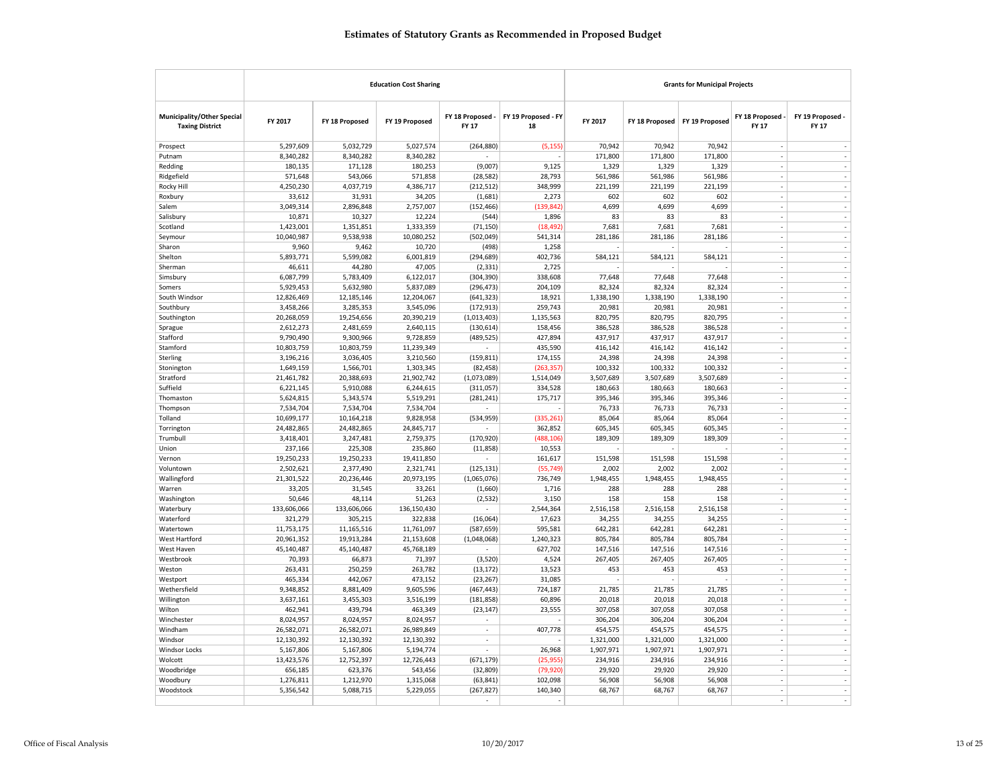|                                                      |                       |                      | <b>Education Cost Sharing</b> |                                  | <b>Grants for Municipal Projects</b> |                  |                  |                  |                                |                                  |
|------------------------------------------------------|-----------------------|----------------------|-------------------------------|----------------------------------|--------------------------------------|------------------|------------------|------------------|--------------------------------|----------------------------------|
| Municipality/Other Special<br><b>Taxing District</b> | FY 2017               | FY 18 Proposed       | FY 19 Proposed                | FY 18 Proposed -<br><b>FY 17</b> | FY 19 Proposed - FY<br>18            | FY 2017          | FY 18 Proposed   | FY 19 Proposed   | FY 18 Proposed<br><b>FY 17</b> | FY 19 Proposed -<br><b>FY 17</b> |
| Prospect                                             | 5,297,609             | 5,032,729            | 5,027,574                     | (264, 880)                       | (5, 155)                             | 70,942           | 70,942           | 70,942           | $\overline{\phantom{a}}$       |                                  |
| Putnam                                               | 8,340,282             | 8,340,282            | 8,340,282                     |                                  |                                      | 171,800          | 171,800          | 171,800          | J.                             | ÷,                               |
| Redding                                              | 180,135               | 171,128              | 180,253                       | (9,007)                          | 9,125                                | 1,329            | 1,329            | 1,329            |                                | i,                               |
| Ridgefield                                           | 571,648               | 543,066              | 571,858                       | (28, 582)                        | 28,793                               | 561,986          | 561,986          | 561,986          | ÷,                             | ÷,                               |
| Rocky Hill                                           | 4,250,230             | 4,037,719            | 4,386,717                     | (212, 512)                       | 348,999                              | 221,199          | 221,199          | 221,199          | $\overline{a}$                 | ÷.                               |
| Roxbury                                              | 33,612                | 31,931               | 34,205                        | (1,681)                          | 2,273                                | 602              | 602              | 602              |                                | ×,                               |
| Salem                                                | 3,049,314             | 2,896,848            | 2,757,007                     | (152, 466)                       | (139, 842)                           | 4,699            | 4,699            | 4,699            | J.                             | $\overline{a}$                   |
| Salisbury                                            | 10,871                | 10,327               | 12,224                        | (544)                            | 1,896                                | 83               | 83               | 83               | ÷,                             | i,                               |
| Scotland                                             | 1,423,001             | 1,351,851            | 1,333,359                     | (71, 150)                        | (18, 492)                            | 7,681            | 7,681            | 7,681            | ÷,                             | i,                               |
| Seymour                                              | 10,040,987            | 9,538,938            | 10,080,252                    | (502, 049)                       | 541,314                              | 281,186          | 281,186          | 281,186          | ÷,                             | ÷,                               |
| Sharon                                               | 9,960                 | 9,462                | 10,720                        | (498)                            | 1,258                                |                  |                  |                  |                                | ÷,                               |
| Shelton                                              | 5,893,771             | 5,599,082            | 6,001,819                     | (294, 689)                       | 402,736                              | 584,121          | 584,121          | 584,121          | ÷,                             | ÷,                               |
| Sherman                                              | 46,611                | 44,280               | 47,005                        | (2, 331)                         | 2,725                                |                  |                  |                  |                                | ÷,                               |
| Simsbury                                             | 6,087,799             | 5,783,409            | 6,122,017                     | (304, 390)                       | 338,608                              | 77,648           | 77,648           | 77,648           |                                | ÷,                               |
| Somers                                               | 5,929,453             | 5,632,980            | 5,837,089                     | (296, 473)                       | 204,109                              | 82,324           | 82,324           | 82,324           | J.                             | $\overline{a}$                   |
| South Windsor                                        | 12,826,469            | 12,185,146           | 12,204,067                    | (641, 323)                       | 18,921                               | 1,338,190        | 1,338,190        | 1,338,190        | J,                             | i,                               |
| Southbury                                            | 3,458,266             | 3,285,353            | 3,545,096                     | (172, 913)                       | 259,743                              | 20,981           | 20,981           | 20,981           | ÷,                             | i,                               |
| Southington                                          | 20,268,059            | 19,254,656           | 20,390,219                    | (1,013,403)                      | 1,135,563                            | 820,795          | 820,795          | 820,795          | J.                             | ÷,                               |
| Sprague                                              | 2,612,273             | 2,481,659            | 2,640,115                     | (130, 614)                       | 158,456                              | 386,528          | 386,528          | 386,528          |                                | i,                               |
| Stafford                                             | 9,790,490             | 9,300,966            | 9,728,859                     | (489, 525)                       | 427,894                              | 437,917          | 437,917          | 437,917          | ÷,                             | ÷,                               |
| Stamford                                             | 10,803,759            | 10,803,759           | 11,239,349                    |                                  | 435,590                              | 416,142          | 416,142          | 416,142          | $\overline{a}$                 | ÷,                               |
| Sterling                                             | 3,196,216             | 3,036,405            | 3,210,560                     | (159, 811)                       | 174,155                              | 24,398           | 24,398           | 24,398           |                                | ٠                                |
| Stonington                                           | 1,649,159             | 1,566,701            | 1,303,345                     | (82, 458)                        | (263, 357)                           | 100,332          | 100,332          | 100,332          | J.                             | J.                               |
| Stratford                                            | 21,461,782            | 20,388,693           | 21,902,742                    | (1,073,089)                      | 1,514,049                            | 3,507,689        | 3,507,689        | 3,507,689        |                                | i,                               |
| Suffield                                             | 6,221,145             | 5,910,088            | 6,244,615                     | (311,057)                        | 334,528                              | 180,663          | 180,663          | 180,663          | ÷,                             | ÷,                               |
| Thomaston                                            | 5,624,815             | 5,343,574            | 5,519,291                     | (281, 241)                       | 175,717                              | 395,346          | 395,346          | 395,346          | $\overline{\phantom{a}}$       | i,                               |
| Thompson                                             | 7,534,704             | 7,534,704            | 7,534,704                     |                                  |                                      | 76,733           | 76,733           | 76,733           |                                |                                  |
| Tolland                                              | 10,699,177            | 10,164,218           | 9,828,958                     | (534, 959)                       | (335, 261)                           | 85,064           | 85,064           | 85,064           | ÷,                             | i,                               |
| Torrington                                           | 24,482,865            | 24,482,865           | 24,845,717                    |                                  | 362,852                              | 605,345          | 605,345          | 605,345          | $\overline{a}$                 | ÷,<br>÷,                         |
| Trumbull<br>Union                                    | 3,418,401             | 3,247,481            | 2,759,375                     | (170, 920)                       | (488, 106)                           | 189,309          | 189,309          | 189,309          | J.                             | ÷,                               |
|                                                      | 237,166<br>19,250,233 | 225,308              | 235,860<br>19,411,850         | (11,858)                         | 10,553                               |                  |                  |                  |                                | i,                               |
| Vernon                                               |                       | 19,250,233           |                               |                                  | 161,617                              | 151,598          | 151,598          | 151,598          | ÷,                             | ÷,                               |
| Voluntown                                            | 2,502,621             | 2,377,490            | 2,321,741<br>20,973,195       | (125, 131)                       | (55, 749)<br>736,749                 | 2,002            | 2,002            | 2,002            | J.                             | ÷,                               |
| Wallingford<br>Warren                                | 21,301,522<br>33,205  | 20,236,446<br>31,545 | 33,261                        | (1,065,076)<br>(1,660)           | 1,716                                | 1,948,455<br>288 | 1,948,455<br>288 | 1,948,455<br>288 |                                | i,                               |
| Washington                                           | 50,646                | 48,114               | 51,263                        | (2,532)                          | 3,150                                | 158              | 158              | 158              | $\overline{\phantom{a}}$       | i,                               |
| Waterbury                                            | 133,606,066           | 133,606,066          | 136,150,430                   |                                  | 2,544,364                            | 2,516,158        | 2,516,158        | 2,516,158        | J,                             | i,                               |
| Waterford                                            | 321,279               | 305,215              | 322,838                       | (16,064)                         | 17,623                               | 34,255           | 34,255           | 34,255           | ÷,                             | ÷,                               |
| Watertown                                            | 11,753,175            | 11,165,516           | 11,761,097                    | (587, 659)                       | 595,581                              | 642,281          | 642,281          | 642,281          |                                | ÷,                               |
| West Hartford                                        | 20,961,352            | 19,913,284           | 21,153,608                    | (1,048,068)                      | 1,240,323                            | 805,784          | 805,784          | 805,784          |                                | ÷,                               |
| West Haven                                           | 45,140,487            | 45,140,487           | 45,768,189                    | ÷,                               | 627,702                              | 147,516          | 147,516          | 147,516          | ÷,                             | ÷,                               |
| Westbrook                                            | 70,393                | 66,873               | 71,397                        | (3,520)                          | 4,524                                | 267,405          | 267,405          | 267,405          | $\overline{a}$                 | ÷.                               |
| Weston                                               | 263,431               | 250,259              | 263,782                       | (13, 172)                        | 13,523                               | 453              | 453              | 453              |                                | i,                               |
| Westport                                             | 465,334               | 442,067              | 473,152                       | (23, 267)                        | 31,085                               |                  |                  |                  | J,                             | i,                               |
| Wethersfield                                         | 9,348,852             | 8,881,409            | 9,605,596                     | (467, 443)                       | 724,187                              | 21,785           | 21,785           | 21,785           | ÷,                             | $\overline{\phantom{a}}$         |
| Willington                                           | 3,637,161             | 3,455,303            | 3,516,199                     | (181, 858)                       | 60,896                               | 20,018           | 20,018           | 20,018           | ÷,                             | ÷,                               |
| Wilton                                               | 462,941               | 439,794              | 463,349                       | (23, 147)                        | 23,555                               | 307,058          | 307,058          | 307,058          | ÷,                             | ÷,                               |
| Winchester                                           | 8.024.957             | 8,024,957            | 8,024,957                     |                                  |                                      | 306.204          | 306.204          | 306,204          |                                | ÷,                               |
| Windham                                              | 26,582,071            | 26,582,071           | 26,989,849                    | $\overline{\phantom{a}}$         | 407,778                              | 454,575          | 454,575          | 454,575          | ÷,                             | ÷,                               |
| Windsor                                              | 12,130,392            | 12,130,392           | 12,130,392                    |                                  |                                      | 1,321,000        | 1,321,000        | 1,321,000        |                                | ÷.                               |
| Windsor Locks                                        | 5,167,806             | 5,167,806            | 5,194,774                     |                                  | 26,968                               | 1,907,971        | 1,907,971        | 1,907,971        |                                | ÷,                               |
| Wolcott                                              | 13,423,576            | 12,752,397           | 12,726,443                    | (671, 179)                       | (25, 955)                            | 234,916          | 234,916          | 234,916          | J,                             | i,                               |
| Woodbridge                                           | 656,185               | 623,376              | 543,456                       | (32, 809)                        | (79, 920)                            | 29,920           | 29,920           | 29,920           | ÷,                             | ÷,                               |
| Woodbury                                             | 1,276,811             | 1,212,970            | 1,315,068                     | (63, 841)                        | 102,098                              | 56,908           | 56,908           | 56,908           | $\overline{\phantom{a}}$       | ÷,                               |
| Woodstock                                            | 5,356,542             | 5,088,715            | 5,229,055                     | (267, 827)                       | 140,340                              | 68,767           | 68,767           | 68,767           | J.                             | ÷,                               |
|                                                      |                       |                      |                               |                                  |                                      |                  |                  |                  |                                |                                  |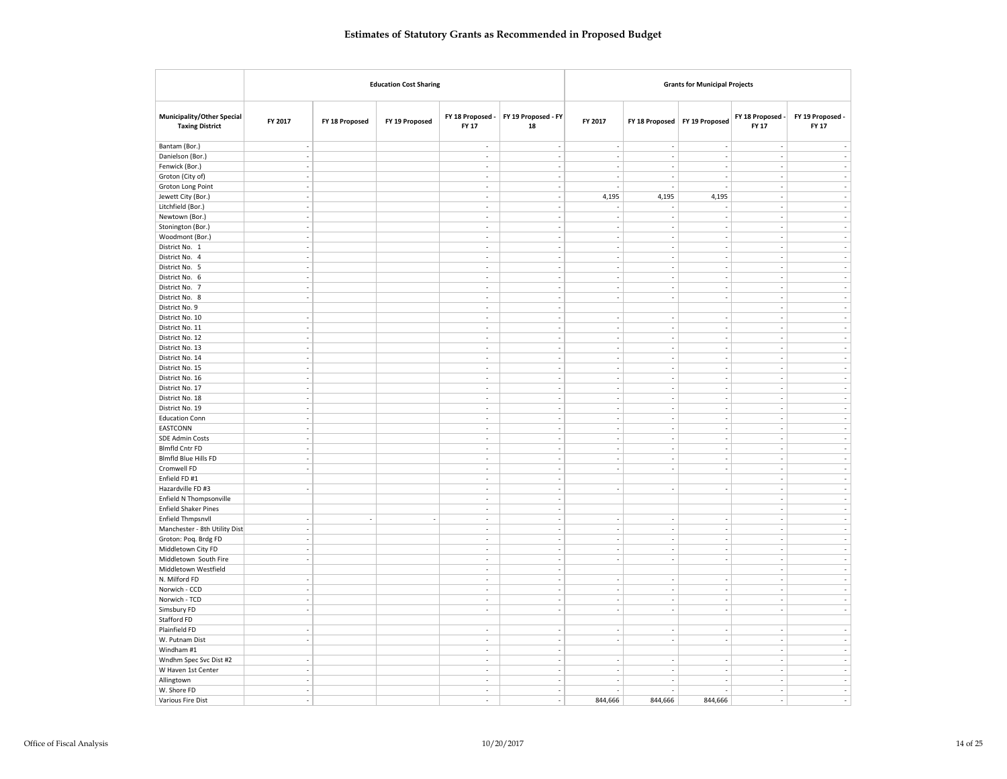| <b>Education Cost Sharing</b><br><b>Grants for Municipal Projects</b>                                                                                                                                                                                         |                                                                  |
|---------------------------------------------------------------------------------------------------------------------------------------------------------------------------------------------------------------------------------------------------------------|------------------------------------------------------------------|
| FY 19 Proposed - FY<br>Municipality/Other Special<br>FY 18 Proposed -<br>FY 2017<br>FY 2017<br>FY 19 Proposed<br>FY 18 Proposed<br>FY 19 Proposed<br>FY 18 Proposed<br><b>Taxing District</b><br>FY 17<br>18                                                  | FY 19 Proposed -<br>FY 18 Proposed<br><b>FY 17</b><br>FY 17      |
| Bantam (Bor.)<br>$\overline{\phantom{a}}$<br>$\sim$<br>$\overline{\phantom{a}}$<br>$\sim$<br>÷,<br>$\overline{\phantom{a}}$                                                                                                                                   | ÷,                                                               |
| Danielson (Bor.)<br>$\overline{\phantom{a}}$<br>$\sim$<br>$\sim$<br>$\overline{\phantom{a}}$<br>$\sim$<br>$\overline{\phantom{a}}$                                                                                                                            | $\sim$<br>$\sim$                                                 |
| Fenwick (Bor.)<br>$\overline{a}$<br>l,<br>L.<br>$\sim$<br>$\sim$                                                                                                                                                                                              | ÷,<br>÷,                                                         |
| Groton (City of)<br>$\overline{\phantom{a}}$<br>÷,<br>$\frac{1}{2}$<br>$\sim$<br>i,<br>i,                                                                                                                                                                     | $\overline{\phantom{a}}$<br>ä,                                   |
| Groton Long Point<br>$\sim$<br>$\sim$<br>$\sim$<br>÷,<br>i,                                                                                                                                                                                                   | $\sim$<br>$\overline{\phantom{a}}$                               |
| Jewett City (Bor.)<br>$\sim$<br>4,195<br>4,195<br>4,195<br>$\overline{a}$<br>$\sim$                                                                                                                                                                           | $\sim$<br>÷,                                                     |
| Litchfield (Bor.)<br>$\sim$<br>$\sim$<br>÷,<br>$\overline{\phantom{a}}$<br>$\overline{\phantom{a}}$<br>$\overline{\phantom{a}}$                                                                                                                               | ÷.<br>$\overline{\phantom{a}}$                                   |
| Newtown (Bor.)<br>$\overline{\phantom{a}}$<br>$\overline{\phantom{a}}$<br>$\sim$<br>L.<br>$\overline{a}$<br>$\overline{\phantom{a}}$                                                                                                                          | ÷,<br>L.                                                         |
| Stonington (Bor.)<br>$\overline{\phantom{a}}$<br>÷,<br>i,<br>L.<br>$\overline{\phantom{a}}$<br>$\overline{\phantom{a}}$                                                                                                                                       | ÷,<br>$\overline{\phantom{a}}$                                   |
| Woodmont (Bor.)<br>$\overline{\phantom{a}}$<br>$\overline{\phantom{a}}$<br>$\overline{\phantom{a}}$<br>$\overline{\phantom{a}}$<br>$\overline{\phantom{a}}$<br>÷,                                                                                             | $\overline{\phantom{a}}$<br>$\overline{\phantom{a}}$             |
| District No. 1<br>$\overline{\phantom{a}}$<br>÷,<br>$\sim$<br>÷,<br>$\overline{a}$<br>$\overline{\phantom{a}}$                                                                                                                                                | $\sim$<br>÷,                                                     |
| District No. 4<br>$\overline{\phantom{a}}$<br>÷,<br>$\overline{\phantom{a}}$<br>$\overline{\phantom{a}}$<br>$\overline{\phantom{a}}$<br>$\overline{\phantom{a}}$                                                                                              | $\overline{\phantom{a}}$<br>$\overline{\phantom{a}}$             |
| District No. 5<br>$\overline{\phantom{a}}$<br>÷,<br>$\sim$<br>$\overline{\phantom{a}}$<br>$\overline{\phantom{a}}$<br>$\overline{\phantom{a}}$                                                                                                                | ÷,<br>$\overline{\phantom{a}}$                                   |
| District No. 6<br>$\sim$<br>$\overline{\phantom{a}}$<br>$\overline{a}$<br>$\overline{\phantom{a}}$<br>$\overline{a}$<br>$\sim$                                                                                                                                | $\sim$<br>$\overline{a}$                                         |
| District No. 7<br>$\overline{\phantom{a}}$<br>$\overline{\phantom{a}}$<br>$\overline{\phantom{a}}$<br>$\overline{\phantom{a}}$<br>÷,<br>÷,                                                                                                                    | $\sim$<br>$\overline{\phantom{a}}$                               |
| District No. 8<br>$\overline{\phantom{a}}$<br>$\sim$<br>L.<br>÷,<br>$\sim$<br>$\sim$                                                                                                                                                                          | ÷,<br>÷,                                                         |
| District No. 9<br>$\overline{\phantom{a}}$<br>$\overline{\phantom{a}}$                                                                                                                                                                                        | ÷,<br>$\overline{\phantom{a}}$                                   |
| District No. 10<br>$\overline{\phantom{a}}$<br>÷,<br>$\overline{\phantom{a}}$<br>$\overline{\phantom{a}}$<br>$\overline{\phantom{a}}$<br>$\overline{\phantom{a}}$<br>$\sim$<br>$\sim$<br>÷,<br>$\sim$<br>$\overline{\phantom{a}}$<br>$\overline{\phantom{a}}$ | ÷,<br>$\overline{\phantom{a}}$<br>÷.<br>$\overline{\phantom{a}}$ |
| District No. 11<br>$\sim$<br>i,<br>÷,<br>$\overline{\phantom{a}}$                                                                                                                                                                                             | ÷,<br>×,                                                         |
| District No. 12<br>$\overline{\phantom{a}}$<br>District No. 13<br>$\overline{\phantom{a}}$<br>$\sim$<br>$\sim$<br>$\sim$<br>$\sim$<br>$\overline{\phantom{a}}$                                                                                                | $\sim$<br>$\overline{\phantom{a}}$                               |
| District No. 14<br>$\overline{\phantom{a}}$<br>$\overline{\phantom{a}}$<br>$\sim$<br>$\sim$<br>$\overline{\phantom{a}}$<br>$\overline{\phantom{a}}$                                                                                                           | $\sim$<br>$\overline{\phantom{a}}$                               |
| District No. 15<br>$\overline{\phantom{a}}$<br>$\sim$<br>$\sim$<br>$\sim$<br>$\overline{\phantom{a}}$<br>$\overline{\phantom{a}}$                                                                                                                             | $\overline{\phantom{a}}$<br>$\overline{\phantom{a}}$             |
| District No. 16<br>$\sim$<br>ł.<br>÷,<br>$\overline{\phantom{a}}$<br>$\overline{\phantom{a}}$<br>$\overline{\phantom{a}}$                                                                                                                                     | ÷.<br>i,                                                         |
| District No. 17<br>$\overline{\phantom{a}}$<br>÷,<br>$\sim$<br>$\overline{\phantom{a}}$<br>$\overline{\phantom{a}}$<br>÷,                                                                                                                                     | ÷,<br>$\overline{\phantom{a}}$                                   |
| District No. 18<br>$\overline{\phantom{a}}$<br>÷,<br>$\sim$<br>$\sim$<br>$\sim$<br>$\overline{a}$                                                                                                                                                             | $\overline{\phantom{a}}$<br>$\overline{\phantom{a}}$             |
| District No. 19<br>$\overline{\phantom{a}}$<br>$\sim$<br>$\sim$<br>$\sim$<br>$\overline{\phantom{a}}$<br>$\sim$                                                                                                                                               | $\sim$<br>$\sim$                                                 |
| <b>Education Conn</b><br>$\sim$<br>$\sim$<br>$\sim$<br>$\overline{\phantom{a}}$<br>$\overline{\phantom{a}}$<br>$\overline{\phantom{a}}$                                                                                                                       | $\sim$<br>$\sim$                                                 |
| EASTCONN<br>$\overline{\phantom{a}}$<br>l,<br>L.<br>$\sim$<br>$\sim$<br>$\sim$                                                                                                                                                                                | ÷,<br>÷,                                                         |
| <b>SDE Admin Costs</b><br>$\overline{\phantom{a}}$<br>÷,<br>$\overline{\phantom{a}}$<br>$\sim$<br>i,<br>$\overline{a}$                                                                                                                                        | $\overline{\phantom{a}}$<br>$\overline{\phantom{a}}$             |
| Blmfld Cntr FD<br>$\overline{\phantom{a}}$<br>$\sim$<br>$\sim$<br>$\overline{\phantom{a}}$<br>$\overline{\phantom{a}}$<br>$\overline{\phantom{a}}$                                                                                                            | $\sim$<br>$\sim$                                                 |
| Blmfld Blue Hills FD<br>$\overline{a}$<br>L.<br>÷<br>$\overline{a}$<br>J.                                                                                                                                                                                     | ÷,<br>÷.                                                         |
| Cromwell FD<br>$\sim$<br>$\overline{\phantom{a}}$<br>$\overline{\phantom{a}}$<br>$\overline{\phantom{a}}$<br>$\overline{\phantom{a}}$<br>$\overline{\phantom{a}}$                                                                                             | $\overline{\phantom{a}}$<br>$\sim$                               |
| Enfield FD #1<br>L.<br>$\sim$                                                                                                                                                                                                                                 | ÷,<br>L.                                                         |
| Hazardville FD #3<br>$\overline{\phantom{a}}$<br>$\overline{\phantom{a}}$<br>÷,<br>÷,<br>$\frac{1}{2}$<br>$\sim$                                                                                                                                              | ÷,<br>$\overline{\phantom{a}}$                                   |
| Enfield N Thompsonville<br>$\sim$<br>$\sim$                                                                                                                                                                                                                   | $\sim$<br>$\sim$                                                 |
| <b>Enfield Shaker Pines</b><br>÷,<br>$\overline{\phantom{a}}$                                                                                                                                                                                                 | $\mathcal{L}$<br>$\sim$                                          |
| <b>Enfield Thmpsnvll</b><br>÷,<br>$\overline{\phantom{a}}$<br>÷,<br>$\overline{\phantom{a}}$<br>$\overline{\phantom{a}}$<br>$\overline{\phantom{a}}$<br>$\overline{\phantom{a}}$<br>$\overline{a}$                                                            | ÷,<br>$\sim$                                                     |
| Manchester - 8th Utility Dist<br>$\overline{\phantom{a}}$<br>$\overline{\phantom{a}}$<br>$\sim$<br>L.<br>$\overline{\phantom{a}}$<br>$\overline{\phantom{a}}$                                                                                                 | $\overline{\phantom{a}}$<br>$\overline{\phantom{a}}$             |
| Groton: Poq. Brdg FD<br>$\overline{\phantom{a}}$<br>$\overline{\phantom{a}}$<br>i,<br>$\overline{\phantom{a}}$<br>$\overline{\phantom{a}}$<br>$\overline{a}$                                                                                                  | $\overline{\phantom{a}}$<br>$\overline{\phantom{a}}$             |
| Middletown City FD<br>$\overline{\phantom{a}}$<br>$\overline{\phantom{a}}$<br>÷.<br>$\overline{\phantom{a}}$<br>$\overline{\phantom{a}}$<br>$\overline{\phantom{a}}$                                                                                          | $\sim$<br>$\overline{\phantom{a}}$                               |
| Middletown South Fire<br>$\overline{\phantom{a}}$<br>÷<br>÷,<br>÷,<br>÷<br>$\overline{a}$                                                                                                                                                                     | ÷,<br>÷,                                                         |
| Middletown Westfield<br>$\sim$<br>$\overline{\phantom{a}}$                                                                                                                                                                                                    | ÷,<br>$\overline{\phantom{a}}$                                   |
| N. Milford FD<br>$\overline{\phantom{a}}$<br>÷,<br>$\overline{\phantom{a}}$<br>$\overline{\phantom{a}}$<br>$\overline{\phantom{a}}$<br>$\overline{\phantom{a}}$                                                                                               | $\overline{\phantom{a}}$<br>$\overline{\phantom{a}}$             |
| Norwich - CCD<br>$\sim$<br>÷,<br>$\overline{\phantom{a}}$<br>$\overline{\phantom{a}}$<br>$\overline{\phantom{a}}$<br>$\overline{\phantom{a}}$                                                                                                                 | $\overline{\phantom{a}}$<br>$\sim$                               |
| Norwich - TCD<br>$\sim$<br>i,<br>$\overline{\phantom{a}}$<br>$\overline{\phantom{a}}$<br>$\overline{\phantom{a}}$<br>$\overline{a}$                                                                                                                           | $\overline{\phantom{a}}$<br>$\sim$                               |
| Simsbury FD<br>$\overline{\phantom{a}}$<br>$\sim$<br>$\sim$<br>$\sim$<br>$\sim$<br>$\overline{\phantom{a}}$                                                                                                                                                   | $\sim$<br>$\sim$                                                 |
| Stafford FD                                                                                                                                                                                                                                                   |                                                                  |
| Plainfield FD<br>$\overline{\phantom{a}}$<br>$\overline{\phantom{a}}$<br>$\overline{\phantom{a}}$<br>$\overline{\phantom{a}}$<br>$\overline{\phantom{a}}$<br>÷,                                                                                               | $\overline{\phantom{a}}$<br>$\sim$                               |
| W. Putnam Dist<br>$\sim$<br>ł.<br>÷,<br>$\overline{\phantom{a}}$<br>÷<br>$\overline{\phantom{a}}$                                                                                                                                                             | i,<br>$\sim$                                                     |
| Windham #1<br>$\overline{\phantom{a}}$<br>$\overline{\phantom{a}}$                                                                                                                                                                                            |                                                                  |
| Wndhm Spec Svc Dist #2<br>$\overline{\phantom{a}}$<br>$\sim$<br>$\sim$<br>÷,<br>i,                                                                                                                                                                            | $\overline{\phantom{a}}$<br>$\overline{\phantom{a}}$             |
|                                                                                                                                                                                                                                                               | $\sim$<br>$\sim$                                                 |
| W Haven 1st Center<br>$\overline{\phantom{a}}$<br>$\sim$<br>$\sim$<br>÷,<br>$\overline{\phantom{a}}$<br>$\overline{a}$                                                                                                                                        | $\sim$<br>$\overline{\phantom{a}}$                               |
| Allingtown<br>$\overline{\phantom{a}}$<br>$\overline{\phantom{a}}$<br>$\overline{\phantom{a}}$<br>$\overline{\phantom{a}}$<br>$\overline{\phantom{a}}$<br>÷,<br>W. Shore FD<br>L.<br>L.<br>$\sim$<br>$\sim$<br>ł.                                             | $\sim$<br>$\sim$<br>÷,<br>÷,                                     |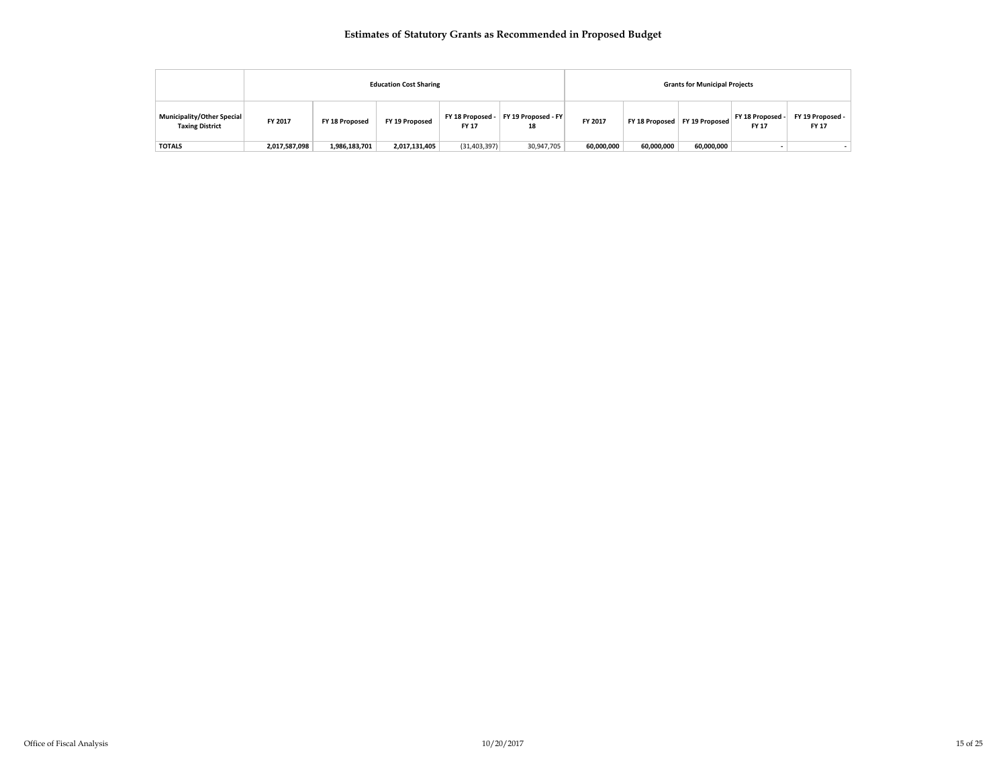|                                                      |               |                | <b>Education Cost Sharing</b> |                                  |                           |            |            | <b>Grants for Municipal Projects</b> |                                  |                           |  |
|------------------------------------------------------|---------------|----------------|-------------------------------|----------------------------------|---------------------------|------------|------------|--------------------------------------|----------------------------------|---------------------------|--|
| Municipality/Other Special<br><b>Taxing District</b> | FY 2017       | FY 18 Proposed | FY 19 Proposed                | FY 18 Proposed -<br><b>FY 17</b> | FY 19 Proposed - FY<br>18 | FY 2017    |            | FY 18 Proposed   FY 19 Proposed      | FY 18 Proposed -<br><b>FY 17</b> | FY 19 Proposed -<br>FY 17 |  |
| <b>TOTALS</b>                                        | 2,017,587,098 | 1,986,183,701  | 2,017,131,405                 | (31, 403, 397)                   | 30,947,705                | 60,000,000 | 60,000,000 | 60,000,000                           |                                  |                           |  |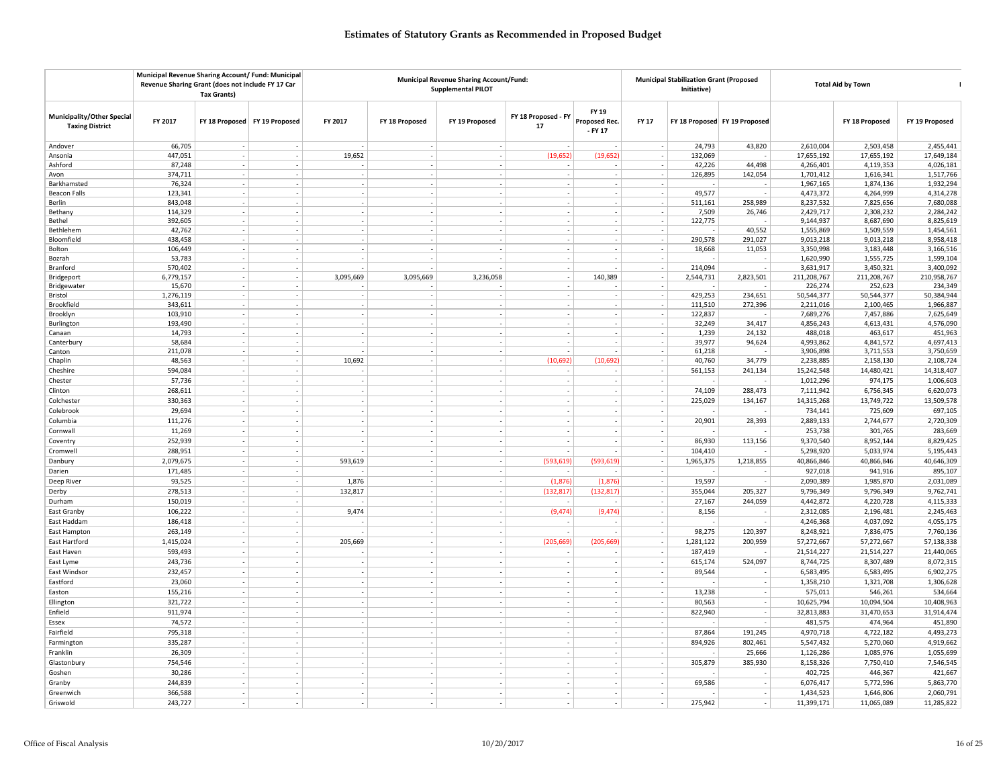|                                                      | Municipal Revenue Sharing Account/ Fund: Municipal<br>Revenue Sharing Grant (does not include FY 17 Car | <b>Tax Grants)</b> |                                 |                          | Municipal Revenue Sharing Account/Fund:<br><b>Municipal Stabilization Grant (Proposed</b><br><b>Total Aid by Town</b><br><b>Supplemental PILOT</b><br>Initiative) |                             |                           |                                   |                          |           |                               |             |                |                |
|------------------------------------------------------|---------------------------------------------------------------------------------------------------------|--------------------|---------------------------------|--------------------------|-------------------------------------------------------------------------------------------------------------------------------------------------------------------|-----------------------------|---------------------------|-----------------------------------|--------------------------|-----------|-------------------------------|-------------|----------------|----------------|
| Municipality/Other Special<br><b>Taxing District</b> | FY 2017                                                                                                 |                    | FY 18 Proposed   FY 19 Proposed | FY 2017                  | FY 18 Proposed                                                                                                                                                    | FY 19 Proposed              | FY 18 Proposed - FY<br>17 | FY 19<br>Proposed Rec.<br>- FY 17 | <b>FY 17</b>             |           | FY 18 Proposed FY 19 Proposed |             | FY 18 Proposed | FY 19 Proposed |
| Andover                                              | 66,705                                                                                                  |                    |                                 |                          |                                                                                                                                                                   |                             |                           |                                   |                          | 24,793    | 43,820                        | 2,610,004   | 2,503,458      | 2,455,441      |
| Ansonia                                              | 447,051                                                                                                 |                    |                                 | 19,652                   |                                                                                                                                                                   |                             | (19, 652)                 | (19, 652)                         |                          | 132,069   |                               | 17,655,192  | 17,655,192     | 17,649,184     |
| Ashford                                              | 87,248                                                                                                  |                    |                                 |                          |                                                                                                                                                                   |                             |                           |                                   |                          | 42,226    | 44,498                        | 4,266,401   | 4,119,353      | 4,026,181      |
| Avon                                                 | 374,711                                                                                                 |                    |                                 | $\overline{\phantom{a}}$ | $\overline{\phantom{a}}$                                                                                                                                          | $\overline{\phantom{a}}$    |                           |                                   |                          | 126,895   | 142,054                       | 1,701,412   | 1,616,341      | 1,517,766      |
| Barkhamsted                                          | 76,324                                                                                                  |                    |                                 |                          |                                                                                                                                                                   |                             |                           |                                   |                          |           |                               | 1,967,165   | 1,874,136      | 1,932,294      |
| <b>Beacon Falls</b>                                  | 123,341                                                                                                 |                    |                                 |                          |                                                                                                                                                                   |                             |                           |                                   | $\sim$                   | 49,577    |                               | 4,473,372   | 4,264,999      | 4,314,278      |
| Berlin                                               | 843,048                                                                                                 |                    |                                 |                          |                                                                                                                                                                   |                             |                           |                                   |                          | 511,161   | 258,989                       | 8,237,532   | 7,825,656      | 7,680,088      |
| Bethany                                              | 114,329                                                                                                 |                    |                                 |                          |                                                                                                                                                                   |                             |                           |                                   |                          | 7,509     | 26,746                        | 2,429,717   | 2,308,232      | 2,284,242      |
| Bethel                                               | 392,605                                                                                                 |                    |                                 |                          |                                                                                                                                                                   |                             |                           |                                   |                          | 122,775   |                               | 9,144,937   | 8,687,690      | 8,825,619      |
| Bethlehem                                            | 42,762                                                                                                  |                    |                                 |                          |                                                                                                                                                                   |                             |                           |                                   |                          |           | 40,552                        | 1,555,869   | 1,509,559      | 1,454,561      |
| Bloomfield                                           | 438,458                                                                                                 |                    |                                 |                          |                                                                                                                                                                   |                             |                           |                                   |                          | 290,578   | 291,027                       | 9,013,218   | 9,013,218      | 8,958,418      |
| Bolton                                               | 106,449                                                                                                 |                    |                                 |                          |                                                                                                                                                                   |                             |                           |                                   |                          | 18,668    | 11,053                        | 3,350,998   | 3,183,448      | 3,166,516      |
| Bozrah                                               | 53,783                                                                                                  |                    |                                 |                          |                                                                                                                                                                   |                             |                           |                                   |                          |           |                               | 1,620,990   | 1,555,725      | 1,599,104      |
| Branford                                             | 570,402                                                                                                 | $\sim$             |                                 |                          |                                                                                                                                                                   |                             |                           |                                   | $\overline{\phantom{a}}$ | 214,094   | $\overline{\phantom{a}}$      | 3,631,917   | 3,450,321      | 3,400,092      |
| Bridgeport                                           | 6,779,157                                                                                               |                    |                                 | 3,095,669                | 3,095,669                                                                                                                                                         | 3,236,058                   |                           | 140,389                           | $\sim$                   | 2,544,731 | 2,823,501                     | 211,208,767 | 211,208,767    | 210,958,767    |
| Bridgewater                                          | 15,670                                                                                                  |                    |                                 |                          |                                                                                                                                                                   |                             |                           |                                   |                          |           |                               | 226,274     | 252,623        | 234,349        |
| Bristol                                              | 1,276,119                                                                                               |                    |                                 |                          |                                                                                                                                                                   |                             |                           |                                   |                          | 429,253   | 234,651                       | 50,544,377  | 50,544,377     | 50,384,944     |
| Brookfield                                           | 343,611                                                                                                 |                    |                                 |                          |                                                                                                                                                                   |                             |                           |                                   |                          | 111,510   | 272,396                       | 2,211,016   | 2,100,465      | 1,966,887      |
| Brooklyn                                             | 103,910                                                                                                 |                    |                                 |                          |                                                                                                                                                                   |                             |                           |                                   |                          | 122,837   |                               | 7,689,276   | 7,457,886      | 7,625,649      |
| Burlington                                           | 193,490                                                                                                 |                    |                                 |                          |                                                                                                                                                                   | $\overline{\phantom{a}}$    |                           |                                   |                          | 32,249    | 34,417                        | 4,856,243   | 4,613,431      | 4,576,090      |
| Canaan                                               | 14,793                                                                                                  |                    |                                 |                          |                                                                                                                                                                   |                             |                           |                                   |                          | 1,239     | 24,132                        | 488,018     | 463,617        | 451,963        |
| Canterbury                                           | 58,684                                                                                                  |                    |                                 |                          |                                                                                                                                                                   |                             |                           |                                   |                          | 39,977    | 94,624                        | 4,993,862   | 4,841,572      | 4,697,413      |
| Canton                                               | 211,078                                                                                                 |                    |                                 |                          |                                                                                                                                                                   |                             |                           |                                   |                          | 61,218    |                               | 3,906,898   | 3,711,553      | 3,750,659      |
| Chaplin                                              | 48,563                                                                                                  |                    |                                 | 10,692                   | $\overline{\phantom{a}}$                                                                                                                                          |                             | (10,692)                  | (10, 692)                         | $\overline{\phantom{a}}$ | 40,760    | 34,779                        | 2,238,885   | 2,158,130      | 2,108,724      |
| Cheshire                                             | 594,084                                                                                                 |                    |                                 |                          |                                                                                                                                                                   |                             |                           |                                   | $\sim$                   | 561,153   | 241,134                       | 15,242,548  | 14,480,421     | 14,318,407     |
| Chester                                              | 57,736                                                                                                  | $\sim$             |                                 | $\sim$                   | $\sim$                                                                                                                                                            | $\mathcal{L}_{\mathcal{A}}$ |                           | $\sim$                            | $\sim$                   |           | $\overline{\phantom{a}}$      | 1,012,296   | 974,175        | 1,006,603      |
| Clinton                                              | 268,611                                                                                                 | $\sim$             |                                 | $\sim$                   | $\overline{\phantom{a}}$                                                                                                                                          | $\overline{\phantom{a}}$    |                           |                                   | $\sim$                   | 74,109    | 288,473                       | 7,111,942   | 6,756,345      | 6,620,073      |
| Colchester                                           | 330,363                                                                                                 |                    |                                 |                          |                                                                                                                                                                   |                             |                           |                                   | $\sim$                   | 225,029   | 134,167                       | 14,315,268  | 13,749,722     | 13,509,578     |
| Colebrook                                            | 29,694                                                                                                  | $\sim$             |                                 | $\sim$                   | $\sim$                                                                                                                                                            | $\mathcal{L}_{\mathcal{A}}$ |                           |                                   | $\sim$                   |           |                               | 734,141     | 725,609        | 697,105        |
| Columbia                                             | 111,276                                                                                                 | $\sim$             |                                 | $\sim$                   | $\overline{\phantom{a}}$                                                                                                                                          | $\overline{\phantom{a}}$    |                           |                                   | $\sim$                   | 20,901    | 28,393                        | 2,889,133   | 2,744,677      | 2,720,309      |
| Cornwall                                             | 11,269                                                                                                  |                    |                                 | $\sim$                   |                                                                                                                                                                   |                             |                           |                                   | $\overline{\phantom{a}}$ |           |                               | 253,738     | 301,765        | 283,669        |
| Coventry                                             | 252,939                                                                                                 |                    |                                 |                          | $\overline{\phantom{a}}$                                                                                                                                          | $\overline{\phantom{a}}$    |                           |                                   | $\overline{\phantom{a}}$ | 86,930    | 113,156                       | 9,370,540   | 8,952,144      | 8,829,425      |
| Cromwell                                             | 288,951                                                                                                 | $\sim$             |                                 |                          | $\sim$                                                                                                                                                            | $\overline{\phantom{a}}$    |                           |                                   | $\sim$                   | 104,410   |                               | 5,298,920   | 5,033,974      | 5,195,443      |
| Danbury                                              | 2,079,675                                                                                               | $\sim$             |                                 | 593,619                  | ÷.                                                                                                                                                                | $\sim$                      | (593, 619)                | (593, 619)                        | $\sim$                   | 1,965,375 | 1,218,855                     | 40,866,846  | 40,866,846     | 40,646,309     |
| Darien                                               | 171,485                                                                                                 | $\sim$             |                                 |                          | $\overline{\phantom{a}}$                                                                                                                                          | $\overline{\phantom{a}}$    |                           |                                   | $\overline{\phantom{a}}$ |           |                               | 927,018     | 941,916        | 895,107        |
| Deep River                                           | 93,525                                                                                                  |                    |                                 | 1,876                    |                                                                                                                                                                   | $\overline{\phantom{a}}$    | (1,876)                   | (1, 876)                          | $\sim$                   | 19,597    |                               | 2,090,389   | 1,985,870      | 2,031,089      |
|                                                      |                                                                                                         |                    |                                 |                          |                                                                                                                                                                   | $\overline{\phantom{a}}$    |                           |                                   | $\sim$                   |           |                               |             |                |                |
| Derby                                                | 278,513                                                                                                 |                    |                                 | 132,817                  |                                                                                                                                                                   |                             | (132, 817)                | (132, 817)                        |                          | 355,044   | 205,327                       | 9,796,349   | 9,796,349      | 9,762,741      |
| Durham                                               | 150,019                                                                                                 | $\sim$             |                                 |                          | $\overline{\phantom{a}}$                                                                                                                                          | $\overline{\phantom{a}}$    |                           |                                   | $\sim$                   | 27,167    | 244,059                       | 4,442,872   | 4,220,728      | 4,115,333      |
| East Granby                                          | 106,222                                                                                                 |                    |                                 | 9,474                    | $\overline{\phantom{a}}$                                                                                                                                          | $\overline{a}$              | (9, 474)                  | (9, 474)                          | $\overline{\phantom{a}}$ | 8,156     |                               | 2,312,085   | 2,196,481      | 2,245,463      |
| East Haddam                                          | 186,418                                                                                                 |                    |                                 |                          | $\overline{\phantom{a}}$                                                                                                                                          |                             |                           |                                   |                          |           |                               | 4,246,368   | 4,037,092      | 4,055,175      |
| East Hampton                                         | 263,149                                                                                                 | $\sim$             |                                 |                          | $\sim$                                                                                                                                                            | ÷,                          |                           |                                   | $\sim$                   | 98,275    | 120,397                       | 8,248,921   | 7,836,475      | 7,760,136      |
| East Hartford                                        | 1,415,024                                                                                               | $\sim$             |                                 | 205,669                  | ÷                                                                                                                                                                 | ÷                           | (205, 669)                | (205, 669)                        | $\sim$                   | 1,281,122 | 200,959                       | 57,272,667  | 57,272,667     | 57,138,338     |
| East Haven                                           | 593,493                                                                                                 |                    |                                 |                          | $\overline{\phantom{a}}$                                                                                                                                          | $\overline{\phantom{a}}$    |                           |                                   | $\overline{\phantom{a}}$ | 187,419   |                               | 21,514,227  | 21,514,227     | 21,440,065     |
| East Lyme                                            | 243,736                                                                                                 | $\sim$             |                                 |                          |                                                                                                                                                                   | $\overline{\phantom{a}}$    | $\sim$                    |                                   | $\sim$                   | 615,174   | 524,097                       | 8,744,725   | 8,307,489      | 8,072,315      |
| East Windsor                                         | 232,457                                                                                                 |                    |                                 | $\sim$                   |                                                                                                                                                                   | $\overline{\phantom{a}}$    |                           |                                   |                          | 89,544    |                               | 6,583,495   | 6,583,495      | 6,902,275      |
| Eastford                                             | 23,060                                                                                                  | $\sim$             |                                 | $\sim$                   | $\sim$                                                                                                                                                            | $\overline{\phantom{a}}$    |                           |                                   | $\sim$                   |           | $\overline{\phantom{a}}$      | 1,358,210   | 1,321,708      | 1,306,628      |
| Easton                                               | 155,216                                                                                                 |                    |                                 | $\sim$                   |                                                                                                                                                                   |                             |                           |                                   | $\sim$                   | 13,238    |                               | 575,011     | 546,261        | 534,664        |
| Ellington                                            | 321,722                                                                                                 |                    |                                 | ÷.                       |                                                                                                                                                                   |                             |                           |                                   |                          | 80,563    |                               | 10,625,794  | 10,094,504     | 10,408,963     |
| Enfield                                              | 911,974                                                                                                 | $\sim$             |                                 | $\sim$                   | $\sim$                                                                                                                                                            | $\overline{\phantom{a}}$    |                           |                                   | $\overline{\phantom{a}}$ | 822,940   | $\overline{\phantom{a}}$      | 32,813,883  | 31,470,653     | 31,914,474     |
| Essex                                                | 74,572                                                                                                  | $\sim$             |                                 | $\overline{\phantom{a}}$ | ÷                                                                                                                                                                 |                             |                           |                                   |                          |           |                               | 481,575     | 474,964        | 451,890        |
| Fairfield                                            | 795,318                                                                                                 |                    |                                 |                          |                                                                                                                                                                   |                             |                           |                                   |                          | 87,864    | 191,245                       | 4,970,718   | 4,722,182      | 4,493,273      |
| Farmington                                           | 335,287                                                                                                 | $\sim$             |                                 | $\sim$                   | ÷.                                                                                                                                                                | $\sim$                      |                           | ÷.                                | $\sim$                   | 894,926   | 802,461                       | 5,547,432   | 5,270,060      | 4,919,662      |
|                                                      |                                                                                                         |                    |                                 | $\sim$                   |                                                                                                                                                                   | $\sim$                      |                           |                                   |                          |           |                               |             |                | 1,055,699      |
| Franklin                                             | 26,309                                                                                                  |                    |                                 |                          |                                                                                                                                                                   |                             |                           |                                   |                          |           | 25,666                        | 1,126,286   | 1,085,976      |                |
| Glastonbury                                          | 754,546                                                                                                 | $\sim$             |                                 | $\sim$                   | $\overline{\phantom{a}}$                                                                                                                                          | $\overline{\phantom{a}}$    |                           |                                   | $\overline{\phantom{a}}$ | 305,879   | 385,930                       | 8,158,326   | 7,750,410      | 7,546,545      |
| Goshen                                               | 30,286                                                                                                  |                    |                                 | $\sim$                   |                                                                                                                                                                   |                             |                           |                                   |                          |           |                               | 402,725     | 446,367        | 421,667        |
| Granby                                               | 244,839                                                                                                 |                    |                                 |                          |                                                                                                                                                                   |                             |                           |                                   |                          | 69,586    |                               | 6,076,417   | 5,772,596      | 5,863,770      |
| Greenwich                                            | 366,588                                                                                                 | $\sim$             |                                 | $\sim$                   | $\sim$                                                                                                                                                            | $\overline{\phantom{a}}$    |                           |                                   | $\sim$                   |           | $\sim$                        | 1,434,523   | 1,646,806      | 2,060,791      |
| Griswold                                             | 243,727                                                                                                 |                    |                                 |                          |                                                                                                                                                                   | $\sim$                      |                           |                                   |                          | 275,942   | $\overline{\phantom{a}}$      | 11,399,171  | 11,065,089     | 11,285,822     |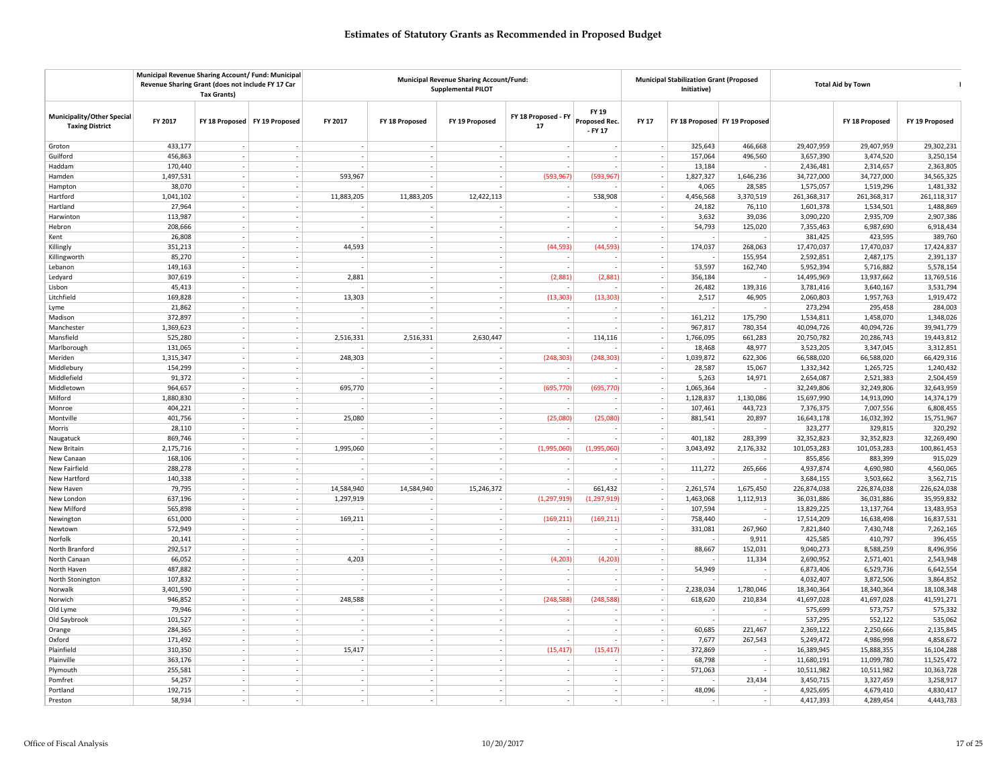|                                                      | Municipal Revenue Sharing Account/ Fund: Municipal<br>Revenue Sharing Grant (does not include FY 17 Car | <b>Tax Grants)</b>              |                          |            |                          | <b>Municipal Revenue Sharing Account/Fund:</b><br><b>Supplemental PILOT</b> |                           |                                     | <b>Municipal Stabilization Grant (Proposed</b><br>Initiative) |           | <b>Total Aid by Town</b>      |             |                |                |
|------------------------------------------------------|---------------------------------------------------------------------------------------------------------|---------------------------------|--------------------------|------------|--------------------------|-----------------------------------------------------------------------------|---------------------------|-------------------------------------|---------------------------------------------------------------|-----------|-------------------------------|-------------|----------------|----------------|
| Municipality/Other Special<br><b>Taxing District</b> | FY 2017                                                                                                 | FY 18 Proposed   FY 19 Proposed |                          | FY 2017    | FY 18 Proposed           | FY 19 Proposed                                                              | FY 18 Proposed - FY<br>17 | FY 19<br>Proposed Rec.<br>$-$ FY 17 | FY 17                                                         |           | FY 18 Proposed FY 19 Proposed |             | FY 18 Proposed | FY 19 Proposed |
| Groton                                               | 433,177                                                                                                 |                                 |                          | $\sim$     | $\overline{\phantom{a}}$ |                                                                             |                           |                                     |                                                               | 325,643   | 466,668                       | 29,407,959  | 29,407,959     | 29,302,231     |
| Guilford                                             | 456,863                                                                                                 |                                 |                          |            | $\overline{\phantom{a}}$ |                                                                             |                           |                                     |                                                               | 157,064   | 496,560                       | 3,657,390   | 3,474,520      | 3,250,154      |
| Haddam                                               | 170,440                                                                                                 | $\sim$                          |                          |            |                          |                                                                             |                           |                                     | $\sim$                                                        | 13,184    |                               | 2,436,481   | 2,314,657      | 2,363,805      |
| Hamden                                               | 1,497,531                                                                                               | $\sim$                          | $\sim$                   | 593,967    | $\sim$                   | $\overline{\phantom{a}}$                                                    | (593, 967)                | (593, 967)                          | $\sim$                                                        | 1,827,327 | 1,646,236                     | 34,727,000  | 34,727,000     | 34,565,325     |
| Hampton                                              | 38,070                                                                                                  | $\sim$                          |                          |            |                          |                                                                             |                           |                                     | $\sim$                                                        | 4,065     | 28,585                        | 1,575,057   | 1,519,296      | 1,481,332      |
| Hartford                                             | 1,041,102                                                                                               |                                 |                          | 11,883,205 | 11,883,205               | 12,422,113                                                                  |                           | 538,908                             | $\overline{\phantom{a}}$                                      | 4,456,568 | 3,370,519                     | 261,368,317 | 261,368,317    | 261,118,317    |
| Hartland                                             | 27,964                                                                                                  |                                 |                          |            |                          |                                                                             |                           |                                     |                                                               | 24,182    | 76,110                        | 1,601,378   | 1,534,501      | 1,488,869      |
| Harwinton                                            | 113,987                                                                                                 | $\sim$                          |                          | $\sim$     | $\sim$                   | $\sim$                                                                      |                           | $\sim$                              | $\sim$                                                        | 3,632     | 39,036                        | 3,090,220   | 2,935,709      | 2,907,386      |
| Hebron                                               | 208,666                                                                                                 |                                 |                          |            |                          |                                                                             |                           |                                     | $\overline{\phantom{a}}$                                      | 54,793    | 125,020                       | 7,355,463   | 6,987,690      | 6,918,434      |
| Kent                                                 | 26,808                                                                                                  |                                 |                          |            | $\overline{\phantom{a}}$ | $\overline{\phantom{a}}$                                                    |                           |                                     | $\overline{\phantom{a}}$                                      |           |                               | 381,425     | 423,595        | 389,760        |
| Killingly                                            | 351,213                                                                                                 | $\sim$                          |                          | 44,593     |                          |                                                                             | (44, 593)                 | (44, 593)                           |                                                               | 174,037   | 268,063                       | 17,470,037  | 17,470,037     | 17,424,837     |
| Killingworth                                         | 85,270                                                                                                  | $\sim$                          |                          |            | $\sim$                   | $\overline{\phantom{a}}$                                                    |                           |                                     |                                                               |           | 155,954                       | 2,592,851   | 2,487,175      | 2,391,137      |
| Lebanon                                              | 149,163                                                                                                 | $\sim$                          | $\overline{\phantom{a}}$ |            | $\sim$                   | $\overline{\phantom{a}}$                                                    |                           |                                     | $\sim$                                                        | 53,597    | 162,740                       | 5,952,394   | 5,716,882      | 5,578,154      |
| Ledyard                                              | 307,619                                                                                                 |                                 |                          | 2,881      |                          |                                                                             | (2.881)                   | (2,881)                             | $\overline{\phantom{a}}$                                      | 356,184   |                               | 14,495,969  | 13,937,662     | 13,769,516     |
| Lisbon                                               | 45,413                                                                                                  |                                 |                          |            | $\sim$                   |                                                                             |                           |                                     |                                                               | 26.482    | 139,316                       | 3,781,416   | 3,640,167      | 3,531,794      |
| Litchfield                                           | 169,828                                                                                                 | $\sim$                          |                          | 13,303     | $\sim$                   | $\sim$                                                                      | (13, 303)                 | (13, 303)                           |                                                               | 2,517     | 46,905                        | 2,060,803   | 1,957,763      | 1,919,472      |
| Lyme                                                 | 21,862                                                                                                  |                                 |                          |            |                          |                                                                             |                           |                                     |                                                               |           |                               | 273,294     | 295,458        | 284,003        |
| Madison                                              | 372,897                                                                                                 |                                 |                          |            | $\overline{\phantom{a}}$ | $\overline{\phantom{a}}$                                                    |                           |                                     | $\overline{\phantom{a}}$                                      | 161,212   | 175,790                       | 1,534,811   | 1,458,070      | 1,348,026      |
| Manchester                                           | 1,369,623                                                                                               | $\sim$                          |                          |            |                          |                                                                             |                           |                                     | $\sim$                                                        | 967,817   | 780,354                       | 40,094,726  | 40,094,726     | 39,941,779     |
| Mansfield                                            | 525,280                                                                                                 | $\sim$                          | $\overline{\phantom{a}}$ | 2,516,331  | 2,516,331                | 2,630,447                                                                   |                           | 114,116                             | $\sim$                                                        | 1,766,095 | 661,283                       | 20,750,782  | 20,286,743     | 19,443,812     |
| Marlborough                                          | 131,065                                                                                                 | $\sim$                          | $\sim$                   |            | $\overline{\phantom{a}}$ | $\overline{\phantom{a}}$                                                    |                           |                                     | $\sim$                                                        | 18,468    | 48,977                        | 3,523,205   | 3,347,045      | 3,312,851      |
| Meriden                                              | 1,315,347                                                                                               |                                 |                          | 248,303    | $\overline{\phantom{a}}$ |                                                                             | (248, 303)                | (248, 303)                          |                                                               | 1,039,872 | 622,306                       | 66,588,020  | 66,588,020     | 66,429,316     |
| Middlebury                                           | 154,299                                                                                                 |                                 |                          |            | $\sim$                   |                                                                             |                           |                                     |                                                               | 28,587    | 15,067                        | 1,332,342   | 1,265,725      | 1,240,432      |
| Middlefield                                          | 91,372                                                                                                  | $\sim$                          |                          |            | $\sim$                   | $\sim$                                                                      |                           |                                     |                                                               | 5,263     | 14,971                        | 2,654,087   | 2,521,383      | 2,504,459      |
| Middletown                                           | 964,657                                                                                                 |                                 |                          | 695,770    |                          |                                                                             | (695, 770)                | (695, 770)                          | $\overline{\phantom{a}}$                                      | 1,065,364 |                               | 32,249,806  | 32,249,806     | 32,643,959     |
| Milford                                              | 1,880,830                                                                                               | $\sim$                          |                          |            | $\sim$                   | $\overline{\phantom{a}}$                                                    |                           |                                     | $\overline{\phantom{a}}$                                      | 1,128,837 | 1,130,086                     | 15,697,990  | 14,913,090     | 14,374,179     |
| Monroe                                               | 404,221                                                                                                 |                                 |                          |            |                          |                                                                             |                           |                                     | $\overline{\phantom{a}}$                                      | 107,461   | 443,723                       | 7,376,375   | 7,007,556      | 6,808,455      |
| Montville                                            | 401,756                                                                                                 | $\sim$                          |                          | 25,080     | $\overline{\phantom{a}}$ | $\overline{\phantom{a}}$                                                    | (25,080)                  | (25,080)                            |                                                               | 881,541   | 20,897                        | 16,643,178  | 16,032,392     | 15,751,967     |
| Morris                                               | 28,110                                                                                                  | $\sim$                          | $\sim$                   |            | $\sim$                   | $\overline{\phantom{a}}$                                                    | $\overline{\phantom{a}}$  |                                     | $\sim$                                                        |           |                               | 323,277     | 329,815        | 320,292        |
| Naugatuck                                            | 869,746                                                                                                 |                                 |                          |            |                          |                                                                             |                           |                                     | $\overline{\phantom{a}}$                                      | 401,182   | 283,399                       | 32,352,823  | 32,352,823     | 32,269,490     |
| New Britain                                          | 2,175,716                                                                                               |                                 |                          | 1,995,060  |                          | $\overline{\phantom{a}}$                                                    | (1,995,060)               | (1,995,060)                         |                                                               | 3,043,492 | 2,176,332                     | 101,053,283 | 101,053,283    | 100,861,453    |
| New Canaan                                           | 168,106                                                                                                 | $\sim$                          |                          |            |                          |                                                                             |                           |                                     |                                                               |           |                               | 855,856     | 883,399        | 915,029        |
| New Fairfield                                        | 288,278                                                                                                 |                                 |                          |            |                          |                                                                             |                           |                                     |                                                               | 111,272   | 265,666                       | 4,937,874   | 4,690,980      | 4,560,065      |
| New Hartford                                         | 140,338                                                                                                 |                                 |                          |            |                          |                                                                             |                           |                                     | $\overline{\phantom{a}}$                                      |           |                               | 3,684,155   | 3,503,662      | 3,562,715      |
| New Haven                                            | 79,795                                                                                                  |                                 |                          | 14,584,940 | 14,584,940               | 15,246,372                                                                  |                           | 661,432                             | $\overline{\phantom{a}}$                                      | 2,261,574 | 1,675,450                     | 226,874,038 | 226,874,038    | 226,624,038    |
| New London                                           | 637,196                                                                                                 | $\sim$                          | $\sim$                   | 1,297,919  |                          |                                                                             | (1, 297, 919)             | (1, 297, 919)                       |                                                               | 1,463,068 | 1,112,913                     | 36,031,886  | 36,031,886     | 35,959,832     |
| New Milford                                          | 565,898                                                                                                 | $\sim$                          | $\overline{\phantom{a}}$ |            | $\sim$                   | $\overline{\phantom{a}}$                                                    |                           |                                     | $\overline{\phantom{a}}$                                      | 107,594   |                               | 13,829,225  | 13,137,764     | 13,483,953     |
| Newington                                            | 651,000                                                                                                 |                                 |                          | 169,211    | $\sim$                   |                                                                             | (169, 211)                | (169, 211)                          | - 1                                                           | 758,440   |                               | 17,514,209  | 16,638,498     | 16,837,531     |
| Newtown                                              | 572,949                                                                                                 |                                 |                          |            |                          |                                                                             |                           |                                     |                                                               | 331,081   | 267,960                       | 7,821,840   | 7,430,748      | 7,262,165      |
| Norfolk                                              | 20,141                                                                                                  | $\sim$                          |                          |            | $\sim$                   |                                                                             |                           | $\sim$                              | $\sim$                                                        |           | 9,911                         | 425,585     | 410,797        | 396,455        |
| North Branford                                       | 292,517                                                                                                 |                                 |                          |            |                          |                                                                             |                           |                                     |                                                               | 88,667    | 152,031                       | 9,040,273   | 8,588,259      | 8,496,956      |
| North Canaan                                         | 66,052                                                                                                  |                                 |                          | 4,203      | $\overline{\phantom{a}}$ | $\overline{\phantom{a}}$                                                    | (4, 203)                  | (4, 203)                            | $\overline{\phantom{a}}$                                      |           | 11,334                        | 2,690,952   | 2,571,401      | 2,543,948      |
| North Haven                                          | 487.882                                                                                                 |                                 |                          |            | $\sim$                   |                                                                             |                           |                                     | $\overline{\phantom{a}}$                                      | 54.949    |                               | 6,873,406   | 6,529,736      | 6,642,554      |
| North Stonington                                     | 107,832                                                                                                 | $\sim$                          |                          | ÷          |                          | $\sim$                                                                      |                           |                                     |                                                               |           |                               | 4,032,407   | 3,872,506      | 3,864,852      |
| Norwalk                                              | 3,401,590                                                                                               | $\sim$                          | $\overline{\phantom{a}}$ |            | $\sim$                   | $\overline{\phantom{a}}$                                                    |                           |                                     | $\sim$                                                        | 2,238,034 | 1,780,046                     | 18,340,364  | 18,340,364     | 18,108,348     |
| Norwich                                              | 946,852                                                                                                 |                                 |                          | 248,588    | $\overline{\phantom{a}}$ | $\overline{\phantom{a}}$                                                    | (248, 588)                | (248, 588)                          | $\overline{\phantom{a}}$                                      | 618,620   | 210,834                       | 41,697,028  | 41,697,028     | 41,591,271     |
| Old Lyme                                             | 79,946                                                                                                  |                                 |                          |            |                          |                                                                             |                           |                                     |                                                               |           |                               | 575,699     | 573,757        | 575,332        |
| Old Saybrook                                         | 101,527                                                                                                 | $\sim$                          |                          |            |                          |                                                                             |                           |                                     |                                                               |           |                               | 537,295     | 552,122        | 535,062        |
| Orange                                               | 284,365                                                                                                 |                                 |                          |            |                          |                                                                             |                           |                                     |                                                               | 60,685    | 221,467                       | 2,369,122   | 2,250,666      | 2,135,845      |
| Oxford                                               | 171,492                                                                                                 | $\sim$                          |                          |            | $\overline{\phantom{a}}$ |                                                                             |                           |                                     | $\overline{\phantom{a}}$                                      | 7,677     | 267,543                       | 5,249,472   | 4,986,998      | 4,858,672      |
| Plainfield                                           | 310,350                                                                                                 |                                 |                          | 15,417     | $\sim$                   |                                                                             | (15, 417)                 | (15, 417)                           | $\sim$                                                        | 372,869   |                               | 16,389,945  | 15,888,355     | 16,104,288     |
| Plainville                                           | 363,176                                                                                                 |                                 |                          |            |                          |                                                                             |                           |                                     |                                                               | 68,798    |                               | 11,680,191  | 11,099,780     | 11,525,472     |
| Plymouth                                             | 255,581                                                                                                 | $\sim$                          | $\overline{\phantom{a}}$ | $\sim$     | $\sim$                   | $\overline{\phantom{a}}$                                                    | $\overline{\phantom{a}}$  | $\sim$                              | $\sim$                                                        | 571,063   | $\sim$                        | 10,511,982  | 10,511,982     | 10,363,728     |
| Pomfret                                              | 54,257                                                                                                  |                                 |                          | $\sim$     | $\overline{\phantom{a}}$ |                                                                             |                           |                                     |                                                               |           | 23,434                        | 3,450,715   | 3,327,459      | 3,258,917      |
| Portland                                             | 192,715                                                                                                 |                                 |                          |            |                          |                                                                             |                           |                                     |                                                               | 48,096    |                               | 4,925,695   | 4,679,410      | 4,830,417      |
| Preston                                              | 58,934                                                                                                  | $\sim$                          | $\overline{\phantom{a}}$ | $\sim$     | $\sim$                   | $\overline{\phantom{a}}$                                                    |                           | $\sim$                              | $\sim$                                                        |           | $\overline{\phantom{a}}$      | 4,417,393   | 4,289,454      | 4,443,783      |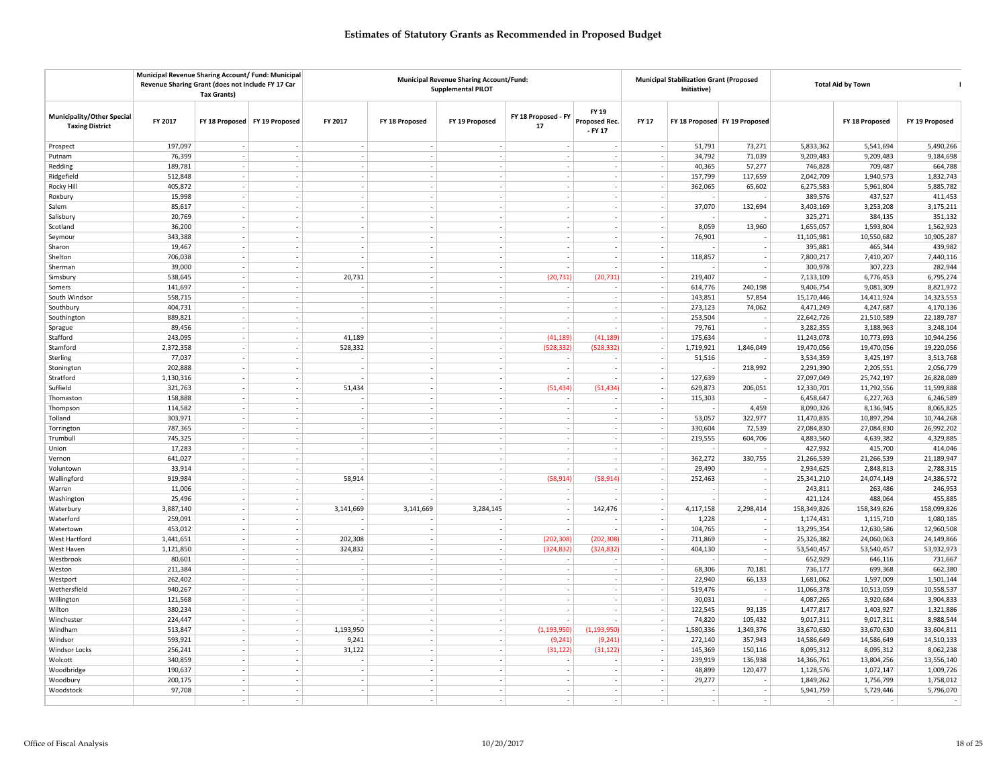|                                                      | Municipal Revenue Sharing Account/ Fund: Municipal<br>Revenue Sharing Grant (does not include FY 17 Car | <b>Tax Grants)</b>       |                                 |                          |                          | Municipal Revenue Sharing Account/Fund:<br><b>Supplemental PILOT</b> |                           |                                   | <b>Municipal Stabilization Grant (Proposed</b><br>Initiative) |           | <b>Total Aid by Town</b>                   |             |                |                |
|------------------------------------------------------|---------------------------------------------------------------------------------------------------------|--------------------------|---------------------------------|--------------------------|--------------------------|----------------------------------------------------------------------|---------------------------|-----------------------------------|---------------------------------------------------------------|-----------|--------------------------------------------|-------------|----------------|----------------|
| Municipality/Other Special<br><b>Taxing District</b> | FY 2017                                                                                                 |                          | FY 18 Proposed   FY 19 Proposed | FY 2017                  | FY 18 Proposed           | FY 19 Proposed                                                       | FY 18 Proposed - FY<br>17 | FY 19<br>Proposed Rec.<br>- FY 17 | <b>FY 17</b>                                                  |           | FY 18 Proposed FY 19 Proposed              |             | FY 18 Proposed | FY 19 Proposed |
| Prospect                                             | 197,097                                                                                                 |                          |                                 |                          | $\sim$                   |                                                                      |                           |                                   |                                                               | 51,791    | 73,271                                     | 5,833,362   | 5,541,694      | 5,490,266      |
| Putnam                                               | 76,399                                                                                                  | $\sim$                   |                                 | $\overline{\phantom{a}}$ | $\overline{\phantom{a}}$ | $\overline{\phantom{a}}$                                             |                           |                                   | $\sim$                                                        | 34,792    | 71,039                                     | 9,209,483   | 9,209,483      | 9,184,698      |
| Redding                                              | 189,781                                                                                                 |                          |                                 |                          |                          |                                                                      |                           |                                   | $\sim$                                                        | 40,365    | 57,277                                     | 746,828     | 709,487        | 664,788        |
| Ridgefield                                           | 512,848                                                                                                 | $\sim$                   |                                 | $\sim$                   |                          | $\overline{\phantom{a}}$                                             |                           |                                   | $\sim$                                                        | 157,799   | 117,659                                    | 2,042,709   | 1,940,573      | 1,832,743      |
| Rocky Hill                                           | 405,872                                                                                                 | $\sim$                   |                                 | $\sim$                   | $\overline{\phantom{a}}$ | $\overline{\phantom{a}}$                                             | $\sim$                    | $\sim$                            | $\sim$                                                        | 362,065   | 65,602                                     | 6,275,583   | 5,961,804      | 5,885,782      |
| Roxbury                                              | 15,998                                                                                                  | $\sim$                   |                                 | $\sim$                   |                          |                                                                      |                           |                                   | $\overline{\phantom{a}}$                                      |           |                                            | 389,576     | 437,527        | 411,453        |
| Salem                                                | 85,617                                                                                                  |                          |                                 | $\sim$                   | $\overline{\phantom{a}}$ |                                                                      |                           |                                   | $\overline{\phantom{a}}$                                      | 37,070    | 132,694                                    | 3,403,169   | 3,253,208      | 3,175,211      |
| Salisbury                                            | 20,769                                                                                                  | $\sim$                   |                                 | $\sim$                   | $\sim$                   | $\overline{\phantom{a}}$                                             |                           |                                   | $\sim$                                                        |           |                                            | 325,271     | 384,135        | 351,132        |
| Scotland                                             | 36,200                                                                                                  |                          |                                 | ÷.                       |                          | $\overline{a}$                                                       |                           |                                   |                                                               | 8,059     | 13,960                                     | 1,655,057   | 1,593,804      | 1,562,923      |
| Seymour                                              | 343,388                                                                                                 | $\sim$                   |                                 | $\sim$                   | $\overline{\phantom{a}}$ | $\overline{\phantom{a}}$                                             |                           |                                   | $\sim$                                                        | 76,901    | $\overline{\phantom{a}}$                   | 11,105,981  | 10,550,682     | 10,905,287     |
| Sharon                                               | 19,467                                                                                                  |                          |                                 | ÷.                       |                          |                                                                      |                           |                                   | $\sim$                                                        |           |                                            | 395,881     | 465,344        | 439,982        |
| Shelton                                              | 706,038                                                                                                 |                          |                                 |                          | $\sim$                   | $\sim$                                                               |                           |                                   |                                                               | 118,857   | $\overline{\phantom{a}}$                   | 7,800,217   | 7,410,207      | 7,440,116      |
| Sherman                                              | 39,000                                                                                                  | $\sim$                   |                                 |                          | $\overline{\phantom{a}}$ | $\overline{\phantom{a}}$                                             |                           |                                   | $\sim$                                                        |           | $\sim$                                     | 300,978     | 307,223        | 282,944        |
| Simsbury                                             | 538,645                                                                                                 | $\sim$                   |                                 | 20,731                   | $\overline{\phantom{a}}$ | $\overline{\phantom{a}}$                                             | (20, 731)                 | (20, 731)                         | $\sim$                                                        | 219,407   |                                            | 7,133,109   | 6,776,453      | 6,795,274      |
| Somers                                               | 141,697                                                                                                 |                          |                                 |                          | $\overline{\phantom{a}}$ |                                                                      |                           |                                   |                                                               | 614,776   | 240,198                                    | 9,406,754   | 9,081,309      | 8,821,972      |
| South Windsor                                        | 558,715                                                                                                 |                          |                                 | $\overline{\phantom{a}}$ | $\sim$                   |                                                                      |                           |                                   | $\sim$                                                        | 143,851   | 57,854                                     | 15,170,446  | 14,411,924     | 14,323,553     |
| Southbury                                            | 404,731                                                                                                 |                          |                                 | $\overline{\phantom{a}}$ |                          | $\overline{\phantom{a}}$                                             |                           |                                   |                                                               | 273,123   | 74,062                                     | 4,471,249   | 4,247,687      | 4,170,136      |
| Southington                                          | 889,821                                                                                                 | $\sim$                   |                                 | $\overline{\phantom{a}}$ | $\overline{\phantom{a}}$ | $\overline{\phantom{a}}$                                             |                           |                                   | $\sim$                                                        | 253,504   |                                            | 22,642,726  | 21,510,589     | 22,189,787     |
| Sprague                                              | 89,456                                                                                                  |                          |                                 |                          | ٠.                       | $\overline{\phantom{a}}$                                             |                           |                                   | $\overline{\phantom{a}}$                                      | 79,761    |                                            | 3,282,355   | 3,188,963      | 3,248,104      |
| Stafford                                             | 243,095                                                                                                 |                          |                                 | 41,189                   | $\sim$                   | $\overline{\phantom{a}}$                                             | (41, 189)                 | (41, 189)                         | $\sim$                                                        | 175,634   | $\overline{\phantom{a}}$                   | 11,243,078  | 10,773,693     | 10,944,256     |
| Stamford                                             | 2,372,358                                                                                               | $\sim$                   |                                 | 528,332                  | $\overline{\phantom{a}}$ | $\overline{\phantom{a}}$                                             | (528, 332)                | (528, 332)                        | $\sim$                                                        | 1,719,921 | 1,846,049                                  | 19,470,056  | 19,470,056     | 19,220,056     |
| Sterling                                             | 77,037                                                                                                  | $\sim$                   |                                 |                          | $\sim$                   | $\sim$                                                               |                           |                                   | $\overline{\phantom{a}}$                                      | 51,516    |                                            | 3,534,359   | 3,425,197      | 3,513,768      |
| Stonington                                           | 202,888                                                                                                 | $\sim$                   |                                 | $\sim$                   | $\overline{\phantom{a}}$ | $\overline{\phantom{a}}$                                             |                           |                                   | $\overline{\phantom{a}}$                                      |           | 218,992                                    | 2,291,390   | 2,205,551      | 2,056,779      |
| Stratford                                            | 1,130,316                                                                                               |                          |                                 |                          |                          |                                                                      |                           |                                   | $\sim$                                                        | 127,639   |                                            | 27,097,049  | 25,742,197     | 26,828,089     |
| Suffield                                             | 321,763                                                                                                 |                          |                                 | 51,434                   |                          | $\sim$                                                               | (51, 434)                 | (51, 434)                         |                                                               | 629,873   | 206,051                                    | 12,330,701  | 11,792,556     | 11,599,888     |
| Thomaston                                            | 158,888                                                                                                 | $\sim$                   |                                 |                          | $\overline{\phantom{a}}$ | $\overline{\phantom{a}}$                                             |                           |                                   | $\overline{\phantom{a}}$                                      | 115,303   |                                            | 6,458,647   | 6,227,763      | 6,246,589      |
|                                                      | 114,582                                                                                                 | $\overline{\phantom{a}}$ |                                 | $\sim$                   | $\overline{a}$           | $\overline{a}$                                                       |                           |                                   | $\sim$                                                        |           | 4,459                                      | 8,090,326   | 8,136,945      | 8,065,825      |
| Thompson<br>Tolland                                  | 303,971                                                                                                 |                          |                                 | $\overline{\phantom{a}}$ | $\overline{\phantom{a}}$ | $\overline{\phantom{a}}$                                             |                           |                                   |                                                               | 53,057    | 322,977                                    | 11,470,835  | 10,897,294     | 10,744,268     |
| Torrington                                           | 787,365                                                                                                 | $\sim$                   |                                 | $\sim$                   | $\overline{\phantom{a}}$ | $\overline{\phantom{a}}$                                             |                           |                                   | $\sim$                                                        | 330,604   | 72,539                                     | 27,084,830  | 27,084,830     | 26,992,202     |
|                                                      | 745,325                                                                                                 | $\sim$                   |                                 | $\sim$                   | $\overline{\phantom{a}}$ | $\overline{\phantom{a}}$                                             |                           |                                   | $\overline{\phantom{a}}$                                      | 219,555   | 604,706                                    | 4,883,560   | 4,639,382      | 4,329,885      |
| Trumbull<br>Union                                    | 17,283                                                                                                  |                          |                                 | $\overline{\phantom{a}}$ | $\overline{\phantom{a}}$ | $\overline{\phantom{a}}$                                             |                           |                                   |                                                               |           |                                            | 427,932     | 415,700        | 414,046        |
|                                                      |                                                                                                         |                          |                                 |                          |                          |                                                                      |                           |                                   | $\overline{\phantom{a}}$<br>$\sim$                            |           |                                            |             |                |                |
| Vernon                                               | 641,027                                                                                                 |                          |                                 |                          |                          |                                                                      |                           |                                   |                                                               | 362,272   | 330,755                                    | 21,266,539  | 21,266,539     | 21,189,947     |
| Voluntown                                            | 33,914                                                                                                  |                          |                                 |                          |                          |                                                                      |                           |                                   |                                                               | 29,490    |                                            | 2,934,625   | 2,848,813      | 2,788,315      |
| Wallingford                                          | 919,984                                                                                                 | $\sim$<br>$\sim$         |                                 | 58,914                   | $\overline{\phantom{a}}$ | $\overline{\phantom{a}}$                                             | (58, 914)                 | (58, 914)                         | $\sim$                                                        | 252,463   | $\overline{\phantom{a}}$<br>$\overline{a}$ | 25,341,210  | 24,074,149     | 24,386,572     |
| Warren                                               | 11,006                                                                                                  |                          |                                 |                          | ÷                        |                                                                      |                           |                                   | $\overline{\phantom{a}}$                                      |           |                                            | 243,811     | 263,486        | 246,953        |
| Washington                                           | 25,496                                                                                                  |                          |                                 |                          |                          |                                                                      |                           |                                   |                                                               |           |                                            | 421,124     | 488.064        | 455,885        |
| Waterbury                                            | 3,887,140                                                                                               | $\sim$                   | $\sim$                          | 3,141,669                | 3,141,669                | 3,284,145                                                            | $\sim$                    | 142,476                           | $\overline{\phantom{a}}$                                      | 4,117,158 | 2,298,414                                  | 158,349,826 | 158,349,826    | 158,099,826    |
| Waterford                                            | 259,091                                                                                                 | . п.                     |                                 |                          |                          |                                                                      |                           |                                   |                                                               | 1,228     |                                            | 1,174,431   | 1,115,710      | 1,080,185      |
| Watertown                                            | 453,012                                                                                                 | $\sim$                   |                                 |                          | $\overline{\phantom{a}}$ | $\overline{\phantom{a}}$                                             |                           |                                   | $\overline{\phantom{a}}$                                      | 104,765   | $\overline{\phantom{a}}$                   | 13,295,354  | 12,630,586     | 12,960,508     |
| West Hartford                                        | 1,441,651                                                                                               |                          |                                 | 202,308                  |                          |                                                                      | (202, 308)                | (202, 308)                        | $\sim$                                                        | 711,869   |                                            | 25,326,382  | 24,060,063     | 24,149,866     |
| West Haven                                           | 1,121,850                                                                                               |                          |                                 | 324,832                  |                          |                                                                      | (324, 832)                | (324, 832)                        |                                                               | 404,130   |                                            | 53,540,457  | 53,540,457     | 53,932,973     |
| Westbrook                                            | 80,601                                                                                                  | $\sim$                   |                                 |                          | $\overline{\phantom{a}}$ | $\overline{\phantom{a}}$                                             |                           |                                   | $\sim$                                                        |           | $\overline{\phantom{a}}$                   | 652,929     | 646,116        | 731,667        |
| Weston                                               | 211,384                                                                                                 | $\sim$                   |                                 | $\sim$                   | $\overline{\phantom{a}}$ | $\overline{\phantom{a}}$                                             |                           |                                   | $\overline{\phantom{a}}$                                      | 68,306    | 70,181                                     | 736,177     | 699,368        | 662,380        |
| Westport                                             | 262,402                                                                                                 |                          |                                 |                          |                          |                                                                      |                           |                                   | $\overline{\phantom{a}}$                                      | 22,940    | 66,133                                     | 1,681,062   | 1,597,009      | 1,501,144      |
| Wethersfield                                         | 940,267                                                                                                 | $\sim$                   |                                 | $\sim$                   | $\sim$                   | $\overline{\phantom{a}}$                                             |                           |                                   | $\sim$                                                        | 519,476   |                                            | 11,066,378  | 10,513,059     | 10,558,537     |
| Willington                                           | 121,568                                                                                                 |                          |                                 | $\sim$                   |                          | $\overline{\phantom{a}}$                                             |                           |                                   |                                                               | 30,031    | $\sim$                                     | 4,087,265   | 3,920,684      | 3,904,833      |
| Wilton                                               | 380,234                                                                                                 | $\sim$                   |                                 | $\sim$                   | $\overline{\phantom{a}}$ | $\overline{\phantom{a}}$                                             |                           |                                   | $\sim$                                                        | 122,545   | 93,135                                     | 1,477,817   | 1,403,927      | 1,321,886      |
| Winchester                                           | 224,447                                                                                                 |                          |                                 |                          | $\sim$                   |                                                                      |                           |                                   | $\overline{\phantom{a}}$                                      | 74,820    | 105,432                                    | 9,017,311   | 9,017,311      | 8,988,544      |
| Windham                                              | 513,847                                                                                                 |                          |                                 | 1,193,950                |                          |                                                                      | (1, 193, 950)             | (1, 193, 950)                     |                                                               | 1,580,336 | 1,349,376                                  | 33,670,630  | 33,670,630     | 33,604,811     |
| Windsor                                              | 593,921                                                                                                 | $\sim$                   |                                 | 9,241                    | ÷.                       | $\sim$                                                               | (9, 241)                  | (9, 241)                          | $\sim$                                                        | 272,140   | 357,943                                    | 14,586,649  | 14,586,649     | 14,510,133     |
| Windsor Locks                                        | 256,241                                                                                                 |                          |                                 | 31,122                   |                          | $\overline{a}$                                                       | (31, 122)                 | (31, 122)                         | $\sim$                                                        | 145,369   | 150,116                                    | 8,095,312   | 8,095,312      | 8,062,238      |
| Wolcott                                              | 340,859                                                                                                 | $\sim$                   |                                 | $\overline{\phantom{a}}$ |                          |                                                                      |                           |                                   | $\overline{\phantom{a}}$                                      | 239,919   | 136,938                                    | 14,366,761  | 13,804,256     | 13,556,140     |
| Woodbridge                                           | 190,637                                                                                                 |                          |                                 |                          |                          |                                                                      |                           |                                   | $\overline{\phantom{a}}$                                      | 48,899    | 120,477                                    | 1,128,576   | 1,072,147      | 1,009,726      |
| Woodbury                                             | 200,175                                                                                                 | $\sim$                   |                                 | $\overline{\phantom{a}}$ | $\overline{\phantom{a}}$ | $\overline{\phantom{a}}$                                             |                           |                                   |                                                               | 29,277    |                                            | 1,849,262   | 1,756,799      | 1,758,012      |
| Woodstock                                            | 97,708                                                                                                  | $\sim$                   |                                 | $\sim$                   | $\overline{\phantom{a}}$ | $\overline{\phantom{a}}$                                             |                           |                                   | $\sim$                                                        |           | $\overline{\phantom{a}}$                   | 5,941,759   | 5,729,446      | 5,796,070      |
|                                                      |                                                                                                         |                          |                                 |                          |                          | $\sim$                                                               |                           |                                   | $\sim$                                                        |           | $\sim$                                     |             |                |                |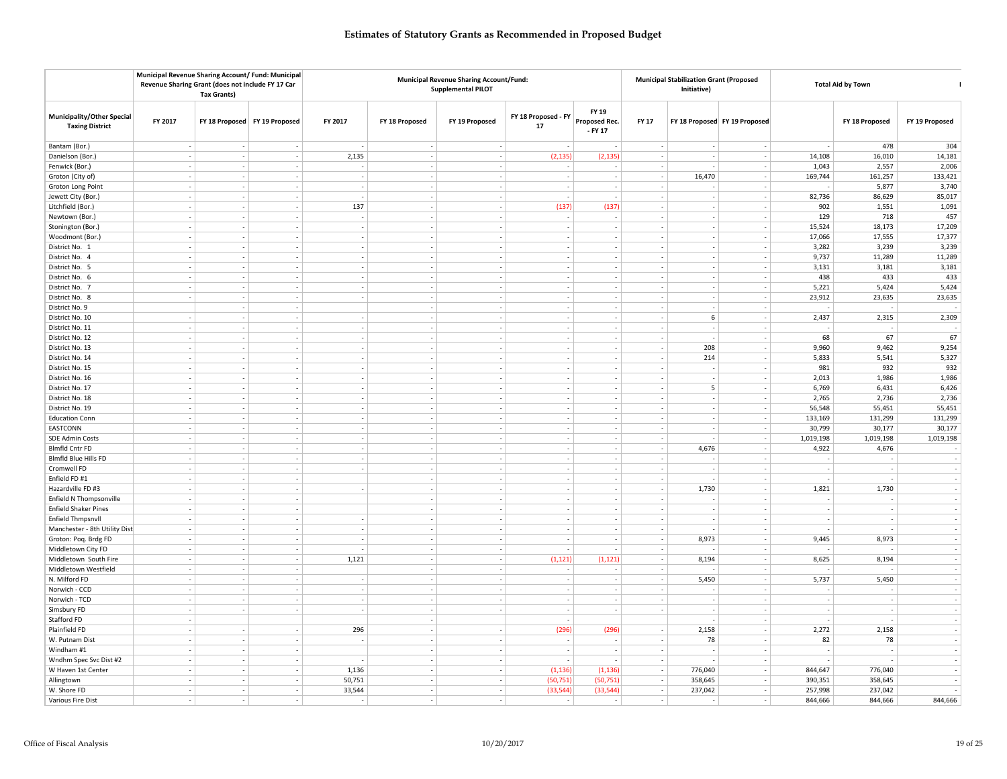|                                                             |                          | Municipal Revenue Sharing Account/ Fund: Municipal<br>Revenue Sharing Grant (does not include FY 17 Car<br><b>Tax Grants)</b> |                               |                          |                          | <b>Municipal Revenue Sharing Account/Fund:</b><br><b>Supplemental PILOT</b> |                           |                                     | <b>Municipal Stabilization Grant (Proposed</b><br>Initiative) |             | <b>Total Aid by Town</b>      |           |                                   |                |
|-------------------------------------------------------------|--------------------------|-------------------------------------------------------------------------------------------------------------------------------|-------------------------------|--------------------------|--------------------------|-----------------------------------------------------------------------------|---------------------------|-------------------------------------|---------------------------------------------------------------|-------------|-------------------------------|-----------|-----------------------------------|----------------|
| <b>Municipality/Other Special</b><br><b>Taxing District</b> | FY 2017                  |                                                                                                                               | FY 18 Proposed FY 19 Proposed | FY 2017                  | FY 18 Proposed           | FY 19 Proposed                                                              | FY 18 Proposed - FY<br>17 | FY 19<br>Proposed Rec.<br>$-$ FY 17 | <b>FY 17</b>                                                  |             | FY 18 Proposed FY 19 Proposed |           | FY 18 Proposed                    | FY 19 Proposed |
| Bantam (Bor.)                                               |                          |                                                                                                                               |                               |                          | $\sim$                   | $\overline{\phantom{a}}$                                                    |                           |                                     |                                                               |             |                               |           | 478                               | 304            |
| Danielson (Bor.)                                            |                          | $\overline{\phantom{a}}$<br>$\sim$                                                                                            | $\overline{\phantom{a}}$      | 2,135                    | $\sim$                   | $\overline{\phantom{a}}$                                                    | (2, 135)                  | (2, 135)                            |                                                               |             |                               | 14,108    | 16,010                            | 14,181         |
| Fenwick (Bor.)                                              |                          | $\mathcal{L}_{\mathcal{A}}$<br>$\sim$                                                                                         | $\sim$                        |                          |                          |                                                                             |                           | $\sim$                              |                                                               |             |                               | 1,043     | 2,557                             | 2,006          |
| Groton (City of)                                            |                          | $\overline{\phantom{a}}$<br>$\overline{\phantom{a}}$                                                                          | $\sim$                        | $\sim$                   | $\sim$                   | $\sim$                                                                      |                           | $\sim$                              |                                                               | 16,470      | $\sim$                        | 169,744   | 161,257                           | 133,421        |
| Groton Long Point                                           |                          | $\overline{\phantom{a}}$<br>$\sim$                                                                                            | $\overline{\phantom{a}}$      | $\overline{\phantom{a}}$ | $\sim$                   | $\sim$                                                                      | $\overline{a}$            | $\sim$                              | $\overline{a}$                                                |             | $\overline{\phantom{a}}$      |           | 5,877                             | 3,740          |
| Jewett City (Bor.)                                          | $\sim$                   | $\overline{\phantom{a}}$                                                                                                      |                               |                          | $\sim$                   |                                                                             |                           |                                     |                                                               |             | ÷,                            | 82,736    | 86,629                            | 85,017         |
| Litchfield (Bor.)                                           | $\overline{\phantom{a}}$ | $\overline{\phantom{a}}$                                                                                                      | $\sim$                        | 137                      | $\sim$                   | $\sim$                                                                      | (137)                     | (137)                               |                                                               |             | ÷,                            | 902       | 1,551                             | 1,091          |
| Newtown (Bor.)                                              |                          | $\sim$<br>$\sim$                                                                                                              | $\overline{\phantom{a}}$      |                          | $\sim$                   | $\sim$                                                                      |                           | $\sim$                              |                                                               |             | $\overline{\phantom{a}}$      | 129       | 718                               | 457            |
| Stonington (Bor.)                                           | $\overline{\phantom{a}}$ | ÷.                                                                                                                            |                               |                          | $\overline{\phantom{a}}$ | $\overline{\phantom{a}}$                                                    |                           | $\sim$                              |                                                               |             | $\overline{a}$                | 15,524    | 18,173                            | 17,209         |
| Woodmont (Bor.)                                             |                          | $\overline{\phantom{a}}$<br>$\overline{\phantom{a}}$                                                                          | $\overline{\phantom{a}}$      | $\sim$                   | $\overline{\phantom{a}}$ | $\overline{\phantom{a}}$                                                    |                           |                                     |                                                               |             | $\overline{\phantom{a}}$      | 17,066    | 17,555                            | 17,377         |
| District No. 1                                              |                          | $\sim$<br>$\overline{\phantom{a}}$                                                                                            | $\mathcal{L}_{\mathcal{A}}$   | ÷.                       | $\sim$                   |                                                                             |                           | $\sim$                              |                                                               |             | $\overline{\phantom{a}}$      | 3,282     | 3,239                             | 3,239          |
| District No. 4                                              |                          | $\overline{\phantom{a}}$<br>$\sim$                                                                                            | $\overline{\phantom{a}}$      | $\sim$                   | $\sim$                   | $\sim$                                                                      | $\overline{\phantom{a}}$  | $\sim$                              |                                                               | ٠           | $\overline{\phantom{a}}$      | 9,737     | 11,289                            | 11,289         |
| District No. 5                                              |                          | $\overline{\phantom{a}}$<br>$\sim$                                                                                            | $\overline{\phantom{a}}$      | $\overline{\phantom{a}}$ | $\sim$                   | $\sim$                                                                      | $\sim$                    | $\sim$                              | $\overline{\phantom{a}}$                                      | $\sim$      | $\overline{\phantom{a}}$      | 3,131     | 3,181                             | 3,181          |
| District No. 6                                              |                          | $\sim$                                                                                                                        |                               |                          |                          |                                                                             |                           |                                     |                                                               |             |                               | 438       | 433                               | 433            |
| District No. 7                                              |                          | ÷,<br>÷,                                                                                                                      | ÷.                            |                          | $\sim$                   | $\sim$                                                                      |                           |                                     |                                                               |             | ÷,                            | 5,221     | 5,424                             | 5,424          |
| District No. 8                                              |                          | ÷<br>$\sim$                                                                                                                   | $\mathcal{L}_{\mathcal{A}}$   |                          | $\sim$                   | ÷.                                                                          |                           | ÷                                   |                                                               | ÷           | $\sim$                        | 23,912    | 23,635                            | 23,635         |
| District No. 9                                              |                          | - 1                                                                                                                           | $\overline{\phantom{a}}$      |                          | $\overline{\phantom{a}}$ | $\overline{\phantom{a}}$                                                    |                           | $\sim$                              |                                                               |             | $\overline{a}$                |           |                                   |                |
| District No. 10                                             |                          | $\sim$<br>$\sim$                                                                                                              | $\overline{\phantom{a}}$      |                          | $\sim$                   | $\overline{\phantom{a}}$                                                    |                           | $\sim$                              |                                                               | $\,$ 6 $\,$ | $\overline{\phantom{a}}$      | 2,437     | 2,315                             | 2,309          |
| District No. 11                                             |                          | $\sim$<br>$\overline{\phantom{a}}$                                                                                            |                               |                          |                          |                                                                             |                           | $\sim$                              |                                                               |             | $\overline{\phantom{a}}$      |           |                                   |                |
| District No. 12                                             |                          | $\overline{\phantom{a}}$<br>×,                                                                                                | $\overline{\phantom{a}}$      | $\sim$                   | $\sim$                   | $\overline{\phantom{a}}$                                                    |                           | $\sim$                              |                                                               |             | $\overline{\phantom{a}}$      | 68        | 67                                | 67             |
| District No. 13                                             |                          | $\overline{\phantom{a}}$<br>$\sim$                                                                                            | $\overline{\phantom{a}}$      | $\sim$                   | $\sim$                   | $\sim$                                                                      | $\sim$                    | $\sim$                              | $\overline{a}$                                                | 208         | $\overline{\phantom{a}}$      | 9,960     | 9,462                             | 9,254          |
| District No. 14                                             | $\sim$                   | $\sim$                                                                                                                        |                               |                          | $\sim$                   | $\overline{\phantom{a}}$                                                    |                           | $\sim$                              |                                                               | 214         |                               | 5,833     | 5,541                             | 5,327          |
| District No. 15                                             |                          | $\sim$<br>$\overline{\phantom{a}}$                                                                                            | $\sim$                        |                          | $\sim$                   | $\overline{\phantom{a}}$                                                    |                           |                                     |                                                               |             | ÷,                            | 981       | 932                               | 932            |
| District No. 16                                             |                          | ÷<br>$\overline{\phantom{a}}$                                                                                                 | $\sim$                        |                          | $\sim$                   | ÷.                                                                          |                           | $\sim$                              |                                                               |             | $\sim$                        | 2,013     | 1,986                             | 1,986          |
| District No. 17                                             | ÷                        | $\overline{a}$                                                                                                                |                               |                          | $\overline{\phantom{a}}$ |                                                                             |                           | ÷                                   |                                                               | 5           | $\overline{a}$                | 6,769     | 6,431                             | 6,426          |
| District No. 18                                             |                          | $\sim$<br>$\sim$                                                                                                              | $\sim$                        | $\sim$                   | $\sim$                   | $\overline{\phantom{a}}$                                                    |                           | $\sim$                              |                                                               | $\sim$      | $\overline{\phantom{a}}$      | 2,765     | 2,736                             | 2,736          |
| District No. 19                                             |                          | $\mathbf{r}$<br>$\overline{\phantom{a}}$                                                                                      |                               |                          | $\sim$                   |                                                                             |                           |                                     |                                                               |             | $\overline{a}$                | 56,548    | 55,451                            | 55,451         |
| <b>Education Conn</b>                                       |                          | $\overline{\phantom{a}}$<br>$\overline{\phantom{a}}$                                                                          | $\overline{\phantom{a}}$      | $\sim$                   | $\overline{\phantom{a}}$ | $\sim$                                                                      |                           | $\sim$                              |                                                               |             | $\overline{\phantom{a}}$      | 133,169   | 131,299                           | 131,299        |
| EASTCONN                                                    |                          | $\sim$<br>$\sim$                                                                                                              | $\overline{\phantom{a}}$      | $\overline{\phantom{a}}$ | $\sim$                   | $\sim$                                                                      | $\overline{\phantom{a}}$  | $\sim$                              | $\overline{\phantom{a}}$                                      | $\sim$      | $\overline{\phantom{a}}$      | 30,799    | 30,177                            | 30,177         |
| <b>SDE Admin Costs</b>                                      |                          | $\overline{\phantom{a}}$                                                                                                      |                               |                          | $\overline{\phantom{a}}$ | $\overline{\phantom{a}}$                                                    |                           |                                     |                                                               |             | ÷,                            | 1,019,198 | 1,019,198                         | 1,019,198      |
| <b>Blmfld Cntr FD</b>                                       |                          | $\frac{1}{2}$                                                                                                                 | $\overline{a}$                |                          | $\sim$                   |                                                                             |                           |                                     |                                                               | 4,676       | $\overline{\phantom{a}}$      | 4,922     | 4,676                             |                |
| <b>Blmfld Blue Hills FD</b>                                 | $\overline{\phantom{a}}$ | $\overline{\phantom{a}}$                                                                                                      | ÷.                            |                          | $\sim$                   | $\sim$                                                                      |                           | $\sim$                              |                                                               |             | $\overline{\phantom{a}}$      |           |                                   |                |
| Cromwell FD                                                 | ÷                        | ÷.                                                                                                                            | $\sim$                        |                          | $\overline{\phantom{a}}$ | $\overline{\phantom{a}}$                                                    |                           | ÷                                   |                                                               |             | $\sim$                        |           |                                   |                |
| Enfield FD #1                                               |                          | $\overline{\phantom{a}}$<br>$\sim$                                                                                            | $\overline{\phantom{a}}$      |                          | $\overline{\phantom{a}}$ | $\overline{\phantom{a}}$                                                    |                           |                                     | $\overline{\phantom{a}}$                                      |             | $\overline{\phantom{a}}$      |           |                                   |                |
| Hazardville FD #3                                           |                          | $\mathcal{L}_{\mathcal{A}}$<br>$\overline{\phantom{a}}$                                                                       |                               |                          | $\overline{\phantom{a}}$ | $\sim$                                                                      |                           | $\mathcal{L}$                       | $\sim$                                                        | 1,730       | $\overline{a}$                | 1,821     | 1,730                             |                |
| Enfield N Thompsonville                                     |                          | $\sim$<br>÷,                                                                                                                  | $\mathcal{L}_{\mathcal{A}}$   |                          | $\sim$                   | $\sim$                                                                      |                           | ÷                                   |                                                               |             | $\sim$                        |           |                                   |                |
| <b>Enfield Shaker Pines</b>                                 |                          | $\overline{\phantom{a}}$<br>$\sim$                                                                                            | $\sim$                        |                          | $\sim$                   | $\sim$                                                                      | $\overline{\phantom{a}}$  | $\sim$                              | ۰.                                                            | $\sim$      | $\sim$                        | ٠         | $\sim$                            |                |
| <b>Enfield Thmpsnvll</b>                                    | $\overline{\phantom{a}}$ | $\sim$                                                                                                                        |                               |                          | $\overline{\phantom{a}}$ | $\overline{\phantom{a}}$                                                    |                           | $\sim$                              |                                                               |             | $\overline{\phantom{a}}$      |           |                                   |                |
| Manchester - 8th Utility Dist                               |                          | $\overline{\phantom{a}}$<br>$\sim$                                                                                            |                               |                          | $\overline{\phantom{a}}$ |                                                                             |                           |                                     |                                                               |             | $\overline{\phantom{a}}$      |           |                                   |                |
| Groton: Poq. Brdg FD                                        | $\overline{\phantom{a}}$ | $\overline{\phantom{a}}$                                                                                                      |                               |                          |                          |                                                                             |                           | $\sim$                              |                                                               | 8,973       | $\overline{\phantom{a}}$      | 9,445     | 8,973                             |                |
| Middletown City FD                                          | $\sim$                   | $\overline{a}$                                                                                                                | $\sim$                        |                          | $\overline{\phantom{a}}$ | $\overline{\phantom{a}}$                                                    |                           | ۰.                                  |                                                               |             | $\overline{\phantom{a}}$      |           |                                   |                |
| Middletown South Fire                                       |                          | $\overline{\phantom{a}}$<br>$\overline{\phantom{a}}$                                                                          | $\overline{\phantom{a}}$      | 1,121                    | $\sim$                   | $\overline{\phantom{a}}$                                                    | (1, 121)                  | (1, 121)                            | $\sim$                                                        | 8,194       | $\overline{\phantom{a}}$      | 8,625     | 8,194                             |                |
| Middletown Westfield                                        |                          | $\mathbf{r}$<br>$\overline{\phantom{a}}$                                                                                      |                               |                          | $\sim$                   | ÷,                                                                          |                           | $\sim$                              | $\sim$                                                        |             | ÷,                            |           |                                   |                |
|                                                             |                          | $\sim$<br>$\overline{\phantom{a}}$                                                                                            | $\sim$                        |                          | $\sim$                   | ÷.                                                                          |                           | $\sim$                              |                                                               |             | $\sim$                        |           |                                   |                |
| N. Milford FD                                               |                          | $\sim$<br>$\sim$                                                                                                              | $\mathcal{L}_{\mathcal{A}}$   | $\sim$                   | $\sim$                   | ÷.                                                                          | $\overline{a}$            |                                     | $\overline{a}$                                                | 5,450       | $\sim$                        | 5,737     | 5,450<br>$\overline{\phantom{a}}$ |                |
| Norwich - CCD                                               | $\overline{\phantom{a}}$ | ٠.                                                                                                                            | $\overline{a}$                |                          | $\overline{\phantom{a}}$ | $\overline{\phantom{a}}$                                                    |                           | $\sim$<br>$\sim$                    |                                                               |             | $\overline{\phantom{a}}$      |           | $\overline{\phantom{a}}$          |                |
| Norwich - TCD                                               |                          |                                                                                                                               |                               |                          |                          |                                                                             |                           |                                     |                                                               |             |                               |           |                                   |                |
| Simsbury FD                                                 |                          | $\overline{\phantom{a}}$                                                                                                      | $\overline{\phantom{a}}$      |                          | $\overline{\phantom{a}}$ | $\overline{\phantom{a}}$                                                    |                           |                                     |                                                               |             | $\overline{\phantom{a}}$      |           |                                   |                |
| Stafford FD                                                 | $\overline{\phantom{a}}$ |                                                                                                                               |                               |                          | $\overline{\phantom{a}}$ |                                                                             |                           |                                     |                                                               |             |                               |           |                                   |                |
| Plainfield FD                                               | $\sim$                   | $\overline{\phantom{a}}$                                                                                                      |                               | 296                      | $\sim$                   |                                                                             | (296)                     | (296)                               |                                                               | 2,158       | $\sim$                        | 2,272     | 2,158                             |                |
| W. Putnam Dist                                              | $\overline{\phantom{a}}$ | $\sim$                                                                                                                        | $\overline{\phantom{a}}$      |                          | $\sim$                   | $\overline{\phantom{a}}$                                                    |                           |                                     |                                                               | 78          | $\overline{\phantom{a}}$      | 82        | 78                                |                |
| Windham #1                                                  | $\sim$                   | $\overline{\phantom{a}}$                                                                                                      |                               |                          | $\sim$                   | $\sim$                                                                      |                           | $\sim$                              | $\overline{\phantom{a}}$                                      |             | ÷,                            |           |                                   |                |
| Wndhm Spec Svc Dist #2                                      | $\overline{\phantom{a}}$ |                                                                                                                               | $\sim$                        |                          |                          | $\overline{\phantom{a}}$                                                    |                           | $\sim$                              |                                                               |             | $\overline{\phantom{a}}$      |           |                                   |                |
| W Haven 1st Center                                          |                          | $\sim$<br>$\sim$                                                                                                              | $\sim$                        | 1,136                    | $\sim$                   | $\sim$                                                                      | (1, 136)                  | (1, 136)                            | $\sim$                                                        | 776,040     | $\sim$                        | 844,647   | 776,040                           |                |
| Allingtown                                                  | $\sim$                   | ٠.                                                                                                                            |                               | 50,751                   | $\overline{\phantom{a}}$ | $\overline{\phantom{a}}$                                                    | (50, 751)                 | (50, 751)                           |                                                               | 358,645     | $\overline{\phantom{a}}$      | 390,351   | 358,645                           |                |
| W. Shore FD                                                 |                          | ÷,                                                                                                                            |                               | 33,544                   |                          | $\overline{\phantom{a}}$                                                    | (33, 544)                 | (33, 544)                           |                                                               | 237,042     | $\overline{\phantom{a}}$      | 257,998   | 237,042                           |                |
| Various Fire Dist                                           |                          | $\overline{\phantom{a}}$<br>$\sim$                                                                                            | $\sim$                        | -                        | $\sim$                   | $\sim$                                                                      | $\overline{\phantom{a}}$  | $\sim$                              | $\sim$                                                        | $\sim$      | $\overline{\phantom{a}}$      | 844,666   | 844,666                           | 844,666        |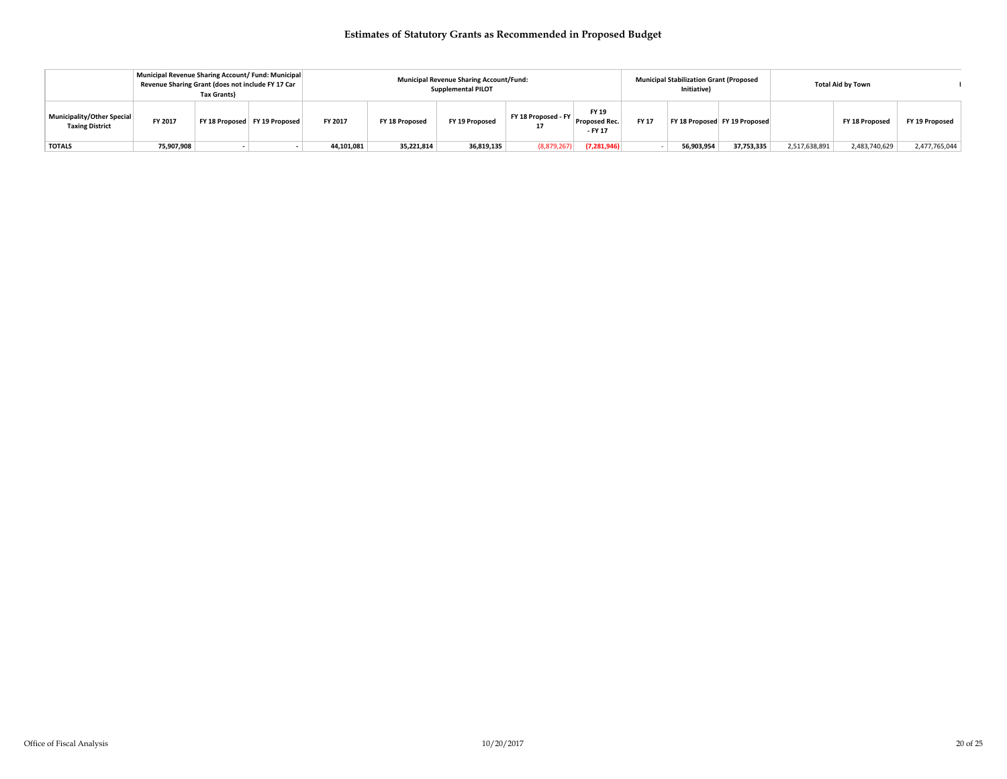|                                                      | Municipal Revenue Sharing Account/ Fund: Municipal<br>Revenue Sharing Grant (does not include FY 17 Car | <b>Tax Grants)</b>            |            |                | <b>Municipal Revenue Sharing Account/Fund:</b><br><b>Supplemental PILOT</b> |                     |                                   | <b>Municipal Stabilization Grant (Proposed</b><br>Initiative) |            | <b>Total Aid by Town</b>      |               |                |                |  |
|------------------------------------------------------|---------------------------------------------------------------------------------------------------------|-------------------------------|------------|----------------|-----------------------------------------------------------------------------|---------------------|-----------------------------------|---------------------------------------------------------------|------------|-------------------------------|---------------|----------------|----------------|--|
| Municipality/Other Special<br><b>Taxing District</b> | FY 2017                                                                                                 | FY 18 Proposed FY 19 Proposed | FY 2017    | FY 18 Proposed | FY 19 Proposed                                                              | FY 18 Proposed - FY | FY 19<br>Proposed Rec.<br>- FY 17 | <b>FY 17</b>                                                  |            | FY 18 Proposed FY 19 Proposed |               | FY 18 Proposed | FY 19 Proposed |  |
| <b>TOTALS</b>                                        | 75,907,908                                                                                              |                               | 44,101,081 | 35,221,814     | 36,819,135                                                                  | (8,879,267)         | (7, 281, 946)                     |                                                               | 56,903,954 | 37,753,335                    | 2,517,638,891 | 2,483,740,629  | 2,477,765,044  |  |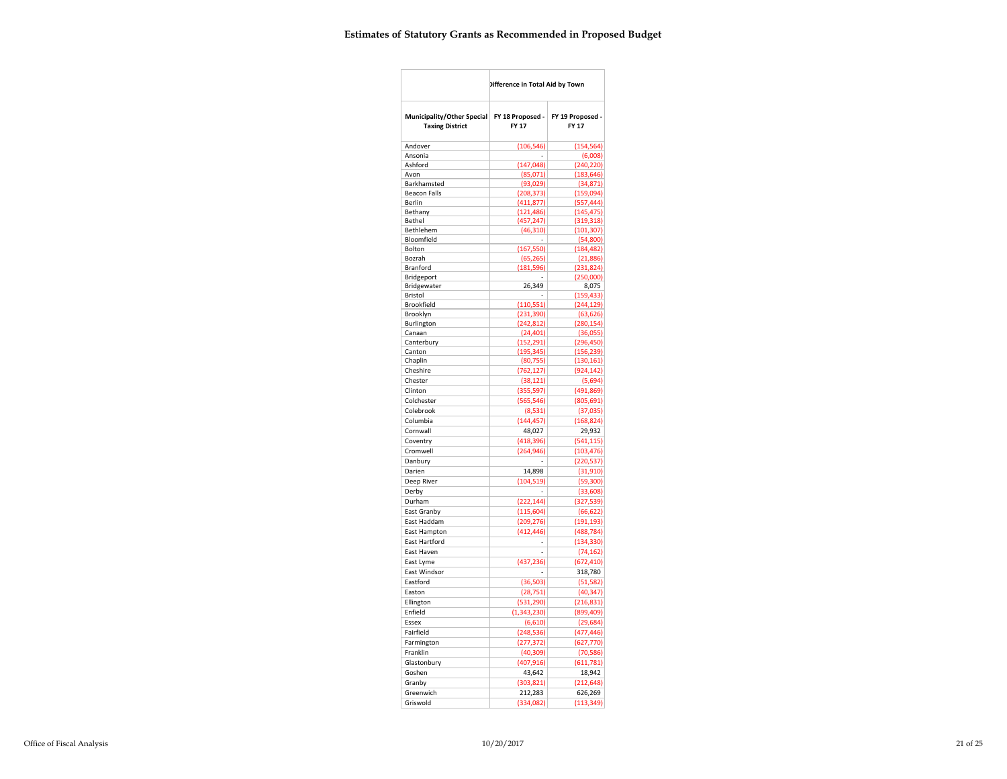|                                                      | Difference in Total Aid by Town |                           |  |  |  |
|------------------------------------------------------|---------------------------------|---------------------------|--|--|--|
| Municipality/Other Special<br><b>Taxing District</b> | FY 18 Proposed -<br>FY 17       | FY 19 Proposed -<br>FY 17 |  |  |  |
| Andover                                              | (106, 546)                      | (154, 564)                |  |  |  |
| Ansonia                                              |                                 | (6,008)                   |  |  |  |
| Ashford                                              | (147, 048)                      | (240, 220)                |  |  |  |
| Avon                                                 | (85,071)                        | (183, 646)                |  |  |  |
| Barkhamsted                                          | (93, 029)                       | (34, 871)                 |  |  |  |
| <b>Beacon Falls</b>                                  | (208, 373)                      | (159,094)                 |  |  |  |
| Berlin                                               | (411, 877)                      | (557, 444)                |  |  |  |
| Bethany                                              | (121, 486)                      | (145, 475)                |  |  |  |
| Bethel                                               | (457, 247)                      | (319, 318)                |  |  |  |
| Bethlehem                                            | (46, 310)                       | (101, 307)                |  |  |  |
| Bloomfield                                           | ٠                               | (54,800)                  |  |  |  |
| Bolton                                               | (167, 550)                      | (184, 482)                |  |  |  |
| Bozrah                                               | (65, 265)                       | (21,886)                  |  |  |  |
| Branford                                             | (181, 596)                      | (231, 824)                |  |  |  |
| Bridgeport                                           |                                 | (250,000)                 |  |  |  |
| Bridgewater                                          | 26,349                          | 8,075                     |  |  |  |
| Bristol                                              |                                 | (159, 433)                |  |  |  |
| Brookfield                                           | (110, 551)                      | (244, 129)                |  |  |  |
| Brooklyn<br>Burlington                               | (231,390)                       | (63, 626)                 |  |  |  |
| Canaan                                               | (242, 812)<br>(24, 401)         | (280, 154)<br>(36,055)    |  |  |  |
| Canterbury                                           |                                 | (296, 450)                |  |  |  |
| Canton                                               | (152, 291)<br>(195,345)         | (156, 239)                |  |  |  |
| Chaplin                                              | (80, 755)                       | (130, 161)                |  |  |  |
| Cheshire                                             | (762, 127)                      | (924, 142)                |  |  |  |
| Chester                                              | (38, 121)                       | (5,694)                   |  |  |  |
| Clinton                                              | (355, 597)                      | (491, 869)                |  |  |  |
| Colchester                                           | (565, 546)                      | (805, 691)                |  |  |  |
| Colebrook                                            |                                 |                           |  |  |  |
|                                                      | (8,531)                         | (37,035)                  |  |  |  |
| Columbia                                             | (144, 457)                      | (168, 824)                |  |  |  |
| Cornwall                                             | 48,027                          | 29,932                    |  |  |  |
| Coventry                                             | (418, 396)                      | (541, 115)                |  |  |  |
| Cromwell                                             | (264, 946)                      | (103, 476)                |  |  |  |
| Danbury                                              |                                 | (220, 537)                |  |  |  |
| Darien                                               | 14,898                          | (31, 910)                 |  |  |  |
| Deep River                                           | (104, 519)                      | (59, 300)                 |  |  |  |
| Derby                                                |                                 | (33,608)                  |  |  |  |
| Durham                                               | (222, 144)                      | (327, 539)                |  |  |  |
| East Granby                                          | (115, 604)                      | (66, 622)                 |  |  |  |
| East Haddam                                          | (209, 276)                      | (191, 193)                |  |  |  |
| East Hampton                                         | (412, 446)                      | (488, 784)                |  |  |  |
| East Hartford                                        | $\overline{a}$                  | (134, 330)                |  |  |  |
| East Haven                                           | Ĭ.                              | (74, 162)                 |  |  |  |
| East Lyme                                            | (437, 236)                      | (672, 410)                |  |  |  |
| East Windsor                                         |                                 | 318,780                   |  |  |  |
| Eastford                                             | (36, 503)                       | (51, 582)                 |  |  |  |
| Easton                                               | (28, 751)                       | (40, 347)                 |  |  |  |
| Ellington                                            | (531, 290)                      | (216, 831)                |  |  |  |
| Enfield                                              | (1,343,230)                     | (899, 409)                |  |  |  |
| Essex                                                | (6,610)                         | (29, 684)                 |  |  |  |
| Fairfield                                            | (248, 536)                      | (477, 446)                |  |  |  |
| Farmington                                           | (277, 372)                      | (627, 770)                |  |  |  |
| Franklin                                             | (40,309)                        | (70, 586)                 |  |  |  |
| Glastonbury                                          | (407, 916)                      | (611,781)                 |  |  |  |
|                                                      |                                 |                           |  |  |  |
| Goshen                                               | 43,642                          | 18,942                    |  |  |  |
| Granby                                               | (303, 821)                      | (212, 648)                |  |  |  |
| Greenwich                                            | 212,283                         | 626,269                   |  |  |  |
| Griswold                                             | (334,082)                       | (113, 349)                |  |  |  |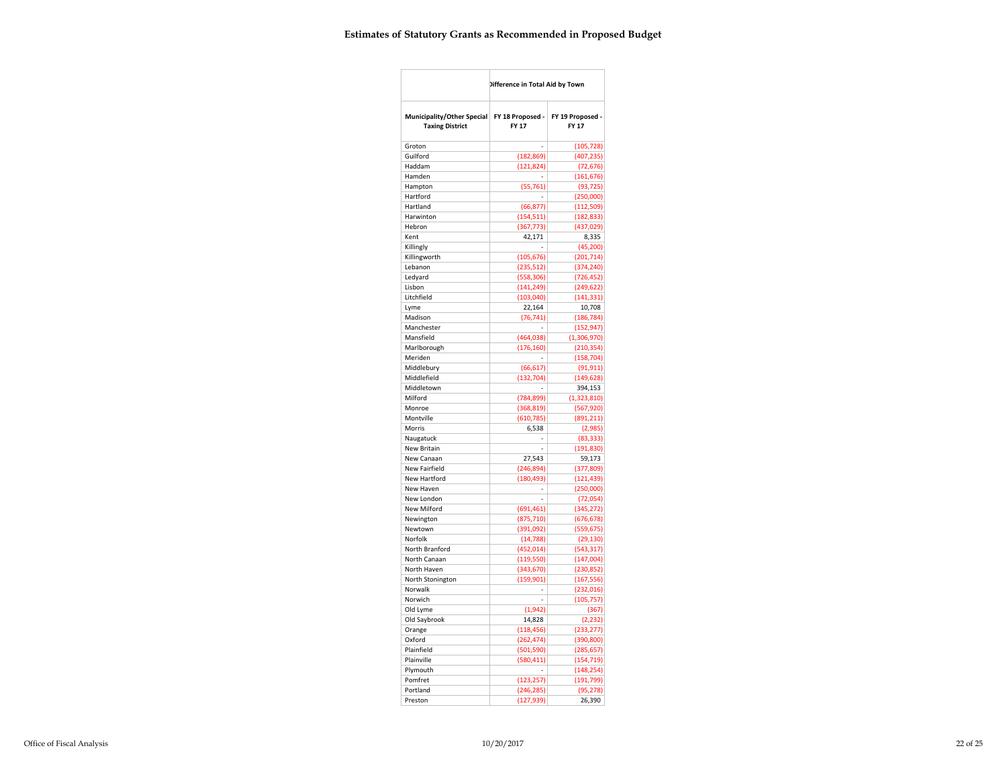|                                                      | Difference in Total Aid by Town  |                           |
|------------------------------------------------------|----------------------------------|---------------------------|
| Municipality/Other Special<br><b>Taxing District</b> | FY 18 Proposed -<br><b>FY 17</b> | FY 19 Proposed -<br>FY 17 |
| Groton                                               |                                  | (105, 728)                |
| Guilford                                             | (182, 869)                       | (407, 235)                |
| Haddam                                               | (121, 824)                       | (72, 676)                 |
| Hamden                                               |                                  | (161, 676)                |
| Hampton                                              | (55, 761)                        | (93, 725)                 |
| Hartford                                             | Ĭ.                               | (250,000)                 |
| Hartland                                             | (66, 877)                        | (112, 509)                |
| Harwinton                                            | (154, 511)                       | (182, 833)                |
| Hebron                                               | (367, 773)                       | (437, 029)                |
| Kent                                                 | 42,171                           | 8,335                     |
| Killingly                                            |                                  | (45, 200)                 |
| Killingworth<br>Lebanon                              | (105, 676)                       | (201, 714)                |
| Ledyard                                              | (235, 512)<br>(558, 306)         | (374, 240)<br>(726, 452)  |
| Lisbon                                               | (141, 249)                       | (249, 622)                |
| Litchfield                                           | (103, 040)                       | (141, 331)                |
| Lyme                                                 | 22,164                           | 10,708                    |
| Madison                                              | (76, 741)                        | (186, 784)                |
| Manchester                                           |                                  | (152, 947)                |
| Mansfield                                            | (464, 038)                       | (1,306,970)               |
| Marlborough                                          | (176, 160)                       | (210, 354)                |
| Meriden                                              | i,                               | (158, 704)                |
| Middlebury                                           | (66, 617)                        | (91, 911)                 |
| Middlefield                                          | (132, 704)                       | (149, 628)                |
| Middletown                                           |                                  | 394,153                   |
| Milford                                              | (784, 899)                       | (1,323,810)               |
| Monroe                                               | (368, 819)                       | (567, 920)                |
| Montville                                            | (610, 785)                       | (891, 211)                |
| Morris                                               | 6,538                            | (2,985)                   |
| Naugatuck                                            |                                  | (83, 333)                 |
| New Britain                                          |                                  | (191, 830)                |
| New Canaan<br><b>New Fairfield</b>                   | 27,543                           | 59,173                    |
| New Hartford                                         | (246, 894)<br>(180, 493)         | (377, 809)<br>(121, 439)  |
| New Haven                                            | L,                               | (250,000)                 |
| New London                                           |                                  | (72,054)                  |
| New Milford                                          | (691, 461)                       | (345, 272)                |
| Newington                                            | (875, 710)                       | (676, 678)                |
| Newtown                                              | (391,092)                        | (559, 675)                |
| Norfolk                                              | (14, 788)                        | (29, 130)                 |
| North Branford                                       | (452, 014)                       | (543, 317)                |
| North Canaan                                         | (119, 550)                       | (147,004)                 |
| North Haven                                          | (343, 670)                       | (230, 852)                |
| North Stonington                                     | (159, 901)                       | (167, 556)                |
| Norwalk                                              |                                  | (232, 016)                |
| Norwich                                              | $\overline{a}$                   | (105, 757)                |
| Old Lyme                                             | (1, 942)                         | (367)                     |
| Old Saybrook                                         | 14,828                           | (2, 232)                  |
| Orange                                               | (118, 456)                       | (233, 277)                |
| Oxford                                               | (262, 474)                       | (390, 800)                |
| Plainfield<br>Plainville                             | (501, 590)                       | (285, 657)                |
| Plymouth                                             | (580, 411)                       | (154, 719)<br>(148, 254)  |
| Pomfret                                              | (123, 257)                       | (191, 799)                |
| Portland                                             | (246, 285)                       | (95, 278)                 |
| Preston                                              | (127, 939)                       | 26,390                    |
|                                                      |                                  |                           |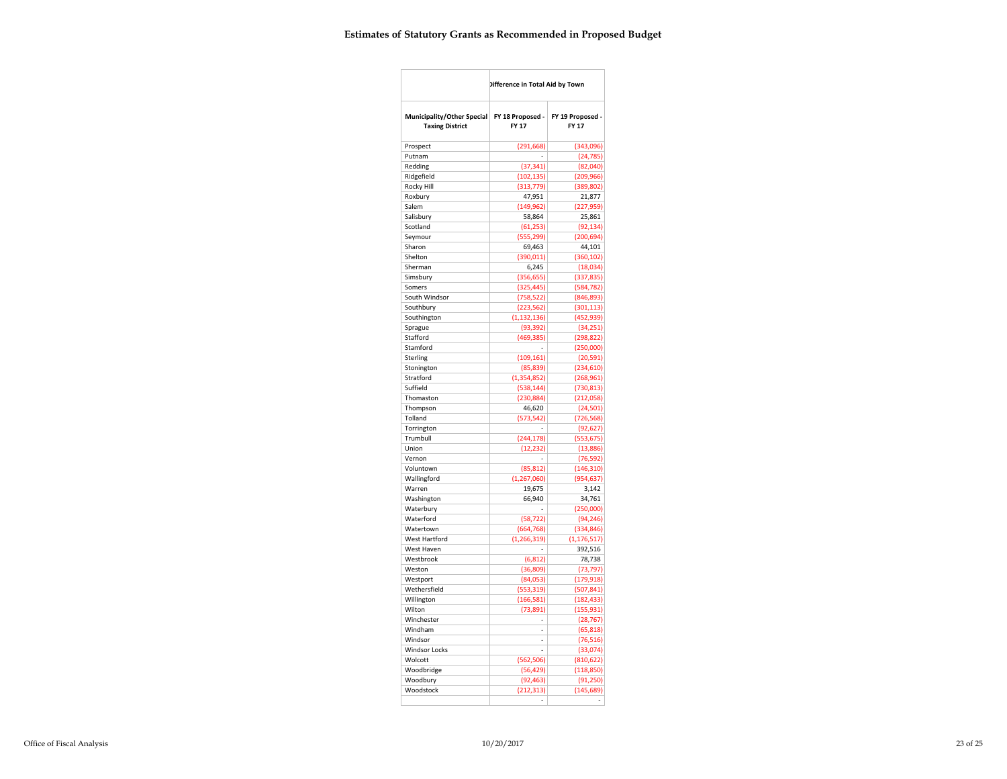|                                                      | Difference in Total Aid by Town |                           |
|------------------------------------------------------|---------------------------------|---------------------------|
| Municipality/Other Special<br><b>Taxing District</b> | FY 18 Proposed -<br>FY 17       | FY 19 Proposed -<br>FY 17 |
| Prospect                                             | (291, 668)                      | (343,096)                 |
| Putnam                                               |                                 | (24, 785)                 |
| Redding                                              | (37, 341)                       | (82,040)                  |
| Ridgefield                                           | (102, 135)                      | (209, 966)                |
| Rocky Hill                                           | (313, 779)                      | (389, 802)                |
| Roxbury                                              | 47,951                          | 21,877                    |
| Salem                                                | (149, 962)                      | (227, 959)                |
| Salisbury                                            | 58,864                          | 25,861                    |
| Scotland                                             | (61, 253)                       | (92, 134)                 |
| Seymour                                              | (555, 299)                      | (200, 694)                |
| Sharon                                               | 69,463                          | 44,101                    |
| Shelton                                              | (390, 011)                      | (360, 102)                |
| Sherman                                              | 6,245                           | (18,034)                  |
| Simsbury                                             | (356, 655)                      | (337, 835)                |
| Somers                                               | (325, 445)                      | (584, 782)                |
| South Windsor                                        | (758, 522)                      | (846, 893)                |
| Southbury                                            | (223, 562)                      | (301, 113)                |
| Southington<br>Sprague                               | (1, 132, 136)<br>(93, 392)      | (452, 939)<br>(34, 251)   |
| Stafford                                             | (469, 385)                      | (298, 822)                |
| Stamford                                             |                                 | (250,000)                 |
| Sterling                                             | (109, 161)                      | (20, 591)                 |
| Stonington                                           | (85, 839)                       | (234, 610)                |
| Stratford                                            | (1,354,852)                     | (268, 961)                |
| Suffield                                             | (538, 144)                      | (730, 813)                |
| Thomaston                                            | (230, 884)                      | (212,058)                 |
| Thompson                                             | 46,620                          | (24, 501)                 |
| Tolland                                              | (573, 542)                      | (726, 568)                |
| Torrington                                           |                                 | (92, 627)                 |
| Trumbull                                             | (244, 178)                      | (553, 675)                |
| Union                                                | (12, 232)                       | (13,886)                  |
| Vernon                                               |                                 | (76, 592)                 |
| Voluntown                                            | (85, 812)                       | (146, 310)                |
| Wallingford                                          | (1, 267, 060)                   | (954, 637)                |
| Warren                                               | 19,675                          | 3,142                     |
| Washington                                           | 66,940                          | 34,761                    |
| Waterbury                                            |                                 | (250,000)                 |
| Waterford                                            | (58, 722)                       | (94, 246)                 |
| Watertown                                            | (664, 768)                      | (334, 846)                |
| West Hartford<br>West Haven                          | (1, 266, 319)                   | (1, 176, 517)             |
| Westbrook                                            | (6, 812)                        | 392,516<br>78,738         |
| Weston                                               | (36, 809)                       | (73, 797)                 |
| Westport                                             | (84,053)                        | (179, 918)                |
| Wethersfield                                         | (553, 319)                      | (507, 841)                |
| Willington                                           | (166, 581)                      | (182, 433)                |
| Wilton                                               | (73, 891)                       | (155, 931)                |
| Winchester                                           | $\overline{\phantom{0}}$        | (28, 767)                 |
| Windham                                              | L,                              | (65, 818)                 |
| Windsor                                              | L,                              | (76, 516)                 |
| <b>Windsor Locks</b>                                 | $\overline{a}$                  | (33,074)                  |
| Wolcott                                              | (562, 506)                      | (810, 622)                |
| Woodbridge                                           | (56, 429)                       | (118, 850)                |
| Woodbury                                             | (92, 463)                       | (91, 250)                 |
| Woodstock                                            | (212, 313)                      | (145, 689)                |
|                                                      |                                 |                           |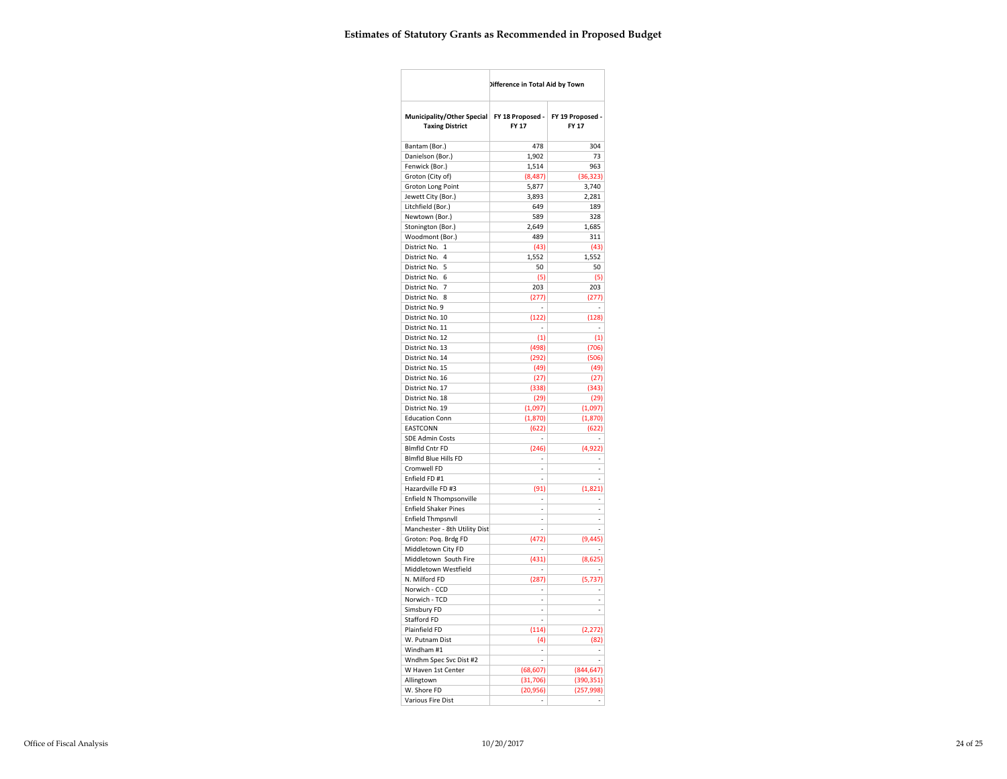|                                                      | Difference in Total Aid by Town |                                            |  |  |
|------------------------------------------------------|---------------------------------|--------------------------------------------|--|--|
| Municipality/Other Special<br><b>Taxing District</b> | FY 18 Proposed -<br>FY 17       | FY 19 Proposed -<br>FY 17                  |  |  |
| Bantam (Bor.)                                        | 478                             | 304                                        |  |  |
| Danielson (Bor.)                                     | 1,902                           | 73                                         |  |  |
| Fenwick (Bor.)                                       | 1,514                           | 963                                        |  |  |
| Groton (City of)                                     | (8,487)                         | (36, 323)                                  |  |  |
| Groton Long Point                                    | 5,877                           | 3,740                                      |  |  |
| Jewett City (Bor.)                                   | 3,893                           | 2,281                                      |  |  |
| Litchfield (Bor.)                                    | 649                             | 189                                        |  |  |
| Newtown (Bor.)                                       | 589                             | 328                                        |  |  |
| Stonington (Bor.)                                    | 2,649                           | 1,685                                      |  |  |
| Woodmont (Bor.)                                      | 489                             | 311                                        |  |  |
| District No. 1                                       | (43)                            | (43)                                       |  |  |
| District No. 4                                       | 1,552                           | 1,552                                      |  |  |
| District No. 5                                       | 50                              | 50                                         |  |  |
| District No. 6                                       | (5)                             | (5)                                        |  |  |
| District No. 7                                       | 203                             | 203                                        |  |  |
| District No. 8<br>District No. 9                     | (277)<br>L.                     | (277)<br>$\overline{a}$                    |  |  |
| District No. 10                                      | (122)                           | (128)                                      |  |  |
| District No. 11                                      | $\overline{a}$                  | $\overline{\phantom{a}}$                   |  |  |
| District No. 12                                      | (1)                             | (1)                                        |  |  |
| District No. 13                                      | (498)                           | (706)                                      |  |  |
| District No. 14                                      | (292)                           | (506)                                      |  |  |
| District No. 15                                      | (49)                            | (49)                                       |  |  |
| District No. 16                                      | (27)                            | (27)                                       |  |  |
| District No. 17                                      | (338)                           | (343)                                      |  |  |
| District No. 18                                      | (29)                            | (29)                                       |  |  |
| District No. 19                                      | (1,097)                         | (1,097)                                    |  |  |
| <b>Education Conn</b>                                | (1, 870)                        | (1, 870)                                   |  |  |
| EASTCONN                                             | (622)                           | (622)                                      |  |  |
| <b>SDE Admin Costs</b>                               | ÷,                              |                                            |  |  |
| <b>Blmfld Cntr FD</b>                                | (246)                           | (4, 922)                                   |  |  |
| <b>Blmfld Blue Hills FD</b><br>Cromwell FD           | L,<br>$\overline{a}$            | $\overline{\phantom{a}}$<br>$\overline{a}$ |  |  |
| Enfield FD #1                                        | i,                              | $\overline{a}$                             |  |  |
| Hazardville FD #3                                    | (91)                            | (1,821)                                    |  |  |
| Enfield N Thompsonville                              | $\overline{a}$                  | ÷,                                         |  |  |
| <b>Enfield Shaker Pines</b>                          | L,                              | L.                                         |  |  |
| <b>Enfield Thmpsnvll</b>                             | $\overline{\phantom{a}}$        | $\overline{\phantom{a}}$                   |  |  |
| Manchester - 8th Utility Dist                        | $\overline{a}$                  | ÷,                                         |  |  |
| Groton: Poq. Brdg FD                                 | (472)                           | (9, 445)                                   |  |  |
| Middletown City FD                                   |                                 |                                            |  |  |
| Middletown South Fire                                | (431)                           | (8,625)                                    |  |  |
| Middletown Westfield                                 | L,                              |                                            |  |  |
| N. Milford FD                                        | (287)                           | (5, 737)                                   |  |  |
| Norwich - CCD                                        |                                 |                                            |  |  |
| Norwich - TCD                                        | L.                              | $\overline{\phantom{a}}$<br>$\overline{a}$ |  |  |
| Simsbury FD                                          | $\overline{a}$<br>L,            |                                            |  |  |
| Stafford FD<br>Plainfield FD                         |                                 |                                            |  |  |
| W. Putnam Dist                                       | (114)<br>(4)                    | (2, 272)<br>(82)                           |  |  |
| Windham #1                                           | $\centering \label{eq:reduced}$ | $\overline{\phantom{a}}$                   |  |  |
| Wndhm Spec Svc Dist #2                               |                                 |                                            |  |  |
| W Haven 1st Center                                   | (68, 607)                       | (844, 647)                                 |  |  |
| Allingtown                                           | (31, 706)                       | (390, 351)                                 |  |  |
| W. Shore FD                                          | (20, 956)                       | (257, 998)                                 |  |  |
| <b>Various Fire Dist</b>                             |                                 |                                            |  |  |
|                                                      |                                 |                                            |  |  |